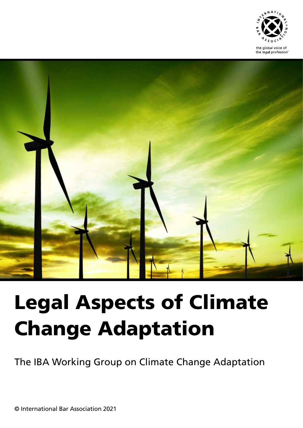



# Legal Aspects of Climate Change Adaptation

The IBA Working Group on Climate Change Adaptation

© International Bar Association 2021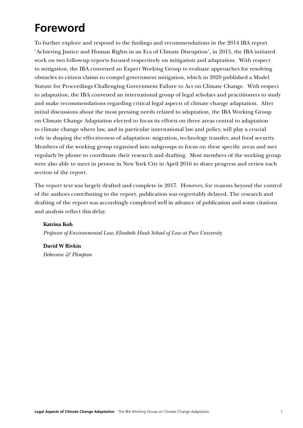# **Foreword**

To further explore and respond to the findings and recommendations in the 2014 IBA report 'Achieving Justice and Human Rights in an Era of Climate Disruption', in 2015, the IBA initiated work on two follow-up reports focused respectively on mitigation and adaptation. With respect to mitigation, the IBA convened an Expert Working Group to evaluate approaches for resolving obstacles to citizen claims to compel government mitigation, which in 2020 published a Model Statute for Proceedings Challenging Government Failure to Act on Climate Change. With respect to adaptation, the IBA convened an international group of legal scholars and practitioners to study and make recommendations regarding critical legal aspects of climate change adaptation. After initial discussions about the most pressing needs related to adaptation, the IBA Working Group on Climate Change Adaptation elected to focus its efforts on three areas central to adaptation to climate change where law, and in particular international law and policy, will play a crucial role in shaping the effectiveness of adaptation: migration, technology transfer, and food security. Members of the working group organised into subgroups to focus on these specific areas and met regularly by phone to coordinate their research and drafting. Most members of the working group were also able to meet in person in New York City in April 2016 to share progress and review each section of the report.

The report text was largely drafted and complete in 2017. However, for reasons beyond the control of the authors contributing to the report, publication was regrettably delayed. The research and drafting of the report was accordingly completed well in advance of publication and some citations and analysis reflect this delay.

#### **Katrina Kuh**

*Professor of Environmental Law, Elisabeth Haub School of Law at Pace University*

**David W Rivkin** *Debevoise & Plimpton*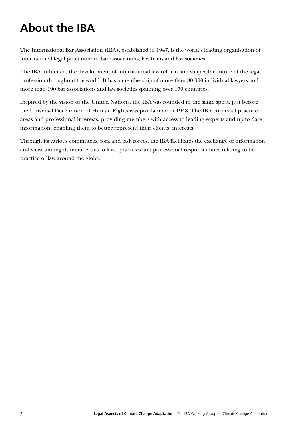# **About the IBA**

The International Bar Association (IBA), established in 1947, is the world's leading organisation of international legal practitioners, bar associations, law firms and law societies.

The IBA influences the development of international law reform and shapes the future of the legal profession throughout the world. It has a membership of more than 80,000 individual lawyers and more than 190 bar associations and law societies spanning over 170 countries.

Inspired by the vision of the United Nations, the IBA was founded in the same spirit, just before the Universal Declaration of Human Rights was proclaimed in 1948. The IBA covers all practice areas and professional interests, providing members with access to leading experts and up-to-date information, enabling them to better represent their clients' interests.

Through its various committees, fora and task forces, the IBA facilitates the exchange of information and views among its members as to laws, practices and professional responsibilities relating to the practice of law around the globe.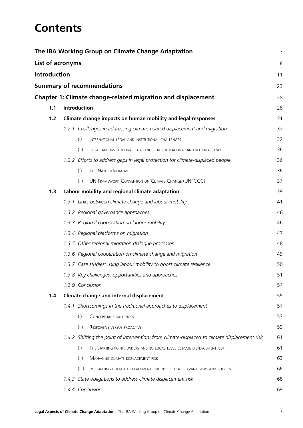# **Contents**

|                     | The IBA Working Group on Climate Change Adaptation                                            | 7  |
|---------------------|-----------------------------------------------------------------------------------------------|----|
| List of acronyms    |                                                                                               | 8  |
| <b>Introduction</b> |                                                                                               | 11 |
|                     | <b>Summary of recommendations</b>                                                             | 23 |
|                     | <b>Chapter 1: Climate change-related migration and displacement</b>                           | 28 |
| 1.1                 | <b>Introduction</b>                                                                           | 28 |
| $1.2$               | Climate change impacts on human mobility and legal responses                                  | 31 |
|                     | 1.2.1 Challenges in addressing climate-related displacement and migration                     | 32 |
|                     | (i)<br>INTERNATIONAL LEGAL AND INSTITUTIONAL CHALLENGES                                       | 32 |
|                     | (ii)<br>LEGAL AND INSTITUTIONAL CHALLENGES AT THE NATIONAL AND REGIONAL LEVEL                 | 36 |
|                     | 1.2.2 Efforts to address gaps in legal protection for climate-displaced people                | 36 |
|                     | THE NANSEN INITIATIVE<br>(i)                                                                  | 36 |
|                     | UN FRAMEWORK CONVENTION ON CLIMATE CHANGE (UNFCCC)<br>(ii)                                    | 37 |
| 1.3                 | Labour mobility and regional climate adaptation                                               | 39 |
|                     | 1.3.1 Links between climate change and labour mobility                                        | 41 |
|                     | 1.3.2 Regional governance approaches                                                          | 46 |
|                     | 1.3.3 Regional cooperation on labour mobility                                                 | 46 |
|                     | 1.3.4 Regional platforms on migration                                                         | 47 |
|                     | 1.3.5 Other regional migration dialogue processes                                             | 48 |
|                     | 1.3.6 Regional cooperation on climate change and migration                                    | 49 |
|                     | 1.3.7 Case studies: using labour mobility to boost climate resilience                         | 50 |
|                     | 1.3.8 Key challenges, opportunities and approaches                                            | 51 |
|                     | 1.3.9 Conclusion                                                                              | 54 |
| 1.4                 | Climate change and internal displacement                                                      | 55 |
|                     | 1.4.1 Shortcomings in the traditional approaches to displacement                              | 57 |
|                     | (i)<br>CONCEPTUAL CHALLENGES                                                                  | 57 |
|                     | (ii)<br>RESPONSIVE VERSUS PROACTIVE                                                           | 59 |
|                     | 1.4.2 Shifting the point of intervention: from climate-displaced to climate displacement risk | 61 |
|                     | (i)<br>THE STARTING POINT. UNDERSTANDING LOCAL-LEVEL CLIMATE DISPLACEMENT RISK                | 61 |
|                     | (ii)<br>MANAGING CLIMATE DISPLACEMENT RISK                                                    | 63 |
|                     | (iii)<br>INTEGRATING CLIMATE DISPLACEMENT RISK INTO OTHER RELEVANT LAWS AND POLICIES          | 66 |
|                     | 1.4.3 State obligations to address climate displacement risk                                  | 68 |
|                     | 1.4.4 Conclusion                                                                              | 69 |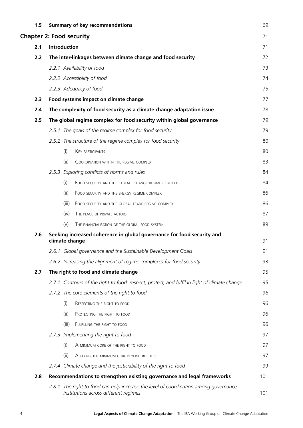| 1.5 |              |       | <b>Summary of key recommendations</b>                                                                                   | 69  |  |
|-----|--------------|-------|-------------------------------------------------------------------------------------------------------------------------|-----|--|
|     |              |       | <b>Chapter 2: Food security</b>                                                                                         | 71  |  |
| 2.1 | Introduction |       |                                                                                                                         |     |  |
| 2.2 |              |       | The inter-linkages between climate change and food security                                                             | 72  |  |
|     |              |       | 2.2.1 Availability of food                                                                                              | 73  |  |
|     |              |       | 2.2.2 Accessibility of food                                                                                             | 74  |  |
|     |              |       | 2.2.3 Adequacy of food                                                                                                  | 75  |  |
| 2.3 |              |       | Food systems impact on climate change                                                                                   | 77  |  |
| 2.4 |              |       | The complexity of food security as a climate change adaptation issue                                                    | 78  |  |
| 2.5 |              |       | The global regime complex for food security within global governance                                                    | 79  |  |
|     |              |       | 2.5.1 The goals of the regime complex for food security                                                                 | 79  |  |
|     |              |       | 2.5.2 The structure of the regime complex for food security                                                             | 80  |  |
|     |              | (i)   | <b>KEY PARTICIPANTS</b>                                                                                                 | 80  |  |
|     |              | (ii)  | COORDINATION WITHIN THE REGIME COMPLEX                                                                                  | 83  |  |
|     |              |       | 2.5.3 Exploring conflicts of norms and rules                                                                            | 84  |  |
|     |              | (i)   | FOOD SECURITY AND THE CLIMATE CHANGE REGIME COMPLEX                                                                     | 84  |  |
|     |              | (ii)  | FOOD SECURITY AND THE ENERGY REGIME COMPLEX                                                                             | 86  |  |
|     |              | (iii) | FOOD SECURITY AND THE GLOBAL TRADE REGIME COMPLEX                                                                       | 86  |  |
|     |              | (iv)  | THE PLACE OF PRIVATE ACTORS                                                                                             | 87  |  |
|     |              | (v)   | THE FINANCIALISATION OF THE GLOBAL FOOD SYSTEM                                                                          | 89  |  |
| 2.6 |              |       | Seeking increased coherence in global governance for food security and<br>climate change                                | 91  |  |
|     |              |       | 2.6.1 Global governance and the Sustainable Development Goals                                                           | 91  |  |
|     |              |       | 2.6.2 Increasing the alignment of regime complexes for food security                                                    | 93  |  |
| 2.7 |              |       | The right to food and climate change                                                                                    | 95  |  |
|     |              |       | 2.7.1 Contours of the right to food: respect, protect, and fulfil in light of climate change                            | 95  |  |
|     |              |       | 2.7.2 The core elements of the right to food                                                                            | 96  |  |
|     |              | (i)   | RESPECTING THE RIGHT TO FOOD                                                                                            | 96  |  |
|     |              | (ii)  | PROTECTING THE RIGHT TO FOOD                                                                                            | 96  |  |
|     |              | (iii) | FULFILLING THE RIGHT TO FOOD                                                                                            | 96  |  |
|     |              |       | 2.7.3 Implementing the right to food                                                                                    | 97  |  |
|     |              | (i)   | A MINIMUM CORE OF THE RIGHT TO FOOD                                                                                     | 97  |  |
|     |              | (ii)  | APPLYING THE MINIMUM CORE BEYOND BORDERS                                                                                | 97  |  |
|     |              |       | 2.7.4 Climate change and the justiciability of the right to food                                                        | 99  |  |
| 2.8 |              |       | Recommendations to strengthen existing governance and legal frameworks                                                  | 101 |  |
|     | 2.8.1        |       | The right to food can help increase the level of coordination among governance<br>institutions across different regimes | 101 |  |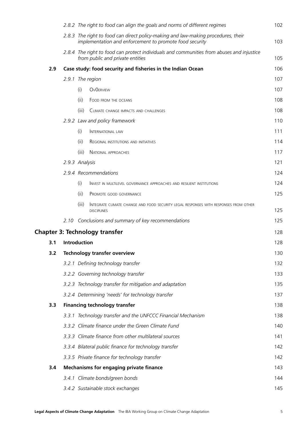|     |      | 2.8.2 The right to food can align the goals and norms of different regimes                                                                   | 102        |
|-----|------|----------------------------------------------------------------------------------------------------------------------------------------------|------------|
|     |      | 2.8.3 The right to food can direct policy-making and law-making procedures, their<br>implementation and enforcement to promote food security | 103        |
|     |      | 2.8.4 The right to food can protect individuals and communities from abuses and injustice<br>from public and private entities                | 105        |
| 2.9 |      | Case study: food security and fisheries in the Indian Ocean                                                                                  | 106        |
|     |      | 2.9.1 The region                                                                                                                             | 107        |
|     |      | (i)<br><b>OVOERVIEW</b>                                                                                                                      | 107        |
|     |      | (ii)<br>FOOD FROM THE OCEANS                                                                                                                 | 108        |
|     |      | (iii)<br>CLIMATE CHANGE IMPACTS AND CHALLENGES                                                                                               | 108        |
|     |      | 2.9.2 Law and policy framework                                                                                                               | <b>110</b> |
|     |      | (i)<br>INTERNATIONAL LAW                                                                                                                     | 111        |
|     |      | (ii)<br>REGIONAL INSTITUTIONS AND INITIATIVES                                                                                                | 114        |
|     |      | (iii)<br>NATIONAL APPROACHES                                                                                                                 | 117        |
|     |      | 2.9.3 Analysis                                                                                                                               | 121        |
|     |      | 2.9.4 Recommendations                                                                                                                        | 124        |
|     |      | (i)<br>INVEST IN MULTILEVEL GOVERNANCE APPROACHES AND RESILIENT INSTITUTIONS                                                                 | 124        |
|     |      | (ii)<br>PROMOTE GOOD GOVERNANCE                                                                                                              | 125        |
|     |      | (iii)<br>INTEGRATE CLIMATE CHANGE AND FOOD SECURITY LEGAL RESPONSES WITH RESPONSES FROM OTHER<br><b>DISCIPLINES</b>                          | 125        |
|     | 2.10 | Conclusions and summary of key recommendations                                                                                               | 125        |
|     |      | <b>Chapter 3: Technology transfer</b>                                                                                                        | 128        |
| 3.1 |      | Introduction                                                                                                                                 | 128        |
| 3.2 |      | Technology transfer overview                                                                                                                 | 130        |
|     |      | 3.2.1 Defining technology transfer                                                                                                           | 132        |
|     |      | 3.2.2 Governing technology transfer                                                                                                          | 133        |
|     |      | 3.2.3 Technology transfer for mitigation and adaptation                                                                                      | 135        |
|     |      | 3.2.4 Determining 'needs' for technology transfer                                                                                            | 137        |
| 3.3 |      | <b>Financing technology transfer</b>                                                                                                         | 138        |
|     |      | 3.3.1 Technology transfer and the UNFCCC Financial Mechanism                                                                                 | 138        |
|     |      | 3.3.2 Climate finance under the Green Climate Fund                                                                                           | <b>140</b> |
|     |      | 3.3.3 Climate finance from other multilateral sources                                                                                        | 141        |
|     |      | 3.3.4 Bilateral public finance for technology transfer                                                                                       | 142        |
|     |      | 3.3.5 Private finance for technology transfer                                                                                                | 142        |
| 3.4 |      | <b>Mechanisms for engaging private finance</b>                                                                                               | 143        |
|     |      | 3.4.1 Climate bonds/green bonds                                                                                                              | 144        |
|     |      | 3.4.2 Sustainable stock exchanges                                                                                                            | 145        |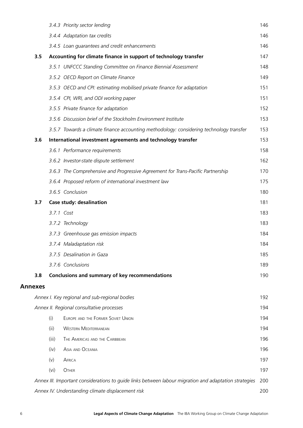|                |                   | 3.4.3 Priority sector lending                                                                         | 146 |
|----------------|-------------------|-------------------------------------------------------------------------------------------------------|-----|
|                |                   | 3.4.4 Adaptation tax credits                                                                          | 146 |
|                |                   | 3.4.5 Loan guarantees and credit enhancements                                                         | 146 |
| 3.5            |                   | Accounting for climate finance in support of technology transfer                                      | 147 |
|                |                   | 3.5.1 UNFCCC Standing Committee on Finance Biennial Assessment                                        | 148 |
|                |                   | 3.5.2 OECD Report on Climate Finance                                                                  | 149 |
|                |                   | 3.5.3 OECD and CPI: estimating mobilised private finance for adaptation                               | 151 |
|                |                   | 3.5.4 CPI, WRI, and ODI working paper                                                                 | 151 |
|                |                   | 3.5.5 Private finance for adaptation                                                                  | 152 |
|                |                   | 3.5.6 Discussion brief of the Stockholm Environment Institute                                         | 153 |
|                |                   | 3.5.7 Towards a climate finance accounting methodology: considering technology transfer               | 153 |
| 3.6            |                   | International investment agreements and technology transfer                                           | 153 |
|                |                   | 3.6.1 Performance requirements                                                                        | 158 |
|                |                   | 3.6.2 Investor-state dispute settlement                                                               | 162 |
|                |                   | 3.6.3 The Comprehensive and Progressive Agreement for Trans-Pacific Partnership                       | 170 |
|                |                   | 3.6.4 Proposed reform of international investment law                                                 | 175 |
|                |                   | 3.6.5 Conclusion                                                                                      | 180 |
| 3.7            |                   | <b>Case study: desalination</b>                                                                       | 181 |
|                |                   | 3.7.1 Cost                                                                                            | 183 |
|                |                   | 3.7.2 Technology                                                                                      | 183 |
|                |                   | 3.7.3 Greenhouse gas emission impacts                                                                 | 184 |
|                |                   | 3.7.4 Maladaptation risk                                                                              | 184 |
|                |                   | 3.7.5 Desalination in Gaza                                                                            | 185 |
|                |                   | 3.7.6 Conclusions                                                                                     | 189 |
| 3.8            |                   | Conclusions and summary of key recommendations                                                        | 190 |
| <b>Annexes</b> |                   |                                                                                                       |     |
|                |                   | Annex I. Key regional and sub-regional bodies                                                         | 192 |
|                |                   | Annex II. Regional consultative processes                                                             | 194 |
|                | (i)               | EUROPE AND THE FORMER SOVIET UNION                                                                    | 194 |
|                | (ii)              | <b>WESTERN MEDITERRANEAN</b>                                                                          | 194 |
|                | (iii)             | THE AMERICAS AND THE CARIBBEAN                                                                        | 196 |
|                | (iv)              | ASIA AND OCEANIA                                                                                      | 196 |
|                | (v)               | AFRICA                                                                                                | 197 |
|                | (v <sub>i</sub> ) | <b>OTHER</b>                                                                                          | 197 |
|                |                   | Annex III. Important considerations to guide links between labour migration and adaptation strategies | 200 |
|                |                   | Annex IV. Understanding climate displacement risk                                                     | 200 |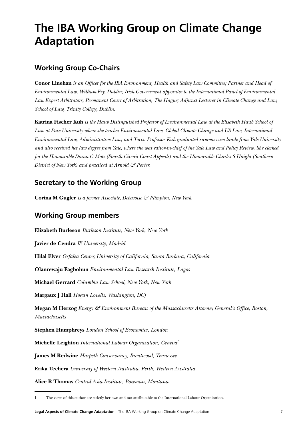# **The IBA Working Group on Climate Change Adaptation**

### **Working Group Co-Chairs**

**Conor Linehan** *is an Officer for the IBA Environment, Health and Safety Law Committee; Partner and Head of Environmental Law, William Fry, Dublin; Irish Government appointee to the International Panel of Environmental Law Expert Arbitrators, Permanent Court of Arbitration, The Hague; Adjunct Lecturer in Climate Change and Law, School of Law, Trinity College, Dublin.*

**Katrina Fischer Kuh** *is the Haub Distinguished Professor of Environmental Law at the Elisabeth Haub School of Law at Pace University where she teaches Environmental Law, Global Climate Change and US Law, International Environmental Law, Administrative Law, and Torts. Professor Kuh graduated summa cum laude from Yale University and also received her law degree from Yale, where she was editor-in-chief of the Yale Law and Policy Review. She clerked for the Honourable Diana G Motz (Fourth Circuit Court Appeals) and the Honourable Charles S Haight (Southern District of New York) and practiced at Arnold & Porter.*

### **Secretary to the Working Group**

**Corina M Gugler** *is a former Associate, Debevoise & Plimpton, New York*.

# **Working Group members**

**Elizabeth Burleson** *Burleson Institute, New York, New York* **Javier de Cendra** *IE University, Madrid* **Hilal Elver** *Orfalea Center, University of California, Santa Barbara, California* **Olanrewaju Fagbohun** *Environmental Law Research Institute, Lagos* **Michael Gerrard** *Columbia Law School, New York, New York* **Margaux J Hall** *Hogan Lovells, Washington, DC)* **Megan M Herzog** *Energy & Environment Bureau of the Massachusetts Attorney General's Office, Boston, Massachusetts* **Stephen Humphreys** *London School of Economics, London* **Michelle Leighton** *International Labour Organization, Geneva1* **James M Redwine** *Harpeth Conservancy, Brentwood, Tennessee* **Erika Techera** *University of Western Australia, Perth, Western Australia* **Alice R Thomas** *Central Asia Institute, Bozeman, Montana*

1 The views of this author are strictly her own and not attributable to the International Labour Organization.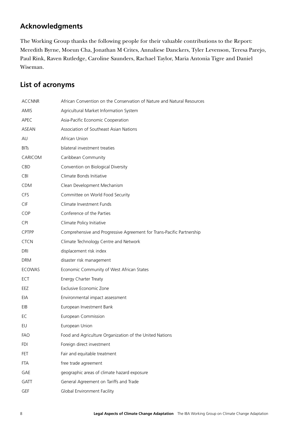# **Acknowledgments**

The Working Group thanks the following people for their valuable contributions to the Report: Meredith Byrne, Moeun Cha, Jonathan M Crites, Annaliese Danckers, Tyler Levenson, Teresa Parejo, Paul Rink, Raven Rutledge, Caroline Saunders, Rachael Taylor, Maria Antonia Tigre and Daniel Wiseman.

# **List of acronyms**

| <b>ACCNNR</b> | African Convention on the Conservation of Nature and Natural Resources |
|---------------|------------------------------------------------------------------------|
| AMIS          | Agricultural Market Information System                                 |
| APEC          | Asia-Pacific Economic Cooperation                                      |
| ASEAN         | Association of Southeast Asian Nations                                 |
| AU            | African Union                                                          |
| <b>BITs</b>   | bilateral investment treaties                                          |
| CARICOM       | Caribbean Community                                                    |
| CBD           | Convention on Biological Diversity                                     |
| CBI           | Climate Bonds Initiative                                               |
| <b>CDM</b>    | Clean Development Mechanism                                            |
| <b>CFS</b>    | Committee on World Food Security                                       |
| CIF           | Climate Investment Funds                                               |
| COP           | Conference of the Parties                                              |
| <b>CPI</b>    | Climate Policy Initiative                                              |
| <b>CPTPP</b>  | Comprehensive and Progressive Agreement for Trans-Pacific Partnership  |
| <b>CTCN</b>   | Climate Technology Centre and Network                                  |
| DRI           | displacement risk index                                                |
| <b>DRM</b>    | disaster risk management                                               |
| <b>ECOWAS</b> | Economic Community of West African States                              |
| <b>ECT</b>    | Energy Charter Treaty                                                  |
| EEZ           | Exclusive Economic Zone                                                |
| EIA           | Environmental impact assessment                                        |
| EIB           | European Investment Bank                                               |
| EC            | European Commission                                                    |
| EU            | European Union                                                         |
| <b>FAO</b>    | Food and Agriculture Organization of the United Nations                |
| <b>FDI</b>    | Foreign direct investment                                              |
| FET           | Fair and equitable treatment                                           |
| <b>FTA</b>    | free trade agreement                                                   |
| GAE           | geographic areas of climate hazard exposure                            |
| <b>GATT</b>   | General Agreement on Tariffs and Trade                                 |
| GEF           | <b>Global Environment Facility</b>                                     |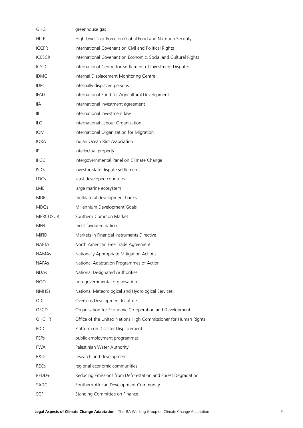| <b>GHG</b>      | greenhouse gas                                                  |
|-----------------|-----------------------------------------------------------------|
| <b>HLTF</b>     | High Level Task Force on Global Food and Nutrition Security     |
| <b>ICCPR</b>    | International Covenant on Civil and Political Rights            |
| <b>ICESCR</b>   | International Covenant on Economic, Social and Cultural Rights  |
| <b>ICSID</b>    | International Centre for Settlement of Investment Disputes      |
| <b>IDMC</b>     | Internal Displacement Monitoring Centre                         |
| <b>IDPs</b>     | internally displaced persons                                    |
| <b>IFAD</b>     | International Fund for Agricultural Development                 |
| llА             | international investment agreement                              |
| IIL             | international investment law                                    |
| <b>ILO</b>      | International Labour Organization                               |
| <b>IOM</b>      | International Organization for Migration                        |
| <b>IORA</b>     | Indian Ocean Rim Association                                    |
| IP              | intellectual property                                           |
| <b>IPCC</b>     | Intergovernmental Panel on Climate Change                       |
| <b>ISDS</b>     | investor-state dispute settlements                              |
| <b>LDCs</b>     | least developed countries                                       |
| LME             | large marine ecosystem                                          |
| <b>MDBs</b>     | multilateral development banks                                  |
| <b>MDGs</b>     | Millennium Development Goals                                    |
| <b>MERCOSUR</b> | Southern Common Market                                          |
| <b>MFN</b>      | most favoured nation                                            |
| MiFID II        | Markets in Financial Instruments Directive II                   |
| <b>NAFTA</b>    | North American Free Trade Agreement                             |
| <b>NAMAs</b>    | Nationally Appropriate Mitigation Actions                       |
| <b>NAPAs</b>    | National Adaptation Programmes of Action                        |
| <b>NDAs</b>     | National Designated Authorities                                 |
| <b>NGO</b>      | non-governmental organisation                                   |
| <b>NMHSs</b>    | National Meteorological and Hydrological Services               |
| ODI             | Overseas Development Institute                                  |
| <b>OECD</b>     | Organisation for Economic Co-operation and Development          |
| <b>OHCHR</b>    | Office of the United Nations High Commissioner for Human Rights |
| PDD             | Platform on Disaster Displacement                               |
| <b>PEPS</b>     | public employment programmes                                    |
| <b>PWA</b>      | Palestinian Water Authority                                     |
| R&D             | research and development                                        |
| <b>RECs</b>     | regional economic communities                                   |
| REDD+           | Reducing Emissions from Deforestation and Forest Degradation    |
| SADC            | Southern African Development Community                          |
| SCF             | Standing Committee on Finance                                   |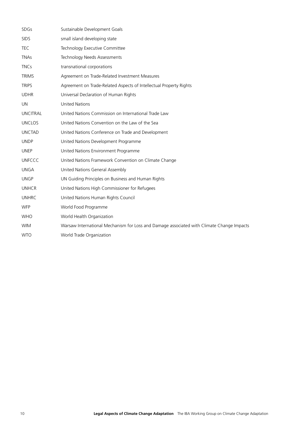| <b>SDGs</b>     | Sustainable Development Goals                                                             |
|-----------------|-------------------------------------------------------------------------------------------|
| <b>SIDS</b>     | small island developing state                                                             |
| <b>TEC</b>      | Technology Executive Committee                                                            |
| <b>TNAs</b>     | Technology Needs Assessments                                                              |
| <b>TNCs</b>     | transnational corporations                                                                |
| <b>TRIMS</b>    | Agreement on Trade-Related Investment Measures                                            |
| <b>TRIPS</b>    | Agreement on Trade-Related Aspects of Intellectual Property Rights                        |
| <b>UDHR</b>     | Universal Declaration of Human Rights                                                     |
| <b>UN</b>       | <b>United Nations</b>                                                                     |
| <b>UNCITRAL</b> | United Nations Commission on International Trade Law                                      |
| <b>UNCLOS</b>   | United Nations Convention on the Law of the Sea                                           |
| <b>UNCTAD</b>   | United Nations Conference on Trade and Development                                        |
| <b>UNDP</b>     | United Nations Development Programme                                                      |
| <b>UNEP</b>     | United Nations Environment Programme                                                      |
| <b>UNFCCC</b>   | United Nations Framework Convention on Climate Change                                     |
| <b>UNGA</b>     | United Nations General Assembly                                                           |
| <b>UNGP</b>     | UN Guiding Principles on Business and Human Rights                                        |
| <b>UNHCR</b>    | United Nations High Commissioner for Refugees                                             |
| <b>UNHRC</b>    | United Nations Human Rights Council                                                       |
| <b>WFP</b>      | World Food Programme                                                                      |
| <b>WHO</b>      | World Health Organization                                                                 |
| <b>WIM</b>      | Warsaw International Mechanism for Loss and Damage associated with Climate Change Impacts |
| <b>WTO</b>      | World Trade Organization                                                                  |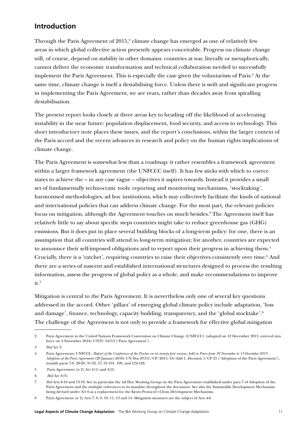### **Introduction**

Through the Paris Agreement of 2015,<sup>2</sup> climate change has emerged as one of relatively few areas in which global collective action presently appears conceivable. Progress on climate change will, of course, depend on stability in other domains: countries at war, literally or metaphorically, cannot deliver the economic transformation and technical collaboration needed to successfully implement the Paris Agreement. This is especially the case given the voluntarism of Paris.<sup>3</sup> At the same time, climate change is itself a destabilising force. Unless there is swift and significant progress in implementing the Paris Agreement, we are years, rather than decades away from spiralling destabilisation.

The present report looks closely at three areas key to heading off the likelihood of accelerating instability in the near future: population displacement, food security, and access to technology. This short introductory note places these issues, and the report's conclusions, within the larger context of the Paris accord and the recent advances in research and policy on the human rights implications of climate change.

The Paris Agreement is somewhat less than a roadmap: it rather resembles a framework agreement within a larger framework agreement (the UNFCCC itself). It has few sticks with which to coerce states to achieve the – in any case vague – objectives it aspires towards. Instead it provides a small set of fundamentally technocratic tools: reporting and monitoring mechanisms, 'stocktaking', harmonised methodologies, ad hoc institutions, which may collectively facilitate the kinds of national and international policies that can address climate change. For the most part, the relevant policies focus on mitigation, although the Agreement touches on much besides.<sup>4</sup> The Agreement itself has relatively little to say about specific steps countries might take to reduce greenhouse gas (GHG) emissions. But it does put in place several building blocks of a long-term policy: for one, there is an assumption that all countries will attend to long-term mitigation; for another, countries are expected to announce their self-imposed obligations and to report upon their progress in achieving them.<sup>5</sup> Crucially, there is a 'ratchet', requiring countries to raise their objectives consistently over time.<sup>6</sup> And there are a series of nascent and established international structures designed to process the resulting information, assess the progress of global policy as a whole, and make recommendations to improve  $it.7$ 

Mitigation is central to the Paris Agreement. It is nevertheless only one of several key questions addressed in the accord. Other 'pillars' of emerging global climate policy include adaptation, 'loss and damage', finance, technology, capacity building, transparency, and the 'global stocktake'.<sup>8</sup> The challenge of the Agreement is not only to provide a framework for effective global mitigation

<sup>2</sup> Paris Agreement to the United Nations Framework Convention on Climate Change (UNFCCC) (adopted on 12 December 2015, entered into force on 4 November 2016) UNTC 54113 ('Paris Agreement').

<sup>3</sup> *Ibid* Art 3.

<sup>4</sup> Paris Agreement; UNFCCC, *Report of the Conference of the Parties on its twenty-first session, held in Paris from 30 November to 13 December 2015: Adoption of the Paris Agreement* (29 January 2016) UN Doc FCCC/CP/2015/10/Add 1, Decision 1/CP 21 ('Adoption of the Paris Agreement'), notably paras 7-9, 26-29, 31-32, 57, 91-101, 109, and 124-128.

<sup>5</sup> Paris Agreement (n 2) Art 4(1) and 4(2).

<sup>6</sup> *Ibid* Art 4(3).

<sup>7</sup> *Ibid* Arts 8-10 and 13-19. See in particular the Ad Hoc Working Group on the Paris Agreement established under para 7 of Adoption of the Paris Agreement and the multiple references to its mandate throughout the document. See also the Sustainable Development Mechanism being devised under Art 6 as a replacement for the Kyoto Protocol's Clean Development Mechanism.

<sup>8</sup> Paris Agreement (n 2) Arts 7, 8, 9, 10, 11, 13 and 14. Mitigation measures are the subject of Arts 4-6.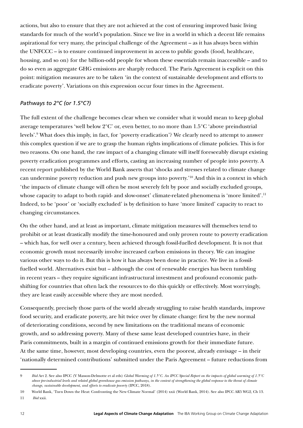actions, but also to ensure that they are not achieved at the cost of ensuring improved basic living standards for much of the world's population. Since we live in a world in which a decent life remains aspirational for very many, the principal challenge of the Agreement – as it has always been within the UNFCCC – is to ensure continued improvement in access to public goods (food, healthcare, housing, and so on) for the billion-odd people for whom these essentials remain inaccessible – and to do so even as aggregate GHG emissions are sharply reduced. The Paris Agreement is explicit on this point: mitigation measures are to be taken 'in the context of sustainable development and efforts to eradicate poverty'. Variations on this expression occur four times in the Agreement.

#### *Pathways to 2°C (or 1.5°C?)*

The full extent of the challenge becomes clear when we consider what it would mean to keep global average temperatures 'well below 2°C' or, even better, to no more than 1.5°C 'above preindustrial levels'.9 What does this imply, in fact, for 'poverty eradication'? We clearly need to attempt to answer this complex question if we are to grasp the human rights implications of climate policies. This is for two reasons. On one hand, the raw impact of a changing climate will itself foreseeably disrupt existing poverty eradication programmes and efforts, casting an increasing number of people into poverty. A recent report published by the World Bank asserts that 'shocks and stresses related to climate change can undermine poverty reduction and push new groups into poverty.'10 And this in a context in which 'the impacts of climate change will often be most severely felt by poor and socially excluded groups, whose capacity to adapt to both rapid- and slow-onset' climate-related phenomena is 'more limited'.<sup>11</sup> Indeed, to be 'poor' or 'socially excluded' is by definition to have 'more limited' capacity to react to changing circumstances.

On the other hand, and at least as important, climate mitigation measures will themselves tend to prohibit or at least drastically modify the time-honoured and only proven route to poverty eradication – which has, for well over a century, been achieved through fossil-fuelled development. It is not that economic growth must necessarily involve increased carbon emissions in theory. We can imagine various other ways to do it. But this is how it has always been done in practice. We live in a fossilfuelled world. Alternatives exist but – although the cost of renewable energies has been tumbling in recent years – they require significant infrastructural investment and profound economic pathshifting for countries that often lack the resources to do this quickly or effectively. Most worryingly, they are least easily accessible where they are most needed.

Consequently, precisely those parts of the world already struggling to raise health standards, improve food security, and eradicate poverty, are hit twice over by climate change: first by the new normal of deteriorating conditions, second by new limitations on the traditional means of economic growth, and so addressing poverty. Many of these same least developed countries have, in their Paris commitments, built in a margin of continued emissions growth for their immediate future. At the same time, however, most developing countries, even the poorest, already envisage – in their 'nationally determined contributions' submitted under the Paris Agreement – future reductions from

<sup>9</sup> *Ibid* Art 2. See also IPCC (V Masson-Delmotte et al eds) *Global Warming of 1.5°C. An IPCC Special Report on the impacts of global warming of 1.5°C above pre-industrial levels and related global greenhouse gas emission pathways, in the context of strengthening the global response to the threat of climate change, sustainable development, and efforts to eradicate poverty* (IPCC, 2018).

<sup>10</sup> World Bank, 'Turn Down the Heat: Confronting the New Climate Normal' (2014) xxii (World Bank, 2014). See also IPCC AR5 WG2, Ch 13. 11 *Ibid* xxii.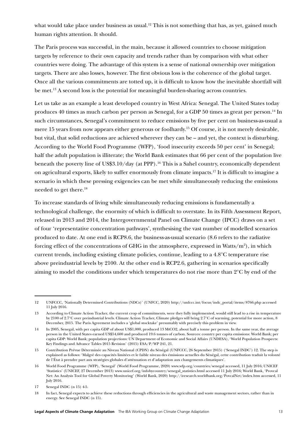what would take place under business as usual.<sup>12</sup> This is not something that has, as yet, gained much human rights attention. It should.

The Paris process was successful, in the main, because it allowed countries to choose mitigation targets by reference to their own capacity and trends rather than by comparison with what other countries were doing. The advantage of this system is a sense of national ownership over mitigation targets. There are also losses, however. The first obvious loss is the coherence of the global target. Once all the various commitments are totted up, it is difficult to know how the inevitable shortfall will be met.<sup>13</sup> A second loss is the potential for meaningful burden-sharing across countries.

Let us take as an example a least developed country in West Africa: Senegal. The United States today produces 40 times as much carbon per person as Senegal, for a GDP 50 times as great per person.14 In such circumstances, Senegal's commitment to reduce emissions by five per cent on business-as-usual a mere 15 years from now appears either generous or foolhardy.15 Of course, it is not merely desirable, but vital, that solid reductions are achieved wherever they can be – and yet, the context is disturbing. According to the World Food Programme (WFP), 'food insecurity exceeds 50 per cent' in Senegal; half the adult population is illiterate; the World Bank estimates that 66 per cent of the population live beneath the poverty line of US\$3.10/day (at PPP).16 This is a Sahel country, economically dependent on agricultural exports, likely to suffer enormously from climate impacts.17 It is difficult to imagine a scenario in which these pressing exigencies can be met while simultaneously reducing the emissions needed to get there.18

To increase standards of living while simultaneously reducing emissions is fundamentally a technological challenge, the enormity of which is difficult to overstate. In its Fifth Assessment Report, released in 2013 and 2014, the Intergovernmental Panel on Climate Change (IPCC) draws on a set of four 'representative concentration pathways', synthesising the vast number of modelled scenarios produced to date. At one end is RCP8.6, the business-as-usual scenario (8.6 refers to the radiative forcing effect of the concentrations of GHG in the atmosphere, expressed in Watts/m<sup>2</sup>), in which current trends, including existing climate policies, continue, leading to a 4.8°C temperature rise above preindustrial levels by 2100. At the other end is RCP2.6, gathering in scenarios specifically aiming to model the conditions under which temperatures do not rise more than 2°C by end of the

<sup>12</sup> UNFCCC, 'Nationally Determined Contributions (NDCs)' (UNFCC, 2020) [http://unfccc.int/focus/indc\\_portal/items/8766.php](http://unfccc.int/focus/indc_portal/items/8766.php) accessed 11 July 2016.

<sup>13</sup> According to Climate Action Tracker, the current crop of commitments, were they fully implemented, would still lead to a rise in temperature by 2100 of 2.7°C over preindustrial levels. Climate Action Tracker, Climate pledges will bring 2.7°C of warming, potential for more action, 8 December, 2015. The Paris Agreement includes a 'global stocktake' presumably with precisely this problem in view.

<sup>14</sup> In 2005, Senegal, with per capita GDP of about US\$1,000, produced 13 MtCO2, about half a tonne per person. In the same year, the average person in the United States earned US\$54,600 and produced 19.6 tonnes of carbon. Sources: country per capita emissions: World Bank; per capita GDP: World Bank; population projections: UN Department of Economic and Social Affairs (UNDESA), 'World Population Prospects: Key Findings and Advance Tables 2015 Revision' (2015) ESA/P/WP 241, 21.

<sup>15</sup> Contribution Prévue Déterminée au Niveau National (CPDN) du Sénégal (UNFCCC, 26 September 2015) ('Senegal INDC') 12. The step is explained as follows: 'Malgré des capacités limitées et le faible niveau des émissions actuelles du Sénégal, cette contribution traduit la volonté de l'État à prendre part aux stratégies globales d'atténuation et d'adaptation aux changements climatiques'.

<sup>16</sup> World Food Programme (WFP), 'Senegal' (World Food Programme, 2020) [www.wfp.org/countries/senegal](https://www.wfp.org/countries/senegal) accessed, 11 July 2016; UNICEF 'Statistics' (UNICEF, 27 December 2013) [www.unicef.org/infobycountry/senegal\\_statistics.html](http://www.unicef.org/infobycountry/senegal_statistics.html) accessed 11 July 2016; World Bank, 'Provcal Net: An Analysis Tool for Global Poverty Monitoring' (World Bank, 2020)<http://iresearch.worldbank.org/PovcalNet/index.htm> accessed, 11 July 2016.

<sup>17</sup> Senegal INDC (n 15) 4-5.

<sup>18</sup> In fact, Senegal expects to achieve these reductions through efficiencies in the agricultural and waste management sectors, rather than in energy. See Senegal INDC (n 15).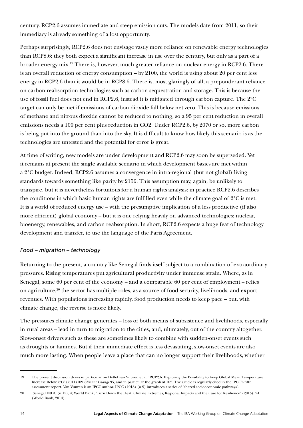century. RCP2.6 assumes immediate and steep emission cuts. The models date from 2011, so their immediacy is already something of a lost opportunity.

Perhaps surprisingly, RCP2.6 does not envisage vastly more reliance on renewable energy technologies than RCP8.6: they both expect a significant increase in use over the century, but only as a part of a broader energy mix.19 There is, however, much greater reliance on nuclear energy in RCP2.6. There is an overall reduction of energy consumption – by 2100, the world is using about 20 per cent less energy in RCP2.6 than it would be in RCP8.6. There is, most glaringly of all, a preponderant reliance on carbon reabsorption technologies such as carbon sequestration and storage. This is because the use of fossil fuel does not end in RCP2.6, instead it is mitigated through carbon capture. The 2°C target can only be met if emissions of carbon dioxide fall below net zero. This is because emissions of methane and nitrous dioxide cannot be reduced to nothing, so a 95 per cent reduction in overall emissions needs a 100 per cent plus reduction in CO2. Under RCP2.6, by 2070 or so, more carbon is being put into the ground than into the sky. It is difficult to know how likely this scenario is as the technologies are untested and the potential for error is great.

At time of writing, new models are under development and RCP2.6 may soon be superseded. Yet it remains at present the single available scenario in which development basics are met within a 2°C budget. Indeed, RCP2.6 assumes a convergence in intra-regional (but not global) living standards towards something like parity by 2150. This assumption may, again, be unlikely to transpire, but it is nevertheless fortuitous for a human rights analysis: in practice RCP2.6 describes the conditions in which basic human rights are fulfilled even while the climate goal of 2°C is met. It is a world of reduced energy use – with the presumptive implication of a less productive (if also more efficient) global economy – but it is one relying heavily on advanced technologies: nuclear, bioenergy, renewables, and carbon reabsorption. In short, RCP2.6 expects a huge feat of technology development and transfer, to use the language of the Paris Agreement.

#### *Food – migration – technology*

Returning to the present, a country like Senegal finds itself subject to a combination of extraordinary pressures. Rising temperatures put agricultural productivity under immense strain. Where, as in Senegal, some 60 per cent of the economy – and a comparable 60 per cent of employment – relies on agriculture, $2^0$  the sector has multiple roles, as a source of food security, livelihoods, and export revenues. With populations increasing rapidly, food production needs to keep pace – but, with climate change, the reverse is more likely.

The pressures climate change generates – loss of both means of subsistence and livelihoods, especially in rural areas – lead in turn to migration to the cities, and, ultimately, out of the country altogether. Slow-onset drivers such as these are sometimes likely to combine with sudden-onset events such as droughts or famines. But if their immediate effect is less devastating, slow-onset events are also much more lasting. When people leave a place that can no longer support their livelihoods, whether

<sup>19</sup> The present discussion draws in particular on Detlef van Vuuren et al, 'RCP2.6: Exploring the Possibility to Keep Global Mean Temperature Increase Below 2°C' (2011)109 *Climatic Change* 95, and in particular the graph at 102. The article is regularly cited in the IPCC's fifth assessment report. Van Vuuren is an IPCC author. IPCC (2018) (n 9) introduces a series of 'shared socioeconomic pathways'.

<sup>20</sup> Senegal INDC (n 15), 4; World Bank, 'Turn Down the Heat: Climate Extremes, Regional Impacts and the Case for Resilience' (2013), 24 (World Bank, 2014).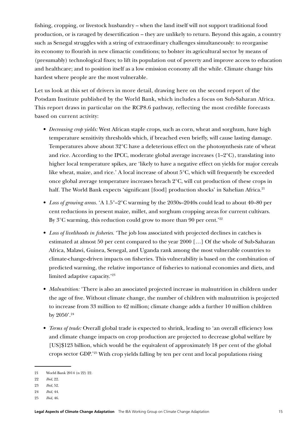fishing, cropping, or livestock husbandry – when the land itself will not support traditional food production, or is ravaged by desertification – they are unlikely to return. Beyond this again, a country such as Senegal struggles with a string of extraordinary challenges simultaneously: to reorganise its economy to flourish in new climactic conditions; to bolster its agricultural sector by means of (presumably) technological fixes; to lift its population out of poverty and improve access to education and healthcare; and to position itself as a low emission economy all the while. Climate change hits hardest where people are the most vulnerable.

Let us look at this set of drivers in more detail, drawing here on the second report of the Potsdam Institute published by the World Bank, which includes a focus on Sub-Saharan Africa. This report draws in particular on the RCP8.6 pathway, reflecting the most credible forecasts based on current activity:

- *Decreasing crop yields:* West African staple crops, such as corn, wheat and sorghum, have high temperature sensitivity thresholds which, if breached even briefly, will cause lasting damage. Temperatures above about 32°C have a deleterious effect on the photosynthesis rate of wheat and rice. According to the IPCC, moderate global average increases  $(1-2^{\circ}C)$ , translating into higher local temperature spikes, are 'likely to have a negative effect on yields for major cereals like wheat, maize, and rice.' A local increase of about 5°C, which will frequently be exceeded once global average temperature increases breach 2°C, will cut production of these crops in half. The World Bank expects 'significant [food] production shocks' in Sahelian Africa.<sup>21</sup>
- *Loss of growing areas.* 'A 1.5°–2°C warming by the 2030s–2040s could lead to about 40–80 per cent reductions in present maize, millet, and sorghum cropping areas for current cultivars. By  $3^{\circ}$ C warming, this reduction could grow to more than 90 per cent.<sup>'22</sup>
- *Loss of livelihoods in fisheries.* 'The job loss associated with projected declines in catches is estimated at almost 50 per cent compared to the year 2000 […] Of the whole of Sub-Saharan Africa, Malawi, Guinea, Senegal, and Uganda rank among the most vulnerable countries to climate-change-driven impacts on fisheries. This vulnerability is based on the combination of predicted warming, the relative importance of fisheries to national economies and diets, and limited adaptive capacity.'23
- *Malnutrition:* There is also an associated projected increase in malnutrition in children under the age of five. Without climate change, the number of children with malnutrition is projected to increase from 33 million to 42 million; climate change adds a further 10 million children by 2050'.24
- *Terms of trade:* Overall global trade is expected to shrink, leading to 'an overall efficiency loss and climate change impacts on crop production are projected to decrease global welfare by [US]\$123 billion, which would be the equivalent of approximately 18 per cent of the global crops sector GDP.'25 With crop yields falling by ten per cent and local populations rising

22 *Ibid*, 22.

<sup>21</sup> World Bank 2014 (n 22) 22.

<sup>23</sup> *Ibid*, 52.

<sup>24</sup> *Ibid*, 44.

<sup>25</sup> *Ibid*, 46.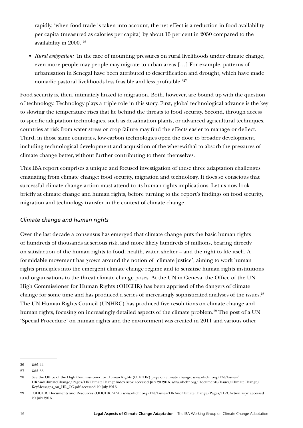rapidly, 'when food trade is taken into account, the net effect is a reduction in food availability per capita (measured as calories per capita) by about 15 per cent in 2050 compared to the availability in 2000.'26

• *Rural emigration:* 'In the face of mounting pressures on rural livelihoods under climate change, even more people may people may migrate to urban areas […] For example, patterns of urbanisation in Senegal have been attributed to desertification and drought, which have made nomadic pastoral livelihoods less feasible and less profitable.'27

Food security is, then, intimately linked to migration. Both, however, are bound up with the question of technology. Technology plays a triple role in this story. First, global technological advance is the key to slowing the temperature rises that lie behind the threats to food security. Second, through access to specific adaptation technologies, such as desalination plants, or advanced agricultural techniques, countries at risk from water stress or crop failure may find the effects easier to manage or deflect. Third, in those same countries, low-carbon technologies open the door to broader development, including technological development and acquisition of the wherewithal to absorb the pressures of climate change better, without further contributing to them themselves.

This IBA report comprises a unique and focused investigation of these three adaptation challenges emanating from climate change: food security, migration and technology. It does so conscious that successful climate change action must attend to its human rights implications. Let us now look briefly at climate change and human rights, before turning to the report's findings on food security, migration and technology transfer in the context of climate change.

#### *Climate change and human rights*

Over the last decade a consensus has emerged that climate change puts the basic human rights of hundreds of thousands at serious risk, and more likely hundreds of millions, bearing directly on satisfaction of the human rights to food, health, water, shelter – and the right to life itself. A formidable movement has grown around the notion of 'climate justice', aiming to work human rights principles into the emergent climate change regime and to sensitise human rights institutions and organisations to the threat climate change poses. At the UN in Geneva, the Office of the UN High Commissioner for Human Rights (OHCHR) has been apprised of the dangers of climate change for some time and has produced a series of increasingly sophisticated analyses of the issues.<sup>28</sup> The UN Human Rights Council (UNHRC) has produced five resolutions on climate change and human rights, focusing on increasingly detailed aspects of the climate problem.<sup>29</sup> The post of a UN 'Special Procedure' on human rights and the environment was created in 2011 and various other

<sup>26</sup> *Ibid*, 44.

<sup>27</sup> *Ibid*, 55.

<sup>28</sup> See the Office of the High Commissioner for Human Rights (OHCHR) page on climate change: www.ohchr.org/EN/Issues/ HRAndClimateChange/Pages/HRClimateChangeIndex.aspx accessed July 20 2016. [www.ohchr.org/Documents/Issues/ClimateChange/](http://www.ohchr.org/Documents/Issues/ClimateChange/KeyMessages_on_HR_CC.pdf) [KeyMessages\\_on\\_HR\\_CC.pdf](http://www.ohchr.org/Documents/Issues/ClimateChange/KeyMessages_on_HR_CC.pdf) accessed 20 July 2016.

<sup>29</sup> OHCHR, Documents and Resources (OHCHR, 2020) [www.ohchr.org/EN/Issues/HRAndClimateChange/Pages/HRCAction.aspx](http://www.ohchr.org/EN/Issues/HRAndClimateChange/Pages/HRCAction.aspx) accessed 20 July 2016.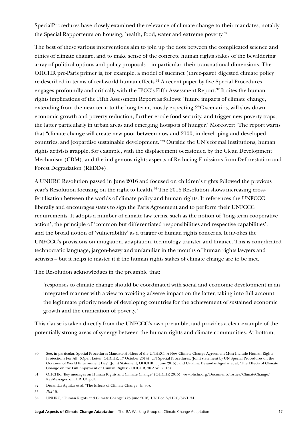SpecialProcedures have closely examined the relevance of climate change to their mandates, notably the Special Rapporteurs on housing, health, food, water and extreme poverty.<sup>30</sup>

The best of these various interventions aim to join up the dots between the complicated science and ethics of climate change, and to make sense of the concrete human rights stakes of the bewildering array of political options and policy proposals – in particular, their transnational dimensions. The OHCHR pre-Paris primer is, for example, a model of succinct (three-page) digested climate policy re-described in terms of real-world human effects.<sup>31</sup> A recent paper by five Special Procedures engages profoundly and critically with the IPCC's Fifth Assessment Report.<sup>32</sup> It cites the human rights implications of the Fifth Assessment Report as follows: 'future impacts of climate change, extending from the near term to the long term, mostly expecting 2°C scenarios, will slow down economic growth and poverty reduction, further erode food security, and trigger new poverty traps, the latter particularly in urban areas and emerging hotspots of hunger.' Moreover: 'The report warns that "climate change will create new poor between now and 2100, in developing and developed countries, and jeopardise sustainable development."33 Outside the UN's formal institutions, human rights activists grapple, for example, with the displacement occasioned by the Clean Development Mechanism (CDM), and the indigenous rights aspects of Reducing Emissions from Deforestation and Forest Degradation (REDD+).

A UNHRC Resolution passed in June 2016 and focused on children's rights followed the previous year's Resolution focusing on the right to health.<sup>34</sup> The 2016 Resolution shows increasing crossfertilisation between the worlds of climate policy and human rights. It references the UNFCCC liberally and encourages states to sign the Paris Agreement and to perform their UNFCCC requirements. It adopts a number of climate law terms, such as the notion of 'long-term cooperative action', the principle of 'common but differentiated responsibilities and respective capabilities', and the broad notion of 'vulnerability' as a trigger of human rights concerns. It invokes the UNFCCC's provisions on mitigation, adaptation, technology transfer and finance. This is complicated technocratic language, jargon-heavy and unfamiliar in the mouths of human rights lawyers and activists – but it helps to master it if the human rights stakes of climate change are to be met.

The Resolution acknowledges in the preamble that:

'responses to climate change should be coordinated with social and economic development in an integrated manner with a view to avoiding adverse impact on the latter, taking into full account the legitimate priority needs of developing countries for the achievement of sustained economic growth and the eradication of poverty.'

This clause is taken directly from the UNFCCC's own preamble, and provides a clear example of the potentially strong areas of synergy between the human rights and climate communities. At bottom,

<sup>30</sup> See, in particular, Special Procedures Mandate-Holders of the UNHRC, 'A New Climate Change Agreement Must Include Human Rights Protections For All' (Open Letter, OHCHR, 17 October 2014); UN Special Procedures, 'Joint statement by UN Special Procedures on the Occasion of World Environment Day' (Joint Statement, OHCHR, 5 June 2015); and Catalina Devandas Aguilar et al, 'The Effects of Climate Change on the Full Enjoyment of Human Rights' (OHCHR, 30 April 2016).

<sup>31</sup> OHCHR, 'Key messages on Human Rights and Climate Change' (OHCHR 2015), [www.ohchr.org/Documents/Issues/ClimateChange/](http://www.ohchr.org/Documents/Issues/ClimateChange/KeyMessages_on_HR_CC.pdf) [KeyMessages\\_on\\_HR\\_CC.pdf.](http://www.ohchr.org/Documents/Issues/ClimateChange/KeyMessages_on_HR_CC.pdf)

<sup>32</sup> Devandas Aguilar et al, 'The Effects of Climate Change' (n 30).

<sup>33</sup> *Ibid* 19.

<sup>34</sup> UNHRC, 'Human Rights and Climate Change' (28 June 2016) UN Doc A/HRC/32/L 34.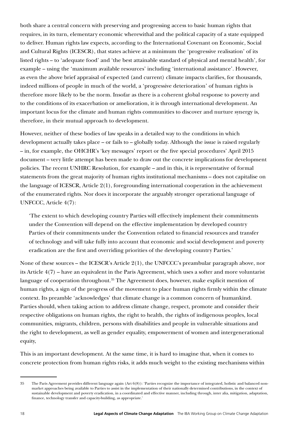both share a central concern with preserving and progressing access to basic human rights that requires, in its turn, elementary economic wherewithal and the political capacity of a state equipped to deliver. Human rights law expects, according to the International Covenant on Economic, Social and Cultural Rights (ICESCR), that states achieve at a minimum the 'progressive realisation' of its listed rights – to 'adequate food' and 'the best attainable standard of physical and mental health', for example – using the 'maximum available resources' including 'international assistance'. However, as even the above brief appraisal of expected (and current) climate impacts clarifies, for thousands, indeed millions of people in much of the world, a 'progressive deterioration' of human rights is therefore more likely to be the norm. Insofar as there is a coherent global response to poverty and to the conditions of its exacerbation or amelioration, it is through international development. An important locus for the climate and human rights communities to discover and nurture synergy is, therefore, in their mutual approach to development.

However, neither of these bodies of law speaks in a detailed way to the conditions in which development actually takes place – or fails to – globally today. Although the issue is raised regularly – in, for example, the OHCHR's 'key messages' report or the five special procedures' April 2015 document – very little attempt has been made to draw out the concrete implications for development policies. The recent UNHRC Resolution, for example – and in this, it is representative of formal statements from the great majority of human rights institutional mechanisms – does not capitalise on the language of ICESCR, Article 2(1), foregrounding international cooperation in the achievement of the enumerated rights. Nor does it incorporate the arguably stronger operational language of UNFCCC, Article 4(7):

'The extent to which developing country Parties will effectively implement their commitments under the Convention will depend on the effective implementation by developed country Parties of their commitments under the Convention related to financial resources and transfer of technology and will take fully into account that economic and social development and poverty eradication are the first and overriding priorities of the developing country Parties.'

None of these sources – the ICESCR's Article 2(1), the UNFCCC's preambular paragraph above, nor its Article 4(7) – have an equivalent in the Paris Agreement, which uses a softer and more voluntarist language of cooperation throughout.<sup>35</sup> The Agreement does, however, make explicit mention of human rights, a sign of the progress of the movement to place human rights firmly within the climate context. Its preamble 'acknowledges' that climate change is a common concern of humankind. Parties should, when taking action to address climate change, respect, promote and consider their respective obligations on human rights, the right to health, the rights of indigenous peoples, local communities, migrants, children, persons with disabilities and people in vulnerable situations and the right to development, as well as gender equality, empowerment of women and intergenerational equity,

This is an important development. At the same time, it is hard to imagine that, when it comes to concrete protection from human rights risks, it adds much weight to the existing mechanisms within

<sup>35</sup> The Paris Agreement provides different language again (Art 6(8)): 'Parties recognize the importance of integrated, holistic and balanced nonmarket approaches being available to Parties to assist in the implementation of their nationally determined contributions, in the context of sustainable development and poverty eradication, in a coordinated and effective manner, including through, inter alia, mitigation, adaptation, finance, technology transfer and capacity-building, as appropriate.'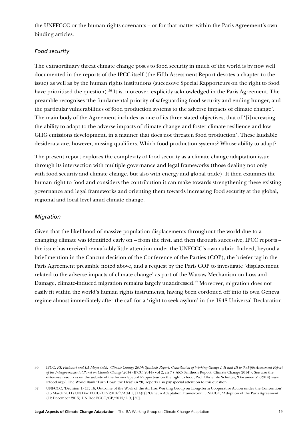the UNFFCCC or the human rights covenants – or for that matter within the Paris Agreement's own binding articles.

#### *Food security*

The extraordinary threat climate change poses to food security in much of the world is by now well documented in the reports of the IPCC itself (the Fifth Assessment Report devotes a chapter to the issue) as well as by the human rights institutions (successive Special Rapporteurs on the right to food have prioritised the question).<sup>36</sup> It is, moreover, explicitly acknowledged in the Paris Agreement. The preamble recognises 'the fundamental priority of safeguarding food security and ending hunger, and the particular vulnerabilities of food production systems to the adverse impacts of climate change'. The main body of the Agreement includes as one of its three stated objectives, that of '[i]ncreasing the ability to adapt to the adverse impacts of climate change and foster climate resilience and low GHG emissions development, in a manner that does not threaten food production'. These laudable desiderata are, however, missing qualifiers. Which food production systems? Whose ability to adapt?

The present report explores the complexity of food security as a climate change adaptation issue through its intersection with multiple governance and legal frameworks (those dealing not only with food security and climate change, but also with energy and global trade). It then examines the human right to food and considers the contribution it can make towards strengthening these existing governance and legal frameworks and orienting them towards increasing food security at the global, regional and local level amid climate change.

#### *Migration*

Given that the likelihood of massive population displacements throughout the world due to a changing climate was identified early on – from the first, and then through successive, IPCC reports – the issue has received remarkably little attention under the UNFCCC's own rubric. Indeed, beyond a brief mention in the Cancun decision of the Conference of the Parties (COP), the briefer tag in the Paris Agreement preamble noted above, and a request by the Paris COP to investigate 'displacement related to the adverse impacts of climate change' as part of the Warsaw Mechanism on Loss and Damage, climate-induced migration remains largely unaddressed.<sup>37</sup> Moreover, migration does not easily fit within the world's human rights instruments, having been cordoned off into its own Geneva regime almost immediately after the call for a 'right to seek asylum' in the 1948 Universal Declaration

<sup>36</sup> IPCC, *RK Pachauri and LA Meyer (eds), 'Climate Change 2014: Synthesis Report. Contribution of Working Groups I, II and III to the Fifth Assessment Report of the Intergovernmental Panel on Climate Change' 2014* (IPCC, 2014) vol 2, ch 7 ('AR5 Synthesis Report: Climate Change 2014'). See also the extensive resources on the website of the former Special Rapporteur on the right to food, Prof Olivier de Schutter, 'Documents' (2014) www. srfood.org/. The World Bank 'Turn Down the Heat' (n 20) reports also pay special attention to this question.

<sup>37</sup> UNFCCC, 'Decision 1/CP. 16, Outcome of the Work of the Ad Hoc Working Group on Long-Term Cooperative Action under the Convention' (15 March 2011) UN Doc FCCC/CP/2010/7/Add 1, [14(f)] 'Cancun Adaptation Framework'; UNFCCC, 'Adoption of the Paris Agreement' (12 December 2015) UN Doc FCCC/CP/2015/L 9, [50].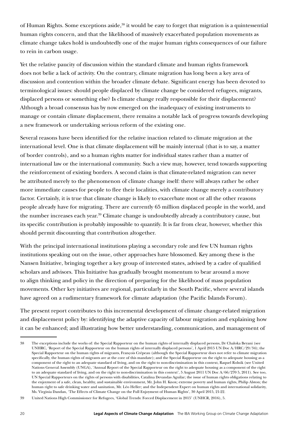of Human Rights. Some exceptions aside,<sup>38</sup> it would be easy to forget that migration is a quintessential human rights concern, and that the likelihood of massively exacerbated population movements as climate change takes hold is undoubtedly one of the major human rights consequences of our failure to rein in carbon usage.

Yet the relative paucity of discussion within the standard climate and human rights framework does not belie a lack of activity. On the contrary, climate migration has long been a key area of discussion and contention within the broader climate debate. Significant energy has been devoted to terminological issues: should people displaced by climate change be considered refugees, migrants, displaced persons or something else? Is climate change really responsible for their displacement? Although a broad consensus has by now emerged on the inadequacy of existing instruments to manage or contain climate displacement, there remains a notable lack of progress towards developing a new framework or undertaking serious reform of the existing one.

Several reasons have been identified for the relative inaction related to climate migration at the international level. One is that climate displacement will be mainly internal (that is to say, a matter of border controls), and so a human rights matter for individual states rather than a matter of international law or the international community. Such a view may, however, tend towards supporting the reinforcement of existing borders. A second claim is that climate-related migration can never be attributed merely to the phenomenon of climate change itself: there will always rather be other more immediate causes for people to flee their localities, with climate change merely a contributory factor. Certainly, it is true that climate change is likely to exacerbate most or all the other reasons people already have for migrating. There are currently 65 million displaced people in the world, and the number increases each year.39 Climate change is undoubtedly already a contributory cause, but its specific contribution is probably impossible to quantify. It is far from clear, however, whether this should permit discounting that contribution altogether.

With the principal international institutions playing a secondary role and few UN human rights institutions speaking out on the issue, other approaches have blossomed. Key among these is the Nansen Initiative, bringing together a key group of interested states, advised by a cadre of qualified scholars and advisors. This Initiative has gradually brought momentum to bear around a move to align thinking and policy in the direction of preparing for the likelihood of mass population movements. Other key initiatives are regional, particularly in the South Pacific, where several islands have agreed on a rudimentary framework for climate adaptation (the Pacific Islands Forum).

The present report contributes to this incremental development of climate change-related migration and displacement policy by: identifying the adaptive capacity of labour migration and explaining how it can be enhanced; and illustrating how better understanding, communication, and management of

<sup>38</sup> The exceptions include the works of: the Special Rapporteur on the human rights of internally displaced persons, Dr Chaloka Beyani (see UNHRC, 'Report of the Special Rapporteur on the human rights of internally displaced persons', 1 April 2015 UN Doc A/HRC/29/34); the Special Rapporteur on the human rights of migrants, François Crépeau (although the Special Rapporteur does not refer to climate migration specifically, the human rights of migrants are at the core of this mandate); and the Special Rapporteur on the right to [adequate housing as a](https://www.ohchr.org/en/issues/housing/pages/housingindex.aspx)  [component of the right to an adequate standard of living, and on the right to non-discrimination in this context,](https://www.ohchr.org/en/issues/housing/pages/housingindex.aspx) Raquel Rolnik (see United Nations General Assembly (UNGA), 'Annual Report of the Special Rapporteur on the right to [adequate housing as a component of the right](https://www.ohchr.org/en/issues/housing/pages/housingindex.aspx)  [to an adequate standard of living, and on the right to non-discrimination in this context](https://www.ohchr.org/en/issues/housing/pages/housingindex.aspx)', 5 August 2011 UN Doc A/66/270 5, 2011). See too, UN Special Rapporteurs on the rights of persons with disabilities, Catalina Devandas Aguilar; the issue of human rights obligations relating to the enjoyment of a safe, clean, healthy, and sustainable environment, Mr. John H. Knox; extreme poverty and human rights, Philip Alston; the human right to safe drinking water and sanitation, Mr. Léo Heller; and the Independent Expert on human rights and international solidarity, Ms. Virginia Dandan, 'The Effects of Climate Change on the Full Enjoyment of Human Rights', 30 April 2015, 21-22.

<sup>39</sup> United Nations High Commissioner for Refugees, 'Global Trends: Forced Displacement in 2015' (UNHCR, 2016), 5.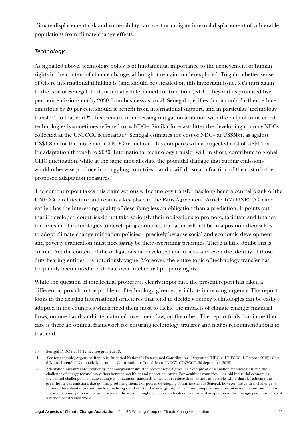climate displacement risk and vulnerability can avert or mitigate internal displacement of vulnerable populations from climate change effects.

#### *Technology*

As signalled above, technology policy is of fundamental importance to the achievement of human rights in the context of climate change, although it remains underexplored. To gain a better sense of where international thinking is (and should be) headed on this important issue, let's turn again to the case of Senegal. In its nationally determined contribution (NDC), beyond its promised five per cent emissions cut by 2030 from business as usual, Senegal specifies that it could further reduce emissions by 20 per cent should it benefit from international support, and in particular 'technology transfer', to that end.40 This scenario of increasing mitigation ambition with the help of transferred technologies is sometimes referred to as NDC+. Similar forecasts litter the developing country NDCs collected at the UNFCCC secretariat.41 Senegal estimates the cost of NDC+ at US\$5bn, as against US\$1.8bn for the more modest NDC reduction. This compares with a projected cost of US\$14bn for adaptation through to 2030. International technology transfer will, in short, contribute to global GHG attenuation, while at the same time alleviate the potential damage that cutting emissions would otherwise produce in struggling countries – and it will do so at a fraction of the cost of other proposed adaptation measures.42

The current report takes this claim seriously. Technology transfer has long been a central plank of the UNFCCC architecture and retains a key place in the Paris Agreement. Article 4(7) UNFCCC, cited earlier, has the interesting quality of describing less an obligation than a prediction. It points out that if developed countries do not take seriously their obligations to promote, facilitate and finance the transfer of technologies to developing countries, the latter will not be in a position themselves to adopt climate change mitigation policies – precisely because social and economic development and poverty eradication must necessarily be their overriding priorities. There is little doubt this is correct. Yet the content of the obligations on developed countries – and even the identity of those duty-bearing entities – is notoriously vague. Moreover, the entire topic of technology transfer has frequently been mired in a debate over intellectual property rights.

While the question of intellectual property is clearly important, the present report has taken a different approach to the problem of technology, given especially its increasing urgency. The report looks to the existing international structures that tend to decide whether technologies can be easily adopted in the countries which need them most to tackle the impacts of climate change: financial flows, on one hand, and international investment law, on the other. The report finds that in neither case is there an optimal framework for ensuring technology transfer and makes recommendations to that end.

<sup>40</sup> Senegal INDC (n 15) 12; see too graph at 13.

<sup>41</sup> See for example, Argentine Republic, Intended Nationally Determined Contribution ('Argentina INDC') (UNFCCC, 1 October 2015); Cote d'Ivoire, Intended Nationally Determined Contribution ('Cote d'Ivoire INDC') (UNFCCC, 30 September 2015).

<sup>42</sup> Adaptation measures are frequently technology-intensive (the present report gives the example of desalination technologies) and the challenge of energy technology differs between wealthier and poorer countries. For wealthier countries—the old industrial economies the central challenge of climate change is to maintain standards of living, or reduce them as little as possible, while sharply reducing the greenhouse gas emissions that go into producing them. For poorer developing countries such as Senegal, however, the central challenge is rather different—it is to continue to raise living standards (and so energy use) while minimising the inevitable increase in emissions. This is not so much mitigation in the usual sense of the word: it might be better understood as a form of adaptation to the changing circumstances of a carbon-constrained world.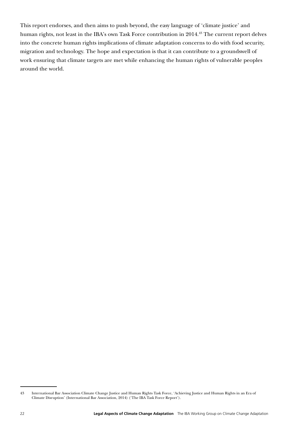This report endorses, and then aims to push beyond, the easy language of 'climate justice' and human rights, not least in the IBA's own Task Force contribution in 2014.<sup>43</sup> The current report delves into the concrete human rights implications of climate adaptation concerns to do with food security, migration and technology. The hope and expectation is that it can contribute to a groundswell of work ensuring that climate targets are met while enhancing the human rights of vulnerable peoples around the world.

<sup>43</sup> International Bar Association Climate Change Justice and Human Rights Task Force, 'Achieving Justice and Human Rights in an Era of Climate Disruption' (International Bar Association, 2014) ('The IBA Task Force Report').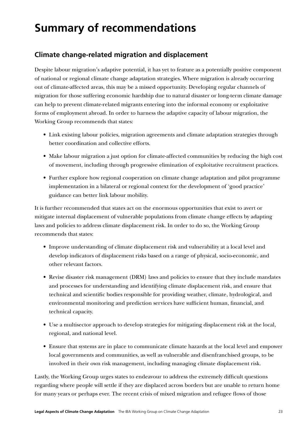# **Summary of recommendations**

### **Climate change-related migration and displacement**

Despite labour migration's adaptive potential, it has yet to feature as a potentially positive component of national or regional climate change adaptation strategies. Where migration is already occurring out of climate-affected areas, this may be a missed opportunity. Developing regular channels of migration for those suffering economic hardship due to natural disaster or long-term climate damage can help to prevent climate-related migrants entering into the informal economy or exploitative forms of employment abroad. In order to harness the adaptive capacity of labour migration, the Working Group recommends that states:

- Link existing labour policies, migration agreements and climate adaptation strategies through better coordination and collective efforts.
- Make labour migration a just option for climate-affected communities by reducing the high cost of movement, including through progressive elimination of exploitative recruitment practices.
- Further explore how regional cooperation on climate change adaptation and pilot programme implementation in a bilateral or regional context for the development of 'good practice' guidance can better link labour mobility.

It is further recommended that states act on the enormous opportunities that exist to avert or mitigate internal displacement of vulnerable populations from climate change effects by adapting laws and policies to address climate displacement risk. In order to do so, the Working Group recommends that states:

- Improve understanding of climate displacement risk and vulnerability at a local level and develop indicators of displacement risks based on a range of physical, socio-economic, and other relevant factors.
- Revise disaster risk management (DRM) laws and policies to ensure that they include mandates and processes for understanding and identifying climate displacement risk, and ensure that technical and scientific bodies responsible for providing weather, climate, hydrological, and environmental monitoring and prediction services have sufficient human, financial, and technical capacity.
- Use a multisector approach to develop strategies for mitigating displacement risk at the local, regional, and national level.
- Ensure that systems are in place to communicate climate hazards at the local level and empower local governments and communities, as well as vulnerable and disenfranchised groups, to be involved in their own risk management, including managing climate displacement risk.

Lastly, the Working Group urges states to endeavour to address the extremely difficult questions regarding where people will settle if they are displaced across borders but are unable to return home for many years or perhaps ever. The recent crisis of mixed migration and refugee flows of those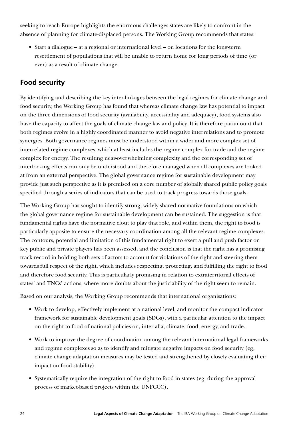seeking to reach Europe highlights the enormous challenges states are likely to confront in the absence of planning for climate-displaced persons. The Working Group recommends that states:

• Start a dialogue – at a regional or international level – on locations for the long-term resettlement of populations that will be unable to return home for long periods of time (or ever) as a result of climate change.

# **Food security**

By identifying and describing the key inter-linkages between the legal regimes for climate change and food security, the Working Group has found that whereas climate change law has potential to impact on the three dimensions of food security (availability, accessibility and adequacy), food systems also have the capacity to affect the goals of climate change law and policy. It is therefore paramount that both regimes evolve in a highly coordinated manner to avoid negative interrelations and to promote synergies. Both governance regimes must be understood within a wider and more complex set of interrelated regime complexes, which at least includes the regime complex for trade and the regime complex for energy. The resulting near-overwhelming complexity and the corresponding set of interlocking effects can only be understood and therefore managed when all complexes are looked at from an external perspective. The global governance regime for sustainable development may provide just such perspective as it is premised on a core number of globally shared public policy goals specified through a series of indicators that can be used to track progress towards those goals.

The Working Group has sought to identify strong, widely shared normative foundations on which the global governance regime for sustainable development can be sustained. The suggestion is that fundamental rights have the normative clout to play that role, and within them, the right to food is particularly apposite to ensure the necessary coordination among all the relevant regime complexes. The contours, potential and limitation of this fundamental right to exert a pull and push factor on key public and private players has been assessed, and the conclusion is that the right has a promising track record in holding both sets of actors to account for violations of the right and steering them towards full respect of the right, which includes respecting, protecting, and fulfilling the right to food and therefore food security. This is particularly promising in relation to extraterritorial effects of states' and TNCs' actions, where more doubts about the justiciability of the right seem to remain.

Based on our analysis, the Working Group recommends that international organisations:

- Work to develop, effectively implement at a national level, and monitor the compact indicator framework for sustainable development goals (SDGs), with a particular attention to the impact on the right to food of national policies on, inter alia, climate, food, energy, and trade.
- Work to improve the degree of coordination among the relevant international legal frameworks and regime complexes so as to identify and mitigate negative impacts on food security (eg, climate change adaptation measures may be tested and strengthened by closely evaluating their impact on food stability).
- Systematically require the integration of the right to food in states (eg, during the approval process of market-based projects within the UNFCCC).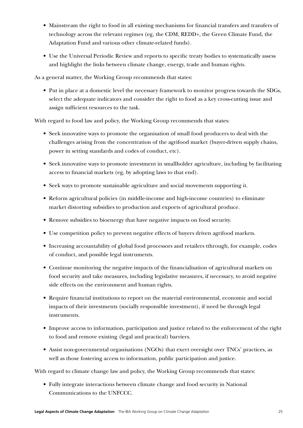- Mainstream the right to food in all existing mechanisms for financial transfers and transfers of technology across the relevant regimes (eg, the CDM, REDD+, the Green Climate Fund, the Adaptation Fund and various other climate-related funds).
- Use the Universal Periodic Review and reports to specific treaty bodies to systematically assess and highlight the links between climate change, energy, trade and human rights.

As a general matter, the Working Group recommends that states:

• Put in place at a domestic level the necessary framework to monitor progress towards the SDGs, select the adequate indicators and consider the right to food as a key cross-cutting issue and assign sufficient resources to the task.

With regard to food law and policy, the Working Group recommends that states:

- Seek innovative ways to promote the organisation of small food producers to deal with the challenges arising from the concentration of the agrifood market (buyer-driven supply chains, power in setting standards and codes of conduct, etc).
- Seek innovative ways to promote investment in smallholder agriculture, including by facilitating access to financial markets (eg, by adopting laws to that end).
- Seek ways to promote sustainable agriculture and social movements supporting it.
- Reform agricultural policies (in middle-income and high-income countries) to eliminate market distorting subsidies to production and exports of agricultural produce.
- Remove subsidies to bioenergy that have negative impacts on food security.
- Use competition policy to prevent negative effects of buyers driven agrifood markets.
- Increasing accountability of global food processors and retailers tthrough, for example, codes of conduct, and possible legal instruments.
- Continue monitoring the negative impacts of the financialisation of agricultural markets on food security and take measures, including legislative measures, if necessary, to avoid negative side effects on the environment and human rights.
- Require financial institutions to report on the material environmental, economic and social impacts of their investments (socially responsible investment), if need be through legal instruments.
- Improve access to information, participation and justice related to the enforcement of the right to food and remove existing (legal and practical) barriers.
- Assist non-governmental organisations (NGOs) that exert oversight over TNCs' practices, as well as those fostering access to information, public participation and justice.

With regard to climate change law and policy, the Working Group recommends that states:

• Fully integrate interactions between climate change and food security in National Communications to the UNFCCC.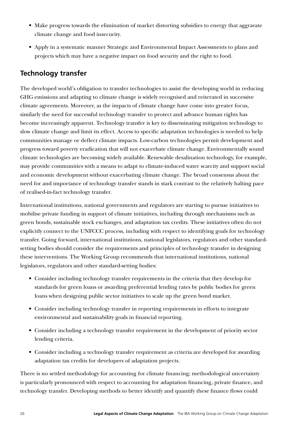- Make progress towards the elimination of market distorting subsidies to energy that aggravate climate change and food insecurity.
- Apply in a systematic manner Strategic and Environmental Impact Assessments to plans and projects which may have a negative impact on food security and the right to food.

# **Technology transfer**

The developed world's obligation to transfer technologies to assist the developing world in reducing GHG emissions and adapting to climate change is widely recognised and reiterated in successive climate agreements. Moreover, as the impacts of climate change have come into greater focus, similarly the need for successful technology transfer to protect and advance human rights has become increasingly apparent. Technology transfer is key to disseminating mitigation technology to slow climate change and limit its effect. Access to specific adaptation technologies is needed to help communities manage or deflect climate impacts. Low-carbon technologies permit development and progress toward poverty eradication that will not exacerbate climate change. Environmentally sound climate technologies are becoming widely available. Renewable desalination technology, for example, may provide communities with a means to adapt to climate-induced water scarcity and support social and economic development without exacerbating climate change. The broad consensus about the need for and importance of technology transfer stands in stark contrast to the relatively halting pace of realised-in-fact technology transfer.

International institutions, national governments and regulators are starting to pursue initiatives to mobilise private funding in support of climate initiatives, including through mechanisms such as green bonds, sustainable stock exchanges, and adaptation tax credits. These initiatives often do not explicitly connect to the UNFCCC process, including with respect to identifying goals for technology transfer. Going forward, international institutions, national legislators, regulators and other standardsetting bodies should consider the requirements and principles of technology transfer in designing these interventions. The Working Group recommends that international institutions, national legislators, regulators and other standard-setting bodies:

- Consider including technology transfer requirements in the criteria that they develop for standards for green loans or awarding preferential lending rates by public bodies for green loans when designing public sector initiatives to scale up the green bond market.
- Consider including technology transfer in reporting requirements in efforts to integrate environmental and sustainability goals in financial reporting.
- Consider including a technology transfer requirement in the development of priority sector lending criteria.
- Consider including a technology transfer requirement as criteria are developed for awarding adaptation tax credits for developers of adaptation projects.

There is no settled methodology for accounting for climate financing; methodological uncertainty is particularly pronounced with respect to accounting for adaptation financing, private finance, and technology transfer. Developing methods to better identify and quantify these finance flows could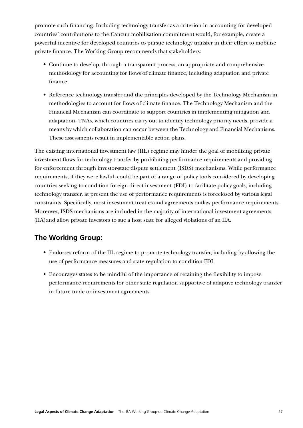promote such financing. Including technology transfer as a criterion in accounting for developed countries' contributions to the Cancun mobilisation commitment would, for example, create a powerful incentive for developed countries to pursue technology transfer in their effort to mobilise private finance. The Working Group recommends that stakeholders:

- Continue to develop, through a transparent process, an appropriate and comprehensive methodology for accounting for flows of climate finance, including adaptation and private finance.
- Reference technology transfer and the principles developed by the Technology Mechanism in methodologies to account for flows of climate finance. The Technology Mechanism and the Financial Mechanism can coordinate to support countries in implementing mitigation and adaptation. TNAs, which countries carry out to identify technology priority needs, provide a means by which collaboration can occur between the Technology and Financial Mechanisms. These assessments result in implementable action plans.

The existing international investment law (IIL) regime may hinder the goal of mobilising private investment flows for technology transfer by prohibiting performance requirements and providing for enforcement through investor-state dispute settlement (ISDS) mechanisms. While performance requirements, if they were lawful, could be part of a range of policy tools considered by developing countries seeking to condition foreign direct investment (FDI) to facilitate policy goals, including technology transfer, at present the use of performance requirements is foreclosed by various legal constraints. Specifically, most investment treaties and agreements outlaw performance requirements. Moreover, ISDS mechanisms are included in the majority of international investment agreements (IIA)and allow private investors to sue a host state for alleged violations of an IIA.

# **The Working Group:**

- Endorses reform of the IIL regime to promote technology transfer, including by allowing the use of performance measures and state regulation to condition FDI.
- Encourages states to be mindful of the importance of retaining the flexibility to impose performance requirements for other state regulation supportive of adaptive technology transfer in future trade or investment agreements.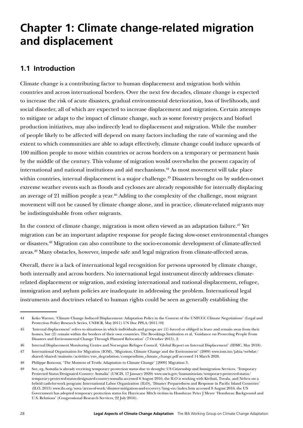# **Chapter 1: Climate change-related migration and displacement**

### **1.1 Introduction**

Climate change is a contributing factor to human displacement and migration both within countries and across international borders. Over the next few decades, climate change is expected to increase the risk of acute disasters, gradual environmental deterioration, loss of livelihoods, and social disorder, all of which are expected to increase displacement and migration. Certain attempts to mitigate or adapt to the impact of climate change, such as some forestry projects and biofuel production initiatives, may also indirectly lead to displacement and migration. While the number of people likely to be affected will depend on many factors including the rate of warming and the extent to which communities are able to adapt effectively, climate change could induce upwards of 100 million people to move within countries or across borders on a temporary or permanent basis by the middle of the century. This volume of migration would overwhelm the present capacity of international and national institutions and aid mechanisms.44 As most movement will take place within countries, internal displacement is a major challenge.<sup>45</sup> Disasters brought on by sudden-onset extreme weather events such as floods and cyclones are already responsible for internally displacing an average of 21 million people a year.<sup>46</sup> Adding to the complexity of the challenge, most migrant movement will not be caused by climate change alone, and in practice, climate-related migrants may be indistinguishable from other migrants.

In the context of climate change, migration is most often viewed as an adaptation failure.<sup>47</sup> Yet migration can be an important adaptive response for people facing slow-onset environmental changes or disasters.48 Migration can also contribute to the socio-economic development of climate-affected areas.49 Many obstacles, however, impede safe and legal migration from climate-affected areas.

Overall, there is a lack of international legal recognition for persons uprooted by climate change, both internally and across borders. No international legal instrument directly addresses climaterelated displacement or migration, and existing international and national displacement, refugee, immigration and asylum policies are inadequate in addressing the problem. International legal instruments and doctrines related to human rights could be seen as generally establishing the

<sup>44</sup> Koko Warner, 'Climate Change Induced Displacement: Adaptation Policy in the Context of the UNFCCC Climate Negotiations' (Legal and Protection Policy Research Series, UNHCR, May 2011) UN Doc PPLA/2011/02.

<sup>45</sup> 'Internal displacement' refers to situations in which individuals and groups are (1) forced or obliged to leave and remain away from their homes, but (2) remain within the borders of their own countries. The Brookings Institution et al, 'Guidance on Protecting People From Disasters and Environmental Change Through Planned Relocation' (7 October 2015), 2.

<sup>46</sup> Internal Displacement Monitoring Centre and Norwegian Refugee Council, 'Global Report on Internal Displacement' (IDMC, May 2018).

<sup>47</sup> International Organisation for Migration (IOM), 'Migration, Climate Change and the Environment' (2009) www.iom.int/jahia/webdav/ shared/shared/mainsite/activities/env\_degradation/compendium\_climate\_change.pdf accessed 14 March 2020.

<sup>48</sup> Philippe Boncour, 'The Moment of Truth: Adaptation to Climate Change' [2009] Migration 3.

<sup>49</sup> See, eg, Somalia is already receiving temporary protection status due to drought: US Citizenship and Immigration Services, 'Temporary Protected Status Designated Country: Somalia' (USCIS, 17 January 2020) [www.uscis.gov/humanitarian/temporary-protected-status/](https://www.uscis.gov/humanitarian/temporary-protected-status/temporary-protected-status-designated-country-somalia) [temporary-protected-status-designated-country-somalia](https://www.uscis.gov/humanitarian/temporary-protected-status/temporary-protected-status-designated-country-somalia) accessed 8 August 2016; the ILO is working with Kiribati, Tuvalu, and Nehru on a hybrid cash-for-work program: International Labor Organization (ILO), 'Disaster Preparedness and Response in Pacific Island Countries' (ILO, 2015) www.ilo.org/suva/areas-of-work/disaster-mitigation-and-recovery/lang--en/index.htm accessed 8 August 2016; the US Government has adopted temporary protection status for Hurricane Mitch victims in Honduras: Peter J Meyer 'Honduras: Background and U.S. Relations' (Congressional Research Services, 22 July 2016).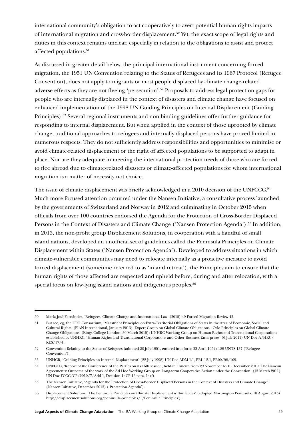international community's obligation to act cooperatively to avert potential human rights impacts of international migration and cross-border displacement.<sup>50</sup> Yet, the exact scope of legal rights and duties in this context remains unclear, especially in relation to the obligations to assist and protect affected populations.<sup>51</sup>

As discussed in greater detail below, the principal international instrument concerning forced migration, the 1951 UN Convention relating to the Status of Refugees and its 1967 Protocol (Refugee Convention), does not apply to migrants or most people displaced by climate change-related adverse effects as they are not fleeing 'persecution'.52 Proposals to address legal protection gaps for people who are internally displaced in the context of disasters and climate change have focused on enhanced implementation of the 1998 UN Guiding Principles on Internal Displacement (Guiding Principles).53 Several regional instruments and non-binding guidelines offer further guidance for responding to internal displacement. But when applied in the context of those uprooted by climate change, traditional approaches to refugees and internally displaced persons have proved limited in numerous respects. They do not sufficiently address responsibilities and opportunities to minimise or avoid climate-related displacement or the right of affected populations to be supported to adapt in place. Nor are they adequate in meeting the international protection needs of those who are forced to flee abroad due to climate-related disasters or climate-affected populations for whom international migration is a matter of necessity not choice.

The issue of climate displacement was briefly acknowledged in a 2010 decision of the UNFCCC.<sup>54</sup> Much more focused attention occurred under the Nansen Initiative, a consultative process launched by the governments of Switzerland and Norway in 2012 and culminating in October 2015 when officials from over 100 countries endorsed the Agenda for the Protection of Cross-Border Displaced Persons in the Context of Disasters and Climate Change ('Nansen Protection Agenda').<sup>55</sup> In addition, in 2013, the non-profit group Displacement Solutions, in cooperation with a handful of small island nations, developed an unofficial set of guidelines called the Peninsula Principles on Climate Displacement within States ('Nansen Protection Agenda'). Developed to address situations in which climate-vulnerable communities may need to relocate internally as a proactive measure to avoid forced displacement (sometime referred to as 'inland retreat'), the Principles aim to ensure that the human rights of those affected are respected and upheld before, during and after relocation, with a special focus on low-lying island nations and indigenous peoples.<sup>56</sup>

<sup>50</sup> María José Fernández, 'Refugees, Climate Change and International Law' (2015) 49 Forced Migration Review 42.

<sup>51</sup> But see, eg, the ETO Consortium, 'Maastricht Principles on Extra-Territorial Obligations of States in the Area of Economic, Social and Cultural Rights' (FIAN International, January 2013); Expert Group on Global Climate Obligations, 'Oslo Principles on Global Climate Change Obligations' (Kings College London, 30 March 2015); UNHRC Working Group on Human Rights and Transnational Corporations established by UNHRC, 'Human Rights and Transnational Corporations and Other Business Enterprises' (6 July 2011) UN Doc A/HRC/ RES/17/4.

<sup>52</sup> Convention Relating to the Status of Refugees (adopted 28 July 1951, entered into force 22 April 1954) 189 UNTS 137 ('Refugee Convention').

<sup>53</sup> UNHCR, 'Guiding Principles on Internal Displacement' (22 July 1998) UN Doc ADM 1.1, PRL 12.1, PR00/98/109.

<sup>54</sup> UNFCCC, 'Report of the Conference of the Parties on its 16th session, held in Cancun from 29 November to 10 December 2010: The Cancun Agreements: Outcome of the work of the Ad Hoc Working Group on Long-term Cooperative Action under the Convention' (15 March 2011) UN Doc FCCC/CP/2010/7/Add 1, Decision 1/CP 16 para. 14(f).

<sup>55</sup> The Nansen Initiative, 'Agenda for the Protection of Cross-Border Displaced Persons in the Context of Disasters and Climate Change' (Nansen Initiative, December 2015) ('Protection Agenda').

<sup>56</sup> Displacement Solutions, 'The Peninsula Principles on Climate Displacement within States' (adopted Mornington Peninsula, 18 August 2013) http://displacementsolutions.org/peninsula-principles/ ('Peninsula Principles').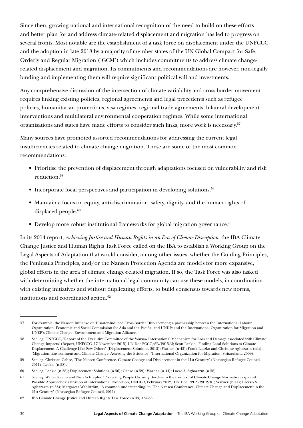Since then, growing national and international recognition of the need to build on these efforts and better plan for and address climate-related displacement and migration has led to progress on several fronts. Most notable are the establishment of a task force on displacement under the UNFCCC and the adoption in late 2018 by a majority of member states of the UN Global Compact for Safe, Orderly and Regular Migration ('GCM') which includes commitments to address climate changerelated displacement and migration. Its commitments and recommendations are however, non-legally binding and implementing them will require significant political will and investments.

Any comprehensive discussion of the intersection of climate variability and cross-border movement requires linking existing policies, regional agreements and legal precedents such as refugee policies, humanitarian protections, visa regimes, regional trade agreements, bilateral development interventions and multilateral environmental cooperation regimes. While some international organisations and states have made efforts to consider such links, more work is necessary.57

Many sources have promoted assorted recommendations for addressing the current legal insufficiencies related to climate change migration. These are some of the most common recommendations:

- Prioritise the prevention of displacement through adaptations focused on vulnerability and risk reduction.58
- Incorporate local perspectives and participation in developing solutions.<sup>59</sup>
- Maintain a focus on equity, anti-discrimination, safety, dignity, and the human rights of displaced people.<sup>60</sup>
- Develop more robust institutional frameworks for global migration governance.<sup>61</sup>

In its 2014 report, *Achieving Justice and Human Rights in an Era of Climate Disruption*, the IBA Climate Change Justice and Human Rights Task Force called on the IBA to establish a Working Group on the Legal Aspects of Adaptation that would consider, among other issues, whether the Guiding Principles, the Peninsula Principles, and/or the Nansen Protection Agenda are models for more expansive, global efforts in the area of climate change-related migration. If so, the Task Force was also tasked with determining whether the international legal community can use these models, in coordination with existing initiatives and without duplicating efforts, to build consensus towards new norms, institutions and coordinated action.<sup>62</sup>

<sup>57</sup> For example, the Nansen Initiative on Disaster-Induced Cross-Border Displacement; a partnership between the International Labour Organization, Economic and Social Commission for Asia and the Pacific, and UNDP; and the International Organization for Migration and UNEP's Climate Change, Environment and Migration Alliance.

<sup>58</sup> See, eg, UNFCCC, 'Report of the Executive Committee of the Warsaw International Mechanism for Loss and Damage associated with Climate Change Impacts' (Report, UNFCCC, 17 November 2015) UN Doc FCCC/SB/2015/3; Scott Leckie, 'Finding Land Solutions to Climate Displacement: A Challenge Like Few Others' (Displacement Solutions, 2013); Warner (n 43); Frank Laczko and Christine Aghazarm (eds), 'Migration, Environment and Climate Change: Assessing the Evidence' (International Organization for Migration, Switzerland, 2009).

<sup>59</sup> See, eg, Christian Gahre, 'The Nansen Conference. Climate Change and Displacement in the 21st Century' (Norwegian Refugee Council, 2011); Leckie (n 58).

<sup>60</sup> See, eg, Leckie (n 58); Displacement Solutions (n 56); Gahre (n 59); Warner (n 44); Laczo & Aghazarm (n 58).

<sup>61</sup> See, eg, Walter Kaelin and Nina Schrepfer, 'Protecting People Crossing Borders in the Context of Climate Change Normative Gaps and Possible Approaches' (Division of International Protection, UNHCR, February 2012) UN Doc PPLA/2012/01; Warner (n 44); Laczko & Aghazarm (n 58); Margareta Wahlström, 'A common understanding' in 'The Nansen Conference, Climate Change and Displacement in the 21st Century' (Norwegian Refugee Council, 2011).

<sup>62</sup> IBA Climate Change Justice and Human Rights Task Force (n 43) 182-83.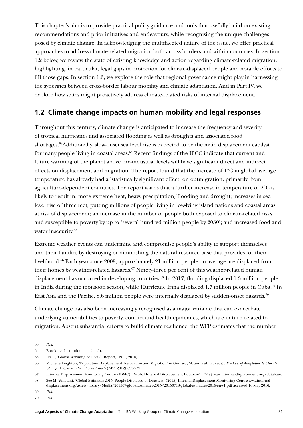This chapter's aim is to provide practical policy guidance and tools that usefully build on existing recommendations and prior initiatives and endeavours, while recognising the unique challenges posed by climate change. In acknowledging the multifaceted nature of the issue, we offer practical approaches to address climate-related migration both across borders and within countries. In section 1.2 below, we review the state of existing knowledge and action regarding climate-related migration, highlighting, in particular, legal gaps in protection for climate-displaced people and notable efforts to fill those gaps. In section 1.3, we explore the role that regional governance might play in harnessing the synergies between cross-border labour mobility and climate adaptation. And in Part IV, we explore how states might proactively address climate-related risks of internal displacement.

### **1.2 Climate change impacts on human mobility and legal responses**

Throughout this century, climate change is anticipated to increase the frequency and severity of tropical hurricanes and associated flooding as well as droughts and associated food shortages.63Additionally, slow-onset sea level rise is expected to be the main displacement catalyst for many people living in coastal areas.<sup>64</sup> Recent findings of the IPCC indicate that current and future warming of the planet above pre-industrial levels will have significant direct and indirect effects on displacement and migration. The report found that the increase of 1°C in global average temperature has already had a 'statistically significant effect' on outmigration, primarily from agriculture-dependent countries. The report warns that a further increase in temperature of  $2^{\circ}C$  is likely to result in: more extreme heat, heavy precipitation/flooding and drought; increases in sea level rise of three feet, putting millions of people living in low-lying island nations and coastal areas at risk of displacement; an increase in the number of people both exposed to climate-related risks and susceptible to poverty by up to 'several hundred million people by 2050'; and increased food and water insecurity.<sup>65</sup>

Extreme weather events can undermine and compromise people's ability to support themselves and their families by destroying or diminishing the natural resource base that provides for their livelihood.<sup>66</sup> Each year since 2008, approximately 21 million people on average are displaced from their homes by weather-related hazards.<sup>67</sup> Ninety-three per cent of this weather-related human displacement has occurred in developing countries.<sup>68</sup> In 2017, flooding displaced 1.3 million people in India during the monsoon season, while Hurricane Irma displaced 1.7 million people in Cuba.<sup>69</sup> In East Asia and the Pacific, 8.6 million people were internally displaced by sudden-onset hazards.<sup>70</sup>

Climate change has also been increasingly recognised as a major variable that can exacerbate underlying vulnerabilities to poverty, conflict and health epidemics, which are in turn related to migration. Absent substantial efforts to build climate resilience, the WFP estimates that the number

<sup>63</sup> *Ibid*.

<sup>64</sup> Brookings Institution et al (n 45).

<sup>65</sup> IPCC, 'Global Warming of 1.5°C' (Report, IPCC, 2018).

<sup>66</sup> Michelle Leighton, 'Population Displacement, Relocation and Migration' in Gerrard, M. and Kuh, K. (eds), *The Law of Adaptation to Climate Change: U.S. and International Aspects* (ABA 2012) 693-739.

<sup>67</sup> Internal Displacement Monitoring Centre (IDMC), 'Global Internal Displacement Database' (2019) [www.internal-displacement.org/database](https://www.internal-displacement.org/database).

<sup>68</sup> See M. Yonetani, 'Global Estimates 2015: People Displaced by Disasters' (2015) Internal Displacement Monitoring Centre www.internaldisplacement.org/assets/library/Media/201507-globalEstimates-2015/20150713-global-estimates-2015-en-v1.pdf accessed 16 May 2016.

<sup>69</sup> *Ibid*.

<sup>70</sup> *Ibid*.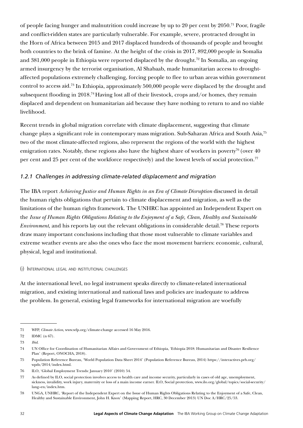of people facing hunger and malnutrition could increase by up to 20 per cent by 2050.71 Poor, fragile and conflict-ridden states are particularly vulnerable. For example, severe, protracted drought in the Horn of Africa between 2015 and 2017 displaced hundreds of thousands of people and brought both countries to the brink of famine. At the height of the crisis in 2017, 892,000 people in Somalia and  $381,000$  people in Ethiopia were reported displaced by the drought.<sup>72</sup> In Somalia, an ongoing armed insurgency by the terrorist organisation, Al Shabaab, made humanitarian access to droughtaffected populations extremely challenging, forcing people to flee to urban areas within government control to access aid.73 In Ethiopia, approximately 500,000 people were displaced by the drought and subsequent flooding in 2018.<sup>74</sup> Having lost all of their livestock, crops and/or homes, they remain displaced and dependent on humanitarian aid because they have nothing to return to and no viable livelihood.

Recent trends in global migration correlate with climate displacement, suggesting that climate change plays a significant role in contemporary mass migration. Sub-Saharan Africa and South Asia,75 two of the most climate-affected regions, also represent the regions of the world with the highest emigration rates. Notably, these regions also have the highest share of workers in poverty<sup>76</sup> (over  $40$ ) per cent and 25 per cent of the workforce respectively) and the lowest levels of social protection.<sup>77</sup>

#### *1.2.1 Challenges in addressing climate-related displacement and migration*

The IBA report *Achieving Justice and Human Rights in an Era of Climate Disruption* discussed in detail the human rights obligations that pertain to climate displacement and migration, as well as the limitations of the human rights framework. The UNHRC has appointed an Independent Expert on the *Issue of Human Rights Obligations Relating to the Enjoyment of a Safe, Clean, Healthy and Sustainable Environment*, and his reports lay out the relevant obligations in considerable detail.78 These reports draw many important conclusions including that those most vulnerable to climate variables and extreme weather events are also the ones who face the most movement barriers: economic, cultural, physical, legal and institutional.

#### (i) International legal and institutional challenges

At the international level, no legal instrument speaks directly to climate-related international migration, and existing international and national laws and policies are inadequate to address the problem. In general, existing legal frameworks for international migration are woefully

<sup>71</sup> WFP, *Climate Action,* www.wfp.org/climate-change accessed 16 May 2016.

<sup>72</sup> IDMC (n 67).

<sup>73</sup> *Ibid*.

<sup>74</sup> UN Office for Coordination of Humanitarian Affairs and Government of Ethiopia, 'Ethiopia 2018: Humanitarian and Disaster Resilience Plan' (Report, ONOCHA, 2018).

<sup>75</sup> Population Reference Bureau, 'World Population Data Sheet 2014' (Population Reference Bureau, 2014) [https://interactives.prb.org/](https://interactives.prb.org/wpds/2014/index.html) [wpds/2014/index.html.](https://interactives.prb.org/wpds/2014/index.html)

<sup>76</sup> ILO, 'Global Employment Trends: January 2010' (2010) 54.

<sup>77</sup> As defined by ILO, social protection involves access to health care and income security, particularly in cases of old age, unemployment, sickness, invalidity, work injury, maternity or loss of a main income earner. ILO, Social protection, [www.ilo.org/global/topics/social-security/](https://www.ilo.org/global/topics/social-security/lang--en/index.htm) [lang--en/index.htm.](https://www.ilo.org/global/topics/social-security/lang--en/index.htm)

<sup>78</sup> UNGA, UNHRC, 'Report of the Independent Expert on the Issue of Human Rights Obligations Relating to the Enjoyment of a Safe, Clean, Healthy and Sustainable Environment, John H. Knox' (Mapping Report, HRC, 30 December 2013) UN Doc A/HRC/25/53.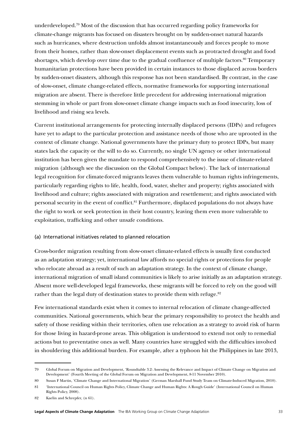underdeveloped.79 Most of the discussion that has occurred regarding policy frameworks for climate-change migrants has focused on disasters brought on by sudden-onset natural hazards such as hurricanes, where destruction unfolds almost instantaneously and forces people to move from their homes, rather than slow-onset displacement events such as protracted drought and food shortages, which develop over time due to the gradual confluence of multiple factors.<sup>80</sup> Temporary humanitarian protections have been provided in certain instances to those displaced across borders by sudden-onset disasters, although this response has not been standardised. By contrast, in the case of slow-onset, climate change-related effects, normative frameworks for supporting international migration are absent. There is therefore little precedent for addressing international migration stemming in whole or part from slow-onset climate change impacts such as food insecurity, loss of livelihood and rising sea levels.

Current institutional arrangements for protecting internally displaced persons (IDPs) and refugees have yet to adapt to the particular protection and assistance needs of those who are uprooted in the context of climate change. National governments have the primary duty to protect IDPs, but many states lack the capacity or the will to do so. Currently, no single UN agency or other international institution has been given the mandate to respond comprehensively to the issue of climate-related migration (although see the discussion on the Global Compact below). The lack of international legal recognition for climate-forced migrants leaves them vulnerable to human rights infringements, particularly regarding rights to life, health, food, water, shelter and property; rights associated with livelihood and culture; rights associated with migration and resettlement; and rights associated with personal security in the event of conflict.<sup>81</sup> Furthermore, displaced populations do not always have the right to work or seek protection in their host country, leaving them even more vulnerable to exploitation, trafficking and other unsafe conditions.

#### (a) International initiatives related to planned relocation

Cross-border migration resulting from slow-onset climate-related effects is usually first conducted as an adaptation strategy; yet, international law affords no special rights or protections for people who relocate abroad as a result of such an adaptation strategy. In the context of climate change, international migration of small island communities is likely to arise initially as an adaptation strategy. Absent more well-developed legal frameworks, these migrants will be forced to rely on the good will rather than the legal duty of destination states to provide them with refuge.<sup>82</sup>

Few international standards exist when it comes to internal relocation of climate change-affected communities. National governments, which bear the primary responsibility to protect the health and safety of those residing within their territories, often use relocation as a strategy to avoid risk of harm for those living in hazard-prone areas. This obligation is understood to extend not only to remedial actions but to preventative ones as well. Many countries have struggled with the difficulties involved in shouldering this additional burden. For example, after a typhoon hit the Philippines in late 2013,

<sup>79</sup> Global Forum on Migration and Development, 'Roundtable 3.2: Assessing the Relevance and Impact of Climate Change on Migration and Development' (Fourth Meeting of the Global Forum on Migration and Development, 8-11 November 2010).

<sup>80</sup> Susan F Martin, 'Climate Change and International Migration' (German Marshall Fund Study Team on Climate-Induced Migration, 2010).

<sup>81</sup> 'International Council on Human Rights Policy, Climate Change and Human Rights: A Rough Guide' (International Council on Human Rights Policy, 2008).

<sup>82</sup> Kaelin and Schrepfer, (n 61).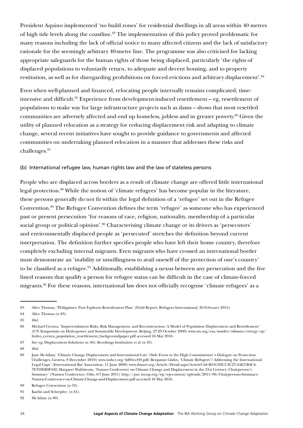President Aquino implemented 'no build zones' for residential dwellings in all areas within 40 metres of high tide levels along the coastline.<sup>83</sup> The implementation of this policy proved problematic for many reasons including the lack of official notice to many affected citizens and the lack of satisfactory rationale for the seemingly arbitrary 40-metre line. The programme was also criticised for lacking appropriate safeguards for the human rights of those being displaced, particularly 'the rights of displaced populations to voluntarily return, to adequate and decent housing, and to property restitution, as well as for disregarding prohibitions on forced evictions and arbitrary displacement'.84

Even when well-planned and financed, relocating people internally remains complicated, timeintensive and difficult.<sup>85</sup> Experience from development-induced resettlement – eg, resettlement of populations to make way for large infrastructure projects such as dams – shows that most resettled communities are adversely affected and end up homeless, jobless and in greater poverty.<sup>86</sup> Given the utility of planned relocation as a strategy for reducing displacement risk and adapting to climate change, several recent initiatives have sought to provide guidance to governments and affected communities on undertaking planned relocation in a manner that addresses these risks and challenges.87

#### (b) International refugee law, human rights law and the law of stateless persons

People who are displaced across borders as a result of climate change are offered little international legal protection.<sup>88</sup> While the notion of 'climate refugees' has become popular in the literature, these persons generally do not fit within the legal definition of a 'refugee' set out in the Refugee Convention.89 The Refugee Convention defines the term 'refugee' as someone who has experienced past or present persecution 'for reasons of race, religion, nationality, membership of a particular social group or political opinion'.<sup>90</sup> Characterising climate change or its drivers as 'persecutors' and environmentally displaced people as 'persecuted' stretches the definition beyond current interpretation. The definition further specifies people who have left their home country, therefore completely excluding internal migrants. Even migrants who have crossed an international border must demonstrate an 'inability or unwillingness to avail oneself of the protection of one's country' to be classified as a refugee.<sup>91</sup> Additionally, establishing a nexus between any persecution and the five listed reasons that qualify a person for refugee status can be difficult in the case of climate-forced migrants.<sup>92</sup> For these reasons, international law does not officially recognise 'climate refugees' as a

92 McAdam (n 89).

<sup>83</sup> Alice Thomas, 'Philippines: Post-Typhoon Resettlement Plan' (Field Report, Refugees International, 26 February 2015).

<sup>84</sup> Alice Thomas (n 83).

<sup>85</sup> *Ibid*.

<sup>86</sup> Michael Cernea, 'Impoverishment Risks, Risk Management, and Reconstruction: A Model of Population Displacement and Resettlement' (UN Symposium on Hydropower and Sustainable Development, Beijing, 27-29 October 2000) www.un.org/esa/sustdev/sdissues/energy/op/ hydro\_cernea\_population\_resettlement\_backgroundpaper.pdf accessed 16 May 2016.

<sup>87</sup> See eg, Displacement Solutions (n 56); Brookings Institution et al (n 45).

<sup>88</sup> *Ibid*.

<sup>89</sup> Jane McAdam, 'Climate Change Displacement and International Law' (Side Event to the High Commissioner's Dialogue on Protection Challenges, Geneva, 8 December 2010) www.unhcr.org/4d05ecf49.pdf; Benjamin Glahn, 'Climate Refugees'? Addressing the International Legal Gaps' (International Bar Association, 11 June 2009) www.ibanet.org/Article/Detail.aspx?ArticleUid=B51C02C1-3C27-4AE3-B4C4- 7E350EB0F442; Margaret Wahlstrom, 'Nansen Conference on Climate Change and Displacement in the 21st Century: Chairperson's Summary' (Nansen Conference, Oslo, 6-7 June 2011) http://pnc.iucnp.org/wp/wp-content/uploads/2011/06/Chairpersons-Summary-Nansen-Conference-on-Climate-Change-and-Displacement.pdf accessed 16 May 2016.

<sup>90</sup> Refugee Convention (n 52).

<sup>91</sup> Kaelin and Schrepfer, (n 61).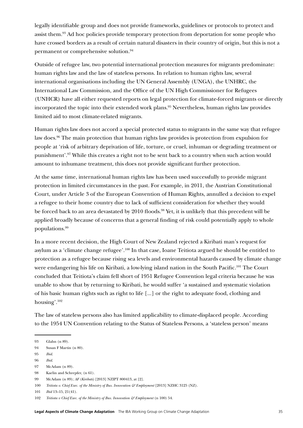legally identifiable group and does not provide frameworks, guidelines or protocols to protect and assist them.<sup>93</sup> Ad hoc policies provide temporary protection from deportation for some people who have crossed borders as a result of certain natural disasters in their country of origin, but this is not a permanent or comprehensive solution.94

Outside of refugee law, two potential international protection measures for migrants predominate: human rights law and the law of stateless persons. In relation to human rights law, several international organisations including the UN General Assembly (UNGA), the UNHRC, the International Law Commission, and the Office of the UN High Commissioner for Refugees (UNHCR) have all either requested reports on legal protection for climate-forced migrants or directly incorporated the topic into their extended work plans.95 Nevertheless, human rights law provides limited aid to most climate-related migrants.

Human rights law does not accord a special protected status to migrants in the same way that refugee law does.96 The main protection that human rights law provides is protection from expulsion for people at 'risk of arbitrary deprivation of life, torture, or cruel, inhuman or degrading treatment or punishment'.97 While this creates a right not to be sent back to a country when such action would amount to inhumane treatment, this does not provide significant further protection.

At the same time, international human rights law has been used successfully to provide migrant protection in limited circumstances in the past. For example, in 2011, the Austrian Constitutional Court, under Article 3 of the European Convention of Human Rights, annulled a decision to expel a refugee to their home country due to lack of sufficient consideration for whether they would be forced back to an area devastated by 2010 floods.<sup>98</sup> Yet, it is unlikely that this precedent will be applied broadly because of concerns that a general finding of risk could potentially apply to whole populations.99

In a more recent decision, the High Court of New Zealand rejected a Kiribati man's request for asylum as a 'climate change refugee'.100 In that case, Ioane Teitiota argued he should be entitled to protection as a refugee because rising sea levels and environmental hazards caused by climate change were endangering his life on Kiribati, a low-lying island nation in the South Pacific.<sup>101</sup> The Court concluded that Teitiota's claim fell short of 1951 Refugee Convention legal criteria because he was unable to show that by returning to Kiribati, he would suffer 'a sustained and systematic violation of his basic human rights such as right to life [...] or the right to adequate food, clothing and housing'.102

The law of stateless persons also has limited applicability to climate-displaced people. According to the 1954 UN Convention relating to the Status of Stateless Persons, a 'stateless person' means

<sup>93</sup> Glahn (n 89).

<sup>94</sup> Susan F Martin (n 80).

<sup>95</sup> *Ibid*.

<sup>96</sup> *Ibid*.

<sup>97</sup> McAdam (n 89).

<sup>98</sup> Kaelin and Schrepfer, (n 61).

<sup>99</sup> McAdam (n 89); *AF (Kiribati)* [2013] NZIPT 800413, at [2].

<sup>100</sup> *Teitiota v. Chief Exec. of the Ministry of Bus. Innovation & Employment* [2013] NZHC 3125 (NZ).

<sup>101</sup> *Ibid* 13–15, 21(41).

<sup>102</sup> *Teitiota v Chief Exec. of the Ministry of Bus. Innovation & Employment* (n 100) 54.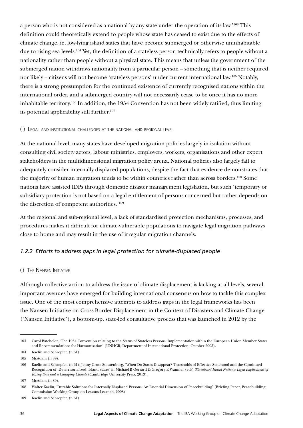a person who is not considered as a national by any state under the operation of its law.<sup>'103</sup> This definition could theoretically extend to people whose state has ceased to exist due to the effects of climate change, ie, low-lying island states that have become submerged or otherwise uninhabitable due to rising sea levels.<sup>104</sup> Yet, the definition of a stateless person technically refers to people without a nationality rather than people without a physical state. This means that unless the government of the submerged nation withdraws nationality from a particular person – something that is neither required nor likely – citizens will not become 'stateless persons' under current international law.105 Notably, there is a strong presumption for the continued existence of currently recognised nations within the international order, and a submerged country will not necessarily cease to be once it has no more inhabitable territory.106 In addition, the 1954 Convention has not been widely ratified, thus limiting its potential applicability still further.<sup>107</sup>

#### (ii) Legal and institutional challenges at the national and regional level

At the national level, many states have developed migration policies largely in isolation without consulting civil society actors, labour ministries, employers, workers, organisations and other expert stakeholders in the multidimensional migration policy arena. National policies also largely fail to adequately consider internally displaced populations, despite the fact that evidence demonstrates that the majority of human migration tends to be within countries rather than across borders.<sup>108</sup> Some nations have assisted IDPs through domestic disaster management legislation, but such 'temporary or subsidiary protection is not based on a legal entitlement of persons concerned but rather depends on the discretion of competent authorities.'109

At the regional and sub-regional level, a lack of standardised protection mechanisms, processes, and procedures makes it difficult for climate-vulnerable populations to navigate legal migration pathways close to home and may result in the use of irregular migration channels.

#### *1.2.2 Efforts to address gaps in legal protection for climate-displaced people*

#### (i) The Nansen Initiative

Although collective action to address the issue of climate displacement is lacking at all levels, several important avenues have emerged for building international consensus on how to tackle this complex issue. One of the most comprehensive attempts to address gaps in the legal frameworks has been the Nansen Initiative on Cross-Border Displacement in the Context of Disasters and Climate Change ('Nansen Initiative'), a bottom-up, state-led consultative process that was launched in 2012 by the

<sup>103</sup> Carol Batchelor, 'The 1954 Convention relating to the Status of Stateless Persons: Implementation within the European Union Member States and Recommendations for Harmonisation' (UNHCR, Department of International Protection, October 2003).

<sup>104</sup> Kaelin and Schrepfer, (n 61).

<sup>105</sup> McAdam (n 89).

<sup>106</sup> Kaelin and Schrepfer, (n 61); Jenny Grote Stoutenburg, 'When Do States Disappear? Thresholds of Effective Statehood and the Continued Recognition of 'Deterritorialized' Island States' in Michael B Gerrard & Gregory E Wannier (eds) *Threatened Island Nations: Legal Implications of Rising Seas and a Changing Climate* (Cambridge University Press, 2013).

<sup>107</sup> McAdam (n 89).

<sup>108</sup> Walter Kaelin, 'Durable Solutions for Internally Displaced Persons: An Essential Dimension of Peacebuilding' (Briefing Paper, Peacebuilding Commission Working Group on Lessons Learned, 2008).

<sup>109</sup> Kaelin and Schrepfer, (n 61)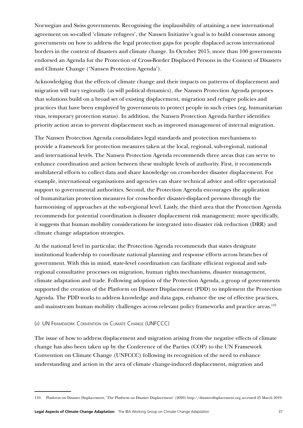Norwegian and Swiss governments. Recognising the implausibility of attaining a new international agreement on so-called 'climate refugees', the Nansen Initiative's goal is to build consensus among governments on how to address the legal protection gaps for people displaced across international borders in the context of disasters and climate change. In October 2015, more than 100 governments endorsed an Agenda for the Protection of Cross-Border Displaced Persons in the Context of Disasters and Climate Change ('Nansen Protection Agenda').

Acknowledging that the effects of climate change and their impacts on patterns of displacement and migration will vary regionally (as will political dynamics), the Nansen Protection Agenda proposes that solutions build on a broad set of existing displacement, migration and refugee policies and practices that have been employed by governments to protect people in such crises (eg, humanitarian visas, temporary protection status). In addition, the Nansen Protection Agenda further identifies priority action areas to prevent displacement such as improved management of internal migration.

The Nansen Protection Agenda consolidates legal standards and protection mechanisms to provide a framework for protection measures taken at the local, regional, sub-regional, national and international levels. The Nansen Protection Agenda recommends three areas that can serve to enhance coordination and action between these multiple levels of authority. First, it recommends multilateral efforts to collect data and share knowledge on cross-border disaster displacement. For example, international organisations and agencies can share technical advice and offer operational support to governmental authorities. Second, the Protection Agenda encourages the application of humanitarian protection measures for cross-border disaster-displaced persons through the harmonising of approaches at the sub-regional level. Lastly, the third area that the Protection Agenda recommends for potential coordination is disaster displacement risk management; more specifically, it suggests that human mobility considerations be integrated into disaster risk reduction (DRR) and climate change adaptation strategies.

At the national level in particular, the Protection Agenda recommends that states designate institutional leadership to coordinate national planning and response efforts across branches of government. With this in mind, state-level coordination can facilitate efficient regional and subregional consultative processes on migration, human rights mechanisms, disaster management, climate adaptation and trade. Following adoption of the Protection Agenda, a group of governments supported the creation of the Platform on Disaster Displacement (PDD) to implement the Protection Agenda. The PDD works to address knowledge and data gaps, enhance the use of effective practices, and mainstream human mobility challenges across relevant policy frameworks and practice areas.<sup>110</sup>

#### (ii) UN Framework Convention on Climate Change (UNFCCC)

The issue of how to address displacement and migration arising from the negative effects of climate change has also been taken up by the Conference of the Parties (COP) to the UN Framework Convention on Climate Change (UNFCCC) following its recognition of the need to enhance understanding and action in the area of climate change-induced displacement, migration and

<sup>110</sup> Platform on Disaster Displacement, 'The Platform on Disaster Displacement' (2020) <http://disasterdisplacement>.org accessed 25 March 2019.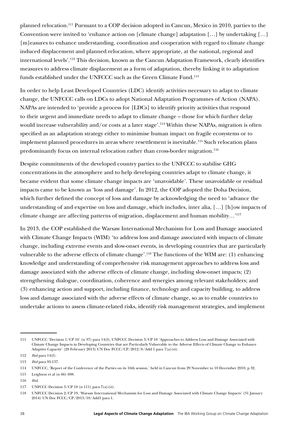planned relocation.111 Pursuant to a COP decision adopted in Cancun, Mexico in 2010, parties to the Convention were invited to 'enhance action on [climate change] adaptation […] by undertaking […] [m]easures to enhance understanding, coordination and cooperation with regard to climate change induced displacement and planned relocation, where appropriate, at the national, regional and international levels'.112 This decision, known as the Cancun Adaptation Framework, clearly identifies measures to address climate displacement as a form of adaptation, thereby linking it to adaptation funds established under the UNFCCC such as the Green Climate Fund.<sup>113</sup>

In order to help Least Developed Countries (LDC) identify activities necessary to adapt to climate change, the UNFCCC calls on LDCs to adopt National Adaptation Programmes of Action (NAPA). NAPAs are intended to 'provide a process for [LDCs] to identify priority activities that respond to their urgent and immediate needs to adapt to climate change – those for which further delay would increase vulnerability and/or costs at a later stage'.114 Within these NAPAs, migration is often specified as an adaptation strategy either to minimise human impact on fragile ecosystems or to implement planned procedures in areas where resettlement is inevitable.<sup>115</sup> Such relocation plans predominantly focus on internal relocation rather than cross-border migration.<sup>116</sup>

Despite commitments of the developed country parties to the UNFCCC to stabilise GHG concentrations in the atmosphere and to help developing countries adapt to climate change, it became evident that some climate change impacts are 'unavoidable'. These unavoidable or residual impacts came to be known as 'loss and damage'. In 2012, the COP adopted the Doha Decision, which further defined the concept of loss and damage by acknowledging the need to 'advance the understanding of and expertise on loss and damage, which includes, inter alia, […] [h]ow impacts of climate change are affecting patterns of migration, displacement and human mobility…'117

In 2013, the COP established the Warsaw International Mechanism for Loss and Damage associated with Climate Change Impacts (WIM) 'to address loss and damage associated with impacts of climate change, including extreme events and slow-onset events, in developing countries that are particularly vulnerable to the adverse effects of climate change'.118 The functions of the WIM are: (1) enhancing knowledge and understanding of comprehensive risk management approaches to address loss and damage associated with the adverse effects of climate change, including slow-onset impacts; (2) strengthening dialogue, coordination, coherence and synergies among relevant stakeholders; and (3) enhancing action and support, including finance, technology and capacity building, to address loss and damage associated with the adverse effects of climate change, so as to enable countries to undertake actions to assess climate-related risks, identify risk management strategies, and implement

<sup>111</sup> UNFCCC 'Decision 1/CP 16' (n 37) para 14(f); UNFCCC Decision 3/CP 18 'Approaches to Address Loss and Damage Associated with Climate Change Impacts in Developing Countries that are Particularly Vulnerable to the Adverse Effects of Climate Change to Enhance Adaptive Capacity' (28 February 2013) UN Doc FCCC/CP/2012/8/Add 1 para 7(a)(vi).

<sup>112</sup> *Ibid* para 14(f).

<sup>113</sup> *Ibid* para 95-137.

<sup>114</sup> UNFCCC, 'Report of the Conference of the Parties on its 16th session,' held in Cancun from 29 November to 10 December 2010, p 32.

<sup>115</sup> Leighton et al (n 66) 698.

<sup>116</sup> *Ibid*.

<sup>117</sup> UNFCCC Decision 3/CP 18 (n 111) para 7(a)(vi).

<sup>118</sup> UNFCCC Decision 2/CP 19, 'Warsaw International Mechanism for Loss and Damage Associated with Climate Change Impacts' (31 January 2014) UN Doc FCCC/CP/2013/10/Add1 para 1.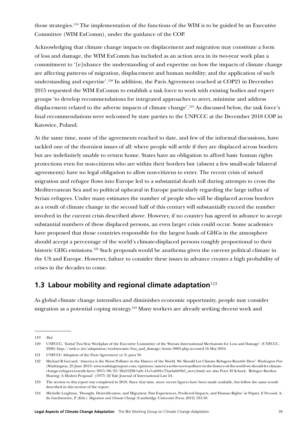those strategies.119 The implementation of the functions of the WIM is to be guided by an [Executive](http://unfccc.int/adaptation/groups_committees/loss_and_damage_executive_committee/items/7543.php)  [Committee](http://unfccc.int/adaptation/groups_committees/loss_and_damage_executive_committee/items/7543.php) (WIM ExComm), under the guidance of the COP.

Acknowledging that climate change impacts on displacement and migration may constitute a form of loss and damage, the WIM ExComm has included as an action area in its two-year work plan a commitment to '[e]nhance the understanding of and expertise on how the impacts of climate change are affecting patterns of migration, displacement and human mobility; and the application of such understanding and expertise'.120 In addition, the Paris Agreement reached at COP21 in December 2015 requested the WIM ExComm to establish a task force to work with existing bodies and expert groups 'to develop recommendations for integrated approaches to avert, minimise and address displacement related to the adverse impacts of climate change'.121 As discussed below, the task force's final recommendations were welcomed by state parties to the UNFCCC at the December 2018 COP in Katowice, Poland.

At the same time, none of the agreements reached to date, and few of the informal discussions, have tackled one of the thorniest issues of all: where people will settle if they are displaced across borders but are indefinitely unable to return home. States have an obligation to afford basic human rights protections even for non-citizens who are within their borders but (absent a few small-scale bilateral agreements) have no legal obligation to allow non-citizens to enter. The recent crisis of mixed migration and refugee flows into Europe led to a substantial death toll during attempts to cross the Mediterranean Sea and to political upheaval in Europe particularly regarding the large influx of Syrian refugees. Under many estimates the number of people who will be displaced across borders as a result of climate change in the second half of this century will substantially exceed the number involved in the current crisis described above. However, if no country has agreed in advance to accept substantial numbers of these displaced persons, an even larger crisis could occur. Some academics have proposed that those countries responsible for the largest loads of GHGs in the atmosphere should accept a percentage of the world's climate-displaced persons roughly proportional to their historic GHG emissions.<sup>122</sup> Such proposals would be anathema given the current political climate in the US and Europe. However, failure to consider these issues in advance creates a high probability of crises in the decades to come.

# **1.3 Labour mobility and regional climate adaptation**<sup>123</sup>

As global climate change intensifies and diminishes economic opportunity, people may consider migration as a potential coping strategy.124 Many workers are already seeking decent work and

<sup>119</sup> *Ibid*.

<sup>120</sup> UNFCCC, 'Initial Two-Year Workplan of the Executive Committee of the Warsaw International Mechanism for Loss and Damage' (UNFCCC, 2020) http://unfccc.int/adaptation/workstreams/loss\_and\_damage/items/8805.php accessed 16 May 2016.

<sup>121</sup> UNFCCC Adoption of the Paris Agreement (n 3) para 50.

<sup>122</sup> Michael B Gerrard, 'America is the Worst Polluter in the History of the World. We Should Let Climate Refugees Resettle Here' *Washington Post* (Washington, 25 June 2015) www.washingtonpost.com/opinions/america-is-the-worst-polluter-in-the-history-of-the-world-we-should-let-climatechange-refugees-resettle-here/2015/06/25/28a55238-1a9c-11e5-ab92-c75ae6ab94b5\_story.html; see also Peter H Schuck, 'Refugee Burden-Sharing: A Modest Proposal' (1977) 22 Yale Journal of International Law 24.

<sup>123</sup> The section to this report was completed in 2018. Since that time, more recent figures have been made available, but follow the same trends described in this section of the report.

<sup>124</sup> Michelle Leighton, 'Drought, Desertification, and Migration: Past Experiences, Predicted Impacts, and Human Rights' in Piquet, E Pecoud, A, de Guchteneire, P (Eds.) *Migration and Climate Change* (Cambridge University Press, 2012) 331-58.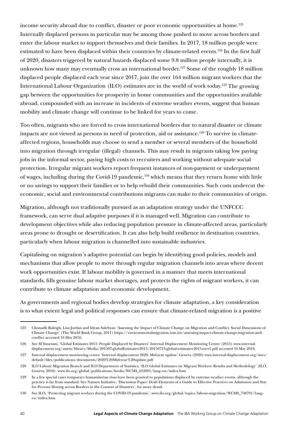income security abroad due to conflict, disaster or poor economic opportunities at home.<sup>125</sup> Internally displaced persons in particular may be among those pushed to move across borders and enter the labour market to support themselves and their families. In 2017, 18 million people were estimated to have been displaced within their countries by climate-related events.<sup>126</sup> In the first half of 2020, disasters triggered by natural hazards displaced some 9.8 million people internally, it is unknown how many may eventually cross an international border.<sup>127</sup> Some of the roughly 18 million displaced people displaced each year since 2017, join the over 164 million migrant workers that the International Labour Organization (ILO) estimates are in the world of work today.128 The growing gap between the opportunities for prosperity in home communities and the opportunities available abroad, compounded with an increase in incidents of extreme weather events, suggest that human mobility and climate change will continue to be linked for years to come.

Too often, migrants who are forced to cross international borders due to natural disaster or climate impacts are not viewed as persons in need of protection, aid or assistance.<sup>129</sup> To survive in climateaffected regions, households may choose to send a member or several members of the household into migration through irregular (illegal) channels. This may result in migrants taking low paying jobs in the informal sector, paying high costs to recruiters and working without adequate social protection. Irregular migrant workers report frequent instances of non-payment or underpayment of wages, including during the Covid-19 pandemic,<sup>130</sup> which means that they return home with little or no savings to support their families or to help rebuild their communities. Such costs undercut the economic, social and environmental contributions migrants can make to their communities of origin.

Migration, although not traditionally pursued as an adaptation strategy under the UNFCCC framework, can serve dual adaptive purposes if it is managed well. Migration can contribute to development objectives while also reducing population pressure in climate-affected areas, particularly areas prone to drought or desertification. It can also help build resilience in destination countries, particularly when labour migration is channelled into sustainable industries.

Capitalising on migration's adaptive potential can begin by identifying good policies, models and mechanisms that allow people to move through regular migration channels into areas where decent work opportunities exist. If labour mobility is governed in a manner that meets international standards, fills genuine labour market shortages, and protects the rights of migrant workers, it can contribute to climate adaptation and economic development.

As governments and regional bodies develop strategies for climate adaptation, a key consideration is to what extent legal and political responses can ensure that climate-related migration is a positive

<sup>125</sup> Clionadh Raleigh, Lisa Jordan and Idean Salehyan 'Assessing the Impact of Climate Change on Migration and Conflict. Social Dimensions of Climate Change' (The World Bank Group, 2011) https://environmentalmigration.iom.int/assessing-impact-climate-change-migration-andconflict accessed 16 May 2016.

<sup>126</sup> See M Yonetani, 'Global Estimates 2015: People Displaced by Disasters' Internal Displacement Monitoring Centre (2015) www.internaldisplacement.org/assets/library/Media/201507-globalEstimates-2015/20150713-global-estimates-2015-en-v1.pdf accessed 16 May 2016.

<sup>127</sup> Internal displacement monitoring centre 'Internal displacement 2020: Mid-year update' Geneva (2020) www.internal-displacement.org/sites/ default/files/publications/documents/2020%20Mid-year%20update.pdf

<sup>128</sup> ILO Labour Migration Branch and ILO Department of Statistics, 'ILO Global Estimates on Migrant Workers: Results and Methodology' (ILO, Geneva, 2018). www.ilo.org/global/publications/books/WCMS\_652001/lang--en/index.htm

<sup>129</sup> In a few special cases temporary humanitarian visas have been granted to populations displaced by extreme weather events, although the practice is far from standard. See Nansen Initiative, 'Discussion Paper: Draft Elements of a Guide to Effective Practices on Admission and Stay for Persons Moving across Borders in the Context of Disasters', for more detail.

<sup>130</sup> See ILO, 'Protecting migrant workers during the COVID-19 pandemic', www.ilo.org/global/topics/labour-migration/WCMS\_748791/lang- en/index.htm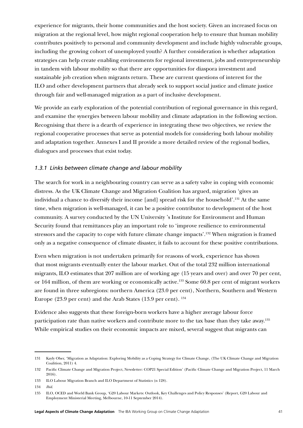experience for migrants, their home communities and the host society. Given an increased focus on migration at the regional level, how might regional cooperation help to ensure that human mobility contributes positively to personal and community development and include highly vulnerable groups, including the growing cohort of unemployed youth? A further consideration is whether adaptation strategies can help create enabling environments for regional investment, jobs and entrepreneurship in tandem with labour mobility so that there are opportunities for diaspora investment and sustainable job creation when migrants return. These are current questions of interest for the ILO and other development partners that already seek to support social justice and climate justice through fair and well-managed migration as a part of inclusive development.

We provide an early exploration of the potential contribution of regional governance in this regard, and examine the synergies between labour mobility and climate adaptation in the following section. Recognising that there is a dearth of experience in integrating these two objectives, we review the regional cooperative processes that serve as potential models for considering both labour mobility and adaptation together. Annexes I and II provide a more detailed review of the regional bodies, dialogues and processes that exist today.

#### *1.3.1 Links between climate change and labour mobility*

The search for work in a neighbouring country can serve as a safety valve in coping with economic distress. As the UK Climate Change and Migration Coalition has argued, migration 'gives an individual a chance to diversify their income [and] spread risk for the household'.131 At the same time, when migration is well-managed, it can be a positive contributor to development of the host community. A survey conducted by the UN University 's Institute for Environment and Human Security found that remittances play an important role to 'improve resilience to environmental stressors and the capacity to cope with future climate change impacts'.132 When migration is framed only as a negative consequence of climate disaster, it fails to account for these positive contributions.

Even when migration is not undertaken primarily for reasons of work, experience has shown that most migrants eventually enter the labour market. Out of the total 232 million international migrants, ILO estimates that 207 million are of working age (15 years and over) and over 70 per cent, or 164 million, of them are working or economically active.133 Some 60.8 per cent of migrant workers are found in three subregions: northern America (23.0 per cent), Northern, Southern and Western Europe (23.9 per cent) and the Arab States (13.9 per cent). 134

Evidence also suggests that these foreign-born workers have a higher average labour force participation rate than native workers and contribute more to the tax base than they take away.<sup>135</sup> While empirical studies on their economic impacts are mixed, several suggest that migrants can

<sup>131</sup> Kayly Ober, 'Migration as Adaptation: Exploring Mobility as a Coping Strategy for Climate Change, (The UK Climate Change and Migration Coalition, 2011) 4.

<sup>132</sup> Pacific Climate Change and Migration Project, Newsletter: COP21 Special Edition' (Pacific Climate Change and Migration Project, 11 March 2016).

<sup>133</sup> ILO Labour Migration Branch and ILO Department of Statistics (n 128).

<sup>134</sup> *Ibid*.

<sup>135</sup> ILO, OCED and World Bank Group, 'G20 Labour Markets: Outlook, Key Challenges and Policy Responses' (Report, G20 Labour and Employment Ministerial Meeting, Melbourne, 10-11 September 2014).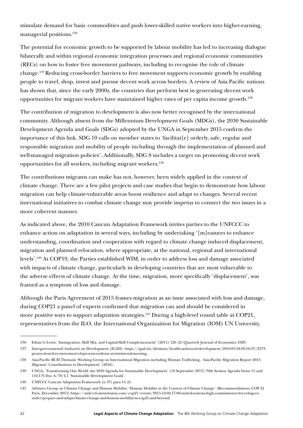stimulate demand for basic commodities and push lower-skilled native workers into higher-earning, managerial positions.136

The potential for economic growth to be supported by labour mobility has led to increasing dialogue bilaterally and within regional economic integration processes and regional economic communities (RECs) on how to foster free movement pathways, including to recognise the role of climate change.137 Reducing cross-border barriers to free movement supports economic growth by enabling people to travel, shop, invest and pursue decent work across borders. A review of Asia Pacific nations has shown that, since the early 2000s, the countries that perform best in generating decent work opportunities for migrant workers have maintained higher rates of per capita income growth.138

The contribution of migration to development is also now better recognised by the international community. Although absent from the Millennium Development Goals (MDGs), the 2030 Sustainable Development Agenda and Goals (SDGs) adopted by the UNGA in September 2015 confirm the importance of this link. SDG 10 calls on member states to 'facilitat  $[e]$  orderly, safe, regular and responsible migration and mobility of people including through the implementation of planned and well-managed migration policies'. Additionally, SDG 8 includes a target on promoting decent work opportunities for all workers, including migrant workers.139

The contributions migrants can make has not, however, been widely applied in the context of climate change. There are a few pilot projects and case studies that begin to demonstrate how labour migration can help climate-vulnerable areas boost resilience and adapt to changes. Several recent international initiatives to combat climate change may provide impetus to connect the two issues in a more coherent manner.

As indicated above, the 2010 Cancun Adaptation Framework invites parties to the UNFCCC to enhance action on adaptation in several ways, including by undertaking '[m]easures to enhance understanding, coordination and cooperation with regard to climate change induced displacement, migration and planned relocation, where appropriate, at the national, regional and international levels'.140 At COP19, the Parties established WIM, in order to address loss and damage associated with impacts of climate change, particularly in developing countries that are most vulnerable to the adverse effects of climate change. At the time, migration, more specifically 'displacement', was framed as a symptom of loss and damage.

Although the Paris Agreement of 2015 frames migration as an issue associated with loss and damage, during COP21 a panel of experts confirmed that migration can and should be considered in more positive ways to support adaptation strategies.<sup>141</sup> During a high-level round table at COP21, representatives from the ILO, the International Organizaition for Migration (IOM) UN University,

<sup>136</sup> Ethan G Lewis, 'Immigration, Skill Mix, and Capital-Skill Complementarity' (2011) 126 (2) Quarterly Journal of Economics 1029.

<sup>137</sup> Intergovernmental Authority on Development (IGAD), https://igad.int/divisions/health-and-social-development/2016-05-24-03-16-37/2373 protocol-on-free-movement-of-persons-endorse-at-ministerial-meeting.

<sup>138</sup> Asia-Pacific RCM Thematic Working Group on International Migration including Human Trafficking, 'Asia-Pacific Migration Report 2015: Migrants' Contributions to Development' (2016).

<sup>139</sup> UNGA, 'Transforming Our World: the 2030 Agenda for Sustainable Development' (18 September 2015) 70th Session Agenda Items 15 and 116 UN Doc A/70/L1 'Sustainable Development Goals'.

<sup>140</sup> UNFCCC Cancun Adaptation Framework (n 37) para 14 (f).

<sup>141</sup> Advisory Group on Climate Change and Human Mobility, 'Human Mobility in the Context of Climate Change' (Recommendations, COP 21 Paris, December 2015) [https://unfccc6.meta-fusion.com/cop21/events/2015-12-02-17-00-united-nations-high-commissioner-for-refugees](https://unfccc6.meta-fusion.com/cop21/events/2015-12-02-17-00-united-nations-high-commissioner-for-refugees-unhcr-prepare-and-adapt-climate-change-and-human-mobility-in-cop21-and-beyond)[unhcr-prepare-and-adapt-climate-change-and-human-mobility-in-cop21-and-beyond](https://unfccc6.meta-fusion.com/cop21/events/2015-12-02-17-00-united-nations-high-commissioner-for-refugees-unhcr-prepare-and-adapt-climate-change-and-human-mobility-in-cop21-and-beyond).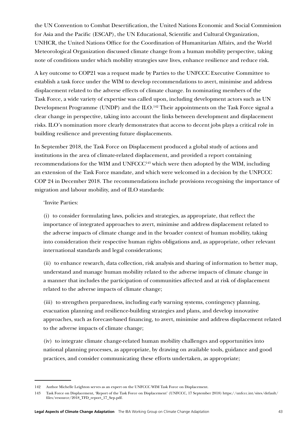the UN Convention to Combat Desertification, the United Nations Economic and Social Commission for Asia and the Pacific (ESCAP), the UN Educational, Scientific and Cultural Organization, UNHCR, the United Nations Office for the Coordination of Humanitarian Affairs, and the World Meteorological Organization discussed climate change from a human mobility perspective, taking note of conditions under which mobility strategies save lives, enhance resilience and reduce risk.

A key outcome to COP21 was a request made by Parties to the UNFCCC Executive Committee to establish a task force under the WIM to develop recommendations to avert, minimise and address displacement related to the adverse effects of climate change. In nominating members of the Task Force, a wide variety of expertise was called upon, including development actors such as UN Development Programme (UNDP) and the ILO.<sup>142</sup> Their appointments on the Task Force signal a clear change in perspective, taking into account the links between development and displacement risks. ILO's nomination more clearly demonstrates that access to decent jobs plays a critical role in building resilience and preventing future displacements.

In September 2018, the Task Force on Displacement produced a global study of actions and institutions in the area of climate-related displacement, and provided a report containing recommendations for the WIM and UNFCCC143 which were then adopted by the WIM, including an extension of the Task Force mandate, and which were welcomed in a decision by the UNFCCC COP 24 in December 2018. The recommendations include provisions recognising the importance of migration and labour mobility, and of ILO standards:

#### 'Invite Parties:

(i) to consider formulating laws, policies and strategies, as appropriate, that reflect the importance of integrated approaches to avert, minimise and address displacement related to the adverse impacts of climate change and in the broader context of human mobility, taking into consideration their respective human rights obligations and, as appropriate, other relevant international standards and legal considerations;

(ii) to enhance research, data collection, risk analysis and sharing of information to better map, understand and manage human mobility related to the adverse impacts of climate change in a manner that includes the participation of communities affected and at risk of displacement related to the adverse impacts of climate change;

(iii) to strengthen preparedness, including early warning systems, contingency planning, evacuation planning and resilience-building strategies and plans, and develop innovative approaches, such as forecast-based financing, to avert, minimise and address displacement related to the adverse impacts of climate change;

(iv) to integrate climate change-related human mobility challenges and opportunities into national planning processes, as appropriate, by drawing on available tools, guidance and good practices, and consider communicating these efforts undertaken, as appropriate;

<sup>142</sup> Author Michelle Leighton serves as an expert on the UNFCCC WIM Task Force on Displacement.

<sup>143</sup> Task Force on Displacement, 'Report of the Task Force on Displacement' (UNFCCC, 17 September 2018) [https://unfccc.int/sites/default/](https://unfccc.int/sites/default/files/resource/2018_TFD_report_17_Sep.pdf) [files/resource/2018\\_TFD\\_report\\_17\\_Sep.pdf](https://unfccc.int/sites/default/files/resource/2018_TFD_report_17_Sep.pdf).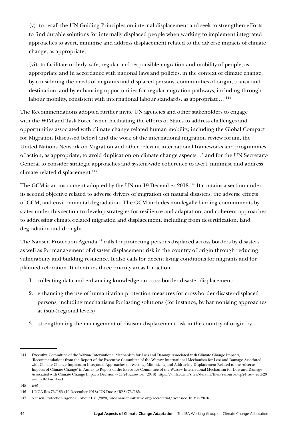(v) to recall the UN Guiding Principles on internal displacement and seek to strengthen efforts to find durable solutions for internally displaced people when working to implement integrated approaches to avert, minimise and address displacement related to the adverse impacts of climate change, as appropriate;

(vi) to facilitate orderly, safe, regular and responsible migration and mobility of people, as appropriate and in accordance with national laws and policies, in the context of climate change, by considering the needs of migrants and displaced persons, communities of origin, transit and destination, and by enhancing opportunities for regular migration pathways, including through labour mobility, consistent with international labour standards, as appropriate…'144

The Recommendations adopted further invite UN agencies and other stakeholders to engage with the WIM and Task Force 'when facilitating the efforts of States to address challenges and opportunities associated with climate change related human mobility, including the Global Compact for Migration [discussed below] and the work of the international migration review forum, the United Nations Network on Migration and other relevant international frameworks and programmes of action, as appropriate, to avoid duplication on climate change aspects…' and for the UN Secretary-General to consider strategic approaches and system-wide coherence to avert, minimise and address climate related displacement.<sup>145</sup>

The GCM is an instrument adopted by the UN on 19 December 2018.<sup>146</sup> It contains a section under its second objective related to adverse drivers of migration on natural disasters, the adverse effects of GCM, and environmental degradation. The GCM includes non-legally binding commitments by states under this section to develop strategies for resilience and adaptation, and coherent approaches to addressing climate-related migration and displacement, including from desertification, land degradation and drought.

The Nansen Protection Agenda<sup>147</sup> calls for protecting persons displaced across borders by disasters as well as for management of disaster displacement risk in the country of origin through reducing vulnerability and building resilience. It also calls for decent living conditions for migrants and for planned relocation. It identifies three priority areas for action:

- 1. collecting data and enhancing knowledge on cross-border disaster-displacement;
- 2. enhancing the use of humanitarian protection measures for cross-border disaster-displaced persons, including mechanisms for lasting solutions (for instance, by harmonising approaches at (sub-)regional levels):
- 3. strengthening the management of disaster displacement risk in the country of origin by –

<sup>144</sup> Executive Committee of the Warsaw International Mechanism for Loss and Damage Associated with Climate Change Impacts, 'Recommendations from the Report of the Executive Committee of the Warsaw International Mechanism for Loss and Damage Associated with Climate Change Impacts on Integrated Approaches to Averting, Minimizing and Addressing Displacement Related to the Adverse Impacts of Climate Change' in Annex to Report of the Executive Committee of the Warsaw International Mechanism for Loss and Damage Associated with Climate Change Impacts Decision -/CP24 Katowice, (2018) [https://unfccc.int/sites/default/files/resource/cp24\\_auv\\_ec%20](https://unfccc.int/sites/default/files/resource/cp24_auv_ec%20wim.pdf?download) [wim.pdf?download.](https://unfccc.int/sites/default/files/resource/cp24_auv_ec%20wim.pdf?download)

<sup>145</sup> *Ibid*.

<sup>146</sup> UNGA Res 73/185 (19 December 2018) UN Doc A/RES/73/185.

<sup>147</sup> Nansen Protection Agenda, 'About Us' (2020) [www.nanseninitiative.org/secretariat/](https://www.nanseninitiative.org/secretariat/%3e%20) accessed 16 May 2016.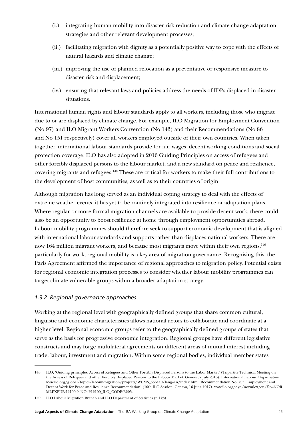- (i.) integrating human mobility into disaster risk reduction and climate change adaptation strategies and other relevant development processes;
- (ii.) facilitating migration with dignity as a potentially positive way to cope with the effects of natural hazards and climate change;
- (iii.) improving the use of planned relocation as a preventative or responsive measure to disaster risk and displacement;
- (iv.) ensuring that relevant laws and policies address the needs of IDPs displaced in disaster situations.

International human rights and labour standards apply to all workers, including those who migrate due to or are displaced by climate change. For example, ILO Migration for Employment Convention (No 97) and ILO Migrant Workers Convention (No 143) and their Recommendations (No 86 and No 151 respectively) cover all workers employed outside of their own countries. When taken together, international labour standards provide for fair wages, decent working conditions and social protection coverage. ILO has also adopted in 2016 Guiding Principles on access of refugees and other forcibly displaced persons to the labour market, and a new standard on peace and resilience, covering migrants and refugees.148 These are critical for workers to make their full contributions to the development of host communities, as well as to their countries of origin.

Although migration has long served as an individual coping strategy to deal with the effects of extreme weather events, it has yet to be routinely integrated into resilience or adaptation plans. Where regular or more formal migration channels are available to provide decent work, there could also be an opportunity to boost resilience at home through employment opportunities abroad. Labour mobility programmes should therefore seek to support economic development that is aligned with international labour standards and supports rather than displaces national workers. There are now 164 million migrant workers, and because most migrants move within their own regions,<sup>149</sup> particularly for work, regional mobility is a key area of migration governance. Recognising this, the Paris Agreement affirmed the importance of regional approaches to migration policy. Potential exists for regional economic integration processes to consider whether labour mobility programmes can target climate vulnerable groups within a broader adaptation strategy.

# *1.3.2 Regional governance approaches*

Working at the regional level with geographically defined groups that share common cultural, linguistic and economic characteristics allows national actors to collaborate and coordinate at a higher level. Regional economic groups refer to the geographically defined groups of states that serve as the basis for progressive economic integration. Regional groups have different legislative constructs and may forge multilateral agreements on different areas of mutual interest including trade, labour, investment and migration. Within some regional bodies, individual member states

<sup>148</sup> ILO, 'Guiding principles: Access of Refugees and Other Forcibly Displaced Persons to the Labor Market' (Tripartite Technical Meeting on the Access of Refugees and other Forcibly Displaced Persons to the Labour Market, Geneva, 7 July 2016); International Labour Organisation, [www.ilo.org/global/topics/labour-migration/projects/WCMS\\_536440/lang--en/index.htm](https://www.ilo.org/global/topics/labour-migration/projects/WCMS_536440/lang--en/index.htm); 'Recommendation No. 205: Employment and Decent Work for Peace and Resilience Recommendation' (10th ILO Session, Geneva, 16 June 2017). [www.ilo.org/dyn/normlex/en/f?p=NOR](https://www.ilo.org/dyn/normlex/en/f?p=NORMLEXPUB:12100:0::NO::P12100_ILO_CODE:R205) [MLEXPUB:12100:0::NO::P12100\\_ILO\\_CODE:R205](https://www.ilo.org/dyn/normlex/en/f?p=NORMLEXPUB:12100:0::NO::P12100_ILO_CODE:R205).

<sup>149</sup> ILO Labour Migration Branch and ILO Department of Statistics (n 128).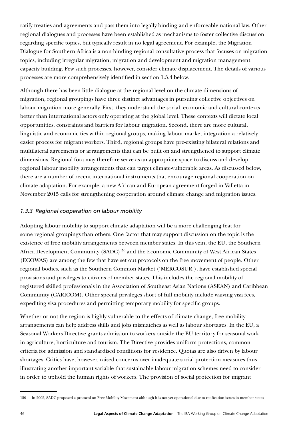ratify treaties and agreements and pass them into legally binding and enforceable national law. Other regional dialogues and processes have been established as mechanisms to foster collective discussion regarding specific topics, but typically result in no legal agreement. For example, the Migration Dialogue for Southern Africa is a non-binding regional consultative process that focuses on migration topics, including irregular migration, migration and development and migration management capacity building. Few such processes, however, consider climate displacement. The details of various processes are more comprehensively identified in section 1.3.4 below.

Although there has been little dialogue at the regional level on the climate dimensions of migration, regional groupings have three distinct advantages in pursuing collective objectives on labour migration more generally. First, they understand the social, economic and cultural contexts better than international actors only operating at the global level. These contexts will dictate local opportunities, constraints and barriers for labour migration. Second, there are more cultural, linguistic and economic ties within regional groups, making labour market integration a relatively easier process for migrant workers. Third, regional groups have pre-existing bilateral relations and multilateral agreements or arrangements that can be built on and strengthened to support climate dimensions. Regional fora may therefore serve as an appropriate space to discuss and develop regional labour mobility arrangements that can target climate-vulnerable areas. As discussed below, there are a number of recent international instruments that encourage regional cooperation on climate adaptation. For example, a new African and European agreement forged in Valletta in November 2015 calls for strengthening cooperation around climate change and migration issues.

## *1.3.3 Regional cooperation on labour mobility*

Adopting labour mobility to support climate adaptation will be a more challenging feat for some regional groupings than others. One factor that may support discussion on the topic is the existence of free mobility arrangements between member states. In this vein, the EU, the Southern Africa Development Community (SADC)<sup>150</sup> and the Economic Community of West African States (ECOWAS) are among the few that have set out protocols on the free movement of people. Other regional bodies, such as the Southern Common Market ('MERCOSUR'), have established special provisions and privileges to citizens of member states. This includes the regional mobility of registered skilled professionals in the Association of Southeast Asian Nations (ASEAN) and Caribbean Community (CARICOM). Other special privileges short of full mobility include waiving visa fees, expediting visa procedures and permitting temporary mobility for specific groups.

Whether or not the region is highly vulnerable to the effects of climate change, free mobility arrangements can help address skills and jobs mismatches as well as labour shortages. In the EU, a Seasonal Workers Directive grants admission to workers outside the EU territory for seasonal work in agriculture, horticulture and tourism. The Directive provides uniform protections, common criteria for admission and standardised conditions for residence. Quotas are also driven by labour shortages. Critics have, however, raised concerns over inadequate social protection measures thus illustrating another important variable that sustainable labour migration schemes need to consider in order to uphold the human rights of workers. The provision of social protection for migrant

<sup>150</sup> In 2005, SADC proposed a protocol on Free Mobility Movement although it is not yet operational due to ratification issues in member states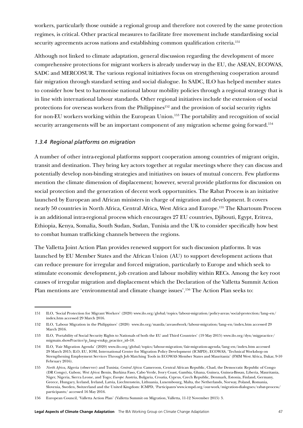workers, particularly those outside a regional group and therefore not covered by the same protection regimes, is critical. Other practical measures to facilitate free movement include standardising social security agreements across nations and establishing common qualification criteria.<sup>151</sup>

Although not linked to climate adaptation, general discussion regarding the development of more comprehensive protections for migrant workers is already underway in the EU, the ASEAN, ECOWAS, SADC and MERCOSUR. The various regional initiatives focus on strengthening cooperation around fair migration through standard setting and social dialogue. In SADC, ILO has helped member states to consider how best to harmonise national labour mobility policies through a regional strategy that is in line with international labour standards. Other regional initiatives include the extension of social protections for overseas workers from the Philippines<sup>152</sup> and the provision of social security rights for non-EU workers working within the European Union.<sup>153</sup> The portability and recognition of social security arrangements will be an important component of any migration scheme going forward.<sup>154</sup>

#### *1.3.4 Regional platforms on migration*

A number of other intra-regional platforms support cooperation among countries of migrant origin, transit and destination. They bring key actors together at regular meetings where they can discuss and potentially develop non-binding strategies and initiatives on issues of mutual concern. Few platforms mention the climate dimension of displacement; however, several provide platforms for discussion on social protection and the generation of decent work opportunities. The Rabat Process is an initiative launched by European and African ministers in charge of migration and development. It covers nearly 50 countries in North Africa, Central Africa, West Africa and Europe.155 The Khartoum Process is an additional intra-regional process which encourages 27 EU countries, Djibouti, Egypt, Eritrea, Ethiopia, Kenya, Somalia, South Sudan, Sudan, Tunisia and the UK to consider specifically how best to combat human trafficking channels between the regions.

The Valletta Joint Action Plan provides renewed support for such discussion platforms. It was launched by EU Member States and the African Union (AU) to support development actions that can reduce pressure for irregular and forced migration, particularly to Europe and which seek to stimulate economic development, job creation and labour mobility within RECs. Among the key root causes of irregular migration and displacement which the Declaration of the Valletta Summit Action Plan mentions are 'environmental and climate change issues'.156 The Action Plan seeks to:

<sup>151</sup> ILO, 'Social Protection for Migrant Workers' (2020) www.ilo.org/global/topics/labour-migration/policy-areas/social-protection/lang--en/ index.htm accessed 29 March 2016.

<sup>152</sup> ILO, 'Labour Migration in the Philippines' (2020) www.ilo.org/manila/areasofwork/labour-migration/lang--en/index.htm accessed 29 March 2016.

<sup>153</sup> ILO, 'Portability of Social Security Rights to Nationals of both the EU and Third Countries' (19 May 2015) [www.ilo.org/dyn/migpractice/](https://www.ilo.org/dyn/migpractice/migmain.showPractice?p_lang=en&p_practice_id=18) [migmain.showPractice?p\\_lang=en&p\\_practice\\_id=18](https://www.ilo.org/dyn/migpractice/migmain.showPractice?p_lang=en&p_practice_id=18).

<sup>154</sup> ILO, 'Fair Migration Agenda' (2020) www.ilo.org/global/topics/labour-migration/fair-migration-agenda/lang--en/index.htm accessed 29 March 2015; ILO, EU, IOM, International Centre for Migration Policy Development (ICMPD), ECOWAS, 'Technical Workshop on Strengthening Employment Services Through Job Matching Tools in ECOWAS Member States and Mauritania' (FMM West Africa, Dakar, 9-10 February 2016).

<sup>155</sup> *North Africa,* Algeria (observer) and Tunisia; *Central Africa*: Cameroon, Central African Republic, Chad, the Democratic Republic of Congo (DR Congo), Gabon; *West Africa*: Benin, Burkina Faso, Cabo Verde, Ivory Coast, Gambia, Ghana, Guinea, Guinea-Bissau, Liberia, Mauritania, Niger, Nigeria, Sierra Leone, and Togo; *Europe*: Austria, Bulgaria, Croatia, Cyprus, Czech Republic, Denmark, Estonia, Finland, Germany, Greece, Hungary, Iceland, Ireland, Latvia, Liechtenstein, Lithuania, Luxembourg, Malta, the Netherlands, Norway, Poland, Romania, Slovenia, Sweden, Switzerland and the United Kingdom: ICMPD, 'Participants'www.icmpd.org/our-work/migration-dialogues/rabat-process/ participants/ accessed 16 May 2016.

<sup>156</sup> European Council, 'Valletta Action Plan' (Valletta Summit on Migration, Valletta, 11-12 November 2015) 3.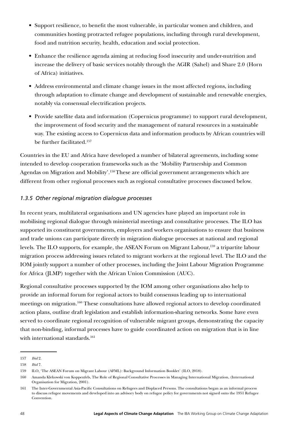- Support resilience, to benefit the most vulnerable, in particular women and children, and communities hosting protracted refugee populations, including through rural development, food and nutrition security, health, education and social protection.
- Enhance the resilience agenda aiming at reducing food insecurity and under-nutrition and increase the delivery of basic services notably through the AGIR (Sahel) and Share 2.0 (Horn of Africa) initiatives.
- Address environmental and climate change issues in the most affected regions, including through adaptation to climate change and development of sustainable and renewable energies, notably via consensual electrification projects.
- Provide satellite data and information (Copernicus programme) to support rural development, the improvement of food security and the management of natural resources in a sustainable way. The existing access to Copernicus data and information products by African countries will be further facilitated.<sup>157</sup>

Countries in the EU and Africa have developed a number of bilateral agreements, including some intended to develop cooperation frameworks such as the 'Mobility Partnership and Common Agendas on Migration and Mobility'.<sup>158</sup> These are official government arrangements which are different from other regional processes such as regional consultative processes discussed below.

# *1.3.5 Other regional migration dialogue processes*

In recent years, multilateral organisations and UN agencies have played an important role in mobilising regional dialogue through ministerial meetings and consultative processes. The ILO has supported its constituent governments, employers and workers organisations to ensure that business and trade unions can participate directly in migration dialogue processes at national and regional levels. The ILO supports, for example, the ASEAN Forum on Migrant Labour,<sup>159</sup> a tripartite labour migration process addressing issues related to migrant workers at the regional level. The ILO and the IOM jointly support a number of other processes, including the Joint Labour Migration Programme for Africa (JLMP) together with the African Union Commission (AUC).

Regional consultative processes supported by the IOM among other organisations also help to provide an informal forum for regional actors to build consensus leading up to international meetings on migration.160 These consultations have allowed regional actors to develop coordinated action plans, outline draft legislation and establish information-sharing networks. Some have even served to coordinate regional recognition of vulnerable migrant groups, demonstrating the capacity that non-binding, informal processes have to guide coordinated action on migration that is in line with international standards.<sup>161</sup>

<sup>157</sup> *Ibid* 2.

<sup>158</sup> *Ibid* 7.

<sup>159</sup> ILO, 'The ASEAN Forum on Migrant Labour (AFML): Background Information Booklet' (ILO, 2018).

<sup>160</sup> Amanda Klekowski von Koppenfels, The Role of Regional Consultative Processes in Managing International Migration, (International Organisation for Migration, 2001).

<sup>161</sup> The Inter-Governmental Asia-Pacific Consultations on Refugees and Displaced Persons. The consultations began as an informal process to discuss refugee movements and developed into an advisory body on refugee policy for governments not signed onto the 1951 Refugee Convention.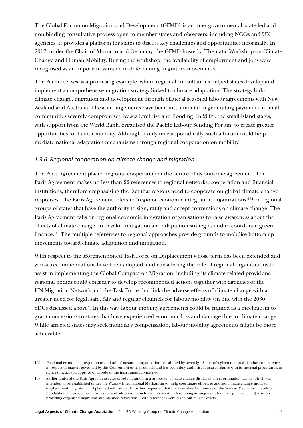The Global Forum on Migration and Development (GFMD) is an inter-governmental, state-led and non-binding consultative process open to member states and observers, including NGOs and UN agencies. It provides a platform for states to discuss key challenges and opportunities informally. In 2017, under the Chair of Morocco and Germany, the GFMD hosted a Thematic Workshop on Climate Change and Human Mobility. During the workshop, the availability of employment and jobs were recognised as an important variable in determining migratory movements.

The Pacific serves as a promising example, where regional consultations helped states develop and implement a comprehensive migration strategy linked to climate adaptation. The strategy links climate change, migration and development through bilateral seasonal labour agreements with New Zealand and Australia. These arrangements have been instrumental in generating payments in small communities severely compromised by sea level rise and flooding. In 2008, the small island states, with support from the World Bank, organised the Pacific Labour Sending Forum, to create greater opportunities for labour mobility. Although it only meets sporadically, such a forum could help mediate national adaptation mechanisms through regional cooperation on mobility.

#### *1.3.6 Regional cooperation on climate change and migration*

The Paris Agreement placed regional cooperation at the centre of its outcome agreement. The Paris Agreement makes no less than 22 references to regional networks, cooperation and financial institutions, therefore emphasising the fact that regions need to cooperate on global climate change responses. The Paris Agreement refers to 'regional economic integration organizations'162 or regional groups of states that have the authority to sign, ratify and accept conventions on climate change. The Paris Agreement calls on regional economic integration organisations to raise awareness about the effects of climate change, to develop mitigation and adaptation strategies and to coordinate green finance.163 The multiple references to regional approaches provide grounds to mobilise bottom-up movements toward climate adaptation and mitigation.

With respect to the aforementioned Task Force on Displacement whose term has been extended and whose recommendations have been adopted, and considering the role of regional organisations to assist in implementing the Global Compact on Migration, including its climate-related provisions, regional bodies could consider to develop recommended actions together with agencies of the UN Migration Network and the Task Force that link the adverse effects of climate change with a greater need for legal, safe, fair and regular channels for labour mobility (in line with the 2030 SDGs discussed above). In this way, labour mobility agreements could be framed as a mechanism to grant concessions to states that have experienced economic loss and damage due to climate change. While affected states may seek monetary compensation, labour mobility agreements might be more achievable.

<sup>162</sup> 'Regional economic integration organisation' means an organisation constituted by sovereign States of a given region which has competence in respect of matters governed by this Convention or its protocols and has been duly authorised, in accordance with its internal procedures, to sign, ratify, accept, approve or accede to the instruments concerned.

<sup>163</sup> Earlier drafts of the Paris Agreement referenced migration in a proposed 'climate change displacement coordination facility' which was intended to be established under the Warsaw International Mechanism to 'help coordinate efforts to address climate change induced displacement, migration and planned relocation'. It further requested that the Executive Committee of the Warsaw Mechanism develop 'modalities and procedures, for review and adoption.. which shall: a) assist in developing arrangement for emergency relief; b) assist in providing organized migration and planned relocation.' Both references were taken out in later drafts.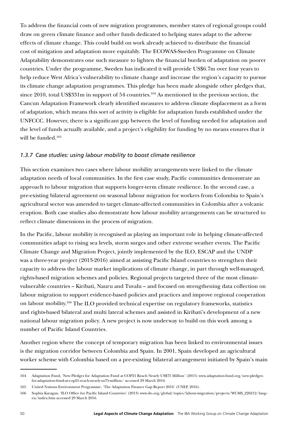To address the financial costs of new migration programmes, member states of regional groups could draw on green climate finance and other funds dedicated to helping states adapt to the adverse effects of climate change. This could build on work already achieved to distribute the financial cost of mitigation and adaptation more equitably. The ECOWAS-Sweden Programme on Climate Adaptability demonstrates one such measure to lighten the financial burden of adaptation on poorer countries. Under the programme, Sweden has indicated it will provide US\$6.7m over four years to help reduce West Africa's vulnerability to climate change and increase the region's capacity to pursue its climate change adaptation programmes. This pledge has been made alongside other pledges that, since 2010, total US\$331m in support of 54 countries.<sup>164</sup> As mentioned in the previous section, the Cancun Adaptation Framework clearly identified measures to address climate displacement as a form of adaptation, which means this sort of activity is eligible for adaptation funds established under the UNFCCC. However, there is a significant gap between the level of funding needed for adaptation and the level of funds actually available, and a project's eligibility for funding by no means ensures that it will be funded.165

## *1.3.7 Case studies: using labour mobility to boost climate resilience*

This section examines two cases where labour mobility arrangements were linked to the climate adaptation needs of local communities. In the first case study, Pacific communities demonstrate an approach to labour migration that supports longer-term climate resilience. In the second case, a pre-existing bilateral agreement on seasonal labour migration for workers from Colombia to Spain's agricultural sector was amended to target climate-affected communities in Colombia after a volcanic eruption. Both case studies also demonstrate how labour mobility arrangements can be structured to reflect climate dimensions in the process of migration.

In the Pacific, labour mobility is recognised as playing an important role in helping climate-affected communities adapt to rising sea levels, storm surges and other extreme weather events. The Pacific Climate Change and Migration Project, jointly implemented by the ILO, ESCAP and the UNDP was a three-year project (2013-2016) aimed at assisting Pacific Island countries to strengthen their capacity to address the labour market implications of climate change, in part through well-managed, rights-based migration schemes and policies. Regional projects targeted three of the most climatevulnerable countries – Kiribati, Nauru and Tuvalu – and focused on strengthening data collection on labour migration to support evidence-based policies and practices and improve regional cooperation on labour mobility.166 The ILO provided technical expertise on regulatory frameworks, statistics and rights-based bilateral and multi lateral schemes and assisted in Kiribati's development of a new national labour migration policy. A new project is now underway to build on this work among a number of Pacific Island Countries.

Another region where the concept of temporary migration has been linked to environmental issues is the migration corridor between Colombia and Spain. In 2001, Spain developed an agricultural worker scheme with Colombia based on a pre-existing bilateral arrangement initiated by Spain's main

<sup>164</sup> Adaptation Fund, 'New Pledges for Adaptation Fund at COP21 Reach Nearly US\$75 Million' (2015) www.adaptation-fund.org/new-pledgesfor-adaptation-fund-at-cop21-reach-nearly-us75-million/ accessed 29 March 2016.

<sup>165</sup> United Nations Environment Programme, 'The Adaptation Finance Gap Report 2016' (UNEP, 2016).

<sup>166</sup> Sophia Karagan, 'ILO Office for Pacific Island Countries' (2013) www.ilo.org/global/topics/labour-migration/projects/WCMS\_226212/lang- en/index.htm accessed 29 March 2016.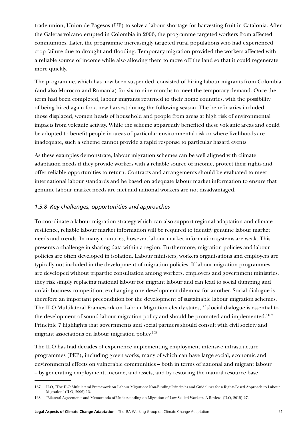trade union, Union de Pagesos (UP) to solve a labour shortage for harvesting fruit in Catalonia. After the Galeras volcano erupted in Colombia in 2006, the programme targeted workers from affected communities. Later, the programme increasingly targeted rural populations who had experienced crop failure due to drought and flooding. Temporary migration provided the workers affected with a reliable source of income while also allowing them to move off the land so that it could regenerate more quickly.

The programme, which has now been suspended, consisted of hiring labour migrants from Colombia (and also Morocco and Romania) for six to nine months to meet the temporary demand. Once the term had been completed, labour migrants returned to their home countries, with the possibility of being hired again for a new harvest during the following season. The beneficiaries included those displaced, women heads of household and people from areas at high risk of environmental impacts from volcanic activity. While the scheme apparently benefited these volcanic areas and could be adopted to benefit people in areas of particular environmental risk or where livelihoods are inadequate, such a scheme cannot provide a rapid response to particular hazard events.

As these examples demonstrate, labour migration schemes can be well aligned with climate adaptation needs if they provide workers with a reliable source of income, protect their rights and offer reliable opportunities to return. Contracts and arrangements should be evaluated to meet international labour standards and be based on adequate labour market information to ensure that genuine labour market needs are met and national workers are not disadvantaged.

## *1.3.8 Key challenges, opportunities and approaches*

To coordinate a labour migration strategy which can also support regional adaptation and climate resilience, reliable labour market information will be required to identify genuine labour market needs and trends. In many countries, however, labour market information systems are weak. This presents a challenge in sharing data within a region. Furthermore, migration policies and labour policies are often developed in isolation. Labour ministers, workers organisations and employers are typically not included in the development of migration policies. If labour migration programmes are developed without tripartite consultation among workers, employers and government ministries, they risk simply replacing national labour for migrant labour and can lead to social dumping and unfair business competition, exchanging one development dilemma for another. Social dialogue is therefore an important precondition for the development of sustainable labour migration schemes. The ILO Multilateral Framework on Labour Migration clearly states, '[s]ocial dialogue is essential to the development of sound labour migration policy and should be promoted and implemented.'167 Principle 7 highlights that governments and social partners should consult with civil society and migrant associations on labour migration policy.<sup>168</sup>

The ILO has had decades of experience implementing employment intensive infrastructure programmes (PEP), including green works, many of which can have large social, economic and environmental effects on vulnerable communities – both in terms of national and migrant labour – by generating employment, income, and assets, and by restoring the natural resource base,

<sup>167</sup> ILO, 'The ILO Multilateral Framework on Labour Migration: Non-Binding Principles and Guidelines for a Rights-Based Approach to Labour Migration' (ILO, 2006) 13.

<sup>168</sup> 'Bilateral Agreements and Memoranda of Understanding on Migration of Low Skilled Workers: A Review' (ILO, 2015) 27.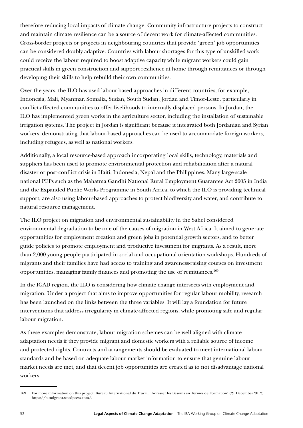therefore reducing local impacts of climate change. Community infrastructure projects to construct and maintain climate resilience can be a source of decent work for climate-affected communities. Cross-border projects or projects in neighbouring countries that provide 'green' job opportunities can be considered doubly adaptive. Countries with labour shortages for this type of unskilled work could receive the labour required to boost adaptive capacity while migrant workers could gain practical skills in green construction and support resilience at home through remittances or through developing their skills to help rebuild their own communities.

Over the years, the ILO has used labour-based approaches in different countries, for example, Indonesia, Mali, Myanmar, Somalia, Sudan, South Sudan, Jordan and Timor-Leste, particularly in conflict-affected communities to offer livelihoods to internally displaced persons. In Jordan, the ILO has implemented green works in the agriculture sector, including the installation of sustainable irrigation systems. The project in Jordan is significant because it integrated both Jordanian and Syrian workers, demonstrating that labour-based approaches can be used to accommodate foreign workers, including refugees, as well as national workers.

Additionally, a local resource-based approach incorporating local skills, technology, materials and suppliers has been used to promote environmental protection and rehabilitation after a natural disaster or post-conflict crisis in Haiti, Indonesia, Nepal and the Philippines. Many large-scale national PEPs such as the Mahatma Gandhi National Rural Employment Guarantee Act 2005 in India and the Expanded Public Works Programme in South Africa, to which the ILO is providing technical support, are also using labour-based approaches to protect biodiversity and water, and contribute to natural resource management.

The ILO project on migration and environmental sustainability in the Sahel considered environmental degradation to be one of the causes of migration in West Africa. It aimed to generate opportunities for employment creation and green jobs in potential growth sectors, and to better guide policies to promote employment and productive investment for migrants. As a result, more than 2,000 young people participated in social and occupational orientation workshops. Hundreds of migrants and their families have had access to training and awareness-raising courses on investment opportunities, managing family finances and promoting the use of remittances.169

In the IGAD region, the ILO is considering how climate change intersects with employment and migration. Under a project that aims to improve opportunities for regular labour mobility, research has been launched on the links between the three variables. It will lay a foundation for future interventions that address irregularity in climate-affected regions, while promoting safe and regular labour migration.

As these examples demonstrate, labour migration schemes can be well aligned with climate adaptation needs if they provide migrant and domestic workers with a reliable source of income and protected rights. Contracts and arrangements should be evaluated to meet international labour standards and be based on adequate labour market information to ensure that genuine labour market needs are met, and that decent job opportunities are created as to not disadvantage national workers.

<sup>169</sup> For more information on this project: Bureau International du Travail, 'Adresser les Besoins en Termes de Formation' (21 December 2012) https://bitmigrant.wordpress.com/.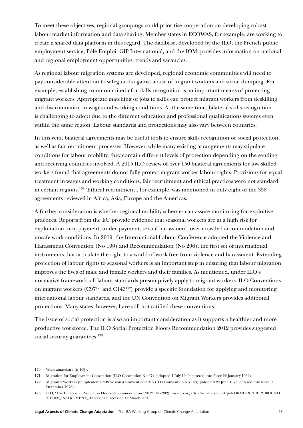To meet these objectives, regional groupings could prioritise cooperation on developing robust labour market information and data sharing. Member states in ECOWAS, for example, are working to create a shared data platform in this regard. The database, developed by the ILO, the French public employment service, Pôle Emploi, GIP International, and the IOM, provides information on national and regional employment opportunities, trends and vacancies.

As regional labour migration systems are developed, regional economic communities will need to pay considerable attention to safeguards against abuse of migrant workers and social dumping. For example, establishing common criteria for skills recognition is an important means of protecting migrant workers. Appropriate matching of jobs to skills can protect migrant workers from deskilling and discrimination in wages and working conditions. At the same time, bilateral skills recognition is challenging to adopt due to the different education and professional qualifications systems even within the same region. Labour standards and protections may also vary between countries.

In this vein, bilateral agreements may be useful tools to ensure skills recognition or social protection, as well as fair recruitment processes. However, while many existing arrangements may stipulate conditions for labour mobility, they contain different levels of protection depending on the sending and receiving countries involved. A 2015 ILO review of over 150 bilateral agreements for low-skilled workers found that agreements do not fully protect migrant worker labour rights. Provisions for equal treatment in wages and working conditions, fair recruitment and ethical practices were not standard in certain regions.170 'Ethical recruitment', for example, was mentioned in only eight of the 358 agreements reviewed in Africa, Asia, Europe and the Americas.

A further consideration is whether regional mobility schemes can assure monitoring for exploitive practices. Reports from the EU provide evidence that seasonal workers are at a high risk for exploitation, non-payment, under payment, sexual harassment, over crowded accommodation and unsafe work conditions. In 2019, the International Labour Conference adopted the Violence and Harassment Convention (No 190) and Recommendation (No 206), the first set of international instruments that articulate the right to a world of work free from violence and harassment. Extending protection of labour rights to seasonal workers is an important step in ensuring that labour migration improves the lives of male and female workers and their families. As mentioned, under ILO's normative framework, all labour standards presumptively apply to migrant workers. ILO Conventions on migrant workers  $(C97^{171}$  and  $C143^{172}$ ) provide a specific foundation for applying and monitoring international labour standards, and the UN Convention on Migrant Workers provides additional protections. Many states, however, have still not ratified these conventions.

The issue of social protection is also an important consideration as it supports a healthier and more productive workforce. The ILO Social Protection Floors Recommendation 2012 provides suggested social security guarantees.<sup>173</sup>

<sup>170</sup> Wickramasekara (n 168).

<sup>171</sup> Migration for Employment Convention (ILO Convention No 97) (adopted 1 July 1949, entered into force 22 January 1952).

<sup>172</sup> Migrant v Workers (Supplementary Provisions) Convention 1975 (ILO Convention No 143) (adopted 24 June 1975, entered into force 9 December 1978).

<sup>173</sup> ILO, 'The ILO Social Protection Floors Recommendation,' 2012 (No 202), [www.ilo.org/dyn/normlex/en/f?p=NORMLEXPUB:12100:0::NO:](https://www.ilo.org/dyn/normlex/en/f?p=NORMLEXPUB:12100:0::NO::P12100_INSTRUMENT_ID:3065524) [:P12100\\_INSTRUMENT\\_ID:3065524](https://www.ilo.org/dyn/normlex/en/f?p=NORMLEXPUB:12100:0::NO::P12100_INSTRUMENT_ID:3065524), accessed 14 March 2020.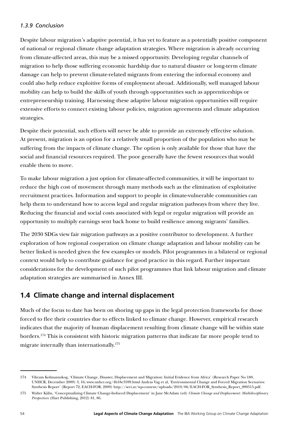## *1.3.9 Conclusion*

Despite labour migration's adaptive potential, it has yet to feature as a potentially positive component of national or regional climate change adaptation strategies. Where migration is already occurring from climate-affected areas, this may be a missed opportunity. Developing regular channels of migration to help those suffering economic hardship due to natural disaster or long-term climate damage can help to prevent climate-related migrants from entering the informal economy and could also help reduce exploitive forms of employment abroad. Additionally, well managed labour mobility can help to build the skills of youth through opportunities such as apprenticeships or entrepreneurship training. Harnessing these adaptive labour migration opportunities will require extensive efforts to connect existing labour policies, migration agreements and climate adaptation strategies.

Despite their potential, such efforts will never be able to provide an extremely effective solution. At present, migration is an option for a relatively small proportion of the population who may be suffering from the impacts of climate change. The option is only available for those that have the social and financial resources required. The poor generally have the fewest resources that would enable them to move.

To make labour migration a just option for climate-affected communities, it will be important to reduce the high cost of movement through many methods such as the elimination of exploitative recruitment practices. Information and support to people in climate-vulnerable communities can help them to understand how to access legal and regular migration pathways from where they live. Reducing the financial and social costs associated with legal or regular migration will provide an opportunity to multiply earnings sent back home to build resilience among migrants' families.

The 2030 SDGs view fair migration pathways as a positive contributor to development. A further exploration of how regional cooperation on climate change adaptation and labour mobility can be better linked is needed given the few examples or models. Pilot programmes in a bilateral or regional context would help to contribute guidance for good practice in this regard. Further important considerations for the development of such pilot programmes that link labour migration and climate adaptation strategies are summarised in Annex III.

# **1.4 Climate change and internal displacement**

Much of the focus to date has been on shoring up gaps in the legal protection frameworks for those forced to flee their countries due to effects linked to climate change. However, empirical research indicates that the majority of human displacement resulting from climate change will be within state borders.174 This is consistent with historic migration patterns that indicate far more people tend to migrate internally than internationally.175

<sup>174</sup> Vikram Kolmannskog, 'Climate Change, Disaster, Displacement and Migration: Initial Evidence from Africa' (Research Paper No 180, UNHCR, December 2009) 3, 16; [www.unhcr.org/4b18e3599.html](http://www.unhcr.org/4b18e3599.html) Andras Vag et al, 'Environmental Change and Forced Migration Scenarios: Synthesis Report' (Report 72, EACH-FOR, 2009) [http://seri.at/wp-content/uploads/2010/06/EACH-FOR\\_Synthesis\\_Report\\_090515.pdf.](http://seri.at/wp-content/uploads/2010/06/EACH-FOR_Synthesis_Report_090515.pdf)

<sup>175</sup> Walter Kälin, 'Conceptualizing Climate Change-Induced Displacement' in Jane McAdam (ed) *Climate Change and Displacement: Multidisciplinary Perspectives* (Hart Publishing, 2012) 81, 86.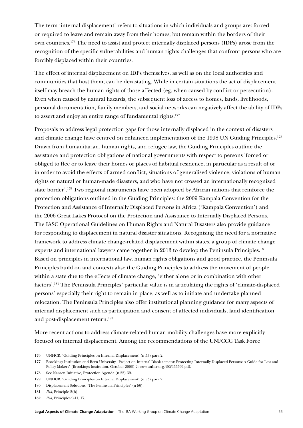The term 'internal displacement' refers to situations in which individuals and groups are: forced or required to leave and remain away from their homes; but remain within the borders of their own countries.176 The need to assist and protect internally displaced persons (IDPs) arose from the recognition of the specific vulnerabilities and human rights challenges that confront persons who are forcibly displaced within their countries.

The effect of internal displacement on IDPs themselves, as well as on the local authorities and communities that host them, can be devastating. While in certain situations the act of displacement itself may breach the human rights of those affected (eg, when caused by conflict or persecution). Even when caused by natural hazards, the subsequent loss of access to homes, lands, livelihoods, personal documentation, family members, and social networks can negatively affect the ability of IDPs to assert and enjoy an entire range of fundamental rights.<sup>177</sup>

Proposals to address legal protection gaps for those internally displaced in the context of disasters and climate change have centred on enhanced implementation of the 1998 UN Guiding Principles.178 Drawn from humanitarian, human rights, and refugee law, the Guiding Principles outline the assistance and protection obligations of national governments with respect to persons 'forced or obliged to flee or to leave their homes or places of habitual residence, in particular as a result of or in order to avoid the effects of armed conflict, situations of generalised violence, violations of human rights or natural or human-made disasters, and who have not crossed an internationally recognized state border'.179 Two regional instruments have been adopted by African nations that reinforce the protection obligations outlined in the Guiding Principles: the 2009 Kampala Convention for the Protection and Assistance of Internally Displaced Persons in Africa ('Kampala Convention') and the 2006 Great Lakes Protocol on the Protection and Assistance to Internally Displaced Persons. The IASC Operational Guidelines on Human Rights and Natural Disasters also provide guidance for responding to displacement in natural disaster situations. Recognising the need for a normative framework to address climate change-related displacement within states, a group of climate change experts and international lawyers came together in 2013 to develop the Peninsula Principles.<sup>180</sup> Based on principles in international law, human rights obligations and good practice, the Peninsula Principles build on and contextualise the Guiding Principles to address the movement of people within a state due to the effects of climate change, 'either alone or in combination with other factors'.181 The Peninsula Principles' particular value is in articulating the rights of 'climate-displaced persons' especially their right to remain in place, as well as to initiate and undertake planned relocation. The Peninsula Principles also offer institutional planning guidance for many aspects of internal displacement such as participation and consent of affected individuals, land identification and post-displacement return.<sup>182</sup>

More recent actions to address climate-related human mobility challenges have more explicitly focused on internal displacement. Among the recommendations of the UNFCCC Task Force

<sup>176</sup> UNHCR, 'Guiding Principles on Internal Displacement' (n 53) para 2.

<sup>177</sup> Brookings Institution and Bern University, 'Project on Internal Displacement: Protecting Internally Displaced Persons: A Guide for Law and Policy Makers' (Brookings Institution, October 2008) 2; [www.unhcr.org/50f955599.pdf](file:///C:\Users\mariaantoniatigre\Library\Containers\com.microsoft.Word\Data\Downloads\www.unhcr.org\50f955599.pdf).

<sup>178</sup> See Nansen Initiative, Protection Agenda (n 55) 39.

<sup>179</sup> UNHCR, 'Guiding Principles on Internal Displacement' (n 53) para 2.

<sup>180</sup> Displacement Solutions, 'The Peninsula Principles' (n 56).

<sup>181</sup> *Ibid*, Principle 2(b).

<sup>182</sup> *Ibid*, Principles 9-11, 17.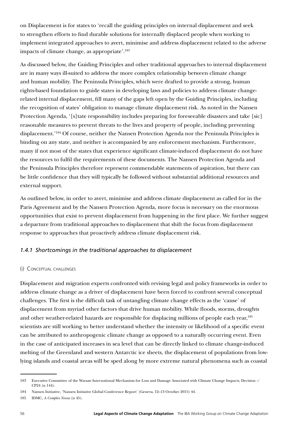on Displacement is for states to 'recall the guiding principles on internal displacement and seek to strengthen efforts to find durable solutions for internally displaced people when working to implement integrated approaches to avert, minimise and address displacement related to the adverse impacts of climate change, as appropriate'.183

As discussed below, the Guiding Principles and other traditional approaches to internal displacement are in many ways ill-suited to address the more complex relationship between climate change and human mobility. The Peninsula Principles, which were drafted to provide a strong, human rights-based foundation to guide states in developing laws and policies to address climate changerelated internal displacement, fill many of the gaps left open by the Guiding Principles, including the recognition of states' obligation to manage climate displacement risk. As noted in the Nansen Protection Agenda, '[s]tate responsibility includes preparing for foreseeable disasters and take [sic] reasonable measures to prevent threats to the lives and property of people, including preventing displacement.'184 Of course, neither the Nansen Protection Agenda nor the Peninsula Principles is binding on any state, and neither is accompanied by any enforcement mechanism. Furthermore, many if not most of the states that experience significant climate-induced displacement do not have the resources to fulfil the requirements of these documents. The Nansen Protection Agenda and the Peninsula Principles therefore represent commendable statements of aspiration, but there can be little confidence that they will typically be followed without substantial additional resources and external support.

As outlined below, in order to avert, minimise and address climate displacement as called for in the Paris Agreement and by the Nansen Protection Agenda, more focus is necessary on the enormous opportunities that exist to prevent displacement from happening in the first place. We further suggest a departure from traditional approaches to displacement that shift the focus from displacement response to approaches that proactively address climate displacement risk.

# *1.4.1 Shortcomings in the traditional approaches to displacement*

#### (i) Conceptual challenges

Displacement and migration experts confronted with revising legal and policy frameworks in order to address climate change as a driver of displacement have been forced to confront several conceptual challenges. The first is the difficult task of untangling climate change effects as the 'cause' of displacement from myriad other factors that drive human mobility. While floods, storms, droughts and other weather-related hazards are responsible for displacing millions of people each year,185 scientists are still working to better understand whether the intensity or likelihood of a specific event can be attributed to anthropogenic climate change as opposed to a naturally occurring event. Even in the case of anticipated increases in sea level that can be directly linked to climate change-induced melting of the Greenland and western Antarctic ice sheets, the displacement of populations from lowlying islands and coastal areas will be sped along by more extreme natural phenomena such as coastal

<sup>183</sup> Executive Committee of the Warsaw International Mechanism for Loss and Damage Associated with Climate Change Impacts, Decision -/ CP24 (n 144).

<sup>184</sup> Nansen Initiative, 'Nansen Initiative Global Conference Report' (Geneva, 12–13 October 2015) 44.

<sup>185</sup> IDMC, *A Complex Nexus* (n 45).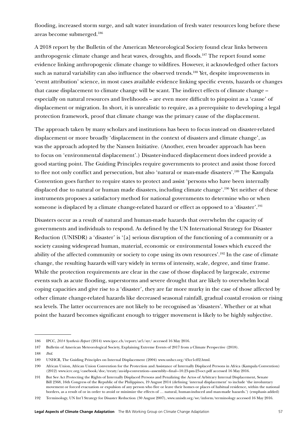flooding, increased storm surge, and salt water inundation of fresh water resources long before these areas become submerged.186

A 2018 report by the Bulletin of the American Meteorological Society found clear links between anthropogenic climate change and heat waves, droughts, and floods.187 The report found some evidence linking anthropogenic climate change to wildfires. However, it acknowledged other factors such as natural variability can also influence the observed trends.<sup>188</sup> Yet, despite improvements in 'event attribution' science, in most cases available evidence linking specific events, hazards or changes that cause displacement to climate change will be scant. The indirect effects of climate change – especially on natural resources and livelihoods – are even more difficult to pinpoint as a 'cause' of displacement or migration. In short, it is unrealistic to require, as a prerequisite to developing a legal protection framework, proof that climate change was the primary cause of the displacement.

The approach taken by many scholars and institutions has been to focus instead on disaster-related displacement or more broadly 'displacement in the context of disasters and climate change', as was the approach adopted by the Nansen Initiative. (Another, even broader approach has been to focus on 'environmental displacement'.) Disaster-induced displacement does indeed provide a good starting point. The Guiding Principles require governments to protect and assist those forced to flee not only conflict and persecution, but also 'natural or man-made disasters'.189 The Kampala Convention goes further to require states to protect and assist 'persons who have been internally displaced due to natural or human made disasters, including climate change'.190 Yet neither of these instruments proposes a satisfactory method for national governments to determine who or when someone is displaced by a climate change-related hazard or effect as opposed to a 'disaster'.191

Disasters occur as a result of natural and human-made hazards that overwhelm the capacity of governments and individuals to respond. As defined by the UN International Strategy for Disaster Reduction (UNISDR) a 'disaster' is '[a] serious disruption of the functioning of a community or a society causing widespread human, material, economic or environmental losses which exceed the ability of the affected community or society to cope using its own resources'.192 In the case of climate change, the resulting hazards will vary widely in terms of intensity, scale, degree, and time frame. While the protection requirements are clear in the case of those displaced by largescale, extreme events such as acute flooding, superstorms and severe drought that are likely to overwhelm local coping capacities and give rise to a 'disaster', they are far more murky in the case of those affected by other climate change-related hazards like decreased seasonal rainfall, gradual coastal erosion or rising sea levels. The latter occurrences are not likely to be recognised as 'disasters'. Whether or at what point the hazard becomes significant enough to trigger movement is likely to be highly subjective.

<sup>186</sup> IPCC, *2014 Synthesis Report* (2014) www.ipcc.ch/report/ar5/syr/ accessed 16 May 2016.

<sup>187</sup> Bulletin of American Meteorological Society, Explaining Extreme Events of 2017 from a Climate Perspective (2018).

<sup>188</sup> *Ibid*.

<sup>189</sup> UNHCR, The Guiding Principles on Internal Displacement (2004) www.unhcr.org/43ce1cff2.html.

<sup>190</sup> African Union, African Union Convention for the Protection and Assistance of Internally Displaced Persons in Africa (Kampala Convention)  $(2012)$  www.icrc.org/casebook/doc/treaty/au-idp-convention--assembly--final--10.23-pm-23-oct.pdf accessed 16 May 2016.

<sup>191</sup> But See Act Protecting the Rights of Internally Displaced Persons and Penalizing the Actos of Arbitrary Internal Displacement, Senate Bill 2368, 16th Congress of the Republic of the Philippines, 19 August 2014 (defining 'internal displacement' to include 'the involuntary movement or forced evacuation or expulsion of any person who flee or leave their homes or places of habitual residence, within the national borders, as a result of or in order to avoid or minimize the effects of … natural, human-induced and man-made hazards.') (emphasis added)

<sup>192</sup> Terminology, UN Int'l Strategy for Disaster Reduction (30 August 2007), www.unisdr.org/we/inform/terminology accessed 16 May 2016.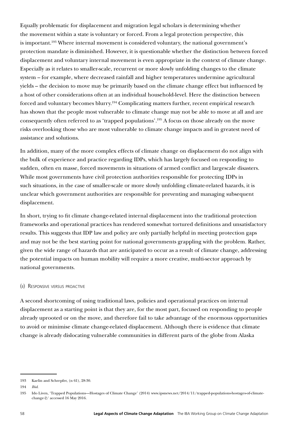Equally problematic for displacement and migration legal scholars is determining whether the movement within a state is voluntary or forced. From a legal protection perspective, this is important.193 Where internal movement is considered voluntary, the national government's protection mandate is diminished. However, it is questionable whether the distinction between forced displacement and voluntary internal movement is even appropriate in the context of climate change. Especially as it relates to smaller-scale, recurrent or more slowly unfolding changes to the climate system – for example, where decreased rainfall and higher temperatures undermine agricultural yields – the decision to move may be primarily based on the climate change effect but influenced by a host of other considerations often at an individual household-level. Here the distinction between forced and voluntary becomes blurry.<sup>194</sup> Complicating matters further, recent empirical research has shown that the people most vulnerable to climate change may not be able to move at all and are consequently often referred to as 'trapped populations'.195 A focus on those already on the move risks overlooking those who are most vulnerable to climate change impacts and in greatest need of assistance and solutions.

In addition, many of the more complex effects of climate change on displacement do not align with the bulk of experience and practice regarding IDPs, which has largely focused on responding to sudden, often en masse, forced movements in situations of armed conflict and largescale disasters. While most governments have civil protection authorities responsible for protecting IDPs in such situations, in the case of smaller-scale or more slowly unfolding climate-related hazards, it is unclear which government authorities are responsible for preventing and managing subsequent displacement.

In short, trying to fit climate change-related internal displacement into the traditional protection frameworks and operational practices has rendered somewhat tortured definitions and unsatisfactory results. This suggests that IDP law and policy are only partially helpful in meeting protection gaps and may not be the best starting point for national governments grappling with the problem. Rather, given the wide range of hazards that are anticipated to occur as a result of climate change, addressing the potential impacts on human mobility will require a more creative, multi-sector approach by national governments.

#### (ii) Responsive versus proactive

A second shortcoming of using traditional laws, policies and operational practices on internal displacement as a starting point is that they are, for the most part, focused on responding to people already uprooted or on the move, and therefore fail to take advantage of the enormous opportunities to avoid or minimise climate change-related displacement. Although there is evidence that climate change is already dislocating vulnerable communities in different parts of the globe from Alaska

<sup>193</sup> Kaelin and Schrepfer, (n 61), 28-30.

<sup>194</sup> *Ibid*.

<sup>195</sup> Ido Liven, 'Trapped Populations—Hostages of Climate Change' (2014) www.ipsnews.net/2014/11/trapped-populations-hostages-of-climatechange-2/ accessed 16 May 2016.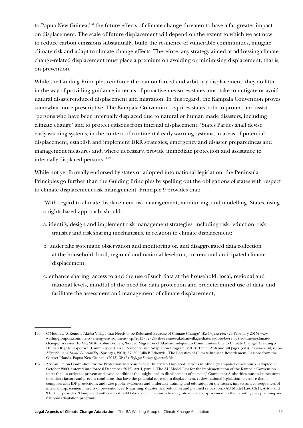to Papua New Guinea,196 the future effects of climate change threaten to have a far greater impact on displacement. The scale of future displacement will depend on the extent to which we act now to reduce carbon emissions substantially, build the resilience of vulnerable communities, mitigate climate risk and adapt to climate change effects. Therefore, any strategy aimed at addressing climate change-related displacement must place a premium on avoiding or minimising displacement, that is, on prevention.

While the Guiding Principles reinforce the ban on forced and arbitrary displacement, they do little in the way of providing guidance in terms of proactive measures states must take to mitigate or avoid natural disaster-induced displacement and migration. In this regard, the Kampala Convention proves somewhat more prescriptive. The Kampala Convention requires states both to protect and assist 'persons who have been internally displaced due to natural or human made disasters, including climate change' and to protect citizens from internal displacement. 'States Parties shall devise early warning systems, in the context of continental early warning systems, in areas of potential displacement, establish and implement DRR strategies, emergency and disaster preparedness and management measures and, where necessary, provide immediate protection and assistance to internally displaced persons.'197

While not yet formally endorsed by states or adopted into national legislation, the Peninsula Principles go further than the Guiding Principles by spelling out the obligations of states with respect to climate displacement risk management. Principle 9 provides that:

'With regard to climate displacement risk management, monitoring, and modelling, States, using a rights-based approach, should:

- a. identify, design and implement risk management strategies, including risk reduction, risk transfer and risk sharing mechanisms, in relation to climate displacement;
- b. undertake systematic observation and monitoring of, and disaggregated data collection at the household, local, regional and national levels on, current and anticipated climate displacement;
- c. enhance sharing, access to and the use of such data at the household, local, regional and national levels, mindful of the need for data protection and predetermined use of data, and facilitate the assessment and management of climate displacement;

<sup>196</sup> C Mooney, 'A Remote Alaska Village that Needs to be Relocated Because of Climate Change' *Washington Post* (24 February 2015) www. washingtonpost.com/news/energy-environment/wp/2015/02/24/the-remote-alaskan-village-that-needs-to-be-relocated-due-to-climatechange/ accessed 16 May 2016; Robin Bronen, 'Forced Migration of Alaskan Indigenous Communities Due to Climate Change: Creating a Human Rights Response' (University of Alaska, Resilience and Adaptation Program, 2010); Tamer Afifi and Jill Jäger (eds), *Environment, Forced Migration and Social Vulnerability* (Springer, 2010) 87, 89; Julia B Edwards, 'The Logistics of Climate-Induced Resettlement: Lessons from the Cateret Islands, Papua New Guinea' (2013) 32 (3) *Refugee Survey Quarterly* 52.

<sup>197</sup> African Union Convention for the Protection and Assistance of Internally Displaced Persons in Africa ('Kampala Convention') (adopted 23 October 2009, entered into force 6 December 2012) Art 4, para 2. The AU Model Law for the implementation of the Kampala Convention states that, in order to 'prevent and avoid conditions that might lead to displacement of persons,' Competent Authorities must take measures to address factors and prevent conditions that have the potential to result in displacement, review national legislation to ensure that it comports with IDP protections, and raise public awareness and undertake training and education on the causes, impact and consequences of internal displacement, means of prevention, early warning, disaster risk reduction and planned relocation. (AU Model Law, Ch II, Arts 6 and 9 further provides: 'Competent authorities should take specific measures to integrate internal displacement in their contingency planning and national adaptation programs.'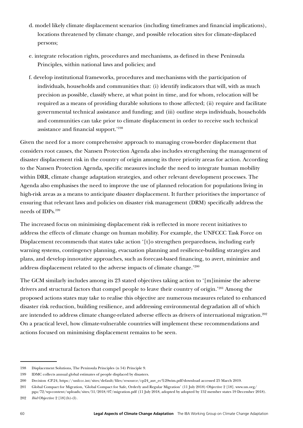- d. model likely climate displacement scenarios (including timeframes and financial implications), locations threatened by climate change, and possible relocation sites for climate-displaced persons;
- e. integrate relocation rights, procedures and mechanisms, as defined in these Peninsula Principles, within national laws and policies; and
- f. develop institutional frameworks, procedures and mechanisms with the participation of individuals, households and communities that: (i) identify indicators that will, with as much precision as possible, classify where, at what point in time, and for whom, relocation will be required as a means of providing durable solutions to those affected; (ii) require and facilitate governmental technical assistance and funding; and (iii) outline steps individuals, households and communities can take prior to climate displacement in order to receive such technical assistance and financial support.'198

Given the need for a more comprehensive approach to managing cross-border displacement that considers root causes, the Nansen Protection Agenda also includes strengthening the management of disaster displacement risk in the country of origin among its three priority areas for action. According to the Nansen Protection Agenda, specific measures include the need to integrate human mobility within DRR, climate change adaptation strategies, and other relevant development processes. The Agenda also emphasises the need to improve the use of planned relocation for populations living in high-risk areas as a means to anticipate disaster displacement. It further prioritises the importance of ensuring that relevant laws and policies on disaster risk management (DRM) specifically address the needs of IDPs.199

The increased focus on minimising displacement risk is reflected in more recent initiatives to address the effects of climate change on human mobility. For example, the UNFCCC Task Force on Displacement recommends that states take action '[t]o strengthen preparedness, including early warning systems, contingency planning, evacuation planning and resilience-building strategies and plans, and develop innovative approaches, such as forecast-based financing, to avert, minimize and address displacement related to the adverse impacts of climate change.'200

The GCM similarly includes among its 23 stated objectives taking action to '[m]inimise the adverse drivers and structural factors that compel people to leave their country of origin.'201 Among the proposed actions states may take to realise this objective are numerous measures related to enhanced disaster risk reduction, building resilience, and addressing environmental degradation all of which are intended to address climate change-related adverse effects as drivers of international migration.<sup>202</sup> On a practical level, how climate-vulnerable countries will implement these recommendations and actions focused on minimising displacement remains to be seen.

<sup>198</sup> Displacement Solutions, The Peninsula Principles (n 54) Principle 9.

<sup>199</sup> IDMC collects annual global estimates of people displaced by disasters.

<sup>200</sup> Decision -CP.24, https://unfccc.int/sites/default/files/resource/cp24\_auv\_ec%20wim.pdf?download accessed 25 March 2019.

<sup>201</sup> Global Compact for Migration, 'Global Compact for Safe, Orderly and Regular Migration' (11 July 2018) Objective 2 [18]. [www.un.org/](https://www.un.org/pga/72/wp-content/uploads/sites/51/2018/07/migration.pdf) [pga/72/wp-content/uploads/sites/51/2018/07/migration.pdf](https://www.un.org/pga/72/wp-content/uploads/sites/51/2018/07/migration.pdf) (11 July 2018, adopted by adopted by 152 member states 19 December 2018).

<sup>202</sup> *Ibid* Objective 2 [18](h)-(l).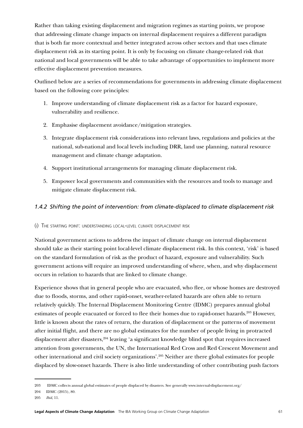Rather than taking existing displacement and migration regimes as starting points, we propose that addressing climate change impacts on internal displacement requires a different paradigm that is both far more contextual and better integrated across other sectors and that uses climate displacement risk as its starting point. It is only by focusing on climate change-related risk that national and local governments will be able to take advantage of opportunities to implement more effective displacement prevention measures.

Outlined below are a series of recommendations for governments in addressing climate displacement based on the following core principles:

- 1. Improve understanding of climate displacement risk as a factor for hazard exposure, vulnerability and resilience.
- 2. Emphasise displacement avoidance/mitigation strategies.
- 3. Integrate displacement risk considerations into relevant laws, regulations and policies at the national, sub-national and local levels including DRR, land use planning, natural resource management and climate change adaptation.
- 4. Support institutional arrangements for managing climate displacement risk.
- 5. Empower local governments and communities with the resources and tools to manage and mitigate climate displacement risk.

# *1.4.2 Shifting the point of intervention: from climate-displaced to climate displacement risk*

(i) The starting point: understanding local-level climate displacement risk

National government actions to address the impact of climate change on internal displacement should take as their starting point local-level climate displacement risk. In this context, 'risk' is based on the standard formulation of risk as the product of hazard, exposure and vulnerability. Such government actions will require an improved understanding of where, when, and why displacement occurs in relation to hazards that are linked to climate change.

Experience shows that in general people who are evacuated, who flee, or whose homes are destroyed due to floods, storms, and other rapid-onset, weather-related hazards are often able to return relatively quickly. The Internal Displacement Monitoring Centre (IDMC) prepares annual global estimates of people evacuated or forced to flee their homes due to rapid-onset hazards.<sup>203</sup> However, little is known about the rates of return, the duration of displacement or the patterns of movement after initial flight, and there are no global estimates for the number of people living in protracted displacement after disasters,<sup>204</sup> leaving 'a significant knowledge blind spot that requires increased attention from governments, the UN, the International Red Cross and Red Crescent Movement and other international and civil society organizations'.205 Neither are there global estimates for people displaced by slow-onset hazards. There is also little understanding of other contributing push factors

204 IDMC (2015), 80.

<sup>203</sup> IDMC collects annual global estimates of people displaced by disasters. See generally www.internal-displacement.org/

<sup>205</sup> *Ibid*, 11.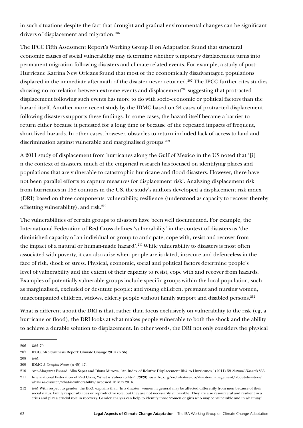in such situations despite the fact that drought and gradual environmental changes can be significant drivers of displacement and migration.<sup>206</sup>

The IPCC Fifth Assessment Report's Working Group II on Adaptation found that structural economic causes of social vulnerability may determine whether temporary displacement turns into permanent migration following disasters and climate-related events. For example, a study of post-Hurricane Katrina New Orleans found that most of the economically disadvantaged populations displaced in the immediate aftermath of the disaster never returned.<sup>207</sup> The IPCC further cites studies showing no correlation between extreme events and displacement<sup>208</sup> suggesting that protracted displacement following such events has more to do with socio-economic or political factors than the hazard itself. Another more recent study by the IDMC based on 34 cases of protracted displacement following disasters supports these findings. In some cases, the hazard itself became a barrier to return either because it persisted for a long time or because of the repeated impacts of frequent, short-lived hazards. In other cases, however, obstacles to return included lack of access to land and discrimination against vulnerable and marginalised groups.<sup>209</sup>

A 2011 study of displacement from hurricanes along the Gulf of Mexico in the US noted that '[i] n the context of disasters, much of the empirical research has focused on identifying places and populations that are vulnerable to catastrophic hurricane and flood disasters. However, there have not been parallel efforts to capture measures for displacement risk'. Analysing displacement risk from hurricanes in 158 counties in the US, the study's authors developed a displacement risk index (DRI) based on three components: vulnerability, resilience (understood as capacity to recover thereby offsetting vulnerability), and risk.<sup>210</sup>

The vulnerabilities of certain groups to disasters have been well documented. For example, the International Federation of Red Cross defines 'vulnerability' in the context of disasters as 'the diminished capacity of an individual or group to anticipate, cope with, resist and recover from the impact of a natural or human-made hazard'.<sup>211</sup> While vulnerability to disasters is most often associated with poverty, it can also arise when people are isolated, insecure and defenceless in the face of risk, shock or stress. Physical, economic, social and political factors determine people's level of vulnerability and the extent of their capacity to resist, cope with and recover from hazards. Examples of potentially vulnerable groups include specific groups within the local population, such as marginalised, excluded or destitute people; and young children, pregnant and nursing women, unaccompanied children, widows, elderly people without family support and disabled persons.<sup>212</sup>

What is different about the DRI is that, rather than focus exclusively on vulnerability to the risk (eg, a hurricane or flood), the DRI looks at what makes people vulnerable to both the shock and the ability to achieve a durable solution to displacement. In other words, the DRI not only considers the physical

<sup>206</sup> *Ibid*, 79.

<sup>207</sup> IPCC, AR5 Synthesis Report: Climate Change 2014 (n 36).

<sup>208</sup> *Ibid.*

<sup>209</sup> IDMC *A Complex Nexus* (n 45) 47.

<sup>210</sup> Ann-Margaret Esnard, Alka Sapat and Diana Mitsova, 'An Index of Relative Displacement Risk to Hurricanes,' (2011) 59 *Natural Hazards* 833.

<sup>211</sup> International Federation of Red Cross, 'What is Vulnerability?' (2020) www.ifrc.org/en/what-we-do/disaster-management/about-disasters/ what-is-a-disaster/what-is-vulnerability/ accessed 16 May 2016.

<sup>212</sup> *Ibid*. With respect to gender, the IFRC explains that, 'In a disaster, women in general may be affected differently from men because of their social status, family responsibilities or reproductive role, but they are not necessarily vulnerable. They are also resourceful and resilient in a crisis and play a crucial role in recovery. [Gender analysis](http://www.ifrc.org/en/who-we-are/governance/policies/) can help to identify those women or girls who may be vulnerable and in what way.'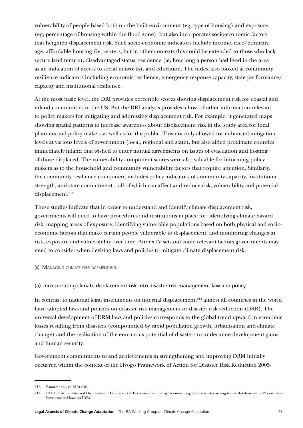vulnerability of people based both on the built environment (eg, type of housing) and exposure (eg, percentage of housing within the flood zone), but also incorporates socio-economic factors that heighten displacement risk. Such socio-economic indicators include income, race/ethnicity, age, affordable housing (ie, renters, but in other contexts this could be extended to those who lack secure land tenure), disadvantaged status, residence (ie, how long a person had lived in the area as an indication of access to social networks), and education. The index also looked at community resilience indicators including economic resilience, emergency response capacity, state performance/ capacity and institutional resilience.

At the most basic level, the DRI provides percentile scores showing displacement risk for coastal and inland communities in the US. But the DRI analysis provides a host of other information relevant to policy makers for mitigating and addressing displacement risk. For example, it generated maps showing spatial patterns to increase awareness about displacement risk in the study area for local planners and policy makers as well as for the public. This not only allowed for enhanced mitigation levels at various levels of government (local, regional and state), but also aided proximate counties immediately inland that wished to enter mutual agreements on issues of evacuation and hosting of those displaced. The vulnerability component scores were also valuable for informing policy makers as to the household and community vulnerability factors that require attention. Similarly, the community resilience component includes policy indicators of community capacity, institutional strength, and state commitment – all of which can affect and reduce risk, vulnerability and potential displacement.<sup>213</sup>

These studies indicate that in order to understand and identify climate displacement risk, governments will need to have procedures and institutions in place for: identifying climate hazard risk; mapping areas of exposure; identifying vulnerable populations based on both physical and socioeconomic factors that make certain people vulnerable to displacement; and monitoring changes in risk, exposure and vulnerability over time. Annex IV sets out some relevant factors governments may need to consider when devising laws and policies to mitigate climate displacement risk.

(ii) Managing climate displacement risk

#### (a) Incorporating climate displacement risk into disaster risk management law and policy

In contrast to national legal instruments on internal displacement, $214$  almost all countries in the world have adopted laws and policies on disaster risk management or disaster risk reduction (DRR). The universal development of DRM laws and policies corresponds to the global trend upward in economic losses resulting from disasters (compounded by rapid population growth, urbanisation and climate change) and the realisation of the enormous potential of disasters to undermine development gains and human security.

Government commitments to and achievements in strengthening and improving DRM initially occurred within the context of the Hyogo Framework of Action for Disaster Risk Reduction 2005-

<sup>213</sup> Esnard et al, (n 210) 840.

<sup>214</sup> IDMC, 'Global Internal Displacement Database' (2019) [www.internal-displacement.org/database.](https://www.internal-displacement.org/database) According to the database, only 12 countries have enacted laws on IDPs.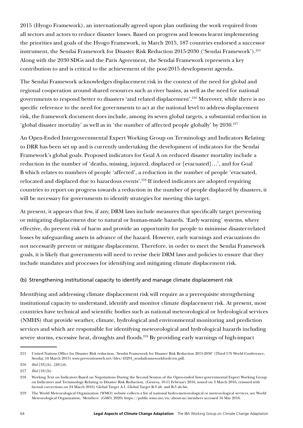2015 (Hyogo Framework), an internationally agreed upon plan outlining the work required from all sectors and actors to reduce disaster losses. Based on progress and lessons learnt implementing the priorities and goals of the Hyogo Framework, in March 2015, 187 countries endorsed a successor instrument, the Sendai Framework for Disaster Risk Reduction 2015-2030 ('Sendai Framework').<sup>215</sup> Along with the 2030 SDGs and the Paris Agreement, the Sendai Framework represents a key contribution to and is critical to the achievement of the post-2015 development agenda.

The Sendai Framework acknowledges displacement risk in the context of the need for global and regional cooperation around shared resources such as river basins, as well as the need for national governments to respond better to disasters 'and related displacement'.216 Moreover, while there is no specific reference to the need for governments to act at the national level to address displacement risk, the framework document does include, among its seven global targets, a substantial reduction in 'global disaster mortality' as well as in 'the number of affected people globally' by 2030.217

An Open-Ended Intergovernmental Expert Working Group on Terminology and Indicators Relating to DRR has been set up and is currently undertaking the development of indicators for the Sendai Framework's global goals. Proposed indicators for Goal A on reduced disaster mortality include a reduction in the number of 'deaths, missing, injured, displaced or [evacuated]…', and for Goal B which relates to numbers of people 'affected', a reduction in the number of people 'evacuated, relocated and displaced due to hazardous events'.<sup>218</sup> If indeed indicators are adopted requiring countries to report on progress towards a reduction in the number of people displaced by disasters, it will be necessary for governments to identify strategies for meeting this target.

At present, it appears that few, if any, DRM laws include measures that specifically target preventing or mitigating displacement due to natural or human-made hazards. 'Early warning' systems, where effective, do prevent risk of harm and provide an opportunity for people to minimise disaster-related losses by safeguarding assets in advance of the hazard. However, early warnings and evacuations do not necessarily prevent or mitigate displacement. Therefore, in order to meet the Sendai Framework goals, it is likely that governments will need to revise their DRM laws and policies to ensure that they include mandates and processes for identifying and mitigating climate displacement risk.

#### (b) Strengthening institutional capacity to identify and manage climate displacement risk

Identifying and addressing climate displacement risk will require as a prerequisite strengthening institutional capacity to understand, identify and monitor climate displacement risk. At present, most countries have technical and scientific bodies such as national meteorological or hydrological services (NMHS) that provide weather, climate, hydrological and environmental monitoring and prediction services and which are responsible for identifying meteorological and hydrological hazards including severe storms, excessive heat, droughts and floods.<sup>219</sup> By providing early warnings of high-impact

<sup>215</sup> United Nations Office for Disaster Risk reduction, 'Sendai Framework for Disaster Risk Reduction 2015-2030' (Third UN World Conference, Sendai, 18 March 2015) [www.preventionweb.net/files/43291\\_sendaiframeworkfordrren.pdf.](http://www.preventionweb.net/files/43291_sendaiframeworkfordrren.pdf)

<sup>216</sup> *Ibid* [33](h), [28](d).

<sup>217</sup> *Ibid* [18](b).

<sup>218</sup> Working Text on Indicators Based on Negotiations During the Second Session of the Open-ended Inter-governmental Expert Working Group on Indicators and Terminology Relating to Disaster Risk Reduction, (Geneva, 10-11 February 2016, issued on 3 March 2016, reissued with factual corrections on 24 March 2016) Global Target A-1, Global Target B-3 alt. and B-3 alt.bis.

<sup>219</sup> The World Meteorological Organization (WMO) website collects a list of national hydro-meteorological or meteorological services, see World Meteorological Organization, 'Members' (GMO, 2020)<https://public.wmo.int/en/about-us/members> accessed 16 May 2016.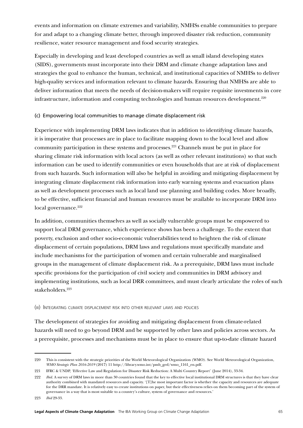events and information on climate extremes and variability, NMHSs enable communities to prepare for and adapt to a changing climate better, through improved disaster risk reduction, community resilience, water resource management and food security strategies.

Especially in developing and least developed countries as well as small island developing states (SIDS), governments must incorporate into their DRM and climate change adaptation laws and strategies the goal to enhance the human, technical, and institutional capacities of NMHSs to deliver high-quality services and information relevant to climate hazards. Ensuring that NMHSs are able to deliver information that meets the needs of decision-makers will require requisite investments in core infrastructure, information and computing technologies and human resources development.<sup>220</sup>

## (c) Empowering local communities to manage climate displacement risk

Experience with implementing DRM laws indicates that in addition to identifying climate hazards, it is imperative that processes are in place to facilitate mapping down to the local level and allow community participation in these systems and processes.221 Channels must be put in place for sharing climate risk information with local actors (as well as other relevant institutions) so that such information can be used to identify communities or even households that are at risk of displacement from such hazards. Such information will also be helpful in avoiding and mitigating displacement by integrating climate displacement risk information into early warning systems and evacuation plans as well as development processes such as local land use planning and building codes. More broadly, to be effective, sufficient financial and human resources must be available to incorporate DRM into local governance.<sup>222</sup>

In addition, communities themselves as well as socially vulnerable groups must be empowered to support local DRM governance, which experience shows has been a challenge. To the extent that poverty, exclusion and other socio-economic vulnerabilities tend to heighten the risk of climate displacement of certain populations, DRM laws and regulations must specifically mandate and include mechanisms for the participation of women and certain vulnerable and marginalised groups in the management of climate displacement risk. As a prerequisite, DRM laws must include specific provisions for the participation of civil society and communities in DRM advisory and implementing institutions, such as local DRR committees, and must clearly articulate the roles of such stakeholders.223

#### (iii) Integrating climate displacement risk into other relevant laws and policies

The development of strategies for avoiding and mitigating displacement from climate-related hazards will need to go beyond DRM and be supported by other laws and policies across sectors. As a prerequisite, processes and mechanisms must be in place to ensure that up-to-date climate hazard

223 *Ibid* 29-33.

<sup>220</sup> This is consistent with the strategic priorities of the World Meteorological Organization (WMO). See World Meteorological Organization, *WMO Strategic Plan 2016-2019* (2017) 11 http://library.wmo.int/pmb\_ged/wmo\_1161\_en.pdf.

<sup>221</sup> IFRC & UNDP, 'Effective Law and Regulation for Disaster Risk Reduction: A Multi Country Report' (June 2014), 33-34.

<sup>222</sup> *Ibid.* A survey of DRM laws in more than 30 countries found that the key to effective local institutional DRM structures is that they have clear authority combined with mandated resources and capacity. '[T]he most important factor is whether the capacity and resources are adequate for the DRR mandate. It is relatively easy to create institutions on paper, but their effectiveness relies on them becoming part of the system of governance in a way that is most suitable to a country's culture, system of governance and resources.'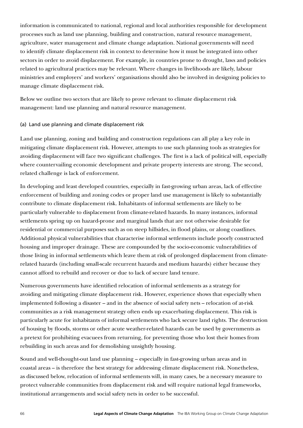information is communicated to national, regional and local authorities responsible for development processes such as land use planning, building and construction, natural resource management, agriculture, water management and climate change adaptation. National governments will need to identify climate displacement risk in context to determine how it must be integrated into other sectors in order to avoid displacement. For example, in countries prone to drought, laws and policies related to agricultural practices may be relevant. Where changes in livelihoods are likely, labour ministries and employers' and workers' organisations should also be involved in designing policies to manage climate displacement risk.

Below we outline two sectors that are likely to prove relevant to climate displacement risk management: land use planning and natural resource management.

#### (a) Land use planning and climate displacement risk

Land use planning, zoning and building and construction regulations can all play a key role in mitigating climate displacement risk. However, attempts to use such planning tools as strategies for avoiding displacement will face two significant challenges. The first is a lack of political will, especially where countervailing economic development and private property interests are strong. The second, related challenge is lack of enforcement.

In developing and least developed countries, especially in fast-growing urban areas, lack of effective enforcement of building and zoning codes or proper land use management is likely to substantially contribute to climate displacement risk. Inhabitants of informal settlements are likely to be particularly vulnerable to displacement from climate-related hazards. In many instances, informal settlements spring up on hazard-prone and marginal lands that are not otherwise desirable for residential or commercial purposes such as on steep hillsides, in flood plains, or along coastlines. Additional physical vulnerabilities that characterise informal settlements include poorly constructed housing and improper drainage. These are compounded by the socio-economic vulnerabilities of those living in informal settlements which leave them at risk of prolonged displacement from climaterelated hazards (including small-scale recurrent hazards and medium hazards) either because they cannot afford to rebuild and recover or due to lack of secure land tenure.

Numerous governments have identified relocation of informal settlements as a strategy for avoiding and mitigating climate displacement risk. However, experience shows that especially when implemented following a disaster – and in the absence of social safety nets – relocation of at-risk communities as a risk management strategy often ends up exacerbating displacement. This risk is particularly acute for inhabitants of informal settlements who lack secure land rights. The destruction of housing by floods, storms or other acute weather-related hazards can be used by governments as a pretext for prohibiting evacuees from returning, for preventing those who lost their homes from rebuilding in such areas and for demolishing unsightly housing.

Sound and well-thought-out land use planning – especially in fast-growing urban areas and in coastal areas – is therefore the best strategy for addressing climate displacement risk. Nonetheless, as discussed below, relocation of informal settlements will, in many cases, be a necessary measure to protect vulnerable communities from displacement risk and will require national legal frameworks, institutional arrangements and social safety nets in order to be successful.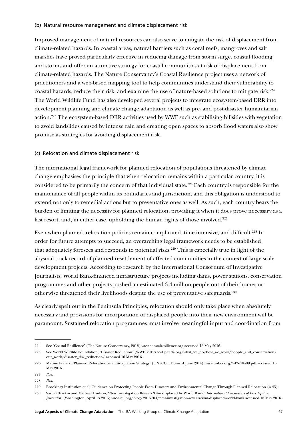#### (b) Natural resource management and climate displacement risk

Improved management of natural resources can also serve to mitigate the risk of displacement from climate-related hazards. In coastal areas, natural barriers such as coral reefs, mangroves and salt marshes have proved particularly effective in reducing damage from storm surge, coastal flooding and storms and offer an attractive strategy for coastal communities at risk of displacement from climate-related hazards. The Nature Conservancy's Coastal Resilience project uses a network of practitioners and a web-based mapping tool to help communities understand their vulnerability to coastal hazards, reduce their risk, and examine the use of nature-based solutions to mitigate risk.224 The World Wildlife Fund has also developed several projects to integrate ecosystem-based DRR into development planning and climate change adaptation as well as pre- and post-disaster humanitarian action.225 The ecosystem-based DRR activities used by WWF such as stabilising hillsides with vegetation to avoid landslides caused by intense rain and creating open spaces to absorb flood waters also show promise as strategies for avoiding displacement risk.

#### (c) Relocation and climate displacement risk

The international legal framework for planned relocation of populations threatened by climate change emphasises the principle that when relocation remains within a particular country, it is considered to be primarily the concern of that individual state.226 Each country is responsible for the maintenance of all people within its boundaries and jurisdiction, and this obligation is understood to extend not only to remedial actions but to preventative ones as well. As such, each country bears the burden of limiting the necessity for planned relocation, providing it when it does prove necessary as a last resort, and, in either case, upholding the human rights of those involved.<sup>227</sup>

Even when planned, relocation policies remain complicated, time-intensive, and difficult.<sup>228</sup> In order for future attempts to succeed, an overarching legal framework needs to be established that adequately foresees and responds to potential risks.<sup>229</sup> This is especially true in light of the abysmal track record of planned resettlement of affected communities in the context of large-scale development projects. According to research by the International Consortium of Investigative Journalists, World Bank-financed infrastructure projects including dams, power stations, conservation programmes and other projects pushed an estimated 3.4 million people out of their homes or otherwise threatened their livelihoods despite the use of preventative safeguards.230

As clearly spelt out in the Peninsula Principles, relocation should only take place when absolutely necessary and provisions for incorporation of displaced people into their new environment will be paramount. Sustained relocation programmes must involve meaningful input and coordination from

<sup>224</sup> See 'Coastal Resilience' (The Nature Conservancy, 2018) www.coastalresilience.org accessed 16 May 2016.

<sup>225</sup> See World Wildlife Foundation, 'Disaster Reduction' (WWF, 2019) wwf.panda.org/what\_we\_do/how\_we\_work/people\_and\_conservation/ our\_work/disaster\_risk\_reduction/ accessed 16 May 2016.

<sup>226</sup> Marine Franck, 'Planned Relocation as an Adaptation Strategy' (UNFCCC, Bonn, 4 June 2014). www.unhcr.org/543e78a89.pdf accessed 16 May 2016.

<sup>227</sup> *Ibid*.

<sup>228</sup> *Ibid*.

<sup>229</sup> Brookings Institution et al, Guidance on Protecting People From Disasters and Environmental Change Through Planned Relocation (n 45).

<sup>230</sup> Sasha Chavkin and Michael Hudson, 'New Investigation Reveals 3.4m displaced by World Bank,' *International Consortium of Investigative Journalists* (Washington, April 13 2015) [www.icij.org/blog/2015/04/new-investigation-reveals-34m-displaced-world-bank](file:///C:\Users\mariaantoniatigre\Library\Containers\com.microsoft.Word\Data\Downloads\www.icij.org\blog\2015\04\new-investigation-reveals-34m-displaced-world-bank) accessed 16 May 2016.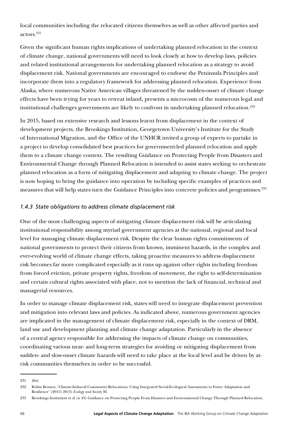local communities including the relocated citizens themselves as well as other affected parties and actors.231

Given the significant human rights implications of undertaking planned relocation in the context of climate change, national governments will need to look closely at how to develop laws, policies and related institutional arrangements for undertaking planned relocation as a strategy to avoid displacement risk. National governments are encouraged to endorse the Peninsula Principles and incorporate them into a regulatory framework for addressing planned relocation. Experience from Alaska, where numerous Native American villages threatened by the sudden-onset of climate change effects have been trying for years to retreat inland, presents a microcosm of the numerous legal and institutional challenges governments are likely to confront in undertaking planned relocation.<sup>232</sup>

In 2015, based on extensive research and lessons learnt from displacement in the context of development projects, the Brookings Institution, Georgetown University's Institute for the Study of International Migration, and the Office of the UNHCR invited a group of experts to partake in a project to develop consolidated best practices for government-led planned relocation and apply them to a climate change context. The resulting Guidance on Protecting People from Disasters and Environmental Change through Planned Relocation is intended to assist states seeking to orchestrate planned relocation as a form of mitigating displacement and adapting to climate change. The project is now hoping to bring the guidance into operation by including specific examples of practices and measures that will help states turn the Guidance Principles into concrete policies and programmes.233

# *1.4.3 State obligations to address climate displacement risk*

One of the most challenging aspects of mitigating climate displacement risk will be articulating institutional responsibility among myriad government agencies at the national, regional and local level for managing climate displacement risk. Despite the clear human rights commitments of national governments to protect their citizens from known, imminent hazards, in the complex and ever-evolving world of climate change effects, taking proactive measures to address displacement risk becomes far more complicated especially as it runs up against other rights including freedom from forced eviction, private property rights, freedom of movement, the right to self-determination and certain cultural rights associated with place, not to mention the lack of financial, technical and managerial resources.

In order to manage climate displacement risk, states will need to integrate displacement prevention and mitigation into relevant laws and policies. As indicated above, numerous government agencies are implicated in the management of climate displacement risk, especially in the context of DRM, land use and development planning and climate change adaptation. Particularly in the absence of a central agency responsible for addressing the impacts of climate change on communities, coordinating various near- and long-term strategies for avoiding or mitigating displacement from sudden- and slow-onset climate hazards will need to take place at the local level and be driven by atrisk communities themselves in order to be successful.

<sup>231</sup> *Ibid.*

<sup>232</sup> Robin Bronen, 'Climate-Induced Community Relocations: Using Integrated Social-Ecological Assessments to Foster Adaptation and Resilience' (2015) 20(3) *Ecology and Society* 36.

<sup>233</sup> Brookings Institution et al (n 43) Guidance on Protecting People From Disasters and Environmental Change Through Planned Relocation.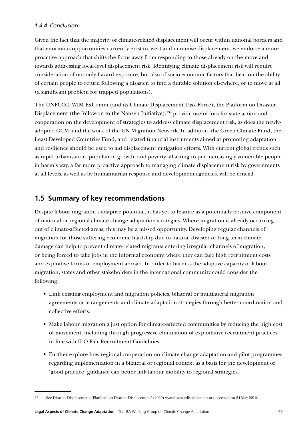#### *1.4.4 Conclusion*

Given the fact that the majority of climate-related displacement will occur within national borders and that enormous opportunities currently exist to avert and minimise displacement, we endorse a more proactive approach that shifts the focus away from responding to those already on the move and towards addressing local-level displacement risk. Identifying climate displacement risk will require consideration of not only hazard exposure, but also of socio-economic factors that bear on the ability of certain people to return following a disaster, to find a durable solution elsewhere, or to move at all (a significant problem for trapped populations).

The UNFCCC, WIM ExComm (and its Climate Displacement Task Force), the Platform on Disaster Displacement (the follow-on to the Nansen Initiative),<sup>234</sup> provide useful fora for state action and cooperation on the development of strategies to address climate displacement risk, as does the newlyadopted GCM, and the work of the UN Migration Network. In addition, the Green Climate Fund, the Least Developed Countries Fund, and related financial instruments aimed at promoting adaptation and resilience should be used to aid displacement mitigation efforts. With current global trends such as rapid urbanisation, population growth, and poverty all acting to put increasingly vulnerable people in harm's way, a far more proactive approach to managing climate displacement risk by governments at all levels, as well as by humanitarian response and development agencies, will be crucial.

# **1.5 Summary of key recommendations**

Despite labour migration's adaptive potential, it has yet to feature as a potentially positive component of national or regional climate change adaptation strategies. Where migration is already occurring out of climate-affected areas, this may be a missed opportunity. Developing regular channels of migration for those suffering economic hardship due to natural disaster or long-term climate damage can help to prevent climate-related migrants entering irregular channels of migration, or being forced to take jobs in the informal economy, where they can face high recruitment costs and exploitive forms of employment abroad. In order to harness the adaptive capacity of labour migration, states and other stakeholders in the international community could consider the following:

- Link existing employment and migration policies, bilateral or multilateral migration agreements or arrangements and climate adaptation strategies through better coordination and collective efforts.
- Make labour migration a just option for climate-affected communities by reducing the high cost of movement, including through progressive elimination of exploitative recruitment practices in line with ILO Fair Recruitment Guidelines.
- Further explore how regional cooperation on climate change adaptation and pilot programmes regarding implementation in a bilateral or regional context as a basis for the development of 'good practice' guidance can better link labour mobility to regional strategies.

<sup>234</sup> See Disaster Displacement, 'Platform on Disaster Displacement' (2020) www.disasterdisplacement.org accessed on 24 May 2016.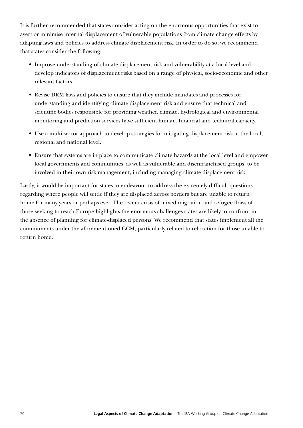It is further recommended that states consider acting on the enormous opportunities that exist to avert or minimise internal displacement of vulnerable populations from climate change effects by adapting laws and policies to address climate displacement risk. In order to do so, we recommend that states consider the following:

- Improve understanding of climate displacement risk and vulnerability at a local level and develop indicators of displacement risks based on a range of physical, socio-economic and other relevant factors.
- Revise DRM laws and policies to ensure that they include mandates and processes for understanding and identifying climate displacement risk and ensure that technical and scientific bodies responsible for providing weather, climate, hydrological and environmental monitoring and prediction services have sufficient human, financial and technical capacity.
- Use a multi-sector approach to develop strategies for mitigating displacement risk at the local, regional and national level.
- Ensure that systems are in place to communicate climate hazards at the local level and empower local governments and communities, as well as vulnerable and disenfranchised groups, to be involved in their own risk management, including managing climate displacement risk.

Lastly, it would be important for states to endeavour to address the extremely difficult questions regarding where people will settle if they are displaced across borders but are unable to return home for many years or perhaps ever. The recent crisis of mixed migration and refugee flows of those seeking to reach Europe highlights the enormous challenges states are likely to confront in the absence of planning for climate-displaced persons. We recommend that states implement all the commitments under the aforementioned GCM, particularly related to relocation for those unable to return home.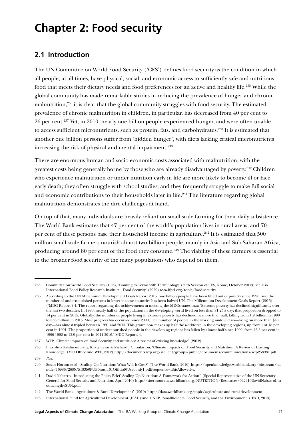# **Chapter 2: Food security**

# **2.1 Introduction**

The UN Committee on World Food Security ('CFS') defines food security as the condition in which all people, at all times, have physical, social, and economic access to sufficiently safe and nutritious food that meets their dietary needs and food preferences for an active and healthy life.235 While the global community has made remarkable strides in reducing the prevalence of hunger and chronic malnutrition,236 it is clear that the global community struggles with food security. The estimated prevalence of chronic malnutrition in children, in particular, has decreased from 40 per cent to 26 per cent.237 Yet, in 2010, nearly one billion people experienced hunger, and were often unable to access sufficient micronutrients, such as protein, fats, and carbohydrates.<sup>238</sup> It is estimated that another one billion persons suffer from 'hidden hunger', with diets lacking critical micronutrients increasing the risk of physical and mental impairment.<sup>239</sup>

There are enormous human and socio-economic costs associated with malnutrition, with the greatest costs being generally borne by those who are already disadvantaged by poverty.<sup>240</sup> Children who experience malnutrition or under nutrition early in life are more likely to become ill or face early death; they often struggle with school studies; and they frequently struggle to make full social and economic contributions to their households later in life.<sup>241</sup> The literature regarding global malnutrition demonstrates the dire challenges at hand.

On top of that, many individuals are heavily reliant on small-scale farming for their daily subsistence. The World Bank estimates that 47 per cent of the world's population lives in rural areas, and 70 per cent of these persons base their household income in agriculture.<sup>242</sup> It is estimated that 500 million small-scale farmers nourish almost two billion people, mainly in Asia and Sub-Saharan Africa, producing around 80 per cent of the food they consume.<sup>243</sup> The viability of these farmers is essential to the broader food security of the many populations who depend on them.

<sup>235</sup> Committee on World Food Security (CFS), 'Coming to Terms with Terminology' (39th Session of CFS, Rome, October 2012); see also International Food Policy Research Institute, 'Food Security' (2020) www.ifpri.org/topic/food-security.

<sup>236</sup> According to the UN Millennium Development Goals Report 2015, one billion people have been lifted out of poverty since 1990, and the number of undernourished persons in lower income countries has been halved UN, The Millennium Development Goals Report (2015) ('MDG Report') 4. The report regarding the achievements in meeting the MDGs states that: 'Extreme poverty has declined significantly over the last two decades. In 1990, nearly half of the population in the developing world lived on less than \$1.25 a day; that proportion dropped to 14 per cent in 2015; Globally, the number of people living in extreme poverty has declined by more than half, falling from 1.9 billion in 1990 to 836 million in 2015. Most progress has occurred since 2000; The number of people in the working middle class—living on more than \$4 a day—has almost tripled between 1991 and 2015. This group now makes up half the workforce in the developing regions, up from just 18 per cent in 1991; The proportion of undernourished people in the developing regions has fallen by almost half since 1990, from 23.3 per cent in 1990-1992 to 12.9 per cent in 2014-2016.' MDG Report, 4.

<sup>237</sup> WFP, 'Climate impacts on food Security and nutrition: A review of existing knowledge' (2012).

<sup>238</sup> P Krishna Krishnamurthy, Kirsty Lewis & Richard J Choularton, 'Climate Impacts on Food Security and Nutrition: A Review of Existing Knowledge' (Met Office and WFP, 2012) <http://documents.wfp.org/stellent/groups/public/documents/communications/wfp258981.pdf>.

<sup>239</sup> *Ibid*.

<sup>240</sup> Susan Horton et al, 'Scaling Up Nutrition: What Will It Cost?' (The World Bank, 2010) [https://openknowledge.worldbank.org/bitstream/ha](https://openknowledge.worldbank.org/bitstream/handle/10986/2685/518350PUB0nutr101Official0Use0only1.pdf?sequence=1&isAllowed=y) [ndle/10986/2685/518350PUB0nutr101Official0Use0only1.pdf?sequence=1&isAllowed=y](https://openknowledge.worldbank.org/bitstream/handle/10986/2685/518350PUB0nutr101Official0Use0only1.pdf?sequence=1&isAllowed=y).

<sup>241</sup> David Nabarro, 'Introducing the Policy Brief 'Scaling Up Nutrition: A Framework for Action'' (Special Representative of the UN Secretary General for Food Security and Nutrition, April 2010) [http://siteresources.worldbank.org/NUTRITION/Resources/042410DavidNabarroIntr](http://siteresources.worldbank.org/NUTRITION/Resources/042410DavidNabarroIntroducingtheSUN.pdf) [oducingtheSUN.pdf.](http://siteresources.worldbank.org/NUTRITION/Resources/042410DavidNabarroIntroducingtheSUN.pdf)

<sup>242</sup> The World Bank, 'Agriculture & Rural Development' (2019) http://data.worldbank.org/topic/agriculture-and-rural-development.

<sup>243</sup> International Fund for Agricultural Development (IFAD) and UNEP, 'Smallholders, Food Security, and the Environment' (IFAD, 2013).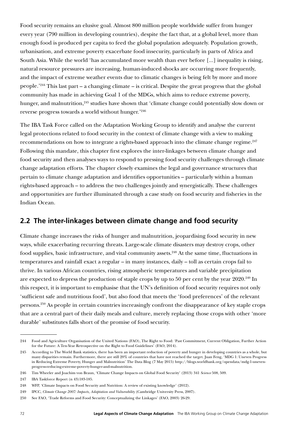Food security remains an elusive goal. Almost 800 million people worldwide suffer from hunger every year (790 million in developing countries), despite the fact that, at a global level, more than enough food is produced per capita to feed the global population adequately. Population growth, urbanisation, and extreme poverty exacerbate food insecurity, particularly in parts of Africa and South Asia. While the world 'has accumulated more wealth than ever before [...] inequality is rising, natural resource pressures are increasing, human-induced shocks are occurring more frequently, and the impact of extreme weather events due to climatic changes is being felt by more and more people.'244 This last part – a changing climate – is critical. Despite the great progress that the global community has made in achieving Goal 1 of the MDGs, which aims to reduce extreme poverty, hunger, and malnutrition,<sup>245</sup> studies have shown that 'climate change could potentially slow down or reverse progress towards a world without hunger.'246

The IBA Task Force called on the Adaptation Working Group to identify and analyse the current legal protections related to food security in the context of climate change with a view to making recommendations on how to integrate a rights-based approach into the climate change regime.<sup>247</sup> Following this mandate, this chapter first explores the inter-linkages between climate change and food security and then analyses ways to respond to pressing food security challenges through climate change adaptation efforts. The chapter closely examines the legal and governance structures that pertain to climate change adaptation and identifies opportunities – particularly within a human rights-based approach – to address the two challenges jointly and synergistically. These challenges and opportunities are further illuminated through a case study on food security and fisheries in the Indian Ocean.

# <span id="page-72-0"></span>**2.2 The inter-linkages between climate change and food security**

Climate change increases the risks of hunger and malnutrition, jeopardising food security in new ways, while exacerbating recurring threats. Large-scale climate disasters may destroy crops, other food supplies, basic infrastructure, and vital community assets.<sup>248</sup> At the same time, fluctuations in temperatures and rainfall exact a regular – in many instances, daily – toll as certain crops fail to thrive. In various African countries, rising atmospheric temperatures and variable precipitation are expected to depress the production of staple crops by up to 50 per cent by the year 2020.<sup>249</sup> In this respect, it is important to emphasise that the UN's definition of food security requires not only 'sufficient safe and nutritious food', but also food that meets the 'food preferences' of the relevant persons.250 As people in certain countries increasingly confront the disappearance of key staple crops that are a central part of their daily meals and culture, merely replacing those crops with other 'more durable' substitutes falls short of the promise of food security.

<sup>244</sup> Food and Agriculture Organisation of the United Nations (FAO), The Right to Food: 'Past Commitment, Current Obligation, Further Action for the Future: A Ten-Year Retrospective on the Right to Food Guidelines' (FAO, 2014).

<sup>245</sup> According to The World Bank statistics, there has been an important reduction of poverty and hunger in developing countries as a whole, but many disparities remain. Furthermore, there are still 20% of countries that have not reached the target. Juan Feng, 'MDG 1: Uneven Progress in Reducing Extreme Poverty, Hunger and Malnutrition' The Data Blog (7 May 2015) [http://blogs.worldbank.org/opendata/mdg-1-uneven](http://blogs.worldbank.org/opendata/mdg-1-uneven-progress-reducing-extreme-poverty-hunger-and-malnutrition)[progress-reducing-extreme-poverty-hunger-and-malnutrition](http://blogs.worldbank.org/opendata/mdg-1-uneven-progress-reducing-extreme-poverty-hunger-and-malnutrition).

<sup>246</sup> Tim Wheeler and Joachim von Braun, 'Climate Change Impacts on Global Food Security' (2013) 341 *Science* 508, 509.

<sup>247</sup> IBA Taskforce Report (n 43)183-185.

<sup>248</sup> WFP, 'Climate Impacts on Food Security and Nutrition: A review of existing knowledge' (2012).

<sup>249</sup> IPCC, *Climate Change 2007: Impacts, Adaptation and Vulnerability* (Cambridge University Press, 2007).

<sup>250</sup> See FAO, 'Trade Reforms and Food Security: Conceptualizing the Linkages' (FAO, 2003) 26-29.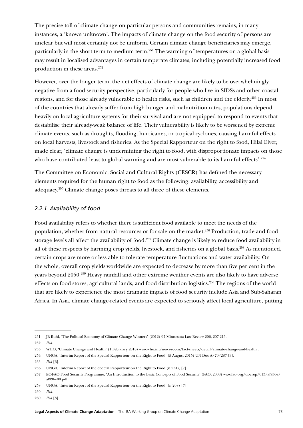The precise toll of climate change on particular persons and communities remains, in many instances, a 'known unknown'. The impacts of climate change on the food security of persons are unclear but will most certainly not be uniform. Certain climate change beneficiaries may emerge, particularly in the short term to medium term.<sup>251</sup> The warming of temperatures on a global basis may result in localised advantages in certain temperate climates, including potentially increased food production in these areas.<sup>252</sup>

However, over the longer term, the net effects of climate change are likely to be overwhelmingly negative from a food security perspective, particularly for people who live in SIDSs and other coastal regions, and for those already vulnerable to health risks, such as children and the elderly.<sup>253</sup> In most of the countries that already suffer from high hunger and malnutrition rates, populations depend heavily on local agriculture systems for their survival and are not equipped to respond to events that destabilise their already-weak balance of life. Their vulnerability is likely to be worsened by extreme climate events, such as droughts, flooding, hurricanes, or tropical cyclones, causing harmful effects on local harvests, livestock and fisheries. As the Special Rapporteur on the right to food, Hilal Elver, made clear, 'climate change is undermining the right to food, with disproportionate impacts on those who have contributed least to global warming and are most vulnerable to its harmful effects'.<sup>254</sup>

The Committee on Economic, Social and Cultural Rights (CESCR) has defined the necessary elements required for the human right to food as the following: availability, accessibility and adequacy.255 Climate change poses threats to all three of these elements.

### *2.2.1 Availability of food*

Food availability refers to whether there is sufficient food available to meet the needs of the population, whether from natural resources or for sale on the market.<sup>256</sup> Production, trade and food storage levels all affect the availability of food.257 Climate change is likely to reduce food availability in all of these respects by harming crop yields, livestock, and fisheries on a global basis.258 As mentioned, certain crops are more or less able to tolerate temperature fluctuations and water availability. On the whole, overall crop yields worldwide are expected to decrease by more than five per cent in the years beyond 2050.259 Heavy rainfall and other extreme weather events are also likely to have adverse effects on food stores, agricultural lands, and food distribution logistics.<sup>260</sup> The regions of the world that are likely to experience the most dramatic impacts of food security include Asia and Sub-Saharan Africa. In Asia, climate change-related events are expected to seriously affect local agriculture, putting

<sup>251</sup> JB Ruhl, 'The Political Economy of Climate Change Winners' (2012) 97 Minnesota Law Review 206, 207-215.

<sup>252</sup> *Ibid.*

<sup>253</sup> WHO, 'Climate Change and Health' (1 February 2018) [www.who.int/news-room/fact-sheets/detail/climate-change-and-health](https://www.who.int/news-room/fact-sheets/detail/climate-change-and-health) .

<sup>254</sup> UNGA, 'Interim Report of the Special Rapporteur on the Right to Food' (5 August 2015) UN Doc A/70/287 [3].

<sup>255</sup> *Ibid* [6].

<sup>256</sup> UNGA, 'Interim Report of the Special Rapporteur on the Right to Food (n 254), [7].

<sup>257</sup> EC-FAO Food Security Programme, 'An Introduction to the Basic Concepts of Food Security' (FAO, 2008) [www.fao.org/docrep/013/al936e/](http://www.fao.org/docrep/013/al936e/al936e00.pdf) [al936e00.pdf.](http://www.fao.org/docrep/013/al936e/al936e00.pdf)

<sup>258</sup> UNGA, 'Interim Report of the Special Rapporteur on the Right to Food' (n 268) [7].

<sup>259</sup> *Ibid.*

<sup>260</sup> *Ibid* [8].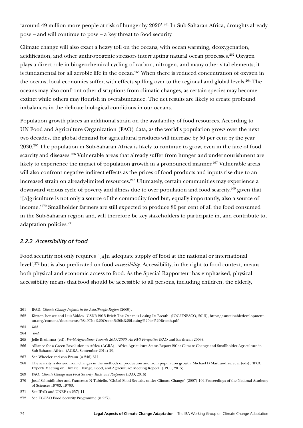'around 49 million more people at risk of hunger by 2020'.261 In Sub-Saharan Africa, droughts already pose – and will continue to pose – a key threat to food security.

Climate change will also exact a heavy toll on the oceans, with ocean warming, deoxygenation, acidification, and other anthropogenic stressors interrupting natural ocean processes.<sup>262</sup> Oxygen plays a direct role in biogeochemical cycling of carbon, nitrogen, and many other vital elements; it is fundamental for all aerobic life in the ocean.<sup>263</sup> When there is reduced concentration of oxygen in the oceans, local economies suffer, with effects spilling over to the regional and global levels.<sup>264</sup> The oceans may also confront other disruptions from climatic changes, as certain species may become extinct while others may flourish in overabundance. The net results are likely to create profound imbalances in the delicate biological conditions in our oceans.

Population growth places an additional strain on the availability of food resources. According to UN Food and Agriculture Organization (FAO) data, as the world's population grows over the next two decades, the global demand for agricultural products will increase by 50 per cent by the year 2030.265 The population in Sub-Saharan Africa is likely to continue to grow, even in the face of food scarcity and diseases.<sup>266</sup> Vulnerable areas that already suffer from hunger and undernourishment are likely to experience the impact of population growth in a pronounced manner.<sup>267</sup> Vulnerable areas will also confront negative indirect effects as the prices of food products and inputs rise due to an increased strain on already-limited resources.<sup>268</sup> Ultimately, certain communities may experience a downward vicious cycle of poverty and illness due to over population and food scarcity,<sup>269</sup> given that '[a]griculture is not only a source of the commodity food but, equally importantly, also a source of income.'270 Smallholder farmers are still expected to produce 80 per cent of all the food consumed in the Sub-Saharan region and, will therefore be key stakeholders to participate in, and contribute to, adaptation policies.<sup>271</sup>

## *2.2.2 Accessibility of food*

Food security not only requires '[a]n adequate supply of food at the national or international level',272 but is also predicated on food *accessibility*. Accessibility, in the right to food context, means both physical and economic access to food. As the Special Rapporteur has emphasised, physical accessibility means that food should be accessible to all persons, including children, the elderly,

<sup>261</sup> IFAD, *Climate Change Impacts in the Asia/Pacific Region* (2009).

<sup>262</sup> Kirsten Isensee and Luis Valdes, 'GSDR 2015 Brief: The Ocean is Losing Its Breath' (IOC-UNESCO, 2015), https://sustainabledevelopment. un.org/content/documents/5849The%20Ocean%20is%20Losing%20its%20Breath.pdf.

<sup>263</sup> *Ibid*.

<sup>264</sup> *Ibid*.

<sup>265</sup> Jelle Bruinsma (ed), *World Agriculture: Towards 2015/2030, An FAO Perspective* (FAO and Earthscan 2003).

<sup>266</sup> Alliance for a Green Revolution in Africa (AGRA), 'Africa Agriculture Status Report 2014: Climate Change and Smallholder Agriculture in Sub-Saharan Africa' (AGRA, September 2014) 29,

<sup>267</sup> See Wheeler and von Braun (n 246) 511.

<sup>268</sup> The scarcity is derived from changes in the methods of production and from population growth. Michael D Mastrandrea et al (eds), 'IPCC Experts Meeting on Climate Change, Food, and Agriculture: Meeting Report' (IPCC, 2015).

<sup>269</sup> FAO, *Climate Change and Food Security: Risks and Responses* (FAO, 2016).

<sup>270</sup> Josef Schmidhuber and Francesco N Tubiello, 'Global Food Security under Climate Change' (2007) 104 Proceedings of the National Academy of Sciences 19703, 19703.

<sup>271</sup> See IFAD and UNEP (n 257) 11.

<sup>272</sup> See EC-FAO Food Security Programme (n 257).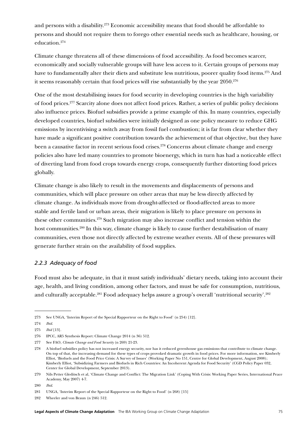and persons with a disability.273 Economic accessibility means that food should be affordable to persons and should not require them to forego other essential needs such as healthcare, housing, or education.274

Climate change threatens all of these dimensions of food accessibility. As food becomes scarcer, economically and socially vulnerable groups will have less access to it. Certain groups of persons may have to fundamentally alter their diets and substitute less nutritious, poorer quality food items.<sup>275</sup> And it seems reasonably certain that food prices will rise substantially by the year 2050.<sup>276</sup>

One of the most destabilising issues for food security in developing countries is the high variability of food prices.277 Scarcity alone does not affect food prices. Rather, a series of public policy decisions also influence prices. Biofuel subsidies provide a prime example of this. In many countries, especially developed countries, biofuel subsidies were initially designed as one policy measure to reduce GHG emissions by incentivising a switch away from fossil fuel combustion; it is far from clear whether they have made a significant positive contribution towards the achievement of that objective, but they have been a causative factor in recent serious food crises.<sup>278</sup> Concerns about climate change and energy policies also have led many countries to promote bioenergy, which in turn has had a noticeable effect of diverting land from food crops towards energy crops, consequently further distorting food prices globally.

Climate change is also likely to result in the movements and displacements of persons and communities, which will place pressure on other areas that may be less directly affected by climate change. As individuals move from drought-affected or flood-affected areas to more stable and fertile land or urban areas, their migration is likely to place pressure on persons in these other communities.279 Such migration may also increase conflict and tension within the host communities.<sup>280</sup> In this way, climate change is likely to cause further destabilisation of many communities, even those not directly affected by extreme weather events. All of these pressures will generate further strain on the availability of food supplies.

### *2.2.3 Adequacy of food*

Food must also be adequate, in that it must satisfy individuals' dietary needs, taking into account their age, health, and living condition, among other factors, and must be safe for consumption, nutritious, and culturally acceptable.<sup>281</sup> Food adequacy helps assure a group's overall 'nutritional security'.<sup>282</sup>

<sup>273</sup> See UNGA, 'Interim Report of the Special Rapporteur on the Right to Food' (n 254) [12].

<sup>274</sup> *Ibid.*

<sup>275</sup> *Ibid* [13].

<sup>276</sup> IPCC, AR5 Synthesis Report: Climate Change 2014 (n 36) 512.

<sup>277</sup> See FAO, *Climate Change and Food Security* (n 269) 21-23.

<sup>278</sup> A biofuel subsidies policy has not increased energy security, nor has it reduced greenhouse gas emissions that contribute to climate change. On top of that, the increasing demand for these types of crops provoked dramatic growth in food prices. For more information, see Kimberly Elliot, 'Biofuels and the Food Price Crisis: A Survey of Issues' (Working Paper No 151, Centre for Global Development, August 2008); Kimberly Elliot, 'Subsidizing Farmers and Biofuels in Rich Countries: An Incoherent Agenda for Food Security' (CGD Policy Paper 032, Center for Global Development, September 2013).

<sup>279</sup> Nils Petter Gleditsch et al, 'Climate Change and Conflict: The Migration Link' (Coping With Crisis: Working Paper Series, International Peace Academy, May 2007) 4-7.

<sup>280</sup> *Ibid*.

<sup>281</sup> UNGA, 'Interim Report of the Special Rapporteur on the Right to Food' (n 268) [15]

<sup>282</sup> Wheeler and von Braun (n 246) 512.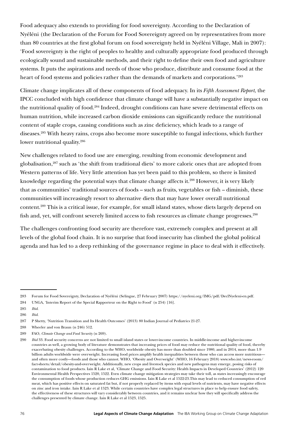Food adequacy also extends to providing for food sovereignty. According to the Declaration of Nyéléni (the Declaration of the Forum for Food Sovereignty agreed on by representatives from more than 80 countries at the first global forum on food sovereignty held in Nyéléni Village, Mali in 2007): 'Food sovereignty is the right of peoples to healthy and culturally appropriate food produced through ecologically sound and sustainable methods, and their right to define their own food and agriculture systems. It puts the aspirations and needs of those who produce, distribute and consume food at the heart of food systems and policies rather than the demands of markets and corporations.'283

Climate change implicates all of these components of food adequacy. In its *Fifth Assessment Report*, the IPCC concluded with high confidence that climate change will have a substantially negative impact on the nutritional quality of food.<sup>284</sup> Indeed, drought conditions can have severe detrimental effects on human nutrition, while increased carbon dioxide emissions can significantly reduce the nutritional content of staple crops, causing conditions such as zinc deficiency, which leads to a range of diseases.285 With heavy rains, crops also become more susceptible to fungal infections, which further lower nutritional quality.<sup>286</sup>

New challenges related to food use are emerging, resulting from economic development and globalisation,287 such as 'the shift from traditional diets' to more caloric ones that are adopted from Western patterns of life. Very little attention has yet been paid to this problem, so there is limited knowledge regarding the potential ways that climate change affects it.<sup>288</sup> However, it is very likely that as communities' traditional sources of foods – such as fruits, vegetables or fish – diminish, these communities will increasingly resort to alternative diets that may have lower overall nutritional content.289 This is a critical issue, for example, for small island states, whose diets largely depend on fish and, yet, will confront severely limited access to fish resources as climate change progresses.<sup>290</sup>

<span id="page-76-0"></span>The challenges confronting food security are therefore vast, extremely complex and present at all levels of the global food chain. It is no surprise that food insecurity has climbed the global political agenda and has led to a deep rethinking of the governance regime in place to deal with it effectively.

<sup>283</sup> Forum for Food Sovereignty, Declaration of Nyéléni (Selingue, 27 February 2007) [https://nyeleni.org/IMG/pdf/DeclNyeleni-en.pdf.](https://nyeleni.org/IMG/pdf/DeclNyeleni-en.pdf)

<sup>284</sup> UNGA, 'Interim Report of the Special Rapporteur on the Right to Food' (n 254) [16].

<sup>285</sup> *Ibid*.

<sup>286</sup> *Ibid*.

<sup>287</sup> P Shetty, 'Nutrition Transition and Its Health Outcomes' (2013) 80 Indian Journal of Pediatrics 21-27.

<sup>288</sup> Wheeler and von Braun (n 246) 512.

<sup>289</sup> FAO, *Climate Change and Food Security* (n 269).

<sup>290</sup> *Ibid* 33. Food security concerns are not limited to small island states or lower-income countries. In middle-income and higher-income countries as well, a growing body of literature demonstrates that increasing prices of food may reduce the nutritional quality of food, thereby exacerbating obesity challenges. According to the WHO, worldwide obesity has more than doubled since 1980, and in 2014, more than 1.9 billion adults worldwide were overweight. Increasing food prices amplify health inequalities between those who can access more nutritious and often more costly—foods and those who cannot. WHO, 'Obesity and Overweight' (WHO, 16 February 2018) [www.who.int/news-room/](https://www.who.int/news-room/fact-sheets/detail/obesity-and-overweight) [fact-sheets/detail/obesity-and-overweight](https://www.who.int/news-room/fact-sheets/detail/obesity-and-overweight). Additionally, new crops and livestock species and new pathogens may emerge, posing risks of contamination to food products. Iain R Lake et al, 'Climate Change and Food Security: Health Impacts in Developed Countries' (2012) 120 Environmental Health Perspectives 1520, 1522. Even climate change mitigation strategies may take their toll, as states increasingly encourage the consumption of foods whose production reduces GHG emissions. Iain R Lake et al 1522-23.This may lead to reduced consumption of red meat, which has positive effects on saturated fat but, if not properly replaced by items with equal levels of nutrients, may have negative effects on zinc and iron intake. Iain R Lake et al 1523. While certain countries have complex legal structures in place to help ensure food safety, the effectiveness of these structures will vary considerably between countries, and it remains unclear how they will specifically address the challenges presented by climate change. Iain R Lake et al 1523, 1525.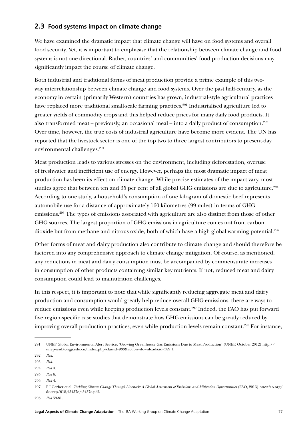# **2.3 Food systems impact on climate change**

We have examined the dramatic impact that climate change will have on food systems and overall food security. Yet, it is important to emphasise that the relationship between climate change and food systems is not one-directional. Rather, countries' and communities' food production decisions may significantly impact the course of climate change.

Both industrial and traditional forms of meat production provide a prime example of this twoway interrelationship between climate change and food systems. Over the past half-century, as the economy in certain (primarily Western) countries has grown, industrial-style agricultural practices have replaced more traditional small-scale farming practices.<sup>291</sup> Industrialised agriculture led to greater yields of commodity crops and this helped reduce prices for many daily food products. It also transformed meat – previously, an occasional meal – into a daily product of consumption.<sup>292</sup> Over time, however, the true costs of industrial agriculture have become more evident. The UN has reported that the livestock sector is one of the top two to three largest contributors to present-day environmental challenges.293

Meat production leads to various stresses on the environment, including deforestation, overuse of freshwater and inefficient use of energy. However, perhaps the most dramatic impact of meat production has been its effect on climate change. While precise estimates of the impact vary, most studies agree that between ten and 35 per cent of all global GHG emissions are due to agriculture.<sup>294</sup> According to one study, a household's consumption of one kilogram of domestic beef represents automobile use for a distance of approximately 160 kilometres (99 miles) in terms of GHG emissions.295 The types of emissions associated with agriculture are also distinct from those of other GHG sources. The largest proportion of GHG emissions in agriculture comes not from carbon dioxide but from methane and nitrous oxide, both of which have a high global warming potential.<sup>296</sup>

Other forms of meat and dairy production also contribute to climate change and should therefore be factored into any comprehensive approach to climate change mitigation. Of course, as mentioned, any reductions in meat and dairy consumption must be accompanied by commensurate increases in consumption of other products containing similar key nutrients. If not, reduced meat and dairy consumption could lead to malnutrition challenges.

In this respect, it is important to note that while significantly reducing aggregate meat and dairy production and consumption would greatly help reduce overall GHG emissions, there are ways to reduce emissions even while keeping production levels constant.<sup>297</sup> Indeed, the FAO has put forward five region-specific case studies that demonstrate how GHG emissions can be greatly reduced by improving overall production practices, even while production levels remain constant.<sup>298</sup> For instance,

<sup>291</sup> UNEP Global Environmental Alert Service, 'Growing Greenhouse Gas Emissions Due to Meat Production' (UNEP, October 2012) http:// unep-iesd.tongji.edu.cn/index.php?classid=933&action=download&id=389 1.

<sup>292</sup> *Ibid*.

<sup>293</sup> *Ibid*.

<sup>294</sup> *Ibid* 4.

<sup>295</sup> *Ibid* 6.

<sup>296</sup> *Ibid* 4.

<sup>297</sup> P J Gerber et al, *Tackling Climate Change Through Livestock: A Global Assessment of Emissions and Mitigation Opportunities* (FAO, 2013) [www.fao.org/](http://www.fao.org/docrep/018/i3437e/i3437e.pdf) [docrep/018/i3437e/i3437e.pdf](http://www.fao.org/docrep/018/i3437e/i3437e.pdf).

<sup>298</sup> *Ibid* 59-81.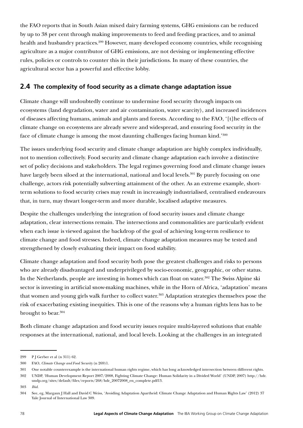the FAO reports that in South Asian mixed dairy farming systems, GHG emissions can be reduced by up to 38 per cent through making improvements to feed and feeding practices, and to animal health and husbandry practices.<sup>299</sup> However, many developed economy countries, while recognising agriculture as a major contributor of GHG emissions, are not devising or implementing effective rules, policies or controls to counter this in their jurisdictions. In many of these countries, the agricultural sector has a powerful and effective lobby.

# **2.4 The complexity of food security as a climate change adaptation issue**

Climate change will undoubtedly continue to undermine food security through impacts on ecosystems (land degradation, water and air contamination, water scarcity), and increased incidences of diseases affecting humans, animals and plants and forests. According to the FAO, '[t]he effects of climate change on ecosystems are already severe and widespread, and ensuring food security in the face of climate change is among the most daunting challenges facing human kind.'300

The issues underlying food security and climate change adaptation are highly complex individually, not to mention collectively. Food security and climate change adaptation each involve a distinctive set of policy decisions and stakeholders. The legal regimes governing food and climate change issues have largely been siloed at the international, national and local levels.<sup>301</sup> By purely focusing on one challenge, actors risk potentially subverting attainment of the other. As an extreme example, shortterm solutions to food security crises may result in increasingly industrialised, centralised endeavours that, in turn, may thwart longer-term and more durable, localised adaptive measures.

Despite the challenges underlying the integration of food security issues and climate change adaptation, clear intersections remain. The intersections and commonalities are particularly evident when each issue is viewed against the backdrop of the goal of achieving long-term resilience to climate change and food stresses. Indeed, climate change adaptation measures may be tested and strengthened by closely evaluating their impact on food stability.

Climate change adaptation and food security both pose the greatest challenges and risks to persons who are already disadvantaged and underprivileged by socio-economic, geographic, or other status. In the Netherlands, people are investing in homes which can float on water.<sup>302</sup> The Swiss Alpine ski sector is investing in artificial snow-making machines, while in the Horn of Africa, 'adaptation' means that women and young girls walk further to collect water.<sup>303</sup> Adaptation strategies themselves pose the risk of exacerbating existing inequities. This is one of the reasons why a human rights lens has to be brought to bear.<sup>304</sup>

Both climate change adaptation and food security issues require multi-layered solutions that enable responses at the international, national, and local levels. Looking at the challenges in an integrated

<sup>299</sup> P J Gerber et al (n 311) 62.

<sup>300</sup> FAO, *Climate Change and Food Security* (n 269)1.

<sup>301</sup> One notable counterexample is the international human rights regime, which has long acknowledged intersection between different rights.

<sup>302</sup> UNDP, 'Human Development Report 2007/2008, Fighting Climate Change: Human Solidarity in a Divided World' (UNDP, 2007) http://hdr. undp.org/sites/default/files/reports/268/hdr\_20072008\_en\_complete.pdf13.

<sup>303</sup> *Ibid.*

<sup>304</sup> See, eg, Margaux J Hall and David C Weiss, 'Avoiding Adaptation Apartheid: Climate Change Adaptation and Human Rights Law' (2012) 37 Yale Journal of International Law 309.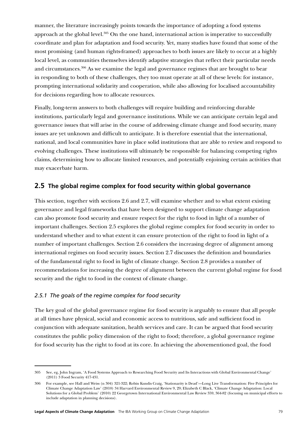manner, the literature increasingly points towards the importance of adopting a food systems approach at the global level.<sup>305</sup> On the one hand, international action is imperative to successfully coordinate and plan for adaptation and food security. Yet, many studies have found that some of the most promising (and human rights-framed) approaches to both issues are likely to occur at a highly local level, as communities themselves identify adaptive strategies that reflect their particular needs and circumstances.306 As we examine the legal and governance regimes that are brought to bear in responding to both of these challenges, they too must operate at all of these levels: for instance, prompting international solidarity and cooperation, while also allowing for localised accountability for decisions regarding how to allocate resources.

Finally, long-term answers to both challenges will require building and reinforcing durable institutions, particularly legal and governance institutions. While we can anticipate certain legal and governance issues that will arise in the course of addressing climate change and food security, many issues are yet unknown and difficult to anticipate. It is therefore essential that the international, national, and local communities have in place solid institutions that are able to review and respond to evolving challenges. These institutions will ultimately be responsible for balancing competing rights claims, determining how to allocate limited resources, and potentially enjoining certain activities that may exacerbate harm.

## <span id="page-79-0"></span>**2.5 The global regime complex for food security within global governance**

This section, together with sections [2.6](#page-91-0) and [2.7,](#page-95-0) will examine whether and to what extent existing governance and legal frameworks that have been designed to support climate change adaptation can also promote food security and ensure respect for the right to food in light of a number of important challenges. Section [2.5](#page-79-0) explores the global regime complex for food security in order to understand whether and to what extent it can ensure protection of the right to food in light of a number of important challenges. Section [2.6](#page-91-0) considers the increasing degree of alignment among international regimes on food security issues. Section [2.7](#page-95-0) discusses the definition and boundaries of the fundamental right to food in light of climate change. Section [2.8](#page-101-0) provides a number of recommendations for increasing the degree of alignment between the current global regime for food security and the right to food in the context of climate change.

### *2.5.1 The goals of the regime complex for food security*

The key goal of the global governance regime for food security is arguably to ensure that all people at all times have physical, social and economic access to nutritious, safe and sufficient food in conjunction with adequate sanitation, health services and care. It can be argued that food security constitutes the public policy dimension of the right to food; therefore, a global governance regime for food security has the right to food at its core. In achieving the abovementioned goal, the food

<sup>305</sup> See, eg, John Ingram, 'A Food Systems Approach to Researching Food Security and Its Interactions with Global Environmental Change' (2011) 3 Food Security 417-431.

<sup>306</sup> For example, see Hall and Weiss (n 304) 321-322; Robin Kundis Craig, 'Stationarity is Dead'—Long Live Transformation: Five Principles for Climate Change Adaptation Law' (2010) 34 Harvard Environmental Review 9, 29; Elizabeth C Black, 'Climate Change Adaptation: Local Solutions for a Global Problem' (2010) 22 Georgetown International Environmental Law Review 359, 364-82 (focusing on municipal efforts to include adaptation in planning decisions).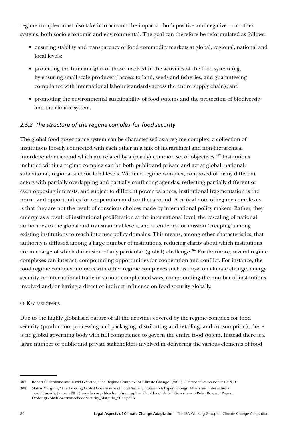regime complex must also take into account the impacts – both positive and negative – on other systems, both socio-economic and environmental. The goal can therefore be reformulated as follows:

- ensuring stability and transparency of food commodity markets at global, regional, national and local levels;
- protecting the human rights of those involved in the activities of the food system (eg, by ensuring small-scale producers' access to land, seeds and fisheries, and guaranteeing compliance with international labour standards across the entire supply chain); and
- promoting the environmental sustainability of food systems and the protection of biodiversity and the climate system.

### *2.5.2 The structure of the regime complex for food security*

The global food governance system can be characterised as a regime complex: a collection of institutions loosely connected with each other in a mix of hierarchical and non-hierarchical interdependencies and which are related by a (partly) common set of objectives.<sup>307</sup> Institutions included within a regime complex can be both public and private and act at global, national, subnational, regional and/or local levels. Within a regime complex, composed of many different actors with partially overlapping and partially conflicting agendas, reflecting partially different or even opposing interests, and subject to different power balances, institutional fragmentation is the norm, and opportunities for cooperation and conflict abound. A critical note of regime complexes is that they are not the result of conscious choices made by international policy makers. Rather, they emerge as a result of institutional proliferation at the international level, the rescaling of national authorities to the global and transnational levels, and a tendency for mission 'creeping' among existing institutions to reach into new policy domains. This means, among other characteristics, that authority is diffused among a large number of institutions, reducing clarity about which institutions are in charge of which dimension of any particular (global) challenge.<sup>308</sup> Furthermore, several regime complexes can interact, compounding opportunities for cooperation and conflict. For instance, the food regime complex interacts with other regime complexes such as those on climate change, energy security, or international trade in various complicated ways, compounding the number of institutions involved and/or having a direct or indirect influence on food security globally.

#### (i) Key participants

Due to the highly globalised nature of all the activities covered by the regime complex for food security (production, processing and packaging, distributing and retailing, and consumption), there is no global governing body with full competence to govern the entire food system. Instead there is a large number of public and private stakeholders involved in delivering the various elements of food

<sup>307</sup> Robert O Keohane and David G Victor, 'The Regime Complex for Climate Change' (2011) 9 Perspectives on Politics 7, 8, 9.

<sup>308</sup> Matias Margulis, 'The Evolving Global Governance of Food Security' (Research Paper, Foreign Affairs and international Trade Canada, January 2011) [www.fao.org/fileadmin/user\\_upload/fsn/docs/Global\\_Governance/PolicyResearchPaper\\_](http://www.fao.org/fileadmin/user_upload/fsn/docs/Global_Governance/PolicyResearchPaper_EvolvingGlobalGovernanceFoodSecurity_Margulis_2011.pdf) [EvolvingGlobalGovernanceFoodSecurity\\_Margulis\\_2011.pdf](http://www.fao.org/fileadmin/user_upload/fsn/docs/Global_Governance/PolicyResearchPaper_EvolvingGlobalGovernanceFoodSecurity_Margulis_2011.pdf) 3.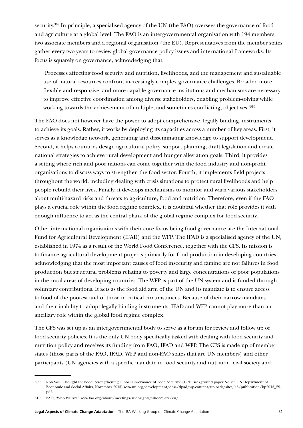security.<sup>309</sup> In principle, a specialised agency of the UN (the FAO) oversees the governance of food and agriculture at a global level. The FAO is an intergovernmental organisation with 194 members, two associate members and a regional organisation (the EU). Representatives from the member states gather every two years to review global governance policy issues and international frameworks. Its focus is squarely on governance, acknowledging that:

'Processes affecting food security and nutrition, livelihoods, and the management and sustainable use of natural resources confront increasingly complex governance challenges. Broader, more flexible and responsive, and more capable governance institutions and mechanisms are necessary to improve effective coordination among diverse stakeholders, enabling problem-solving while working towards the achievement of multiple, and sometimes conflicting, objectives.'310

The FAO does not however have the power to adopt comprehensive, legally binding, instruments to achieve its goals. Rather, it works by deploying its capacities across a number of key areas. First, it serves as a knowledge network, generating and disseminating knowledge to support development. Second, it helps countries design agricultural policy, support planning, draft legislation and create national strategies to achieve rural development and hunger alleviation goals. Third, it provides a setting where rich and poor nations can come together with the food industry and non-profit organisations to discuss ways to strengthen the food sector. Fourth, it implements field projects throughout the world, including dealing with crisis situations to protect rural livelihoods and help people rebuild their lives. Finally, it develops mechanisms to monitor and warn various stakeholders about multi-hazard risks and threats to agriculture, food and nutrition. Therefore, even if the FAO plays a crucial role within the food regime complex, it is doubtful whether that role provides it with enough influence to act as the central plank of the global regime complex for food security.

Other international organisations with their core focus being food governance are the International Fund for Agricultural Development (IFAD) and the WFP. The IFAD is a specialised agency of the UN, established in 1974 as a result of the World Food Conference, together with the CFS. Its mission is to finance agricultural development projects primarily for food production in developing countries, acknowledging that the most important causes of food insecurity and famine are not failures in food production but structural problems relating to poverty and large concentrations of poor populations in the rural areas of developing countries. The WFP is part of the UN system and is funded through voluntary contributions. It acts as the food aid arm of the UN and its mandate is to ensure access to food of the poorest and of those in critical circumstances. Because of their narrow mandates and their inability to adopt legally binding instruments, IFAD and WFP cannot play more than an ancillary role within the global food regime complex.

The CFS was set up as an intergovernmental body to serve as a forum for review and follow up of food security policies. It is the only UN body specifically tasked with dealing with food security and nutrition policy and receives its funding from FAO, IFAD and WFP. The CFS is made up of member states (those parts of the FAO, IFAD, WFP and non-FAO states that are UN members) and other participants (UN agencies with a specific mandate in food security and nutrition, civil society and

<sup>309</sup> Rob Vos, 'Thought for Food: Strengthening Global Governance of Food Security' (CPD Background paper No 29, UN Department of Economic and Social Affairs, November 2015) [www.un.org/development/desa/dpad/wp-content/uploads/sites/45/publication/bp2015\\_29.](https://www.un.org/development/desa/dpad/wp-content/uploads/sites/45/publication/bp2015_29.pdf) [pdf.](https://www.un.org/development/desa/dpad/wp-content/uploads/sites/45/publication/bp2015_29.pdf)

<sup>310</sup> FAO, 'Who We Are' www.fao.org/about/meetings/user-rights/who-we-are/en/.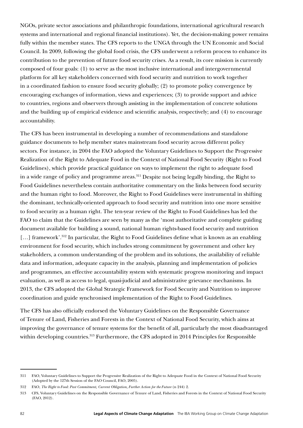NGOs, private sector associations and philanthropic foundations, international agricultural research systems and international and regional financial institutions). Yet, the decision-making power remains fully within the member states. The CFS reports to the UNGA through the UN Economic and Social Council. In 2009, following the global food crisis, the CFS underwent a reform process to enhance its contribution to the prevention of future food security crises. As a result, its core mission is currently composed of four goals: (1) to serve as the most inclusive international and intergovernmental platform for all key stakeholders concerned with food security and nutrition to work together in a coordinated fashion to ensure food security globally; (2) to promote policy convergence by encouraging exchanges of information, views and experiences; (3) to provide support and advice to countries, regions and observers through assisting in the implementation of concrete solutions and the building up of empirical evidence and scientific analysis, respectively; and (4) to encourage accountability.

The CFS has been instrumental in developing a number of recommendations and standalone guidance documents to help member states mainstream food security across different policy sectors. For instance, in 2004 the FAO adopted the Voluntary Guidelines to Support the Progressive Realization of the Right to Adequate Food in the Context of National Food Security (Right to Food Guidelines), which provide practical guidance on ways to implement the right to adequate food in a wide range of policy and programme areas.<sup>311</sup> Despite not being legally binding, the Right to Food Guidelines nevertheless contain authoritative commentary on the links between food security and the human right to food. Moreover, the Right to Food Guidelines were instrumental in shifting the dominant, technically-oriented approach to food security and nutrition into one more sensitive to food security as a human right. The ten-year review of the Right to Food Guidelines has led the FAO to claim that the Guidelines are seen by many as the 'most authoritative and complete guiding document available for building a sound, national human rights-based food security and nutrition [...] framework<sup>', 312</sup> In particular, the Right to Food Guidelines define what is known as an enabling environment for food security, which includes strong commitment by government and other key stakeholders, a common understanding of the problem and its solutions, the availability of reliable data and information, adequate capacity in the analysis, planning and implementation of policies and programmes, an effective accountability system with systematic progress monitoring and impact evaluation, as well as access to legal, quasi-judicial and administrative grievance mechanisms. In 2013, the CFS adopted the Global Strategic Framework for Food Security and Nutrition to improve coordination and guide synchronised implementation of the Right to Food Guidelines.

The CFS has also officially endorsed the Voluntary Guidelines on the Responsible Governance of Tenure of Land, Fisheries and Forests in the Context of National Food Security, which aims at improving the governance of tenure systems for the benefit of all, particularly the most disadvantaged within developing countries.<sup>313</sup> Furthermore, the CFS adopted in 2014 Principles for Responsible

<sup>311</sup> FAO, Voluntary Guidelines to Support the Progressive Realization of the Right to Adequate Food in the Context of National Food Security (Adopted by the 127th Session of the FAO Council, FAO, 2005).

<sup>312</sup> FAO, *The Right to Food: Past Commitment, Current Obligation, Further Action for the Future* (n 244) 2.

<sup>313</sup> CFS, Voluntary Guidelines on the Responsible Governance of Tenure of Land, Fisheries and Forests in the Context of National Food Security (FAO, 2012).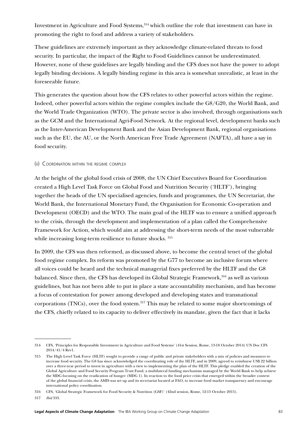Investment in Agriculture and Food Systems,314 which outline the role that investment can have in promoting the right to food and address a variety of stakeholders.

These guidelines are extremely important as they acknowledge climate-related threats to food security. In particular, the impact of the Right to Food Guidelines cannot be underestimated. However, none of these guidelines are legally binding and the CFS does not have the power to adopt legally binding decisions. A legally binding regime in this area is somewhat unrealistic, at least in the foreseeable future.

This generates the question about how the CFS relates to other powerful actors within the regime. Indeed, other powerful actors within the regime complex include the G8/G20, the World Bank, and the World Trade Organization (WTO). The private sector is also involved, through organisations such as the GCM and the International Agri-Food Network. At the regional level, development banks such as the Inter-American Development Bank and the Asian Development Bank, regional organisations such as the EU, the AU, or the North American Free Trade Agreement (NAFTA), all have a say in food security.

#### (ii) Coordination within the regime complex

At the height of the global food crisis of 2008, the UN Chief Executives Board for Coordination created a High Level Task Force on Global Food and Nutrition Security ('HLTF'), bringing together the heads of the UN specialised agencies, funds and programmes, the UN Secretariat, the World Bank, the International Monetary Fund, the Organisation for Economic Co-operation and Development (OECD) and the WTO. The main goal of the HLTF was to ensure a unified approach to the crisis, through the development and implementation of a plan called the Comprehensive Framework for Action, which would aim at addressing the short-term needs of the most vulnerable while increasing long-term resilience to future shocks. 315

In 2009, the CFS was then reformed, as discussed above, to become the central tenet of the global food regime complex. Its reform was promoted by the G77 to become an inclusive forum where all voices could be heard and the technical managerial fixes preferred by the HLTF and the G8 balanced. Since then, the CFS has developed its Global Strategic Framework,<sup>316</sup> as well as various guidelines, but has not been able to put in place a state accountability mechanism, and has become a focus of contestation for power among developed and developing states and transnational corporations (TNCs), over the food system.<sup>317</sup> This may be related to some major shortcomings of the CFS, chiefly related to its capacity to deliver effectively its mandate, given the fact that it lacks

316 CFS, 'Global Strategic Framework for Food Security & Nutrition (GSF)' (42nd session, Rome, 12-15 October 2015).

317 *Ibid* 333.

<sup>314</sup> CFS, 'Principles for Responsible Investment in Agriculture and Food Systems' (41st Session, Rome, 13-18 October 2014) UN Doc CFS 2014/41/4 Rev1.

<sup>315</sup> The High Level Task Force (HLTF) sought to provide a range of public and private stakeholders with a mix of policies and measures to increase food security. The G8 has since acknowledged the coordinating role of the HLTF, and in 2009, agreed to reimburse US\$ 22 billion over a three-year period to invest in agriculture with a view to implementing the plan of the HLTF. This pledge enabled the creation of the Global Agriculture and Food Security Program Trust Fund, a multilateral funding mechanism managed by the World Bank to help achieve the MDG focusing on the eradication of hunger (MDG 1). In reaction to the food price crisis that emerged within the broader context of the global financial crisis, the AMIS was set up and its secretariat located at FAO, to increase food market transparency and encourage international policy coordination.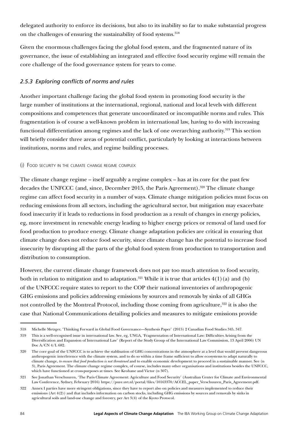delegated authority to enforce its decisions, but also to its inability so far to make substantial progress on the challenges of ensuring the sustainability of food systems.<sup>318</sup>

Given the enormous challenges facing the global food system, and the fragmented nature of its governance, the issue of establishing an integrated and effective food security regime will remain the core challenge of the food governance system for years to come.

# *2.5.3 Exploring conflicts of norms and rules*

Another important challenge facing the global food system in promoting food security is the large number of institutions at the international, regional, national and local levels with different compositions and competences that generate uncoordinated or incompatible norms and rules. This fragmentation is of course a well-known problem in international law, having to do with increasing functional differentiation among regimes and the lack of one overarching authority.<sup>319</sup> This section will briefly consider three areas of potential conflict, particularly by looking at interactions between institutions, norms and rules, and regime building processes.

### (i) Food security in the climate change regime complex

The climate change regime – itself arguably a regime complex – has at its core for the past few decades the UNFCCC (and, since, December 2015, the Paris Agreement).<sup>320</sup> The climate change regime can affect food security in a number of ways. Climate change mitigation policies must focus on reducing emissions from all sectors, including the agricultural sector, but mitigation may exacerbate food insecurity if it leads to reductions in food production as a result of changes in energy policies, eg, more investment in renewable energy leading to higher energy prices or removal of land used for food production to produce energy. Climate change adaptation policies are critical in ensuring that climate change does not reduce food security, since climate change has the potential to increase food insecurity by disrupting all the parts of the global food system from production to transportation and distribution to consumption.

However, the current climate change framework does not pay too much attention to food security, both in relation to mitigation and to adaptation.<sup>321</sup> While it is true that articles  $4(1)(a)$  and (b) of the UNFCCC require states to report to the COP their national inventories of anthropogenic GHG emissions and policies addressing emissions by sources and removals by sinks of all GHGs not controlled by the Montreal Protocol, including those coming from agriculture,<sup>322</sup> it is also the case that National Communications detailing policies and measures to mitigate emissions provide

<sup>318</sup> Michelle Metzger, 'Thinking Forward in Global Food Governance—Synthesis Paper' (2015) 2 Canadian Food Studies 345, 347.

<sup>319</sup> This is a well-recognised issue in international law. See, eg, UNGA, 'Fragmentation of International Law: Difficulties Arising from the Diversification and Expansion of International Law' (Report of the Study Group of the International Law Commission, 13 April 2006) UN Doc A/CN 4/L 682.

<sup>320</sup> The core goal of the UNFCCC is to achieve the stablisation of GHG concentrations in the atmosphere at a level that would prevent dangerous anthropogenic interference with the climate system, and to do so within a time frame sufficient to allow ecosystems to adapt naturally to climate change, *to ensure that food production is not threatened* and to enable economic development to proceed in a sustainable manner. See (n 3), Paris Agreement. The climate change regime complex, of course, includes many other organisations and institutions besides the UNFCCC, which have functioned at cross-purposes at times. See Keohane and Victor (n 307).

<sup>321</sup> See Jonathan Verschuuren, 'The Paris Climate Agreement: Agriculture and Food Security' (Australian Center for Climate and Environmental Law Conference, Sydney, February 2016) [https://pure.uvt.nl/portal/files/10163370/ACCEL\\_paper\\_Verschuuren\\_Paris\\_Agreement.pdf.](https://pure.uvt.nl/portal/files/10163370/ACCEL_paper_Verschuuren_Paris_Agreement.pdf%3e.)

<sup>322</sup> Annex I parties have more stringent obligations, since they have to report also on policies and measures implemented to reduce their emissions (Art 4(2)) and that includes information on carbon stocks, including GHG emissions by sources and removals by sinks in agricultural soils and land-use change and forestry, per Art 3(4) of the Kyoto Protocol.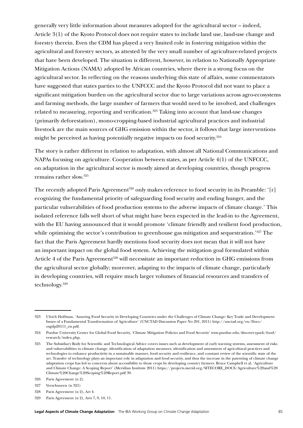generally very little information about measures adopted for the agricultural sector – indeed, Article 3(1) of the Kyoto Protocol does not require states to include land use, land-use change and forestry therein. Even the CDM has played a very limited role in fostering mitigation within the agricultural and forestry sectors, as attested by the very small number of agriculture-related projects that have been developed. The situation is different, however, in relation to Nationally Appropriate Mitigation Actions (NAMA) adopted by African countries, where there is a strong focus on the agricultural sector. In reflecting on the reasons underlying this state of affairs, some commentators have suggested that states parties to the UNFCCC and the Kyoto Protocol did not want to place a significant mitigation burden on the agricultural sector due to large variations across agro-ecosystems and farming methods, the large number of farmers that would need to be involved, and challenges related to measuring, reporting and verification.<sup>323</sup> Taking into account that land-use changes (primarily deforestation), mono-cropping-based industrial agricultural practices and industrial livestock are the main sources of GHG emission within the sector, it follows that large interventions might be perceived as having potentially negative impacts on food security.<sup>324</sup>

The story is rather different in relation to adaptation, with almost all National Communications and NAPAs focusing on agriculture. Cooperation between states, as per Article 4(1) of the UNFCCC, on adaptation in the agricultural sector is mostly aimed at developing countries, though progress remains rather slow.325

The recently adopted Paris Agreement<sup>326</sup> only makes reference to food security in its Preamble: '[r] ecognizing the fundamental priority of safeguarding food security and ending hunger, and the particular vulnerabilities of food production systems to the adverse impacts of climate change.' This isolated reference falls well short of what might have been expected in the lead-in to the Agreement, with the EU having announced that it would promote 'climate friendly and resilient food production, while optimising the sector's contribution to greenhouse gas mitigation and sequestration.'<sup>327</sup> The fact that the Paris Agreement hardly mentions food security does not mean that it will not have an important impact on the global food system. Achieving the mitigation goal formulated within Article 4 of the Paris Agreement<sup>328</sup> will necessitate an important reduction in GHG emissions from the agricultural sector globally; moreover, adapting to the impacts of climate change, particularly in developing countries, will require much larger volumes of financial resources and transfers of technology.329

<sup>323</sup> Ulrich Hoffman, 'Assuring Food Security in Developing Countries under the Challenges of Climate Change: Key Trade and Development Issues of a Fundamental Transformation of Agriculture' (UNCTAD Discussion Paper No 201, 2011) [http://unctad.org/en/Docs/](http://unctad.org/en/Docs/osgdp20111_en.pdf) [osgdp20111\\_en.pdf.](http://unctad.org/en/Docs/osgdp20111_en.pdf)

<sup>324</sup> Purdue University Center for Global Food Security, 'Climate Mitigation Policies and Food Security' [www.purdue.edu/discoverypark/food/](https://www.purdue.edu/discoverypark/food/research/index.php) [research/index.php](https://www.purdue.edu/discoverypark/food/research/index.php).

<sup>325</sup> The Subsidiary Body for Scientific and Technological Advice covers issues such as development of early warning systems, assessment of risks and vulnerabilities to climate change, identification of adaptation measures, identification and assessment of agricultural practices and technologies to enhance productivity in a sustainable manner, food security and resilience, and constant review of the scientific state of the art. Transfer of technology plays an important role in adaptation and food security, and thus the increase in the patenting of climate change adaptation crops has led to concerns about accessibility to those crops by developing country farmers. Bruce Campbell et al, 'Agriculture and Climate Change: A Scoping Report' (Meridian Institute 2011) [https://projects.merid.org/SITECORE\\_DOCS/Agriculture%20and%20](https://projects.merid.org/SITECORE_DOCS/Agriculture%20and%20Climate%20Change%20Scoping%20Report.pdf) [Climate%20Change%20Scoping%20Report.pdf](https://projects.merid.org/SITECORE_DOCS/Agriculture%20and%20Climate%20Change%20Scoping%20Report.pdf) 39.

<sup>326</sup> Paris Agreement (n 2).

<sup>327</sup> Verschuuren (n 321)

<sup>328</sup> Paris Agreement (n 2), Art 4.

<sup>329</sup> Paris Agreement (n 2), Arts 7, 9, 10, 11.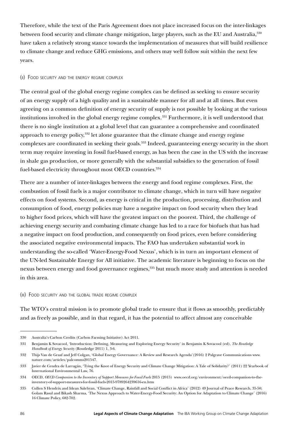Therefore, while the text of the Paris Agreement does not place increased focus on the inter-linkages between food security and climate change mitigation, large players, such as the EU and Australia, 330 have taken a relatively strong stance towards the implementation of measures that will build resilience to climate change and reduce GHG emissions, and others may well follow suit within the next few years.

#### (ii) Food security and the energy regime complex

The central goal of the global energy regime complex can be defined as seeking to ensure security of an energy supply of a high quality and in a sustainable manner for all and at all times. But even agreeing on a common definition of energy security of supply is not possible by looking at the various institutions involved in the global energy regime complex.<sup>331</sup> Furthermore, it is well understood that there is no single institution at a global level that can guarantee a comprehensive and coordinated approach to energy policy,<sup>332</sup> let alone guarantee that the climate change and energy regime complexes are coordinated in seeking their goals.<sup>333</sup> Indeed, guaranteeing energy security in the short term may require investing in fossil fuel-based energy, as has been the case in the US with the increase in shale gas production, or more generally with the substantial subsidies to the generation of fossil fuel-based electricity throughout most OECD countries.<sup>334</sup>

There are a number of inter-linkages between the energy and food regime complexes. First, the combustion of fossil fuels is a major contributor to climate change, which in turn will have negative effects on food systems. Second, as energy is critical in the production, processing, distribution and consumption of food, energy policies may have a negative impact on food security when they lead to higher food prices, which will have the greatest impact on the poorest. Third, the challenge of achieving energy security and combating climate change has led to a race for biofuels that has had a negative impact on food production, and consequently on food prices, even before considering the associated negative environmental impacts. The FAO has undertaken substantial work in understanding the so-called 'Water-Energy-Food Nexus', which is in turn an important element of the UN-led Sustainable Energy for All initiative. The academic literature is beginning to focus on the nexus between energy and food governance regimes,<sup>335</sup> but much more study and attention is needed in this area.

#### (iii) Food security and the global trade regime complex

The WTO's central mission is to promote global trade to ensure that it flows as smoothly, predictably and as freely as possible, and in that regard, it has the potential to affect almost any conceivable

<sup>330</sup> Australia's Carbon Credits (Carbon Farming Initiative) Act 2011.

<sup>331</sup> Benjamin K Sovacool, 'Introduction: Defining, Measuring and Exploring Energy Security' in Benjamin K Sovacool (ed), *The Routledge Handbook of Energy Security* (Routledge 2011) 1, 3-6.

<sup>332</sup> Thijs Van de Graaf and Jeff Colgan, 'Global Energy Governance: A Review and Research Agenda'(2016) 2 Palgrave Communications www. nature.com/articles/palcomms201547.

<sup>333</sup> Javier de Cendra de Larragán, 'Tying the Knot of Energy Security and Climate Change Mitigation: A Tale of Solidarity?' (2011) 22 Yearbook of International Environmental Law, 76.

<sup>334</sup> OECD, *OECD Companion to the Inventory of Support Measures for Fossil Fuels* 2015 (2015) [www.oecd.org/environment/oecd-companion-to-the](http://www.oecd.org/environment/oecd-companion-to-the-inventory-of-support-measures-for-fossil-fuels-2015-9789264239616-en.htm)[inventory-of-support-measures-for-fossil-fuels-2015-9789264239616-en.htm](http://www.oecd.org/environment/oecd-companion-to-the-inventory-of-support-measures-for-fossil-fuels-2015-9789264239616-en.htm)

<sup>335</sup> Cullen S Hendrix and Idean Salehyan, 'Climate Change, Rainfall and Social Conflict in Africa' (2012) 49 Journal of Peace Research, 35-50; Golam Rasul and Bikash Sharma, 'The Nexus Approach to Water-Energy-Food Security: An Option for Adaptation to Climate Change' (2016) 16 Climate Policy, 682-702.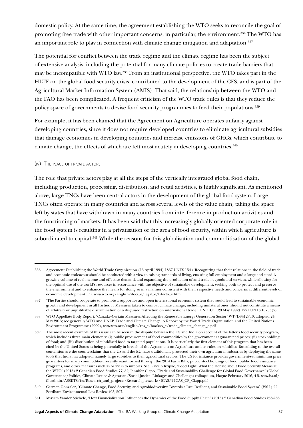domestic policy. At the same time, the agreement establishing the WTO seeks to reconcile the goal of promoting free trade with other important concerns, in particular, the environment.<sup>336</sup> The WTO has an important role to play in connection with climate change mitigation and adaptation.<sup>337</sup>

The potential for conflict between the trade regime and the climate regime has been the subject of extensive analysis, including the potential for many climate policies to create trade barriers that may be incompatible with WTO law.338 From an institutional perspective, the WTO takes part in the HLTF on the global food security crisis, contributed to the development of the CFS, and is part of the Agricultural Market Information System (AMIS). That said, the relationship between the WTO and the FAO has been complicated. A frequent criticism of the WTO trade rules is that they reduce the policy space of governments to devise food security programmes to feed their populations.<sup>339</sup>

For example, it has been claimed that the Agreement on Agriculture operates unfairly against developing countries, since it does not require developed countries to eliminate agricultural subsidies that damage economies in developing countries and increase emissions of GHGs, which contribute to climate change, the effects of which are felt most acutely in developing countries.340

#### (iv) The place of private actors

The role that private actors play at all the steps of the vertically integrated global food chain, including production, processing, distribution, and retail activities, is highly significant. As mentioned above, large TNCs have been central actors in the development of the global food system. Large TNCs often operate in many countries and across several levels of the value chain, taking the space left by states that have withdrawn in many countries from interference in production activities and the functioning of markets. It has been said that this increasingly globally-oriented corporate role in the food system is resulting in a privatisation of the area of food security, within which agriculture is subordinated to capital.<sup>341</sup> While the reasons for this globalisation and commoditisation of the global

<sup>336</sup> Agreement Establishing the World Trade Organization (15 April 1994) 1867 UNTS 154 ('Recognizing that their relations in the field of trade and economic endeavour should be conducted with a view to raising standards of living, ensuring full employment and a large and steadily growing volume of real income and effective demand, and expanding the production of and trade in goods and services, while allowing for the optimal use of the world's resources in accordance with the objective of sustainable development, seeking both to protect and preserve the environment and to enhance the means for doing so in a manner consistent with their respective needs and concerns at different levels of economic development ...'). [www.wto.org/english/docs\\_e/legal\\_e/04-wto\\_e.htm](https://www.wto.org/english/docs_e/legal_e/04-wto_e.htm)

<sup>337</sup> 'The Parties should cooperate to promote a supportive and open international economic system that would lead to sustainable economic growth and development in all Parties. . . Measures taken to combat climate change, including unilateral ones, should not constitute a means of arbitrary or unjustifiable discrimination or a disguised restriction on international trade.' UNFCCC (29 May 1992) 1771 UNTS 107, 3(5).

<sup>338</sup> WTO Appellate Body Report, 'Canada–Certain Measures Affecting the Renewable Energy Generation Sector' WT/DS412/13, adopted 24 May 2013; see generally WTO and UNEP, Trade and Climate Change: A Report by the World Trade Organization and the United Nations Environment Programme (2009), www.wto.org/english/res\_e/booksp\_e/trade\_climate\_change\_e.pdf

<sup>339</sup> The most recent example of this issue can be seen in the dispute between the US and India on account of the latter's food security program, which includes three main elements: (i) public procurement of food commodities by the government at guaranteed prices; (ii) stockholding of food; and (iii) distribution of subsidised food to targeted populations. It is particularly the first element of this program that has been cited by the United States as being potentially in breach of the Agreement on Agriculture and its rules on subsidies. But adding to the overall contention are the counterclaims that the US and the EU have traditionally protected their own agricultural industries by deploying the same tools that India has adopted, namely large subsidies to their agricultural sectors. The US for instance provides government-set minimum price guarantees for many commodities, recently reauthorised through the 2014 Farm Bill), public stockholdings of food, public food assistance programs, and other measures such as barriers to imports. See Gawain Kripke, 'Food Fight: What the Debate about Food Security Means at the WTO' (2015) 2 Canadian Food Studies 77, 82; Jennifer Clapp, 'Trade and Sustainability Challenge for Global Food Governance' (Global Governance/Politics, Climate Justice & Agrarian/Social Justice: Linkages and Challenges colloquium, Hague February 2016, 4-5. www.iss.nl/ fileadmin/ASSETS/iss/Research\_and\_projects/Research\_networks/ICAS/1-ICAS\_CP\_Clapp.pdf

<sup>340</sup> Carmen Gonzalez, 'Climate Change, Food Security, and Agrobiodiversity: Towards a Just, Resilient, and Sustainable Food System' (2011) 22 Fordham Environmental Law Review 493, 507.

<sup>341</sup> Myriam Vander Stichele, 'How Financialization Influences the Dynamics of the Food Supply Chain' (2015) 2 Canadian Food Studies 258-266.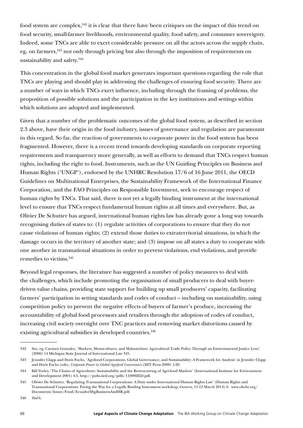food system are complex,<sup>342</sup> it is clear that there have been critiques on the impact of this trend on food security, small-farmer livelihoods, environmental quality, food safety, and consumer sovereignty. Indeed, some TNCs are able to exert considerable pressure on all the actors across the supply chain, eg, on farmers,<sup>343</sup> not only through pricing but also through the imposition of requirements on sustainability and safety.<sup>344</sup>

This concentration in the global food market generates important questions regarding the role that TNCs are playing and should play in addressing the challenges of ensuring food security. There are a number of ways in which TNCs exert influence, including through the framing of problems, the proposition of possible solutions and the participation in the key institutions and settings within which solutions are adopted and implemented.

<span id="page-88-0"></span>Given that a number of the problematic outcomes of the global food system, as described in section [2.3](#page-76-0) above, have their origin in the food industry, issues of governance and regulation are paramount in this regard. So far, the reaction of governments to corporate power in the food system has been fragmented. However, there is a recent trend towards developing standards on corporate reporting requirements and transparency more generally, as well as efforts to demand that TNCs respect human rights, including the right to food. Instruments, such as the UN Guiding Principles on Business and Human Rights ('UNGP'), endorsed by the UNHRC Resolution 17/6 of 16 June 2011, the OECD Guidelines on Multinational Enterprises, the Sustainability Framework of the International Finance Corporation, and the FAO Principles on Responsible Investment, seek to encourage respect of human rights by TNCs. That said, there is not yet a legally binding instrument at the international level to ensure that TNCs respect fundamental human rights at all times and everywhere. But, as Olivier De Schutter has argued, international human rights law has already gone a long way towards recognising duties of states to: (1) regulate activities of corporations to ensure that they do not cause violations of human rights; (2) extend those duties to extraterritorial situations, in which the damage occurs in the territory of another state; and (3) impose on all states a duty to cooperate with one another in transnational situations in order to prevent violations, end violations, and provide remedies to victims.345

<span id="page-88-1"></span>Beyond legal responses, the literature has suggested a number of policy measures to deal with the challenges, which include promoting the organisation of small producers to deal with buyerdriven value chains, providing state support for building up small producers' capacity, facilitating farmers' participation in setting standards and codes of conduct – including on sustainability, using competition policy to prevent the negative effects of buyers of farmer's produce, increasing the accountability of global food processors and retailers through the adoption of codes of conduct, increasing civil society oversight over TNC practices and removing market distortions caused by existing agricultural subsidies in developed countries.<sup>346</sup>

<sup>342</sup> See, eg, Carmen Gonzalez, 'Markets, Monocultures, and Malnutrition: Agricultural Trade Policy Through an Environmental Justice Lens' (2006) 14 Michigan State Journal of International Law 345.

<sup>343</sup> Jennifer Clapp and Doris Fuchs, 'Agrifood Corporations, Global Governance, and Sustainability: A Framework for Analysis' in Jennifer Clapp and Doris Fuchs (eds), *Corporate Power in Global Agrifood Governance* (MIT Press 2009) 1-20.

<sup>344</sup> Bill Vorley, 'The Chains of Agriculture: Sustainability and the Restructuring of Agri-food Markets' (International Institute for Environment and Development 2001) 4-5, http://pubs.iied.org/pdfs/11009IIED.pdf.

<sup>345</sup> Olivier De Schutter, 'Regulating Transnational Corporations: A Duty under International Human Rights Law' (Human Rights and Transnational Corporations: Paving the Way for a Legally Binding Instrument workshop, Geneva, 11-12 March 2014) 6. www.ohchr.org/ Documents/Issues/Food/EcuadorMtgBusinessAndHR.pdf.

<sup>346</sup> *Ibid* 6.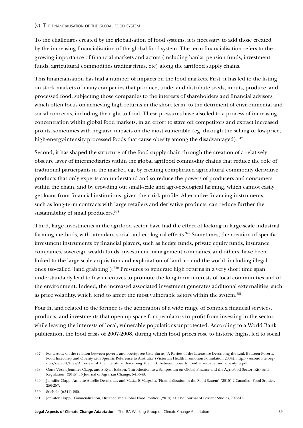To the challenges created by the globalisation of food systems, it is necessary to add those created by the increasing financialisation of the global food system. The term financialisation refers to the growing importance of financial markets and actors (including banks, pension funds, investment funds, agricultural commodities trading firms, etc) along the agrifood supply chains.

This financialisation has had a number of impacts on the food markets. First, it has led to the listing on stock markets of many companies that produce, trade, and distribute seeds, inputs, produce, and processed food, subjecting those companies to the interests of shareholders and financial advisors, which often focus on achieving high returns in the short term, to the detriment of environmental and social concerns, including the right to food. These pressures have also led to a process of increasing concentration within global food markets, in an effort to stave off competitors and extract increased profits, sometimes with negative impacts on the most vulnerable (eg, through the selling of low-price, high-energy-intensity processed foods that cause obesity among the disadvantaged).<sup>347</sup>

Second, it has shaped the structure of the food supply chain through the creation of a relatively obscure layer of intermediaries within the global agrifood commodity chains that reduce the role of traditional participants in the market, eg, by creating complicated agricultural commodity derivative products that only experts can understand and so reduce the powers of producers and consumers within the chain, and by crowding out small-scale and agro-ecological farming, which cannot easily get loans from financial institutions, given their risk profile. Alternative financing instruments, such as long-term contracts with large retailers and derivative products, can reduce further the sustainability of small producers.<sup>348</sup>

Third, large investments in the agrifood sector have had the effect of locking in large-scale industrial farming methods, with attendant social and ecological effects.<sup>349</sup> Sometimes, the creation of specific investment instruments by financial players, such as hedge funds, private equity funds, insurance companies, sovereign wealth funds, investment management companies, and others, have been linked to the large-scale acquisition and exploitation of land around the world, including illegal ones (so-called 'land grabbing').350 Pressures to generate high returns in a very short time span understandably lead to few incentives to promote the long-term interests of local communities and of the environment. Indeed, the increased associated investment generates additional externalities, such as price volatility, which tend to affect the most vulnerable actors within the system.351

Fourth, and related to the former, is the generation of a wide range of complex financial services, products, and investments that open up space for speculators to profit from investing in the sector, while leaving the interests of local, vulnerable populations unprotected. According to a World Bank publication, the food crisis of 2007-2008, during which food prices rose to historic highs, led to social

<sup>347</sup> For a study on the relation between poverty and obesity, see Cate Burns, 'A Review of the Literature Describing the Link Between Poverty, Food Insecurity and Obesity with Specific Reference to Australia' (Victorian Health Promotion Foundation 2004), http://secondbite.org/ sites/default/files/A\_review\_of\_the\_literature\_describing\_the\_link\_between\_poverty\_food\_insecurity\_and\_obesity\_w.pdf

<sup>348</sup> Oane Visser, Jennifer Clapp, and S Ryan Isakson, 'Introduction to a Symposium on Global Finance and the Agri-Food Sector: Risk and Regulation' (2015) 15 Journal of Agrarian Change, 541-548.

<sup>349</sup> Jennifer Clapp, Annette Aurélie Desmarais, and Matias E Margulis, 'Financialization in the Food System' (2015) 2 Canadian Food Studies, 256-257.

<sup>350</sup> Stichele (n341) 260.

<sup>351</sup> Jennifer Clapp, 'Financialization, Distance and Global Food Politics' (2014) 41 The Journal of Peasant Studies, 797-814.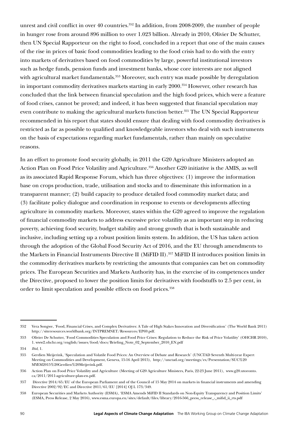unrest and civil conflict in over 40 countries.<sup> $352$ </sup> In addition, from 2008-2009, the number of people in hunger rose from around 896 million to over 1.023 billion. Already in 2010, Olivier De Schutter, then UN Special Rapporteur on the right to food, concluded in a report that one of the main causes of the rise in prices of basic food commodities leading to the food crisis had to do with the entry into markets of derivatives based on food commodities by large, powerful institutional investors such as hedge funds, pension funds and investment banks, whose core interests are not aligned with agricultural market fundamentals.<sup>353</sup> Moreover, such entry was made possible by deregulation in important commodity derivatives markets starting in early 2000.<sup>354</sup> However, other research has concluded that the link between financial speculation and the high food prices, which were a feature of food crises, cannot be proved; and indeed, it has been suggested that financial speculation may even contribute to making the agricultural markets function better.<sup>355</sup> The UN Special Rapporteur recommended in his report that states should ensure that dealing with food commodity derivatives is restricted as far as possible to qualified and knowledgeable investors who deal with such instruments on the basis of expectations regarding market fundamentals, rather than mainly on speculative reasons.

In an effort to promote food security globally, in 2011 the G20 Agriculture Ministers adopted an Action Plan on Food Price Volatility and Agriculture.<sup>356</sup> Another G20 initiative is the AMIS, as well as its associated Rapid Response Forum, which has three objectives: (1) improve the information base on crops production, trade, utilisation and stocks and to disseminate this information in a transparent manner; (2) build capacity to produce detailed food commodity market data; and (3) facilitate policy dialogue and coordination in response to events or developments affecting agriculture in commodity markets. Moreover, states within the G20 agreed to improve the regulation of financial commodity markets to address excessive price volatility as an important step in reducing poverty, achieving food security, budget stability and strong growth that is both sustainable and inclusive, including setting up a robust position limits system. In addition, the US has taken action through the adoption of the Global Food Security Act of 2016, and the EU through amendments to the Markets in Financial Instruments Directive II (MiFID II).357 MiFID II introduces position limits in the commodity derivatives markets by restricting the amounts that companies can bet on commodity prices. The European Securities and Markets Authority has, in the exercise of its competences under the Directive, proposed to lower the position limits for derivatives with foodstuffs to 2.5 per cent, in order to limit speculation and possible effects on food prices.<sup>358</sup>

<sup>352</sup> Vera Songwe, 'Food, Financial Crises, and Complex Derivatives: A Tale of High Stakes Innovation and Diversification' (The World Bank 2011) http://siteresources.worldbank.org/INTPREMNET/Resources/EP69.pdf.

<sup>353</sup> Olivier De Schutter, 'Food Commodities Speculation and Food Price Crises: Regulation to Reduce the Risk of Price Volatility' (OHCHR 2010), 1. www2.ohchr.org/english/issues/food/docs/Briefing\_Note\_02\_September\_2010\_EN.pdf

<sup>354</sup> *Ibid*, 1.

<sup>355</sup> Gerdien Meijerink, 'Speculation and Volatile Food Prices: An Overview of Debate and Research' (UNCTAD Seventh Multi-year Expert Meeting on Commodities and Development, Geneva, 15-16 April 2015), http://unctad.org/meetings/es/Presentation/SUC%20 MYEM2015%20Gerdien%20Meijerink.pdf.

<sup>356</sup> Action Plan on Food Price Volatility and Agriculture (Meeting of G20 Agriculture Ministers, Paris, 22-23 June 2011), www.g20.utoronto. ca/2011/2011-agriculture-plan-en.pdf.

<sup>357</sup> Directive 2014/65/EU of the European Parliament and of the Council of 15 May 2014 on markets in financial instruments and amending Directive 2002/92/EC and Directive 2011/61/EU [2014] OJ L 173/349.

<sup>358</sup> European Securities and Markets Authority (ESMA), 'ESMA Amends MiFID II Standards on Non-Equity Transparency and Position Limits' (ESMA, Press Release, 2 May 2016), www.esma.europa.eu/sites/default/files/library/2016-566\_press\_release\_-\_mifid\_ii\_rts.pdf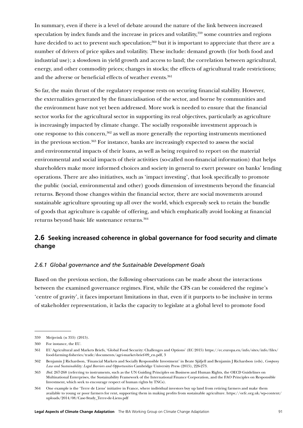In summary, even if there is a level of debate around the nature of the link between increased speculation by index funds and the increase in prices and volatility,<sup>359</sup> some countries and regions have decided to act to prevent such speculation;<sup>360</sup> but it is important to appreciate that there are a number of drivers of price spikes and volatility. These include: demand growth (for both food and industrial use); a slowdown in yield growth and access to land; the correlation between agricultural, energy, and other commodity prices; changes in stocks; the effects of agricultural trade restrictions; and the adverse or beneficial effects of weather events.<sup>361</sup>

So far, the main thrust of the regulatory response rests on securing financial stability. However, the externalities generated by the financialisation of the sector, and borne by communities and the environment have not yet been addressed. More work is needed to ensure that the financial sector works for the agricultural sector in supporting its real objectives, particularly as agriculture is increasingly impacted by climate change. The socially responsible investment approach is one response to this concern,362 as well as more generally the reporting instruments mentioned in the previous section.<sup>363</sup> For instance, banks are increasingly expected to assess the social and environmental impacts of their loans, as well as being required to report on the material environmental and social impacts of their activities (so-called non-financial information) that helps shareholders make more informed choices and society in general to exert pressure on banks' lending operations. There are also initiatives, such as 'impact investing', that look specifically to promote the public (social, environmental and other) goods dimension of investments beyond the financial returns. Beyond those changes within the financial sector, there are social movements around sustainable agriculture sprouting up all over the world, which expressly seek to retain the bundle of goods that agriculture is capable of offering, and which emphatically avoid looking at financial returns beyond basic life sustenance returns.<sup>364</sup>

# <span id="page-91-0"></span>**2.6 Seeking increased coherence in global governance for food security and climate change**

### *2.6.1 Global governance and the Sustainable Development Goals*

Based on the previous section, the following observations can be made about the interactions between the examined governance regimes. First, while the CFS can be considered the regime's 'centre of gravity', it faces important limitations in that, even if it purports to be inclusive in terms of stakeholder representation, it lacks the capacity to legislate at a global level to promote food

<sup>359</sup> Meijerink (n 355) (2015).

<sup>360</sup> For instance, the EU.

<sup>361</sup> EU Agricultural and Markets Briefs, 'Global Food Security: Challenges and Options' (EC 2015) https://ec.europa.eu/info/sites/info/files/ food-farming-fisheries/trade/documents/agri-market-brief-09\_en.pdf, 3

<sup>362</sup> Benjamin J Richardson, 'Financial Markets and Socially Responsible Investment' in Beate Sjåfjell and Benjamin J Richardson (eds), *Company Law and Sustainability: Legal Barriers and Opportunities* Cambridge University Press (2015), 226-273.

<sup>363</sup> *Ibid*. [267-](#page-88-0)2[68](#page-88-1) (referring to instruments, such as the UN Guiding Principles on Business and Human Rights, the OECD Guidelines on Multinational Enterprises, the Sustainability Framework of the International Finance Corporation, and the FAO Principles on Responsible Investment, which seek to encourage respect of human rights by TNCs).

<sup>364</sup> One example is the 'Terre de Liens' initiative in France, where individual investors buy up land from retiring farmers and make them available to young or poor farmers for rent, supporting them in making profits from sustainable agriculture. [https://orfc.org.uk/wp-content/](https://orfc.org.uk/wp-content/uploads/2014/08/Case-Study_Terre-de-Liens.pdf) [uploads/2014/08/Case-Study\\_Terre-de-Liens.pdf](https://orfc.org.uk/wp-content/uploads/2014/08/Case-Study_Terre-de-Liens.pdf)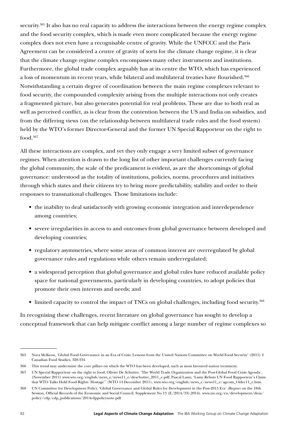security.<sup>365</sup> It also has no real capacity to address the interactions between the energy regime complex and the food security complex, which is made even more complicated because the energy regime complex does not even have a recognisable centre of gravity. While the UNFCCC and the Paris Agreement can be considered a centre of gravity of sorts for the climate change regime, it is clear that the climate change regime complex encompasses many other instruments and institutions. Furthermore, the global trade complex arguably has at its centre the WTO, which has experienced a loss of momentum in recent years, while bilateral and multilateral treaties have flourished.<sup>366</sup> Notwithstanding a certain degree of coordination between the main regime complexes relevant to food security, the compounded complexity arising from the multiple interactions not only creates a fragmented picture, but also generates potential for real problems. These are due to both real as well as perceived conflict, as is clear from the contention between the US and India on subsidies, and from the differing views (on the relationship between multilateral trade rules and the food system) held by the WTO's former Director-General and the former UN Special Rapporteur on the right to food.367

All these interactions are complex, and yet they only engage a very limited subset of governance regimes. When attention is drawn to the long list of other important challenges currently facing the global community, the scale of the predicament is evident, as are the shortcomings of global governance: understood as the totality of institutions, policies, norms, procedures and initiatives through which states and their citizens try to bring more predictability, stability and order to their responses to transnational challenges. Those limitations include:

- the inability to deal satisfactorily with growing economic integration and interdependence among countries;
- severe irregularities in access to and outcomes from global governance between developed and developing countries;
- regulatory asymmetries, where some areas of common interest are overregulated by global governance rules and regulations while others remain underregulated;
- a widespread perception that global governance and global rules have reduced available policy space for national governments, particularly in developing countries, to adopt policies that promote their own interests and needs; and
- limited capacity to control the impact of TNCs on global challenges, including food security.368

In recognising these challenges, recent literature on global governance has sought to develop a conceptual framework that can help mitigate conflict among a large number of regime complexes so

<sup>365</sup> Nora McKeon, 'Global Food Governance in an Era of Crisis: Lessons from the United Nations Committee on World Food Security' (2015) 2 Canadian Food Studies, 328-334.

<sup>366</sup> This trend may undermine the core pillars on which the WTO has been developed, such as most favoured nation treatment.

<sup>367</sup> UN Special Rapporteur on the right to food, Olivier De Schutter, 'The World Trade Organization and the Post-Global Food Crisis Agenda', (November 2011) www.wto.org/english/news\_e/news11\_e/deschutter\_2011\_e.pdf; Pascal Lamy, 'Lamy Rebuts UN Food Rapporteur's Claim that WTO Talks Hold Food Rights 'Hostage'' (WTO 14 December 2011), www.wto.org/english/news\_e/news11\_e/agcom\_14dec11\_e.htm.

<sup>368</sup> UN Committee for Development Policy, 'Global Governance and Global Rules for Development in the Post-2015 Era' (Report on the 18th Session, Official Records of the Economic and Social Council, Supplement No 13 (E/2014/33),2014). www.un.org/en/development/desa/ policy/cdp/cdp\_publications/2014cdppolicynote.pdf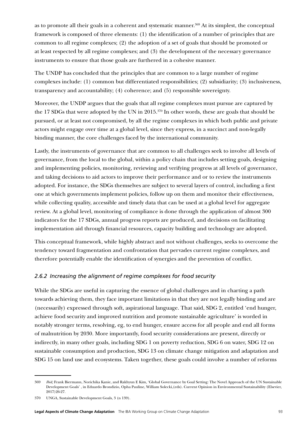as to promote all their goals in a coherent and systematic manner.<sup>369</sup> At its simplest, the conceptual framework is composed of three elements: (1) the identification of a number of principles that are common to all regime complexes; (2) the adoption of a set of goals that should be promoted or at least respected by all regime complexes; and (3) the development of the necessary governance instruments to ensure that those goals are furthered in a cohesive manner.

The UNDP has concluded that the principles that are common to a large number of regime complexes include: (1) common but differentiated responsibilities; (2) subsidiarity; (3) inclusiveness, transparency and accountability; (4) coherence; and (5) responsible sovereignty.

Moreover, the UNDP argues that the goals that all regime complexes must pursue are captured by the 17 SDGs that were adopted by the UN in 2015.370 In other words, these are goals that should be pursued, or at least not compromised, by all the regime complexes in which both public and private actors might engage over time at a global level, since they express, in a succinct and non-legally binding manner, the core challenges faced by the international community.

Lastly, the instruments of governance that are common to all challenges seek to involve all levels of governance, from the local to the global, within a policy chain that includes setting goals, designing and implementing policies, monitoring, reviewing and verifying progress at all levels of governance, and taking decisions to aid actors to improve their performance and or to review the instruments adopted. For instance, the SDGs themselves are subject to several layers of control, including a first one at which governments implement policies, follow up on them and monitor their effectiveness, while collecting quality, accessible and timely data that can be used at a global level for aggregate review. At a global level, monitoring of compliance is done through the application of almost 300 indicators for the 17 SDGs, annual progress reports are produced, and decisions on facilitating implementation aid through financial resources, capacity building and technology are adopted.

This conceptual framework, while highly abstract and not without challenges, seeks to overcome the tendency toward fragmentation and confrontation that pervades current regime complexes, and therefore potentially enable the identification of synergies and the prevention of conflict.

## *2.6.2 Increasing the alignment of regime complexes for food security*

While the SDGs are useful in capturing the essence of global challenges and in charting a path towards achieving them, they face important limitations in that they are not legally binding and are (necessarily) expressed through soft, aspirational language. That said, SDG 2, entitled 'end hunger, achieve food security and improved nutrition and promote sustainable agriculture' is worded in notably stronger terms, resolving, eg, to end hunger, ensure access for all people and end all forms of malnutrition by 2030. More importantly, food security considerations are present, directly or indirectly, in many other goals, including SDG 1 on poverty reduction, SDG 6 on water, SDG 12 on sustainable consumption and production, SDG 13 on climate change mitigation and adaptation and SDG 15 on land use and ecosystems. Taken together, these goals could involve a number of reforms

<sup>369</sup> *Ibid;* Frank Biermann, Norichika Kanie, and Rakhyun E Kim, 'Global Governance by Goal Setting: The Novel Approach of the UN Sustainable Development Goals' , in Eduardo Brondizio, Opha Pauline, William Solecki,(eds). Current Opinion in Environmental Sustainability (Elsevier, 2017)26-27.

<sup>370</sup> UNGA, Sustainable Development Goals, 3 (n 139).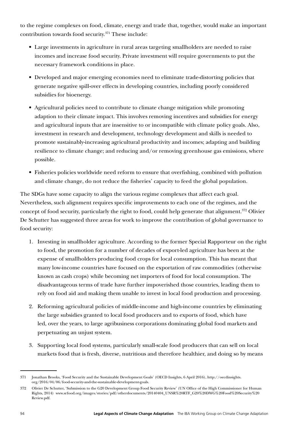to the regime complexes on food, climate, energy and trade that, together, would make an important contribution towards food security.371 These include:

- Large investments in agriculture in rural areas targeting smallholders are needed to raise incomes and increase food security. Private investment will require governments to put the necessary framework conditions in place.
- Developed and major emerging economies need to eliminate trade-distorting policies that generate negative spill-over effects in developing countries, including poorly considered subsidies for bioenergy.
- Agricultural policies need to contribute to climate change mitigation while promoting adaption to their climate impact. This involves removing incentives and subsidies for energy and agricultural inputs that are insensitive to or incompatible with climate policy goals. Also, investment in research and development, technology development and skills is needed to promote sustainably-increasing agricultural productivity and incomes; adapting and building resilience to climate change; and reducing and/or removing greenhouse gas emissions, where possible.
- Fisheries policies worldwide need reform to ensure that overfishing, combined with pollution and climate change, do not reduce the fisheries' capacity to feed the global population.

The SDGs have some capacity to align the various regime complexes that affect each goal. Nevertheless, such alignment requires specific improvements to each one of the regimes, and the concept of food security, particularly the right to food, could help generate that alignment.<sup>372</sup> Olivier De Schutter has suggested three areas for work to improve the contribution of global governance to food security:

- 1. Investing in smallholder agriculture. According to the former Special Rapporteur on the right to food, the promotion for a number of decades of export-led agriculture has been at the expense of smallholders producing food crops for local consumption. This has meant that many low-income countries have focused on the exportation of raw commodities (otherwise known as cash crops) while becoming net importers of food for local consumption. The disadvantageous terms of trade have further impoverished those countries, leading them to rely on food aid and making them unable to invest in local food production and processing.
- 2. Reforming agricultural policies of middle-income and high-income countries by eliminating the large subsidies granted to local food producers and to exports of food, which have led, over the years, to large agribusiness corporations dominating global food markets and perpetuating an unjust system.
- 3. Supporting local food systems, particularly small-scale food producers that can sell on local markets food that is fresh, diverse, nutritious and therefore healthier, and doing so by means

<sup>371</sup> Jonathan Brooks, 'Food Security and the Sustainable Development Goals' (OECD Insights, 6 April 2016), http://oecdinsights. org/2016/04/06/food-security-and-the-sustainable-development-goals.

<sup>372</sup> Olivier De Schutter, 'Submission to the G20 Development Group Food Security Review' (UN Office of the High Commissioner for Human Rights, 2014) www.srfood.org/images/stories/pdf/otherdocuments/20140404\_UNSR%20RTF\_G20%20DWG%20Food%20Security%20 Review.pdf.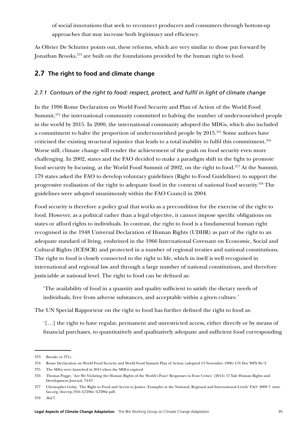<span id="page-95-0"></span>of social innovations that seek to reconnect producers and consumers through bottom-up approaches that may increase both legitimacy and efficiency.

As Olivier De Schutter points out, these reforms, which are very similar to those put forward by Jonathan Brooks,<sup>373</sup> are built on the foundations provided by the human right to food.

# **2.7 The right to food and climate change**

## *2.7.1 Contours of the right to food: respect, protect, and fulfil in light of climate change*

In the 1996 Rome Declaration on World Food Security and Plan of Action of the World Food Summit,<sup>374</sup> the international community committed to halving the number of undernourished people in the world by 2015. In 2000, the international community adopted the MDGs, which also included a commitment to halve the proportion of undernourished people by 2015.375 Some authors have criticised the existing structural injustice that leads to a total inability to fulfil this commitment.376 Worse still, climate change will render the achievement of the goals on food security even more challenging. In 2002, states and the FAO decided to make a paradigm shift in the fight to promote food security by focusing, at the World Food Summit of 2002, on the right to food.377 At the Summit, 179 states asked the FAO to develop voluntary guidelines (Right to Food Guidelines) to support the progressive realisation of the right to adequate food in the context of national food security.378 The guidelines were adopted unanimously within the FAO Council in 2004.

Food security is therefore a policy goal that works as a precondition for the exercise of the right to food. However, as a political rather than a legal objective, it cannot impose specific obligations on states or afford rights to individuals. In contrast, the right to food is a fundamental human right recognised in the 1948 Universal Declaration of Human Rights (UDHR) as part of the right to an adequate standard of living, enshrined in the 1966 International Covenant on Economic, Social and Cultural Rights (ICESCR) and protected in a number of regional treaties and national constitutions. The right to food is closely connected to the right to life, which in itself is well recognised in international and regional law and through a large number of national constitutions, and therefore justiciable at national level. The right to food can be defined as:

'The availability of food in a quantity and quality sufficient to satisfy the dietary needs of individuals, free from adverse substances, and acceptable within a given culture.'

The UN Special Rapporteur on the right to food has further defined the right to food as:

'[…] the right to have regular, permanent and unrestricted access, either directly or by means of financial purchases, to quantitatively and qualitatively adequate and sufficient food corresponding

<sup>373</sup> Brooks (n 371).

<sup>374</sup> Rome Declaration on World Food Security and World Food Summit Plan of Action (adopted 13 November 1996) UN Doc WFS 96/3.

<sup>375</sup> The SDGs were launched in 2015 when the MDGs expired.

<sup>376</sup> Thomas Pogge, 'Are We Violating the Human Rights of the World's Poor? Responses to Four Critics' (2014) 17 Yale Human Rights and Development Journal, 74-87.

<sup>377</sup> Christopher Golay, 'The Right to Food and Access to Justice: Examples at the National, Regional and International Levels' FAO 2009 7 www. fao.org/docrep/016/k7286e/k7286e.pdf.

<sup>378</sup> *Ibid* 7.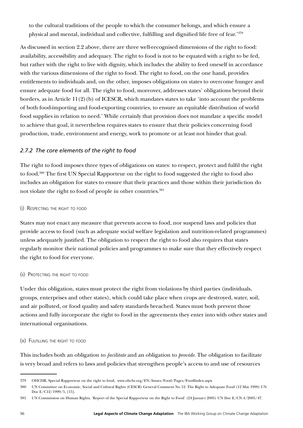to the cultural traditions of the people to which the consumer belongs, and which ensure a physical and mental, individual and collective, fulfilling and dignified life free of fear.'379

As discussed in section [2.2](#page-72-0) above, there are three well-recognised dimensions of the right to food: availability, accessibility and adequacy. The right to food is not to be equated with a right to be fed, but rather with the right to live with dignity, which includes the ability to feed oneself in accordance with the various dimensions of the right to food. The right to food, on the one hand, provides entitlements to individuals and, on the other, imposes obligations on states to overcome hunger and ensure adequate food for all. The right to food, moreover, addresses states' obligations beyond their borders, as in Article 11(2)(b) of ICESCR, which mandates states to take 'into account the problems of both food-importing and food-exporting countries, to ensure an equitable distribution of world food supplies in relation to need.' While certainly that provision does not mandate a specific model to achieve that goal, it nevertheless requires states to ensure that their policies concerning food production, trade, environment and energy, work to promote or at least not hinder that goal.

# *2.7.2 The core elements of the right to food*

The right to food imposes three types of obligations on states: to respect, protect and fulfil the right to food.380 The first UN Special Rapporteur on the right to food suggested the right to food also includes an obligation for states to ensure that their practices and those within their jurisdiction do not violate the right to food of people in other countries.<sup>381</sup>

(i) Respecting the right to food

States may not enact any measure that prevents access to food, nor suspend laws and policies that provide access to food (such as adequate social welfare legislation and nutrition-related programmes) unless adequately justified. The obligation to respect the right to food also requires that states regularly monitor their national policies and programmes to make sure that they effectively respect the right to food for everyone.

### (ii) Protecting the right to food

Under this obligation, states must protect the right from violations by third parties (individuals, groups, enterprises and other states), which could take place when crops are destroyed, water, soil, and air polluted, or food quality and safety standards breached. States must both prevent those actions and fully incorporate the right to food in the agreements they enter into with other states and international organisations.

### (iii) Fulfilling the right to food

This includes both an obligation to *facilitate* and an obligation to *provide*. The obligation to facilitate is very broad and refers to laws and policies that strengthen people's access to and use of resources

<sup>379</sup> OHCHR, Special Rapporteur on the right to food, www.ohchr.org/EN/Issues/Food/Pages/FoodIndex.aspx

<sup>380</sup> UN Committee on Economic, Social and Cultural Rights (CESCR) General Comment No 12: The Right to Adequate Food (12 May 1999) UN Doc E/C12/1999/5, [15].

<sup>381</sup> UN Commission on Human Rights, 'Report of the Special Rapporteur on the Right to Food' (24 January 2005) UN Doc E/CN.4/2005/47.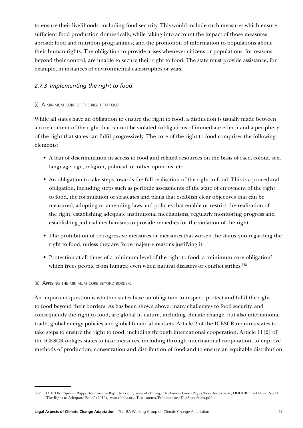to ensure their livelihoods, including food security. This would include such measures which ensure sufficient food production domestically, while taking into account the impact of those measures abroad; food and nutrition programmes; and the promotion of information to populations about their human rights. The obligation to provide arises whenever citizens or populations, for reasons beyond their control, are unable to secure their right to food. The state must provide assistance, for example, in instances of environmental catastrophes or wars.

### *2.7.3 Implementing the right to food*

### (i) A minimum core of the right to food

While all states have an obligation to ensure the right to food, a distinction is usually made between a core content of the right that cannot be violated (obligations of immediate effect) and a periphery of the right that states can fulfil progressively. The core of the right to food comprises the following elements:

- A ban of discrimination in access to food and related resources on the basis of race, colour, sex, language, age, religion, political, or other opinions, etc.
- An obligation to take steps towards the full realisation of the right to food. This is a procedural obligation, including steps such as periodic assessments of the state of enjoyment of the right to food, the formulation of strategies and plans that establish clear objectives that can be measured, adopting or amending laws and policies that enable or restrict the realisation of the right, establishing adequate institutional mechanisms, regularly monitoring progress and establishing judicial mechanisms to provide remedies for the violation of the right.
- The prohibition of retrogressive measures or measures that worsen the status quo regarding the right to food, unless they are force majeure reasons justifying it.
- Protection at all times of a minimum level of the right to food, a 'minimum core obligation', which frees people from hunger, even when natural disasters or conflict strikes.<sup>382</sup>

#### (ii) Applying the minimum core beyond borders

An important question is whether states have an obligation to respect, protect and fulfil the right to food beyond their borders. As has been shown above, many challenges to food security, and consequently the right to food, are global in nature, including climate change, but also international trade, global energy policies and global financial markets. Article 2 of the ICESCR requires states to take steps to ensure the right to food, including through international cooperation. Article 11(2) of the ICESCR obliges states to take measures, including through international cooperation, to improve methods of production, conservation and distribution of food and to ensure an equitable distribution

<sup>382</sup> OHCHR, 'Special Rapporteur on the Right to Food', www.ohchr.org/EN/Issues/Food/Pages/FoodIndex.aspx; OHCHR, 'Fact Sheet No 34: The Right to Adequate Food' (2010), www.ohchr.org/Documents/Publications/FactSheet34en.pdf.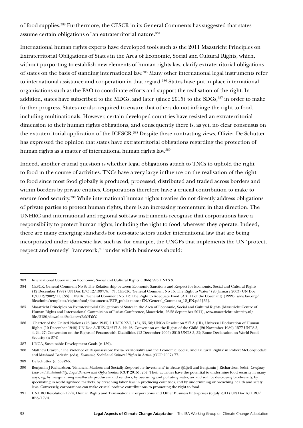of food supplies.383 Furthermore, the CESCR in its General Comments has suggested that states assume certain obligations of an extraterritorial nature.<sup>384</sup>

International human rights experts have developed tools such as the 2011 Maastricht Principles on Extraterritorial Obligations of States in the Area of Economic, Social and Cultural Rights, which, without purporting to establish new elements of human rights law, clarify extraterritorial obligations of states on the basis of standing international law.385 Many other international legal instruments refer to international assistance and cooperation in that regard.<sup>386</sup> States have put in place international organisations such as the FAO to coordinate efforts and support the realisation of the right. In addition, states have subscribed to the MDGs, and later (since 2015) to the SDGs,<sup>387</sup> in order to make further progress. States are also required to ensure that others do not infringe the right to food, including multinationals. However, certain developed countries have resisted an extraterritorial dimension to their human rights obligations, and consequently there is, as yet, no clear consensus on the extraterritorial application of the ICESCR.388 Despite these contrasting views, Olivier De Schutter has expressed the opinion that states have extraterritorial obligations regarding the protection of human rights as a matter of international human rights law.389

Indeed, another crucial question is whether legal obligations attach to TNCs to uphold the right to food in the course of activities. TNCs have a very large influence on the realisation of the right to food since most food globally is produced, processed, distributed and traded across borders and within borders by private entities. Corporations therefore have a crucial contribution to make to ensure food security.390 While international human rights treaties do not directly address obligations of private parties to protect human rights, there is an increasing momentum in that direction. The UNHRC and international and regional soft-law instruments recognise that corporations have a responsibility to protect human rights, including the right to food, wherever they operate. Indeed, there are many emerging standards for non-state actors under international law that are being incorporated under domestic law, such as, for example, the UNGPs that implements the UN 'protect, respect and remedy' framework,<sup>391</sup> under which businesses should:

<sup>383</sup> International Covenant on Economic, Social and Cultural Rights (1966) 993 UNTS 3.

<sup>384</sup> CESCR, General Comment No 8: The Relationship between Economic Sanctions and Respect for Economic, Social and Cultural Rights (12 December 1997) UN Doc E/C 12/1997/8, [7]; CESCR, 'General Comment No 15: The Right to Water' (20 January 2003) UN Doc E/C.12/2002/11, [33]; CESCR, 'General Comment No. 12: The Right to Adequate Food (Art. 11 of the Covenant) (1999) [www.fao.org/](http://www.fao.org/fileadmin/templates/righttofood/documents/RTF_publications/EN/General_Comment_12_EN.pdf) [fileadmin/templates/righttofood/documents/RTF\\_publications/EN/General\\_Comment\\_12\\_EN.pdf](http://www.fao.org/fileadmin/templates/righttofood/documents/RTF_publications/EN/General_Comment_12_EN.pdf) [35].

<sup>385</sup> Maastricht Principles on Extraterritorial Obligations of States in the Area of Economic, Social and Cultural Rights (Maastricht Centre of Human Rights and International Commission of Jurists Conference, Maastricht, 26-28 September 2011), www.maastrichtuniversity.nl/ file/2180/download?token=ABzkHYaY.

<sup>386</sup> Charter of the United Nations (26 June 1945) 1 UNTS XVI, 1(3), 55, 56; UNGA Resolution 217 A (III), Universal Declaration of Human Rights (10 December 1948) UN Doc A/RES/3/217 A, 22, 28; Convention on the Rights of the Child (20 November 1989) 1577 UNTS 3, 4, 24, 27; Convention on the Rights of Persons with Disabilities (13 December 2006) 2515 UNTS 3, 32; Rome Declaration on World Food Security (n 374)

<sup>387</sup> UNGA, Sustainable Development Goals (n 139).

<sup>388</sup> Matthew Craven, 'The Violence of Dispossession: Extra-Territoriality and the Economic, Social, and Cultural Rights' in Robert McCorquodale and Mashood Baderin (eds), *Economic, Social and Cultural Rights in Action* (OUP 2007) 77.

<sup>389</sup> De Schutter (n 358)3-5.

<sup>390</sup> Benjamin J Richardson, 'Financial Markets and Socially Responsible Investment' in Beate Sjåfjell and Benjamin J Richardson (eds), *Company Law and Sustainability: Legal Barriers and Opportunities* (CUP 2015), 267. Their activities have the potential to undermine food security in many ways, eg, by marginalising small-scale producers and vendors, by overusing and polluting water, air and soil, by destroying biodiversity, by speculating in world agrifood markets, by breaching labor laws in producing countries, and by undermining or breaching health and safety laws. Conversely, corporations can make crucial positive contributions to promoting the right to food.

<sup>391</sup> UNHRC Resolution 17/4, Human Rights and Transnational Corporations and Other Business Enterprises (6 July 2011) UN Doc A/HRC/ RES/17/4.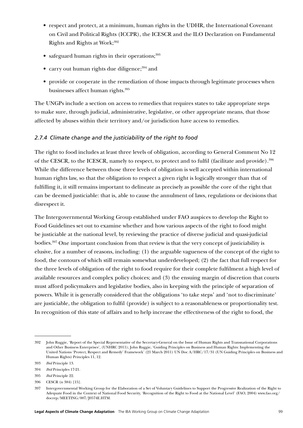- respect and protect, at a minimum, human rights in the UDHR, the International Covenant on Civil and Political Rights (ICCPR), the ICESCR and the ILO Declaration on Fundamental Rights and Rights at Work;<sup>392</sup>
- safeguard human rights in their operations; $393$
- carry out human rights due diligence; $394$  and
- provide or cooperate in the remediation of those impacts through legitimate processes when businesses affect human rights.<sup>395</sup>

The UNGPs include a section on access to remedies that requires states to take appropriate steps to make sure, through judicial, administrative, legislative, or other appropriate means, that those affected by abuses within their territory and/or jurisdiction have access to remedies.

### *2.7.4 Climate change and the justiciability of the right to food*

The right to food includes at least three levels of obligation, according to General Comment No 12 of the CESCR, to the ICESCR, namely to respect, to protect and to fulfil (facilitate and provide).396 While the difference between those three levels of obligation is well accepted within international human rights law, so that the obligation to respect a given right is logically stronger than that of fulfilling it, it still remains important to delineate as precisely as possible the core of the right that can be deemed justiciable: that is, able to cause the annulment of laws, regulations or decisions that disrespect it.

The Intergovernmental Working Group established under FAO auspices to develop the Right to Food Guidelines set out to examine whether and how various aspects of the right to food might be justiciable at the national level, by reviewing the practice of diverse judicial and quasi-judicial bodies.397 One important conclusion from that review is that the very concept of justiciability is elusive, for a number of reasons, including: (1) the arguable vagueness of the concept of the right to food, the contours of which still remain somewhat underdeveloped; (2) the fact that full respect for the three levels of obligation of the right to food require for their complete fulfilment a high level of available resources and complex policy choices; and (3) the ensuing margin of discretion that courts must afford policymakers and legislative bodies, also in keeping with the principle of separation of powers. While it is generally considered that the obligations 'to take steps' and 'not to discriminate' are justiciable, the obligation to fulfil (provide) is subject to a reasonableness or proportionality test. In recognition of this state of affairs and to help increase the effectiveness of the right to food, the

<sup>392</sup> John Ruggie, 'Report of the Special Representative of the Secretary-General on the Issue of Human Rights and Transnational Corporations and Other Business Enterprises', (UNHRC 2011); John Ruggie, 'Guiding Principles on Business and Human Rights: Implementing the United Nations 'Protect, Respect and Remedy' Framework' (21 March 2011) UN Doc A/HRC/17/31 (UN Guiding Principles on Business and Human Rights) Principles 11, 12.

<sup>393</sup> *Ibid* Principle 13.

<sup>394</sup> *Ibid* Principles 17-21.

<sup>395</sup> *Ibid* Principle 22.

<sup>396</sup> CESCR (n 384) [15].

<sup>397</sup> Intergovernmental Working Group for the Elaboration of a Set of Voluntary Guidelines to Support the Progressive Realization of the Right to Adequate Food in the Context of National Food Security, 'Recognition of the Right to Food at the National Level' (FAO, 2004) www.fao.org/ docrep/MEETING/007/J0574E.HTM.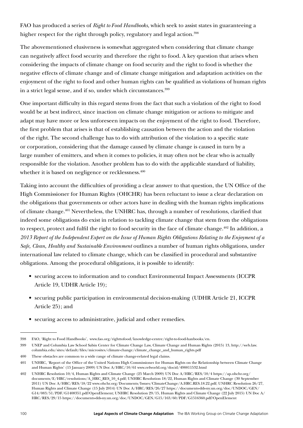FAO has produced a series of *Right to Food Handbooks*, which seek to assist states in guaranteeing a higher respect for the right through policy, regulatory and legal action.<sup>398</sup>

The abovementioned elusiveness is somewhat aggregated when considering that climate change can negatively affect food security and therefore the right to food. A key question that arises when considering the impacts of climate change on food security and the right to food is whether the negative effects of climate change and of climate change mitigation and adaptation activities on the enjoyment of the right to food and other human rights can be qualified as violations of human rights in a strict legal sense, and if so, under which circumstances.<sup>399</sup>

One important difficulty in this regard stems from the fact that such a violation of the right to food would be at best indirect, since inaction on climate change mitigation or actions to mitigate and adapt may have more or less unforeseen impacts on the enjoyment of the right to food. Therefore, the first problem that arises is that of establishing causation between the action and the violation of the right. The second challenge has to do with attribution of the violation to a specific state or corporation, considering that the damage caused by climate change is caused in turn by a large number of emitters, and when it comes to policies, it may often not be clear who is actually responsible for the violation. Another problem has to do with the applicable standard of liability, whether it is based on negligence or recklessness.<sup>400</sup>

Taking into account the difficulties of providing a clear answer to that question, the UN Office of the High Commissioner for Human Rights (OHCHR) has been reluctant to issue a clear declaration on the obligations that governments or other actors have in dealing with the human rights implications of climate change.401 Nevertheless, the UNHRC has, through a number of resolutions, clarified that indeed some obligations do exist in relation to tackling climate change that stem from the obligations to respect, protect and fulfil the right to food security in the face of climate change.<sup>402</sup> In addition, a *2013 Report of the Independent Expert on the Issue of Human Rights Obligations Relating to the Enjoyment of a Safe, Clean, Healthy and Sustainable Environment* outlines a number of human rights obligations, under international law related to climate change, which can be classified in procedural and substantive obligations. Among the procedural obligations, it is possible to identify:

- securing access to information and to conduct Environmental Impact Assessments (ICCPR Article 19, UDHR Article 19);
- securing public participation in environmental decision-making (UDHR Article 21, ICCPR Article 25); and
- securing access to administrative, judicial and other remedies.

<sup>398</sup> FAO, 'Right to Food Handbooks', www.fao.org/righttofood/knowledge-centre/right-to-food-hanbooks/en.

<sup>399</sup> UNEP and Columbia Law School Sabin Center for Climate Change Law, Climate Change and Human Rights (2015) 13, http://web.law. columbia.edu/sites/default/files/microsites/climate-change/climate\_change\_and\_human\_rights.pdf

<sup>400</sup> These obstacles are common to a wide range of climate change-related legal claims.

<sup>401</sup> UNHRC, 'Report of the Office of the United Nations High Commissioner for Human Rights on the Relationship between Climate Change and Human Rights' (15 January 2009) UN Doc A/HRC/10/61 www.refworld.org/docid/498811532.html

<sup>402</sup> UNHRC Resolution 10/4, Human Rights and Climate Change (25 March 2009) UN Doc A/HRC/RES/10/4 https://ap.ohchr.org/ documents/E/HRC/resolutions/A\_HRC\_RES\_10\_4.pdf; UNHRC Resolution 18/22, Human Rights and Climate Change (30 September 2011) UN Doc A/HRC/RES/18/22 www.ohchr.org/Documents/Issues/ClimateChange/A.HRC.RES.18.22.pdf; UNHRC Resolution 26/27, Human Rights and Climate Change (15 July 2014) UN Doc A/HRC/RES/26/27 https://documents-dds-ny.un.org/doc/UNDOC/GEN/ G14/083/51/PDF/G1408351.pdf?OpenElement; UNHRC Resolution 29/15, Human Rights and Climate Change (22 July 2015) UN Doc A/ HRC/RES/29/15 https://documents-dds-ny.un.org/doc/UNDOC/GEN/G15/163/60/PDF/G1516360.pdf?OpenElement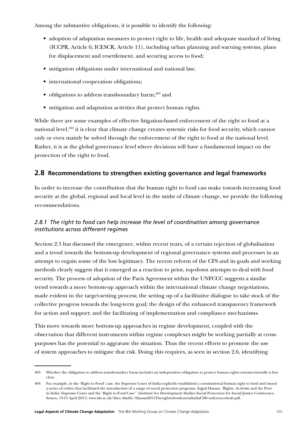Among the substantive obligations, it is possible to identify the following:

- adoption of adaptation measures to protect right to life, health and adequate standard of living (ICCPR, Article 6; ICESCR, Article 11), including urban planning and warning systems, plans for displacement and resettlement, and securing access to food;
- mitigation obligations under international and national law;
- international cooperation obligations;
- $\bullet$  obligations to address transboundary harm;<sup>403</sup> and
- mitigation and adaptation activities that protect human rights.

<span id="page-101-0"></span>While there are some examples of effective litigation-based enforcement of the right to food at a national level,<sup>404</sup> it is clear that climate change creates systemic risks for food security, which cannot only or even mainly be solved through the enforcement of the right to food at the national level. Rather, it is at the global governance level where decisions will have a fundamental impact on the protection of the right to food.

# **2.8 Recommendations to strengthen existing governance and legal frameworks**

In order to increase the contribution that the human right to food can make towards increasing food security at the global, regional and local level in the midst of climate change, we provide the following recommendations.

# *2.8.1 The right to food can help increase the level of coordination among governance institutions across different regimes*

Section [2.5](#page-79-0) has discussed the emergence, within recent years, of a certain rejection of globalisation and a trend towards the bottom-up development of regional governance systems and processes in an attempt to regain some of the lost legitimacy. The recent reform of the CFS and its goals and working methods clearly suggest that it emerged as a reaction to prior, top-down attempts to deal with food security. The process of adoption of the Paris Agreement within the UNFCCC suggests a similar trend towards a more bottom-up approach within the international climate change negotiations, made evident in the target-setting process; the setting up of a facilitative dialogue to take stock of the collective progress towards the long-term goal; the design of the enhanced transparency framework for action and support; and the facilitating of implementation and compliance mechanisms.

This move towards more bottom-up approaches in regime development, coupled with the observation that different instruments within regime complexes might be working partially at crosspurposes has the potential to aggravate the situation. Thus the recent efforts to promote the use of system approaches to mitigate that risk. Doing this requires, as seen in section [2.6](#page-91-0), identifying

<sup>403</sup> Whether the obligation to address transboundary harm includes an independent obligation to protect human rights extraterritorially is less clear.

<sup>404</sup> For example, in the 'Right to Food' case, the Supreme Court of India explicitly established a constitutional human right to food and issued a series of orders that facilitated the introduction of a range of social protection programs. Sajjad Hassan, 'Rights, Activism and the Poor in India: Supreme Court and the 'Right to Food Case'' (Institute for Development Studies Social Protection for Social Justice Conference, Sussex, 13-15 April 2011) [www.ids.ac.uk/files/dmfile/Hassan2011TherighttofoodcaseinIndiaCSPconferencedraft.pdf.](https://www.ids.ac.uk/files/dmfile/Hassan2011TherighttofoodcaseinIndiaCSPconferencedraft.pdf)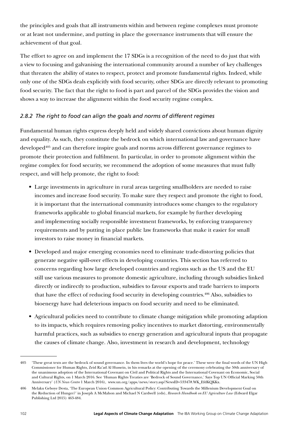the principles and goals that all instruments within and between regime complexes must promote or at least not undermine, and putting in place the governance instruments that will ensure the achievement of that goal.

The effort to agree on and implement the 17 SDGs is a recognition of the need to do just that with a view to focusing and galvanising the international community around a number of key challenges that threaten the ability of states to respect, protect and promote fundamental rights. Indeed, while only one of the SDGs deals explicitly with food security, other SDGs are directly relevant to promoting food security. The fact that the right to food is part and parcel of the SDGs provides the vision and shows a way to increase the alignment within the food security regime complex.

# *2.8.2 The right to food can align the goals and norms of different regimes*

Fundamental human rights express deeply held and widely shared convictions about human dignity and equality. As such, they constitute the bedrock on which international law and governance have developed<sup>405</sup> and can therefore inspire goals and norms across different governance regimes to promote their protection and fulfilment. In particular, in order to promote alignment within the regime complex for food security, we recommend the adoption of some measures that must fully respect, and will help promote, the right to food:

- Large investments in agriculture in rural areas targeting smallholders are needed to raise incomes and increase food security. To make sure they respect and promote the right to food, it is important that the international community introduces some changes to the regulatory frameworks applicable to global financial markets, for example by further developing and implementing socially responsible investment frameworks, by enforcing transparency requirements and by putting in place public law frameworks that make it easier for small investors to raise money in financial markets.
- Developed and major emerging economies need to eliminate trade-distorting policies that generate negative spill-over effects in developing countries. This section has referred to concerns regarding how large developed countries and regions such as the US and the EU still use various measures to promote domestic agriculture, including through subsidies linked directly or indirectly to production, subsidies to favour exports and trade barriers to imports that have the effect of reducing food security in developing countries.406 Also, subsidies to bioenergy have had deleterious impacts on food security and need to be eliminated.
- Agricultural policies need to contribute to climate change mitigation while promoting adaption to its impacts, which requires removing policy incentives to market distorting, environmentally harmful practices, such as subsidies to energy generation and agricultural inputs that propagate the causes of climate change. Also, investment in research and development, technology

<sup>405</sup> 'These great texts are the bedrock of sound governance. In them lives the world's hope for peace.' These were the final words of the UN High Commissioner for Human Rights, Zeid Ra'ad Al Hussein, in his remarks at the opening of the ceremony celebrating the 50th anniversary of the unanimous adoption of the International Covenant on Civil and Political Rights and the International Covenant on Economic, Social and Cultural Rights, on 1 March 2016. See 'Human Rights Treaties are 'Bedrock of Sound Governance,' Says Top UN Official Marking 50th Anniversary' (*UN News Centre* 1 March 2016), www.un.org/apps/news/story.asp?NewsID=53347#.WK\_EfdKQKKx.

<sup>406</sup> Melaku Geboye Desta, 'The European Union Common Agricultural Policy: Contributing Towards the Millenium Development Goal on the Reduction of Hunger?' in Joseph A McMahon and Michael N Cardwell (eds), *Research Handbook on EU Agriculture Law* (Edward Elgar Publishing Ltd 2015) 463-484.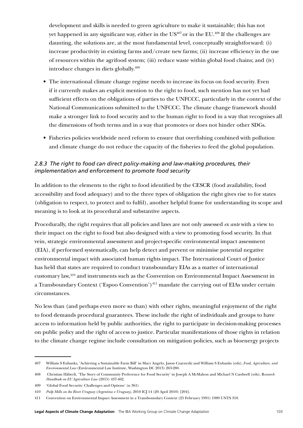development and skills is needed to green agriculture to make it sustainable; this has not yet happened in any significant way, either in the US<sup>407</sup> or in the EU.<sup>408</sup> If the challenges are daunting, the solutions are, at the most fundamental level, conceptually straightforward: (i) increase productivity in existing farms and/create new farms; (ii) increase efficiency in the use of resources within the agrifood system; (iii) reduce waste within global food chains; and (iv) introduce changes in diets globally.409

- The international climate change regime needs to increase its focus on food security. Even if it currently makes an explicit mention to the right to food, such mention has not yet had sufficient effects on the obligations of parties to the UNFCCC, particularly in the context of the National Communications submitted to the UNFCCC. The climate change framework should make a stronger link to food security and to the human right to food in a way that recognises all the dimensions of both terms and in a way that promotes or does not hinder other SDGs.
- Fisheries policies worldwide need reform to ensure that overfishing combined with pollution and climate change do not reduce the capacity of the fisheries to feed the global population.

# *2.8.3 The right to food can direct policy-making and law-making procedures, their implementation and enforcement to promote food security*

In addition to the elements to the right to food identified by the CESCR (food availability, food accessibility and food adequacy) and to the three types of obligation the right gives rise to for states (obligation to respect, to protect and to fulfil), another helpful frame for understanding its scope and meaning is to look at its procedural and substantive aspects.

Procedurally, the right requires that all policies and laws are not only assessed *ex ante* with a view to their impact on the right to food but also designed with a view to promoting food security. In that vein, strategic environmental assessment and project-specific environmental impact assessment (EIA), if performed systematically, can help detect and prevent or minimise potential negative environmental impact with associated human rights impact. The International Court of Justice has held that states are required to conduct transboundary EIAs as a matter of international customary law,410 and instruments such as the Convention on Environmental Impact Assessment in a Transboundary Context ('Espoo Convention')<sup>411</sup> mandate the carrying out of EIAs under certain circumstances.

No less than (and perhaps even more so than) with other rights, meaningful enjoyment of the right to food demands procedural guarantees. These include the right of individuals and groups to have access to information held by public authorities, the right to participate in decision-making processes on public policy and the right of access to justice. Particular manifestations of those rights in relation to the climate change regime include consultation on mitigation policies, such as bioenergy projects

<sup>407</sup> William S Eubanks, 'Achieving a Sustainable Farm Bill' in Mary Angelo, Jason Czarnezki and William S Eubanks (eds), *Food, Agriculture, and Environmental Law* (Environmental Law Institute, Washington DC 2013) 263-280.

<sup>408</sup> Christian Häberli, 'The Story of Community Preference for Food Security' in Joseph A McMahon and Michael N Cardwell (eds), R*esearch Handbook on EU Agriculture Law* (2015) 437-462.

<sup>409</sup> 'Global Food Security: Challenges and Options' (n 361)

<sup>410</sup> *Pulp Mills on the River Uruguay (Argentina v Uruguay)*, 2010 ICJ 14 (20 April 2010) [204].

<sup>411</sup> Convention on Environmental Impact Assessment in a Transboundary Context (25 February 1991) 1989 UNTS 310.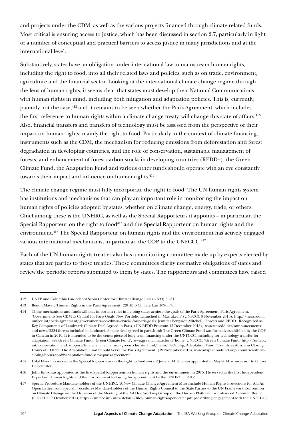and projects under the CDM, as well as the various projects financed through climate-related funds. Most critical is ensuring access to justice, which has been discussed in section [2.7](#page-95-0), particularly in light of a number of conceptual and practical barriers to access justice in many jurisdictions and at the international level.

Substantively, states have an obligation under international law to mainstream human rights, including the right to food, into all their related laws and policies, such as on trade, environment, agriculture and the financial sector. Looking at the international climate change regime through the lens of human rights, it seems clear that states must develop their National Communications with human rights in mind, including both mitigation and adaptation policies. This is, currently, patently not the case,<sup>412</sup> and it remains to be seen whether the Paris Agreement, which includes the first reference to human rights within a climate change treaty, will change this state of affairs.<sup>413</sup> Also, financial transfers and transfers of technology must be assessed from the perspective of their impact on human rights, mainly the right to food. Particularly in the context of climate financing, instruments such as the CDM, the mechanism for reducing emissions from deforestation and forest degradation in developing countries, and the role of conservation, sustainable management of forests, and enhancement of forest carbon stocks in developing countries (REDD+), the Green Climate Fund, the Adaptation Fund and various other funds should operate with an eye constantly towards their impact and influence on human rights.<sup>414</sup>

The climate change regime must fully incorporate the right to food. The UN human rights system has institutions and mechanisms that can play an important role in monitoring the impact on human rights of policies adopted by states, whether on climate change, energy, trade, or others. Chief among these is the UNHRC, as well as the Special Rapporteurs it appoints – in particular, the Special Rapporteur on the right to food<sup> $415$ </sup> and the Special Rapporteur on human rights and the environment.<sup>416</sup> The Special Rapporteur on human rights and the environment has actively engaged various international mechanisms, in particular, the COP to the UNFCCC.<sup>417</sup>

Each of the UN human rights treaties also has a monitoring committee made up by experts elected by states that are parties to those treaties. Those committees clarify normative obligations of states and review the periodic reports submitted to them by states. The rapporteurs and committees have raised

<sup>412</sup> UNEP and Columbia Law School Sabin Center for Climate Change Law (n 399) 30-31.

<sup>413</sup> Benoit Mayer, 'Human Rights in the Paris Agreement' (2016) 6 Climate Law 109-117.

<sup>414</sup> These mechanisms and funds will play important roles in helping states achieve the goals of the Paris Agreement. Paris Agreement, 'Governments See CDM as Crucial for Paris Goals: New Portfolio Launched in Marrakech' (UNFCCC 8 November 2016), http://newsroom. unfccc.int/paris-agreement/governments-see-cdm-as-crucial-for-paris-goals; Jennifer Ferguson-Mitchell, 'Forests and REDD+ Recognized as Key Components of Landmark Climate Deal Agreed in Paris, (UN-REDD Program 13 December 2015), www.unredd.net/announcementsand-news/2334-forests-included-in-landmark-climate-deal-agreed-in-paris.html; The Green Climate Fund was formally established by the COP in Cancun in 2010. It is intended to be the centerpiece of long term financing under the UNFCCC, including for technology transfer for adaptation. See Green Climate Fund, 'Green Climate Fund', [www.greenclimate.fund/home;](http://www.greenclimate.fund/home) UNFCCC, 'Green Climate Fund' http://unfccc. int/cooperation\_and\_support/financial\_mechanism/green\_climate\_fund/items/5869.php; Adaptation Fund, 'Countries Affirm in Closing Hours of COP22: The Adaptation Fund Should Serve the Paris Agreement' (19 November 2016), www.adaptation-fund.org/countries-affirmclosing-hours-cop22-adaptation-fund-serve-paris-agreement.

<sup>415</sup> Hilal Elver has served as the Special Rapporteur on the right to food since 2 June 2014. She was appointed in May 2014 as successor to Olivier De Schutter.

<sup>416</sup> John Knox was appointed as the first Special Rapporteur on human rights and the environment in 2015. He served as the first Independent Expert on Human Rights and the Environment following his appointment by the UNHRC in 2012.

<sup>417</sup> Special Procedure Mandate-holders of the UNHRC, 'A New Climate Change Agreement Must Include Human Rights Protections for All: An Open Letter from Special Procedures Mandate-Holders of the Human Rights Council to the State Parties to the UN Framework Convention on Climate Change on the Occasion of the Meeting of the Ad Hoc Working Group on the Durban Platform for Enhanced Action in Bonn' (OHCHR 17 October 2014), https://unfccc.int/sites/default/files/human-rights-open-letter.pdf (describing engagement with the UNFCCC).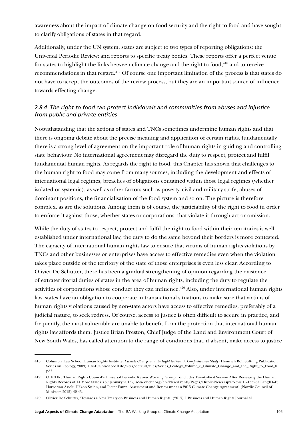awareness about the impact of climate change on food security and the right to food and have sought to clarify obligations of states in that regard.

Additionally, under the UN system, states are subject to two types of reporting obligations: the Universal Periodic Review; and reports to specific treaty bodies. These reports offer a perfect venue for states to highlight the links between climate change and the right to food,<sup>418</sup> and to receive recommendations in that regard.419 Of course one important limitation of the process is that states do not have to accept the outcomes of the review process, but they are an important source of influence towards effecting change.

# *2.8.4 The right to food can protect individuals and communities from abuses and injustice from public and private entities*

Notwithstanding that the actions of states and TNCs sometimes undermine human rights and that there is ongoing debate about the precise meaning and application of certain rights, fundamentally there is a strong level of agreement on the important role of human rights in guiding and controlling state behaviour. No international agreement may disregard the duty to respect, protect and fulfil fundamental human rights. As regards the right to food, this Chapter has shown that challenges to the human right to food may come from many sources, including the development and effects of international legal regimes, breaches of obligations contained within those legal regimes (whether isolated or systemic), as well as other factors such as poverty, civil and military strife, abuses of dominant positions, the financialisation of the food system and so on. The picture is therefore complex, as are the solutions. Among them is of course, the justiciability of the right to food in order to enforce it against those, whether states or corporations, that violate it through act or omission.

While the duty of states to respect, protect and fulfil the right to food within their territories is well established under international law, the duty to do the same beyond their borders is more contested. The capacity of international human rights law to ensure that victims of human rights violations by TNCs and other businesses or enterprises have access to effective remedies even when the violation takes place outside of the territory of the state of those enterprises is even less clear. According to Olivier De Schutter, there has been a gradual strengthening of opinion regarding the existence of extraterritorial duties of states in the area of human rights, including the duty to regulate the activities of corporations whose conduct they can influence.<sup>420</sup> Also, under international human rights law, states have an obligation to cooperate in transnational situations to make sure that victims of human rights violations caused by non-state actors have access to effective remedies, preferably of a judicial nature, to seek redress. Of course, access to justice is often difficult to secure in practice, and frequently, the most vulnerable are unable to benefit from the protection that international human rights law affords them. Justice Brian Preston, Chief Judge of the Land and Environment Court of New South Wales, has called attention to the range of conditions that, if absent, make access to justice

<sup>418</sup> Columbia Law School Human Rights Institute, *Climate Change and the Right to Food: A Comprehensive Study* (Heinrich Böll Stiftung Publication Series on Ecology, 2009) 102-104, www.boell.de/sites/default/files/Series\_Ecology\_Volume\_8\_Climate\_Change\_and\_the\_Right\_to\_Food\_0. pdf

<sup>419</sup> OHCHR, 'Human Rights Council's Universal Periodic Review Working Group Concludes Twenty-First Session After Reviewing the Human Rights Records of 14 More States' (30 January 2015), [www.ohchr.org/en/NewsEvents/Pages/DisplayNews.aspx?NewsID=15528&LangID=E;](http://www.ohchr.org/en/NewsEvents/Pages/DisplayNews.aspx?NewsID=15528&LangID=E) Harro van Asselt, Håkon Sælen, and Pieter Pauw, 'Assessment and Review under a 2015 Climate Change Agreement' (Nordic Council of Ministers 2015) 42-43.

<sup>420</sup> Olivier De Schutter, 'Towards a New Treaty on Business and Human Rights' (2015) 1 Business and Human Rights Journal 41.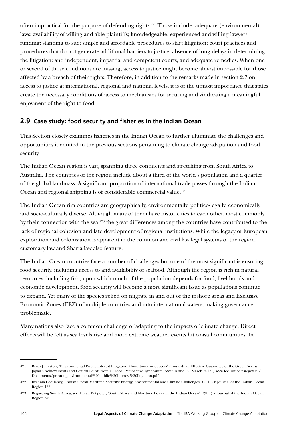often impractical for the purpose of defending rights.<sup>421</sup> Those include: adequate (environmental) laws; availability of willing and able plaintiffs; knowledgeable, experienced and willing lawyers; funding; standing to sue; simple and affordable procedures to start litigation; court practices and procedures that do not generate additional barriers to justice; absence of long delays in determining the litigation; and independent, impartial and competent courts, and adequate remedies. When one or several of those conditions are missing, access to justice might become almost impossible for those affected by a breach of their rights. Therefore, in addition to the remarks made in section [2.7](#page-95-0) on access to justice at international, regional and national levels, it is of the utmost importance that states create the necessary conditions of access to mechanisms for securing and vindicating a meaningful enjoyment of the right to food.

# **2.9 Case study: food security and fisheries in the Indian Ocean**

This Section closely examines fisheries in the Indian Ocean to further illuminate the challenges and opportunities identified in the previous sections pertaining to climate change adaptation and food security.

The Indian Ocean region is vast, spanning three continents and stretching from South Africa to Australia. The countries of the region include about a third of the world's population and a quarter of the global landmass. A significant proportion of international trade passes through the Indian Ocean and regional shipping is of considerable commercial value.<sup>422</sup>

The Indian Ocean rim countries are geographically, environmentally, politico-legally, economically and socio-culturally diverse. Although many of them have historic ties to each other, most commonly by their connection with the sea, $423$  the great differences among the countries have contributed to the lack of regional cohesion and late development of regional institutions. While the legacy of European exploration and colonisation is apparent in the common and civil law legal systems of the region, customary law and Sharia law also feature.

The Indian Ocean countries face a number of challenges but one of the most significant is ensuring food security, including access to and availability of seafood. Although the region is rich in natural resources, including fish, upon which much of the population depends for food, livelihoods and economic development, food security will become a more significant issue as populations continue to expand. Yet many of the species relied on migrate in and out of the inshore areas and Exclusive Economic Zones (EEZ) of multiple countries and into international waters, making governance problematic.

Many nations also face a common challenge of adapting to the impacts of climate change. Direct effects will be felt as sea levels rise and more extreme weather events hit coastal communities. In

<sup>421</sup> Brian J Preston, 'Environmental Public Interest Litigation: Conditions for Success' (Towards an Effective Guarantee of the Green Access: Japan's Achievements and Critical Points from a Global Perspective symposium, Awaji Island, 30 March 2013), www.lec.justice.nsw.gov.au/ Documents/preston\_environmental%20public%20interest%20litigation.pdf.

<sup>422</sup> Brahma Chellaney, 'Indian Ocean Maritime Security: Energy, Environmental and Climate Challenges' (2010) 6 Journal of the Indian Ocean Region 155.

<sup>423</sup> Regarding South Africa, see Thean Potgieter, 'South Africa and Maritime Power in the Indian Ocean' (2011) 7 Journal of the Indian Ocean Region 52.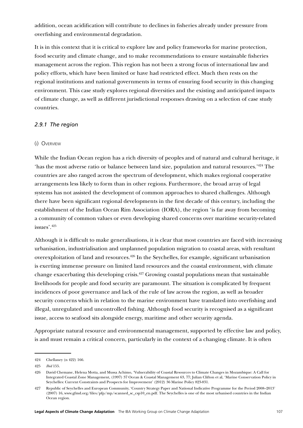addition, ocean acidification will contribute to declines in fisheries already under pressure from overfishing and environmental degradation.

It is in this context that it is critical to explore law and policy frameworks for marine protection, food security and climate change, and to make recommendations to ensure sustainable fisheries management across the region. This region has not been a strong focus of international law and policy efforts, which have been limited or have had restricted effect. Much then rests on the regional institutions and national governments in terms of ensuring food security in this changing environment. This case study explores regional diversities and the existing and anticipated impacts of climate change, as well as different jurisdictional responses drawing on a selection of case study countries.

### *2.9.1 The region*

### (i) Overview

While the Indian Ocean region has a rich diversity of peoples and of natural and cultural heritage, it 'has the most adverse ratio or balance between land size, population and natural resources.'424 The countries are also ranged across the spectrum of development, which makes regional cooperative arrangements less likely to form than in other regions. Furthermore, the broad array of legal systems has not assisted the development of common approaches to shared challenges. Although there have been significant regional developments in the first decade of this century, including the establishment of the Indian Ocean Rim Association (IORA), the region 'is far away from becoming a community of common values or even developing shared concerns over maritime security-related issues'.425

Although it is difficult to make generalisations, it is clear that most countries are faced with increasing urbanisation, industrialisation and unplanned population migration to coastal areas, with resultant overexploitation of land and resources.426 In the Seychelles, for example, significant urbanisation is exerting immense pressure on limited land resources and the coastal environment, with climate change exacerbating this developing crisis.427 Growing coastal populations mean that sustainable livelihoods for people and food security are paramount. The situation is complicated by frequent incidences of poor governance and lack of the rule of law across the region, as well as broader security concerns which in relation to the marine environment have translated into overfishing and illegal, unregulated and uncontrolled fishing. Although food security is recognised as a significant issue, access to seafood sits alongside energy, maritime and other security agenda.

Appropriate natural resource and environmental management, supported by effective law and policy, is and must remain a critical concern, particularly in the context of a changing climate. It is often

<sup>424</sup> Chellaney (n 422) 166.

<sup>425</sup> *Ibid* 155.

<sup>426</sup> David Chemane, Helena Motta, and Mussa Achimo, 'Vulnerability of Coastal Resources to Climate Changes in Mozambique: A Call for Integrated Coastal Zone Management, (1997) 37 Ocean & Coastal Management 63, 77; Julian Clifton et al, 'Marine Conservation Policy in Seychelles: Current Constraints and Prospects for Improvement' (2012) 36 Marine Policy 823-831.

<sup>427</sup> Republic of Seychelles and European Community, 'Country Strategy Paper and National Indicative Programme for the Period 2008–2013' (2007) 16, www.gfmd.org/files/pfp/mp/scanned\_sc\_csp10\_en.pdf. The Seychelles is one of the most urbanised countries in the Indian Ocean region.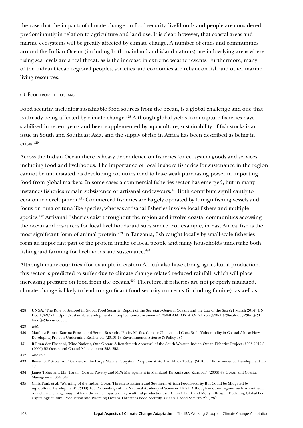the case that the impacts of climate change on food security, livelihoods and people are considered predominantly in relation to agriculture and land use. It is clear, however, that coastal areas and marine ecosystems will be greatly affected by climate change. A number of cities and communities around the Indian Ocean (including both mainland and island nations) are in low-lying areas where rising sea levels are a real threat, as is the increase in extreme weather events. Furthermore, many of the Indian Ocean regional peoples, societies and economies are reliant on fish and other marine living resources.

## (ii) Food from the oceans

Food security, including sustainable food sources from the ocean, is a global challenge and one that is already being affected by climate change.<sup>428</sup> Although global yields from capture fisheries have stabilised in recent years and been supplemented by aquaculture, sustainability of fish stocks is an issue in South and Southeast Asia, and the supply of fish in Africa has been described as being in crisis.429

Across the Indian Ocean there is heavy dependence on fisheries for ecosystem goods and services, including food and livelihoods. The importance of local inshore fisheries for sustenance in the region cannot be understated, as developing countries tend to have weak purchasing power in importing food from global markets. In some cases a commercial fisheries sector has emerged, but in many instances fisheries remain subsistence or artisanal endeavours.430 Both contribute significantly to economic development.431 Commercial fisheries are largely operated by foreign fishing vessels and focus on tuna or tuna-like species, whereas artisanal fisheries involve local fishers and multiple species.<sup>432</sup> Artisanal fisheries exist throughout the region and involve coastal communities accessing the ocean and resources for local livelihoods and subsistence. For example, in East Africa, fish is the most significant form of animal protein;<sup>433</sup> in Tanzania, fish caught locally by small-scale fisheries form an important part of the protein intake of local people and many households undertake both fishing and farming for livelihoods and sustenance.<sup>434</sup>

Although many countries (for example in eastern Africa) also have strong agricultural production, this sector is predicted to suffer due to climate change-related reduced rainfall, which will place increasing pressure on food from the oceans.<sup>435</sup> Therefore, if fisheries are not properly managed, climate change is likely to lead to significant food security concerns (including famine), as well as

<sup>428</sup> UNGA, 'The Role of Seafood in Global Food Security' Report of the Secretary-General Oceans and the Law of the Sea (21 March 2014) UN Doc A/69/71, [https://sustainabledevelopment.un.org/content/documents/12504DOALOS\\_A\\_69\\_71\\_role%20of%20seafood%20in%20](https://sustainabledevelopment.un.org/content/documents/12504DOALOS_A_69_71_role%20of%20seafood%20in%20food%20security.pdf) [food%20security.pdf](https://sustainabledevelopment.un.org/content/documents/12504DOALOS_A_69_71_role%20of%20seafood%20in%20food%20security.pdf).

<sup>429</sup> *Ibid.*

<sup>430</sup> Matthew Bunce, Katrina Brown, and Sergio Rosendo, 'Policy Misfits, Climate Change and Cross-Scale Vulnerability in Coastal Africa: How Developing Projects Undermine Resilience, (2010) 13 Environmental Science & Policy 485.

<sup>431</sup> R P van der Elst et al, 'Nine Nations, One Ocean: A Benchmark Appraisal of the South Western Indian Ocean Fisheries Project (2008-2012)' (2009) 52 Ocean and Coastal Management 258, 258.

<sup>432</sup> *Ibid* 259.

<sup>433</sup> Benedict P Satia, 'An Overview of the Large Marine Ecosystem Programs at Work in Africa Today' (2016) 17 Environmental Development 11- 19.

<sup>434</sup> James Tobey and Elin Torell, 'Coastal Poverty and MPA Management in Mainland Tanzania and Zanzibar' (2006) 49 Ocean and Coastal Management 834, 842.

<sup>435</sup> Chris Funk et al, 'Warming of the Indian Ocean Threatens Eastern and Southern African Food Security But Could be Mitigated by Agricultural Development' (2008) 105 Proceedings of the National Academy of Sciences 11081. Although in other regions such as southern Asia climate change may not have the same impacts on agricultural production, see Chris C Funk and Molly E Brown, 'Declining Global Per Capita Agricultural Production and Warming Oceans Threatens Food Security' (2009) 1 Food Security 271, 287.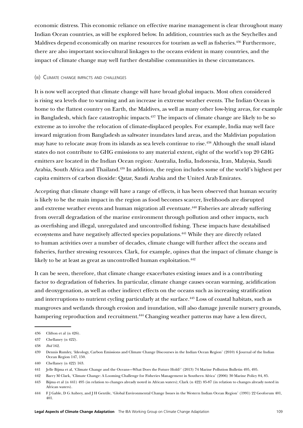economic distress. This economic reliance on effective marine management is clear throughout many Indian Ocean countries, as will be explored below. In addition, countries such as the Seychelles and Maldives depend economically on marine resources for tourism as well as fisheries.<sup>436</sup> Furthermore, there are also important socio-cultural linkages to the oceans evident in many countries, and the impact of climate change may well further destabilise communities in these circumstances.

#### (iii) Climate change impacts and challenges

It is now well accepted that climate change will have broad global impacts. Most often considered is rising sea levels due to warming and an increase in extreme weather events. The Indian Ocean is home to the flattest country on Earth, the Maldives, as well as many other low-lying areas, for example in Bangladesh, which face catastrophic impacts.<sup>437</sup> The impacts of climate change are likely to be so extreme as to involve the relocation of climate-displaced peoples. For example, India may well face inward migration from Bangladesh as saltwater inundates land areas, and the Maldivian population may have to relocate away from its islands as sea levels continue to rise.438 Although the small island states do not contribute to GHG emissions to any material extent, eight of the world's top 20 GHG emitters are located in the Indian Ocean region: Australia, India, Indonesia, Iran, Malaysia, Saudi Arabia, South Africa and Thailand.<sup>439</sup> In addition, the region includes some of the world's highest per capita emitters of carbon dioxide: Qatar, Saudi Arabia and the United Arab Emirates.

Accepting that climate change will have a range of effects, it has been observed that human security is likely to be the main impact in the region as food becomes scarcer, livelihoods are disrupted and extreme weather events and human migration all eventuate.<sup>440</sup> Fisheries are already suffering from overall degradation of the marine environment through pollution and other impacts, such as overfishing and illegal, unregulated and uncontrolled fishing. These impacts have destabilised ecosystems and have negatively affected species populations.441 While they are directly related to human activities over a number of decades, climate change will further affect the oceans and fisheries, further stressing resources. Clark, for example, opines that the impact of climate change is likely to be at least as great as uncontrolled human exploitation.<sup>442</sup>

It can be seen, therefore, that climate change exacerbates existing issues and is a contributing factor to degradation of fisheries. In particular, climate change causes ocean warming, acidification and deoxygenation, as well as other indirect effects on the oceans such as increasing stratification and interruptions to nutrient cycling particularly at the surface.<sup>443</sup> Loss of coastal habitats, such as mangroves and wetlands through erosion and inundation, will also damage juvenile nursery grounds, hampering reproduction and recruitment.<sup>444</sup> Changing weather patterns may have a less direct,

<sup>436</sup> Clifton et al (n 426).

<sup>437</sup> Chellaney (n 422).

<sup>438</sup> *Ibid* 162.

<sup>439</sup> Dennis Rumley, 'Ideology, Carbon Emissions and Climate Change Discourses in the Indian Ocean Region' (2010) 6 Journal of the Indian Ocean Region 147, 150.

<sup>440</sup> Chellaney (n 422) 163.

<sup>441</sup> Jelle Bijma et al, 'Climate Change and the Oceans—What Does the Future Hold?' (2013) 74 Marine Pollution Bulletin 495, 495.

<sup>442</sup> Barry M Clark, 'Climate Change: A Looming Challenge for Fisheries Management in Southern Africa' (2006) 30 Marine Policy 84, 85.

<sup>443</sup> Bijma et al (n 441) 495 (in relation to changes already noted in African waters); Clark (n 422) 85-87 (in relation to changes already noted in African waters).

<sup>444</sup> F J Gable, D G Aubrey, and J H Gentile, 'Global Environmental Change Issues in the Western Indian Ocean Region' (1991) 22 Geoforum 401, 401.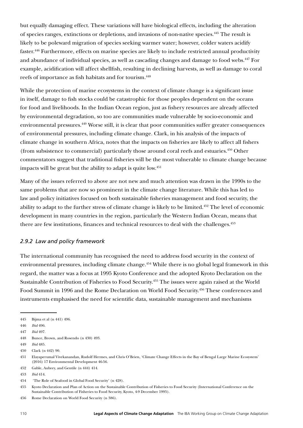but equally damaging effect. These variations will have biological effects, including the alteration of species ranges, extinctions or depletions, and invasions of non-native species.445 The result is likely to be poleward migration of species seeking warmer water; however, colder waters acidify faster.446 Furthermore, effects on marine species are likely to include restricted annual productivity and abundance of individual species, as well as cascading changes and damage to food webs.447 For example, acidification will affect shellfish, resulting in declining harvests, as well as damage to coral reefs of importance as fish habitats and for tourism.448

While the protection of marine ecosystems in the context of climate change is a significant issue in itself, damage to fish stocks could be catastrophic for those peoples dependent on the oceans for food and livelihoods. In the Indian Ocean region, just as fishery resources are already affected by environmental degradation, so too are communities made vulnerable by socio-economic and environmental pressures.449 Worse still, it is clear that poor communities suffer greater consequences of environmental pressures, including climate change. Clark, in his analysis of the impacts of climate change in southern Africa, notes that the impacts on fisheries are likely to affect all fishers (from subsistence to commercial) particularly those around coral reefs and estuaries.450 Other commentators suggest that traditional fisheries will be the most vulnerable to climate change because impacts will be great but the ability to adapt is quite low.<sup>451</sup>

Many of the issues referred to above are not new and much attention was drawn in the 1990s to the same problems that are now so prominent in the climate change literature. While this has led to law and policy initiatives focused on both sustainable fisheries management and food security, the ability to adapt to the further stress of climate change is likely to be limited.452 The level of economic development in many countries in the region, particularly the Western Indian Ocean, means that there are few institutions, finances and technical resources to deal with the challenges.<sup>453</sup>

## *2.9.2 Law and policy framework*

The international community has recognised the need to address food security in the context of environmental pressures, including climate change.<sup>454</sup> While there is no global legal framework in this regard, the matter was a focus at 1995 Kyoto Conference and the adopted Kyoto Declaration on the Sustainable Contribution of Fisheries to Food Security.455 The issues were again raised at the World Food Summit in 1996 and the Rome Declaration on World Food Security.<sup>456</sup> These conferences and instruments emphasised the need for scientific data, sustainable management and mechanisms

<sup>445</sup> Bijma et al (n 441) 496.

<sup>446</sup> *Ibid* 496.

<sup>447</sup> *Ibid* 497.

<sup>448</sup> Bunce, Brown, and Rosendo (n 430) 493.

<sup>449</sup> *Ibid* 485.

<sup>450</sup> Clark (n 442) 90.

<sup>451</sup> Elayaperumal Vivekanandan, Rudolf Hermes, and Chris O'Brien, 'Climate Change Effects in the Bay of Bengal Large Marine Ecosystem' (2016) 17 Environmental Development 46-56.

<sup>452</sup> Gable, Aubrey, and Gentile (n 444) 414.

<sup>453</sup> *Ibid* 414.

<sup>454 &#</sup>x27;The Role of Seafood in Global Food Security' (n 428).

<sup>455</sup> Kyoto Declaration and Plan of Action on the Sustainable Contribution of Fisheries to Food Security (International Conference on the Sustainable Contribution of Fisheries to Food Security, Kyoto, 4-9 December 1995).

<sup>456</sup> Rome Declaration on World Food Security (n 386).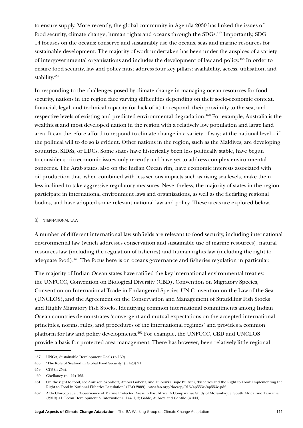to ensure supply. More recently, the global community in Agenda 2030 has linked the issues of food security, climate change, human rights and oceans through the SDGs.457 Importantly, SDG 14 focuses on the oceans: conserve and sustainably use the oceans, seas and marine resources for sustainable development. The majority of work undertaken has been under the auspices of a variety of intergovernmental organisations and includes the development of law and policy.458 In order to ensure food security, law and policy must address four key pillars: availability, access, utilisation, and stability.<sup>459</sup>

In responding to the challenges posed by climate change in managing ocean resources for food security, nations in the region face varying difficulties depending on their socio-economic context, financial, legal, and technical capacity (or lack of it) to respond, their proximity to the sea, and respective levels of existing and predicted environmental degradation.460 For example, Australia is the wealthiest and most developed nation in the region with a relatively low population and large land area. It can therefore afford to respond to climate change in a variety of ways at the national level – if the political will to do so is evident. Other nations in the region, such as the Maldives, are developing countries, SIDSs, or LDCs. Some states have historically been less politically stable, have begun to consider socio-economic issues only recently and have yet to address complex environmental concerns. The Arab states, also on the Indian Ocean rim, have economic interests associated with oil production that, when combined with less serious impacts such as rising sea levels, make them less inclined to take aggressive regulatory measures. Nevertheless, the majority of states in the region participate in international environment laws and organisations, as well as the fledgling regional bodies, and have adopted some relevant national law and policy. These areas are explored below.

#### (i) International law

A number of different international law subfields are relevant to food security, including international environmental law (which addresses conservation and sustainable use of marine resources), natural resources law (including the regulation of fisheries) and human rights law (including the right to adequate food).461 The focus here is on oceans governance and fisheries regulation in particular.

The majority of Indian Ocean states have ratified the key international environmental treaties: the UNFCCC, Convention on Biological Diversity (CBD), Convention on Migratory Species, Convention on International Trade in Endangered Species,UN Convention on the Law of the Sea (UNCLOS), and the Agreement on the Conservation and Management of Straddling Fish Stocks and Highly Migratory Fish Stocks. Identifying common international commitments among Indian Ocean countries demonstrates 'convergent and mutual expectations on the accepted international principles, norms, rules, and procedures of the international regimes' and provides a common platform for law and policy developments.462 For example, the UNFCCC, CBD and UNCLOS provide a basis for protected area management. There has however, been relatively little regional

<sup>457</sup> UNGA, Sustainable Development Goals (n 139).

<sup>458</sup> 'The Role of Seafood in Global Food Security' (n 428) 21.

<sup>459</sup> CFS (n 254).

<sup>460</sup> Chellaney (n 422) 165.

<sup>461</sup> On the right to food, see Anniken Skonhoft, Ambra Gobena, and Dubravka Bojic Bultrini, 'Fisheries and the Right to Food: Implementing the Right to Food in National Fisheries Legislation' (FAO 2009), www.fao.org/docrep/016/ap553e/ap553e.pdf.

<sup>462</sup> Aldo Chircop et al, 'Governance of Marine Protected Areas in East Africa: A Comparative Study of Mozambique, South Africa, and Tanzania' (2010) 41 Ocean Development & International Law 1, 3; Gable, Aubrey, and Gentile (n 444).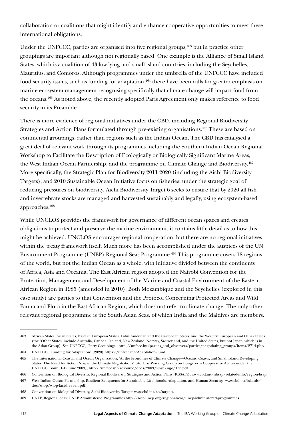collaboration or coalitions that might identify and enhance cooperative opportunities to meet these international obligations.

Under the UNFCCC, parties are organised into five regional groups,  $463$  but in practice other groupings are important although not regionally based. One example is the Alliance of Small Island States, which is a coalition of 43 low-lying and small island countries, including the Seychelles, Mauritius, and Comoros. Although programmes under the umbrella of the UNFCCC have included food security issues, such as funding for adaptation,<sup>464</sup> there have been calls for greater emphasis on marine ecosystem management recognising specifically that climate change will impact food from the oceans.465 As noted above, the recently adopted Paris Agreement only makes reference to food security in its Preamble.

There is more evidence of regional initiatives under the CBD, including Regional Biodiversity Strategies and Action Plans formulated through pre-existing organisations.<sup>466</sup> These are based on continental groupings, rather than regions such as the Indian Ocean. The CBD has catalysed a great deal of relevant work through its programmes including the Southern Indian Ocean Regional Workshop to Facilitate the Description of Ecologically or Biologically Significant Marine Areas, the West Indian Ocean Partnership, and the programme on Climate Change and Biodiversity.<sup>467</sup> More specifically, the Strategic Plan for Biodiversity 2011-2020 (including the Aichi Biodiversity Targets), and 2010 Sustainable Ocean Initiative focus on fisheries: under the strategic goal of reducing pressures on biodiversity, Aichi Biodiversity Target 6 seeks to ensure that by 2020 all fish and invertebrate stocks are managed and harvested sustainably and legally, using ecosystem-based approaches.468

While UNCLOS provides the framework for governance of different ocean spaces and creates obligations to protect and preserve the marine environment, it contains little detail as to how this might be achieved. UNCLOS encourages regional cooperation, but there are no regional initiatives within the treaty framework itself. Much more has been accomplished under the auspices of the UN Environment Programme (UNEP) Regional Seas Programme.<sup>469</sup> This programme covers 18 regions of the world, but not the Indian Ocean as a whole, with initiative divided between the continents of Africa, Asia and Oceania. The East African region adopted the Nairobi Convention for the Protection, Management and Development of the Marine and Coastal Environment of the Eastern African Region in 1985 (amended in 2010). Both Mozambique and the Seychelles (explored in this case study) are parties to that Convention and the Protocol Concerning Protected Areas and Wild Fauna and Flora in the East African Region, which does not refer to climate change. The only other relevant regional programme is the South Asian Seas, of which India and the Maldives are members.

<sup>463</sup> African States, Asian States, Eastern European States, Latin American and the Caribbean States, and the Western European and Other States (the 'Other States' include Australia, Canada, Iceland, New Zealand, Norway, Switzerland, and the United States, but not Japan, which is in the Asian Group). See UNFCCC, 'Party Groupings', http://unfccc.int/parties\_and\_observers/parties/negotiating\_groups/items/2714.php.

<sup>464</sup> UNFCCC, 'Funding for Adaptation' (2020) [https://unfccc.int/Adaptation-Fund.](https://unfccc.int/Adaptation-Fund)

<sup>465</sup> The International Coastal and Ocean Organization, 'At the Frontlines of Climate Change—Oceans, Coasts, and Small Island Developing States: The Need for Action Now in the Climate Negotiations' (Ad Hoc Working Group on Long-Term Cooperative Action under the UNFCCC, Bonn, 1-12 June 2009),<http://unfccc.int/resource/docs/2009/smsn/ngo/156.pdf>.

<sup>466</sup> Convention on Biological Diversity, Regional Biodiversity Strategies and Action Plans (RBSAPs), www.cbd.int/nbsap/related-info/region-bsap.

<sup>467</sup> West Indian Ocean Partnership, Resilient Ecosystems for Sustainable Livelihoods, Adaptation, and Human Security, www.cbd.int/islands/ doc/wiop/wiop-factsheet-en.pdf.

<sup>468</sup> Convention on Biological Diversity, Aichi Biodiversity Targets [www.cbd.int/sp/targets](https://www.cbd.int/sp/targets).

<sup>469</sup> UNEP, Regional Seas: UNEP Administered Programmes [http://web.unep.org/regionalseas/unep-administered-programmes.](http://web.unep.org/regionalseas/unep-administered-programmes)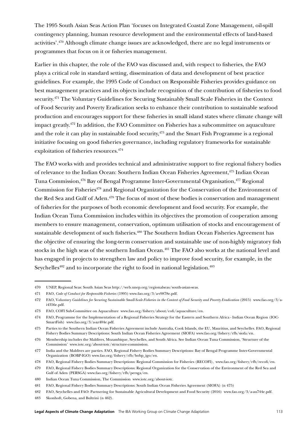The 1995 South Asian Seas Action Plan 'focuses on Integrated Coastal Zone Management, oil-spill contingency planning, human resource development and the environmental effects of land-based activities'.470 Although climate change issues are acknowledged, there are no legal instruments or programmes that focus on it or fisheries management.

Earlier in this chapter, the role of the FAO was discussed and, with respect to fisheries, the FAO plays a critical role in standard setting, dissemination of data and development of best practice guidelines. For example, the 1995 Code of Conduct on Responsible Fisheries provides guidance on best management practices and its objects include recognition of the contribution of fisheries to food security.<sup>471</sup> The Voluntary Guidelines for Securing Sustainably Small Scale Fisheries in the Context of Food Security and Poverty Eradication seeks to enhance their contribution to sustainable seafood production and encourages support for these fisheries in small island states where climate change will impact greatly.472 In addition, the FAO Committee on Fisheries has a subcommittee on aquaculture and the role it can play in sustainable food security,<sup>473</sup> and the Smart Fish Programme is a regional initiative focusing on good fisheries governance, including regulatory frameworks for sustainable exploitation of fisheries resources.474

The FAO works with and provides technical and administrative support to five regional fishery bodies of relevance to the Indian Ocean: Southern Indian Ocean Fisheries Agreement,<sup>475</sup> Indian Ocean Tuna Commission,476 Bay of Bengal Programme Inter-Governmental Organisation,477 Regional Commission for Fisheries<sup>478</sup> and Regional Organization for the Conservation of the Environment of the Red Sea and Gulf of Aden.<sup>479</sup> The focus of most of these bodies is conservation and management of fisheries for the purposes of both economic development and food security. For example, the Indian Ocean Tuna Commission includes within its objectives the promotion of cooperation among members to ensure management, conservation, optimum utilisation of stocks and encouragement of sustainable development of such fisheries.<sup>480</sup> The Southern Indian Ocean Fisheries Agreement has the objective of ensuring the long-term conservation and sustainable use of non-highly migratory fish stocks in the high seas of the southern Indian Ocean.<sup>481</sup> The FAO also works at the national level and has engaged in projects to strengthen law and policy to improve food security, for example, in the Seychelles<sup>482</sup> and to incorporate the right to food in national legislation.<sup>483</sup>

<sup>470</sup> UNEP, Regional Seas: South Asian Seas [http://web.unep.org/regionalseas/south-asian-seas.](http://web.unep.org/regionalseas/south-asian-seas)

<sup>471</sup> FAO, *Code of Conduct for Responsible Fisheries* (1995) [www.fao.org/3/a-v9878e.pdf](http://www.fao.org/3/a-v9878e.pdf).

<sup>472</sup> FAO, V*oluntary Guidelines for Securing Sustainable Small-Scale Fisheries in the Context of Food Security and Poverty Eradication* (2015) [www.fao.org/3/a](http://www.fao.org/3/a-i4356e.pdf)[i4356e.pdf](http://www.fao.org/3/a-i4356e.pdf).

<sup>473</sup> FAO, COFI Sub-Committee on Aquaculture [www.fao.org/fishery/about/cofi/aquaculture/en.](http://www.fao.org/fishery/about/cofi/aquaculture/en)

<sup>474</sup> FAO, Programme for the Implementation of a Regional Fisheries Strategy for the Eastern and Southern Africa - Indian Ocean Region (IOC-SmartFish) [www.fao.org/3/a-az404e.pdf](http://www.fao.org/3/a-az404e.pdf).

<sup>475</sup> Parties to the Southern Indian Ocean Fisheries Agreement include Australia, Cook Islands, the EU, Mauritius, and Seychelles. FAO, Regional Fishery Bodies Summary Descriptions: South Indian Ocean Fisheries Agreement (SIOFA) www.fao.org/fishery/rfb/siofa/en.

<sup>476</sup> Membership includes the Maldives, Mozambique, Seychelles, and South Africa. See Indian Ocean Tuna Commission, 'Structure of the Commission' www.iotc.org/about-iotc/structure-commission.

<sup>477</sup> India and the Maldives are parties. FAO, Regional Fishery Bodies Summary Descriptions: Bay of Bengal Programme Inter-Governmental Organization (BOBP-IGO) www.fao.org/fishery/rfb/bobp\_igo/en.

<sup>478</sup> FAO, Regional Fishery Bodies Summary Descriptions: Regional Commission for Fisheries (RECOFI), www.fao.org/fishery/rfb/recofi/en.

<sup>479</sup> FAO, Regional Fishery Bodies Summary Descriptions: Regional Organization for the Conservation of the Environment of the Red Sea and Gulf of Aden (PERSGA) www.fao.org/fishery/rfb/persga/en.

<sup>480</sup> Indian Ocean Tuna Commission, The Commission www.iotc.org/about-iotc.

<sup>481</sup> FAO, Regional Fishery Bodies Summary Descriptions: South Indian Ocean Fisheries Agreement (SIOFA) (n 475)

<sup>482</sup> FAO, Seychelles and FAO: Partnering for Sustainable Agricultural Development and Food Security (2016) www.fao.org/3/a-au744e.pdf.

<sup>483</sup> Skonhoft, Gobena, and Bultrini (n 462).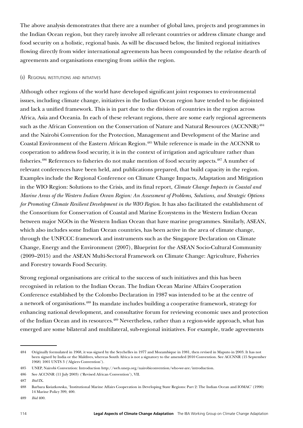The above analysis demonstrates that there are a number of global laws, projects and programmes in the Indian Ocean region, but they rarely involve all relevant countries or address climate change and food security on a holistic, regional basis. As will be discussed below, the limited regional initiatives flowing directly from wider international agreements has been compounded by the relative dearth of agreements and organisations emerging from *within* the region.

#### (ii) Regional institutions and initiatives

Although other regions of the world have developed significant joint responses to environmental issues, including climate change, initiatives in the Indian Ocean region have tended to be disjointed and lack a unified framework. This is in part due to the division of countries in the region across Africa, Asia and Oceania. In each of these relevant regions, there are some early regional agreements such as the African Convention on the Conservation of Nature and Natural Resources (ACCNNR)<sup>484</sup> and the Nairobi Convention for the Protection, Management and Development of the Marine and Coastal Environment of the Eastern African Region.485 While reference is made in the ACCNNR to cooperation to address food security, it is in the context of irrigation and agriculture rather than fisheries.486 References to fisheries do not make mention of food security aspects.487 A number of relevant conferences have been held, and publications prepared, that build capacity in the region. Examples include the Regional Conference on Climate Change Impacts, Adaptation and Mitigation in the WIO Region: Solutions to the Crisis, and its final report, *Climate Change Impacts in Coastal and Marine Areas of the Western Indian Ocean Region: An Assessment of Problems, Solutions, and Strategic Options for Promoting Climate Resilient Development in the WIO Region*. It has also facilitated the establishment of the Consortium for Conservation of Coastal and Marine Ecosystems in the Western Indian Ocean between major NGOs in the Western Indian Ocean that have marine programmes. Similarly, ASEAN, which also includes some Indian Ocean countries, has been active in the area of climate change, through the UNFCCC framework and instruments such as the Singapore Declaration on Climate Change, Energy and the Environment (2007), Blueprint for the ASEAN Socio-Cultural Community (2009–2015) and the ASEAN Multi-Sectoral Framework on Climate Change: Agriculture, Fisheries and Forestry towards Food Security.

Strong regional organisations are critical to the success of such initiatives and this has been recognised in relation to the Indian Ocean. The Indian Ocean Marine Affairs Cooperation Conference established by the Colombo Declaration in 1987 was intended to be at the centre of a network of organisations.488 Its mandate includes building a cooperative framework, strategy for enhancing national development, and consultative forum for reviewing economic uses and protection of the Indian Ocean and its resources.489 Nevertheless, rather than a region-wide approach, what has emerged are some bilateral and multilateral, sub-regional initiatives. For example, trade agreements

<sup>484</sup> Originally formulated in 1968, it was signed by the Seychelles in 1977 and Mozambique in 1981, then revised in Maputo in 2003. It has not been signed by India or the Maldives, whereas South Africa is not a signatory to the amended 2010 Convention. See ACCNNR (15 September 1968) 1001 UNTS 3 ('Algiers Convention').

<sup>485</sup> UNEP, Nairobi Convention: Introduction http://web.unep.org/nairobiconvention/who-we-are/introduction.

<sup>486</sup> See ACCNNR (11 July 2003) ('Revised African Convention'), VII.

<sup>487</sup> *Ibid* IX.

<sup>488</sup> Barbara Kwiatkowska, 'Institutional Marine Affairs Cooperation in Developing State Regions: Part 2: The Indian Ocean and IOMAC' (1990) 14 Marine Policy 399, 400.

<sup>489</sup> *Ibid* 400.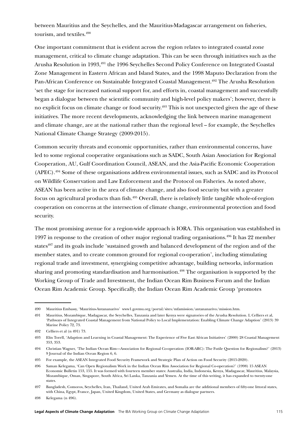between Mauritius and the Seychelles, and the Mauritius-Madagascar arrangement on fisheries, tourism, and textiles.490

One important commitment that is evident across the region relates to integrated coastal zone management, critical to climate change adaptation. This can be seen through initiatives such as the Arusha Resolution in 1993,491 the 1996 Seychelles Second Policy Conference on Integrated Coastal Zone Management in Eastern African and Island States, and the 1998 Maputo Declaration from the Pan-African Conference on Sustainable Integrated Coastal Management.<sup>492</sup> The Arusha Resolution 'set the stage for increased national support for, and efforts in, coastal management and successfully began a dialogue between the scientific community and high-level policy makers'; however, there is no explicit focus on climate change or food security.493 This is not unexpected given the age of these initiatives. The more recent developments, acknowledging the link between marine management and climate change, are at the national rather than the regional level – for example, the Seychelles National Climate Change Strategy (2009-2015).

Common security threats and economic opportunities, rather than environmental concerns, have led to some regional cooperative organisations such as SADC, South Asian Association for Regional Cooperation, AU, Gulf Coordination Council, ASEAN, and the Asia-Pacific Economic Cooperation (APEC).494 Some of these organisations address environmental issues, such as SADC and its Protocol on Wildlife Conservation and Law Enforcement and the Protocol on Fisheries. As noted above, ASEAN has been active in the area of climate change, and also food security but with a greater focus on agricultural products than fish.495 Overall, there is relatively little tangible whole-of-region cooperation on concerns at the intersection of climate change, environmental protection and food security.

The most promising avenue for a region-wide approach is IORA. This organisation was established in 1997 in response to the creation of other major regional trading organisations.496 It has 22 member states<sup>497</sup> and its goals include 'sustained growth and balanced development of the region and of the member states, and to create common ground for regional co-operation', including stimulating regional trade and investment, synergising competitive advantage, building networks, information sharing and promoting standardisation and harmonisation.498 The organisation is supported by the Working Group of Trade and Investment, the Indian Ocean Rim Business Forum and the Indian Ocean Rim Academic Group. Specifically, the Indian Ocean Rim Academic Group 'promotes

<sup>490</sup> Mauritius Embassy, 'Mauritius-Antananarivo' www1.govmu.org/portal/sites/mfamission/antananarivo/mission.htm.

<sup>491</sup> Mauritius, Mozambique, Madagascar, the Seychelles, Tanzania and later Kenya were signatories of the Arusha Resolution. L Celliers et al, 'Pathways of Integrated Coastal Management from National Policy to Local Implementation: Enabling Climate Change Adaption' (2013) 39 Marine Policy 72, 73.

<sup>492</sup> Celliers et al (n 491) 73.

<sup>493</sup> Elin Torell, 'Adaption and Learning in Coastal Management: The Experience of Five East African Initiatives' (2000) 28 Coastal Management 353, 353.

<sup>494</sup> Christian Wagner, 'The Indian Ocean Rim—Association for Regional Co-operation (IOR-ARC): The Futile Question for Regionalism?' (2013) 9 Journal of the Indian Ocean Region 6, 6.

<sup>495</sup> For example, the ASEAN Integrated Food Security Framework and Strategic Plan of Action on Food Security (2015-2020).

<sup>496</sup> Saman Kelegama, 'Can Open Regionalism Work in the Indian Ocean Rim Association for Regional Co-operation?' (1998) 15 ASEAN Economic Bulletin 153, 155. It was formed with fourteen member states: Australia, India, Indonesia, Kenya, Madagascar, Mauritius, Malaysia, Mozambique, Oman, Singapore, South Africa, Sri Lanka, Tanzania and Yemen. At the time of this writing, it has expanded to twenty-one states.

<sup>497</sup> Bangladesh, Comoros, Seychelles, Iran, Thailand, United Arab Emirates, and Somalia are the additional members of fifty-one littoral states, with China, Egypt, France, Japan, United Kingdom, United States, and Germany as dialogue partners.

<sup>498</sup> Kelegama (n 496).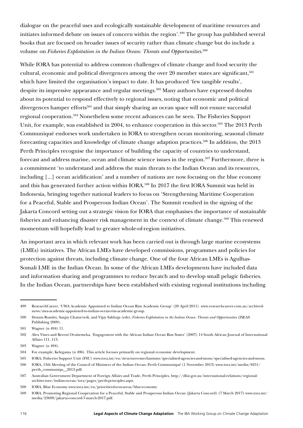dialogue on the peaceful uses and ecologically sustainable development of maritime resources and initiates informed debate on issues of concern within the region'.499 The group has published several books that are focused on broader issues of security rather than climate change but do include a volume on *Fisheries Exploitation in the Indian Ocean: Threats and Opportunities*. 500

While IORA has potential to address common challenges of climate change and food security the cultural, economic and political divergences among the over 20 member states are significant,<sup>501</sup> which have limited the organisation's impact to date. It has produced 'few tangible results', despite its impressive appearance and regular meetings.<sup>502</sup> Many authors have expressed doubts about its potential to respond effectively to regional issues, noting that economic and political divergences hamper efforts<sup>503</sup> and that simply sharing an ocean space will not ensure successful regional cooperation.504 Nonetheless some recent advances can be seen. The Fisheries Support Unit, for example, was established in 2004, to enhance cooperation in this sector.<sup>505</sup> The 2013 Perth Communiqué endorses work undertaken in IORA to strengthen ocean monitoring, seasonal climate forecasting capacities and knowledge of climate change adaption practices.<sup>506</sup> In addition, the 2013 Perth Principles recognise the importance of building the capacity of countries to understand, forecast and address marine, ocean and climate science issues in the region.<sup>507</sup> Furthermore, there is a commitment 'to understand and address the main threats to the Indian Ocean and its resources, including [...] ocean acidification' and a number of nations are now focusing on the blue economy and this has generated further action within IORA.<sup>508</sup> In 2017 the first IORA Summit was held in Indonesia, bringing together national leaders to focus on 'Strengthening Maritime Cooperation for a Peaceful, Stable and Prosperous Indian Ocean'. The Summit resulted in the signing of the Jakarta Concord setting out a strategic vision for IORA that emphasises the importance of sustainable fisheries and enhancing disaster risk management in the context of climate change.<sup>509</sup> This renewed momentum will hopefully lead to greater whole-of-region initiatives.

An important area in which relevant work has been carried out is through large marine ecosystems (LMEs) initiatives. The African LMEs have developed commissions, programmes and policies for protection against threats, including climate change. One of the four African LMEs is Agulhas-Somali LME in the Indian Ocean. In some of the African LMEs developments have included data and information sharing and programmes to reduce bycatch and to develop small pelagic fisheries. In the Indian Ocean, partnerships have been established with existing regional institutions including

<sup>499</sup> ResearchCareer, 'UWA Academic Appointed to Indian Ocean Rim Academic Group' (20 April 2011) www.researchcareer.com.au/archivednews/uwa-academic-appointed-to-indian-ocean-rim-academic-group.

<sup>500</sup> Dennis Rumley, Sanjay Chaturvedi, and Vijay Sakhuja (eds), *Fisheries Exploitation in the Indian Ocean: Threats and Opportunities* (ISEAS Publishing 2009).

<sup>501</sup> Wagner (n 494) 11.

<sup>502</sup> Alex Vines and Bereni Oruitemeka, 'Engagement with the African Indian Ocean Rim States' (2007) 14 South African Journal of International Affairs 111, 113.

<sup>503</sup> Wagner (n 494).

<sup>504</sup> For example, Kelegama (n 496). This article focuses primarily on regional economic development.

<sup>505</sup> IORA, Fisheries Support Unit (FSU) www.iora.int/en/structures-mechanisms/specialised-agencies-and-mous/specialised-agencies-and-mous.

<sup>506</sup> IORA, 13th Meeting of the Council of Ministers of the Indian Ocean: Perth Communiqué (1 November 2013) www.iora.int/media/8251/ perth\_communiqu\_\_2013.pdf.

<sup>507</sup> Australian Government Department of Foreign Affairs and Trade, Perth Principles, http://dfat.gov.au/international-relations/regionalarchitecture/indian-ocean/iora/pages/perth-principles.aspx.

<sup>508</sup> IORA, Blue Economy [www.iora.int/en/priorities-focus-areas/blue-economy.](https://www.iora.int/en/priorities-focus-areas/blue-economy)

<sup>509</sup> IORA, Promoting Regional Cooperation for a Peaceful, Stable and Prosperous Indian Ocean (Jakarta Concord) (7 March 2017) www.iora.int/ media/23699/jakarta-concord-7-march-2017.pdf.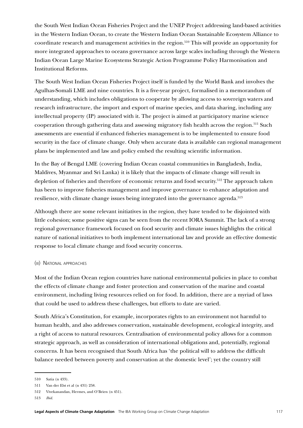the South West Indian Ocean Fisheries Project and the UNEP Project addressing land-based activities in the Western Indian Ocean, to create the Western Indian Ocean Sustainable Ecosystem Alliance to coordinate research and management activities in the region.510 This will provide an opportunity for more integrated approaches to oceans governance across large scales including through the Western Indian Ocean Large Marine Ecosystems Strategic Action Programme Policy Harmonisation and Institutional Reforms.

The South West Indian Ocean Fisheries Project itself is funded by the World Bank and involves the Agulhas-Somali LME and nine countries. It is a five-year project, formalised in a memorandum of understanding, which includes obligations to cooperate by allowing access to sovereign waters and research infrastructure, the import and export of marine species, and data sharing, including any intellectual property (IP) associated with it. The project is aimed at participatory marine science cooperation through gathering data and assessing migratory fish health across the region.511 Such assessments are essential if enhanced fisheries management is to be implemented to ensure food security in the face of climate change. Only when accurate data is available can regional management plans be implemented and law and policy embed the resulting scientific information.

In the Bay of Bengal LME (covering Indian Ocean coastal communities in Bangladesh, India, Maldives, Myanmar and Sri Lanka) it is likely that the impacts of climate change will result in depletion of fisheries and therefore of economic returns and food security.<sup>512</sup> The approach taken has been to improve fisheries management and improve governance to enhance adaptation and resilience, with climate change issues being integrated into the governance agenda.<sup>513</sup>

Although there are some relevant initiatives in the region, they have tended to be disjointed with little cohesion; some positive signs can be seen from the recent IORA Summit. The lack of a strong regional governance framework focused on food security and climate issues highlights the critical nature of national initiatives to both implement international law and provide an effective domestic response to local climate change and food security concerns.

## (iii) National approaches

Most of the Indian Ocean region countries have national environmental policies in place to combat the effects of climate change and foster protection and conservation of the marine and coastal environment, including living resources relied on for food. In addition, there are a myriad of laws that could be used to address these challenges, but efforts to date are varied.

South Africa's Constitution, for example, incorporates rights to an environment not harmful to human health, and also addresses conservation, sustainable development, ecological integrity, and a right of access to natural resources. Centralisation of environmental policy allows for a common strategic approach, as well as consideration of international obligations and, potentially, regional concerns. It has been recognised that South Africa has 'the political will to address the difficult balance needed between poverty and conservation at the domestic level'; yet the country still

<sup>510</sup> Satia (n 433).

<sup>511</sup> Van der Elst et al (n 431) 258.

<sup>512</sup> Vivekanandan, Hermes, and O'Brien (n 451).

<sup>513</sup> *Ibid.*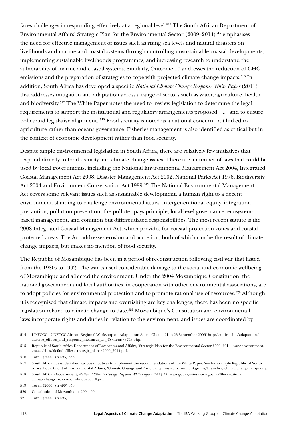faces challenges in responding effectively at a regional level.<sup>514</sup> The South African Department of Environmental Affairs' Strategic Plan for the Environmental Sector  $(2009-2014)^{515}$  emphasises the need for effective management of issues such as rising sea levels and natural disasters on livelihoods and marine and coastal systems through controlling unsustainable coastal developments, implementing sustainable livelihoods programmes, and increasing research to understand the vulnerability of marine and coastal systems. Similarly, Outcome 10 addresses the reduction of GHG emissions and the preparation of strategies to cope with projected climate change impacts.<sup>516</sup> In addition, South Africa has developed a specific *National Climate Change Response White Paper* (2011) that addresses mitigation and adaptation across a range of sectors such as water, agriculture, health and biodiversity.517 The White Paper notes the need to 'review legislation to determine the legal requirements to support the institutional and regulatory arrangements proposed [...] and to ensure policy and legislative alignment.'518 Food security is noted as a national concern, but linked to agriculture rather than oceans governance. Fisheries management is also identified as critical but in the context of economic development rather than food security.

Despite ample environmental legislation in South Africa, there are relatively few initiatives that respond directly to food security and climate change issues. There are a number of laws that could be used by local governments, including the National Environmental Management Act 2004, Integrated Coastal Management Act 2008, Disaster Management Act 2002, National Parks Act 1976, Biodiversity Act 2004 and Environment Conservation Act 1989.<sup>519</sup> The National Environmental Management Act covers some relevant issues such as sustainable development, a human right to a decent environment, standing to challenge environmental issues, intergenerational equity, integration, precaution, pollution prevention, the polluter pays principle, local-level governance, ecosystembased management, and common but differentiated responsibilities. The most recent statute is the 2008 Integrated Coastal Management Act, which provides for coastal protection zones and coastal protected areas. The Act addresses erosion and accretion, both of which can be the result of climate change impacts, but makes no mention of food security.

The Republic of Mozambique has been in a period of reconstruction following civil war that lasted from the 1980s to 1992. The war caused considerable damage to the social and economic wellbeing of Mozambique and affected the environment. Under the 2004 Mozambique Constitution, the national government and local authorities, in cooperation with other environmental associations, are to adopt policies for environmental protection and to promote rational use of resources.<sup>520</sup> Although it is recognised that climate impacts and overfishing are key challenges, there has been no specific legislation related to climate change to date.<sup>521</sup> Mozambique's Constitution and environmental laws incorporate rights and duties in relation to the environment, and issues are coordinated by

<sup>514</sup> UNFCCC, 'UNFCCC African Regional Workshop on Adaptation: Accra, Ghana, 21 to 23 September 2006' http://unfccc.int/adaptation/ adverse\_effects\_and\_response\_measures\_art\_48/items/3743.php.

<sup>515</sup> Republic of South Africa Department of Environmental Affairs, 'Strategic Plan for the Environmental Sector 2009–2014', www.environment. gov.za/sites/default/files/strategic\_plans/2009\_2014.pdf.

<sup>516</sup> Torell (2000) (n 493) 353.

<sup>517</sup> South Africa has undertaken various initiatives to implement the recommendations of the White Paper. See for example Republic of South Africa Department of Environmental Affairs, 'Climate Change and Air Quality', www.environment.gov.za/branches/climatechange\_airquality.

<sup>518</sup> South African Government, *National Climate Change Response White Paper* (2011) 37, www.gov.za/sites/www.gov.za/files/national\_ climatechange\_response\_whitepaper\_0.pdf.

<sup>519</sup> Torell (2000) (n 493) 353.

<sup>520</sup> Constitution of Mozambique 2004, 90.

<sup>521</sup> Torell (2000) (n 493).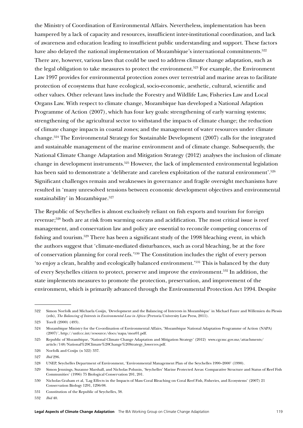the Ministry of Coordination of Environmental Affairs. Nevertheless, implementation has been hampered by a lack of capacity and resources, insufficient inter-institutional coordination, and lack of awareness and education leading to insufficient public understanding and support. These factors have also delayed the national implementation of Mozambique's international commitments.<sup>522</sup> There are, however, various laws that could be used to address climate change adaptation, such as the legal obligation to take measures to protect the environment.<sup>523</sup> For example, the Environment Law 1997 provides for environmental protection zones over terrestrial and marine areas to facilitate protection of ecosystems that have ecological, socio-economic, aesthetic, cultural, scientific and other values. Other relevant laws include the Forestry and Wildlife Law, Fisheries Law and Local Organs Law. With respect to climate change, Mozambique has developed a National Adaption Programme of Action (2007), which has four key goals: strengthening of early warning systems; strengthening of the agricultural sector to withstand the impacts of climate change; the reduction of climate change impacts in coastal zones; and the management of water resources under climate change.524 The Environmental Strategy for Sustainable Development (2007) calls for the integrated and sustainable management of the marine environment and of climate change. Subsequently, the National Climate Change Adaptation and Mitigation Strategy (2012) analyses the inclusion of climate change in development instruments.525 However, the lack of implemented environmental legislation has been said to demonstrate a 'deliberate and careless exploitation of the natural environment'.<sup>526</sup> Significant challenges remain and weaknesses in governance and fragile oversight mechanisms have resulted in 'many unresolved tensions between economic development objectives and environmental sustainability' in Mozambique.<sup>527</sup>

The Republic of Seychelles is almost exclusively reliant on fish exports and tourism for foreign revenue;528 both are at risk from warming oceans and acidification. The most critical issue is reef management, and conservation law and policy are essential to reconcile competing concerns of fishing and tourism.529 There has been a significant study of the 1998 bleaching event, in which the authors suggest that 'climate-mediated disturbances, such as coral bleaching, be at the fore of conservation planning for coral reefs.'530 The Constitution includes the right of every person 'to enjoy a clean, healthy and ecologically balanced environment.'531 This is balanced by the duty of every Seychelles citizen to protect, preserve and improve the environment.532 In addition, the state implements measures to promote the protection, preservation, and improvement of the environment, which is primarily advanced through the Environmental Protection Act 1994. Despite

<sup>522</sup> Simon Norfolk and Michaela Cosijn, 'Development and the Balancing of Interests in Mozambique' in Michael Faure and Willemien du Plessis (eds), *The Balancing of Interests in Environmental Law in Africa* (Pretoria University Law Press, 2011).

<sup>523</sup> Torell (2000) (493).

<sup>524</sup> Mozambique Ministry for the Co-ordination of Environmental Affairs, 'Mozambique National Adaptation Programme of Action (NAPA) (2007)', http://unfccc.int/resource/docs/napa/moz01.pdf.

<sup>525</sup> Republic of Mozambique, 'National Climate Change Adaptation and Mitigation Strategy' (2012) www.cgcmc.gov.mz/attachments/ article/148/National%20Climate%20Change%20Strategy\_lowerres.pdf.

<sup>526</sup> Norfolk and Cosijn (n 522) 337.

<sup>527</sup> *Ibid* 296.

<sup>528</sup> UNEP, Seychelles Department of Environment, 'Environmental Management Plan of the Seychelles 1990–2000' (1990).

<sup>529</sup> Simon Jennings, Suzanne Marshall, and Nicholas Polunin, 'Seychelles' Marine Protected Areas: Comparative Structure and Status of Reef Fish Communities' (1996) 75 Biological Conservation 201, 201.

<sup>530</sup> Nicholas Graham et al, 'Lag Effects in the Impacts of Mass Coral Bleaching on Coral Reef Fish, Fisheries, and Ecosystems' (2007) 21 Conservation Biology 1291, 1296-98.

<sup>531</sup> Constitution of the Republic of Seychelles, 38.

<sup>532</sup> *Ibid* 40.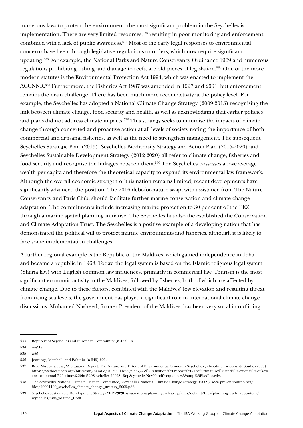numerous laws to protect the environment, the most significant problem in the Seychelles is implementation. There are very limited resources,<sup>533</sup> resulting in poor monitoring and enforcement combined with a lack of public awareness.534 Most of the early legal responses to environmental concerns have been through legislative regulations or orders, which now require significant updating.535 For example, the National Parks and Nature Conservancy Ordinance 1969 and numerous regulations prohibiting fishing and damage to reefs, are old pieces of legislation.<sup>536</sup> One of the more modern statutes is the Environmental Protection Act 1994, which was enacted to implement the ACCNNR.537 Furthermore, the Fisheries Act 1987 was amended in 1997 and 2001, but enforcement remains the main challenge. There has been much more recent activity at the policy level. For example, the Seychelles has adopted a National Climate Change Strategy (2009-2015) recognising the link between climate change, food security and health, as well as acknowledging that earlier policies and plans did not address climate impacts.<sup>538</sup> This strategy seeks to minimise the impacts of climate change through concerted and proactive action at all levels of society noting the importance of both commercial and artisanal fisheries, as well as the need to strengthen management. The subsequent Seychelles Strategic Plan (2015), Seychelles Biodiversity Strategy and Action Plan (2015-2020) and Seychelles Sustainable Development Strategy (2012-2020) all refer to climate change, fisheries and food security and recognise the linkages between them.<sup>539</sup> The Seychelles possesses above average wealth per capita and therefore the theoretical capacity to expand its environmental law framework. Although the overall economic strength of this nation remains limited, recent developments have significantly advanced the position. The 2016 debt-for-nature swap, with assistance from The Nature Conservancy and Paris Club, should facilitate further marine conservation and climate change adaptation. The commitments include increasing marine protection to 30 per cent of the EEZ, through a marine spatial planning initiative. The Seychelles has also the established the Conservation and Climate Adaptation Trust. The Seychelles is a positive example of a developing nation that has demonstrated the political will to protect marine environments and fisheries, although it is likely to face some implementation challenges.

A further regional example is the Republic of the Maldives, which gained independence in 1965 and became a republic in 1968. Today, the legal system is based on the Islamic religious legal system (Sharia law) with English common law influences, primarily in commercial law. Tourism is the most significant economic activity in the Maldives, followed by fisheries, both of which are affected by climate change. Due to these factors, combined with the Maldives' low elevation and resulting threat from rising sea levels, the government has played a significant role in international climate change discussions. Mohamed Nasheed, former President of the Maldives, has been very vocal in outlining

<sup>533</sup> Republic of Seychelles and European Community (n 427) 16.

<sup>534</sup> *Ibid* 17.

<sup>535</sup> *Ibid*.

<sup>536</sup> Jennings, Marshall, and Polunin (n 549) 201.

<sup>537</sup> Rose Mwebaza et al, 'A Situation Report: The Nature and Extent of Environmental Crimes in Seychelles'*,* (Institute for Security Studies 2009) [https://wedocs.unep.org/bitstream/handle/20.500.11822/9537/-A%20situation%20report%20-The%20nature%20and%20extent%20of%20](https://wedocs.unep.org/bitstream/handle/20.500.11822/9537/-A%20situation%20report%20-The%20nature%20and%20extent%20of%20environmental%20crimes%20in%20Seychelles-2009SitRepSeychellesNov09.pdf?sequence=3&%3BisAllowed) [environmental%20crimes%20in%20Seychelles-2009SitRepSeychellesNov09.pdf?sequence=3&amp%3BisAllowed=](https://wedocs.unep.org/bitstream/handle/20.500.11822/9537/-A%20situation%20report%20-The%20nature%20and%20extent%20of%20environmental%20crimes%20in%20Seychelles-2009SitRepSeychellesNov09.pdf?sequence=3&%3BisAllowed).

<sup>538</sup> The Seychelles National Climate Change Committee, 'Seychelles National Climate Change Strategy' (2009) www.preventionweb.net/ files/20091100\_seychelles\_climate\_change\_strategy\_2009.pdf.

<sup>539</sup> Seychelles Sustainable Development Strategy 2012-2020 www.nationalplanningcycles.org/sites/default/files/planning\_cycle\_repository/ seychelles/ssds\_volume\_1.pdf.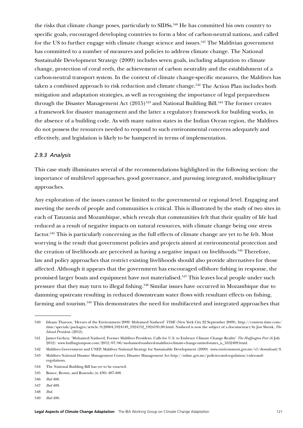the risks that climate change poses, particularly to SIDSs.<sup>540</sup> He has committed his own country to specific goals, encouraged developing countries to form a bloc of carbon-neutral nations, and called for the US to further engage with climate change science and issues.<sup>541</sup> The Maldivian government has committed to a number of measures and policies to address climate change. The National Sustainable Development Strategy (2009) includes seven goals, including adaptation to climate change, protection of coral reefs, the achievement of carbon neutrality and the establishment of a carbon-neutral transport system. In the context of climate change-specific measures, the Maldives has taken a combined approach to risk reduction and climate change.<sup>542</sup> The Action Plan includes both mitigation and adaptation strategies, as well as recognising the importance of legal preparedness through the Disaster Management Act  $(2015)^{543}$  and National Building Bill.<sup>544</sup> The former creates a framework for disaster management and the latter a regulatory framework for building works, in the absence of a building code. As with many nation states in the Indian Ocean region, the Maldives do not possess the resources needed to respond to such environmental concerns adequately and effectively, and legislation is likely to be hampered in terms of implementation.

#### *2.9.3 Analysis*

This case study illuminates several of the recommendations highlighted in the following section: the importance of multilevel approaches, good governance, and pursuing integrated, multidisciplinary approaches.

Any exploration of the issues cannot be limited to the governmental or regional level. Engaging and meeting the needs of people and communities is critical. This is illustrated by the study of two sites in each of Tanzania and Mozambique, which reveals that communities felt that their quality of life had reduced as a result of negative impacts on natural resources, with climate change being one stress factor.545 This is particularly concerning as the full effects of climate change are yet to be felt. Most worrying is the result that government policies and projects aimed at environmental protection and the creation of livelihoods are perceived as having a negative impact on livelihoods.<sup>546</sup> Therefore, law and policy approaches that restrict existing livelihoods should also provide alternatives for those affected. Although it appears that the government has encouraged offshore fishing in response, the promised larger boats and equipment have not materialised.<sup>547</sup> This leaves local people under such pressure that they may turn to illegal fishing.<sup>548</sup> Similar issues have occurred in Mozambique due to damming upstream resulting in reduced downstream water flows with resultant effects on fishing, farming and tourism.549 This demonstrates the need for multifaceted and integrated approaches that

<sup>540</sup> Ishaan Tharoor, 'Heroes of the Environment 2009: Mohamed Nasheed' *TIME* (New York City 22 September 2009), http://content.time.com/ time/specials/packages/article/0.28804.1924149\_1924152\_1924195,00.html. Nasheed is now the subject of a documentary by Ion Shenk, *The Island Presiden*t (2012).

<sup>541</sup> James Gerken, 'Mohamed Nasheed, Former Maldives President, Calls for U.S. to Embrace Climate Change Reality' *The Huffington Post* (6 July 2012) www.huffingtonpost.com/2012/07/06/mohamed-nasheed-maldives-climate-change-united-states\_n\_1652409.html.

<sup>542</sup> Maldives Government and UNEP, Maldives National Strategy for Sustainable Development (2009) www.environment.gov.mv/v1/download/9.

<sup>543</sup> Maldives National Disaster Management Center, Disaster Management Act http://ndmc.gov.mv/policies-and-regulation/rules-andregulations.

<sup>544</sup> The National Building Bill has yet to be enacted.

<sup>545</sup> Bunce, Brown, and Rosendo (n 430) 487-488.

<sup>546</sup> *Ibid* 488.

<sup>547</sup> *Ibid* 489.

<sup>548</sup> *Ibid*.

<sup>549</sup> *Ibid* 490.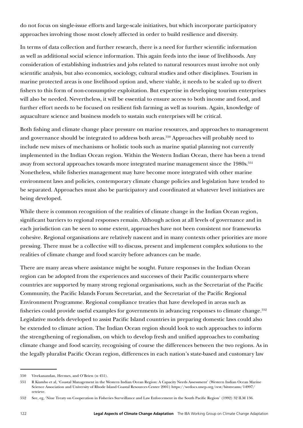do not focus on single-issue efforts and large-scale initiatives, but which incorporate participatory approaches involving those most closely affected in order to build resilience and diversity.

In terms of data collection and further research, there is a need for further scientific information as well as additional social science information. This again feeds into the issue of livelihoods. Any consideration of establishing industries and jobs related to natural resources must involve not only scientific analysis, but also economics, sociology, cultural studies and other disciplines. Tourism in marine protected areas is one livelihood option and, where viable, it needs to be scaled up to divert fishers to this form of non-consumptive exploitation. But expertise in developing tourism enterprises will also be needed. Nevertheless, it will be essential to ensure access to both income and food, and further effort needs to be focused on resilient fish farming as well as tourism. Again, knowledge of aquaculture science and business models to sustain such enterprises will be critical.

Both fishing and climate change place pressure on marine resources, and approaches to management and governance should be integrated to address both areas.<sup>550</sup> Approaches will probably need to include new mixes of mechanisms or holistic tools such as marine spatial planning not currently implemented in the Indian Ocean region. Within the Western Indian Ocean, there has been a trend away from sectoral approaches towards more integrated marine management since the 1980s.<sup>551</sup> Nonetheless, while fisheries management may have become more integrated with other marine environment laws and policies, contemporary climate change policies and legislation have tended to be separated. Approaches must also be participatory and coordinated at whatever level initiatives are being developed.

While there is common recognition of the realities of climate change in the Indian Ocean region, significant barriers to regional responses remain. Although action at all levels of governance and in each jurisdiction can be seen to some extent, approaches have not been consistent nor frameworks cohesive. Regional organisations are relatively nascent and in many contexts other priorities are more pressing. There must be a collective will to discuss, present and implement complex solutions to the realities of climate change and food scarcity before advances can be made.

There are many areas where assistance might be sought. Future responses in the Indian Ocean region can be adopted from the experiences and successes of their Pacific counterparts where countries are supported by many strong regional organisations, such as the Secretariat of the Pacific Community, the Pacific Islands Forum Secretariat, and the Secretariat of the Pacific Regional Environment Programme. Regional compliance treaties that have developed in areas such as fisheries could provide useful examples for governments in advancing responses to climate change.<sup>552</sup> Legislative models developed to assist Pacific Island countries in preparing domestic laws could also be extended to climate action. The Indian Ocean region should look to such approaches to inform the strengthening of regionalism, on which to develop fresh and unified approaches to combating climate change and food scarcity, recognising of course the differences between the two regions. As in the legally pluralist Pacific Ocean region, differences in each nation's state-based and customary law

<sup>550</sup> Vivekanandan, Hermes, and O'Brien (n 451).

<sup>551</sup> R Kiambo et al, 'Coastal Management in the Western Indian Ocean Region: A Capacity Needs Assessment' (Western Indian Ocean Marine Science Association and University of Rhode Island Coastal Resources Center 2001) https://wedocs.unep.org/rest/bitstreams/14997/ retrieve.

<sup>552</sup> See, eg, 'Niue Treaty on Cooperation in Fisheries Surveillance and Law Enforcement in the South Pacific Region' (1992) 32 ILM 136.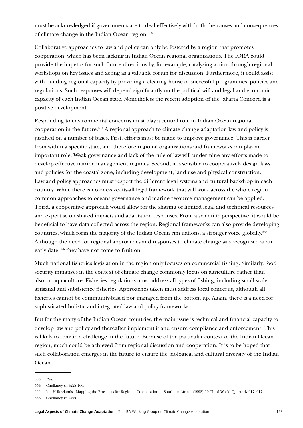must be acknowledged if governments are to deal effectively with both the causes and consequences of climate change in the Indian Ocean region.<sup>553</sup>

Collaborative approaches to law and policy can only be fostered by a region that promotes cooperation, which has been lacking in Indian Ocean regional organisations. The IORA could provide the impetus for such future directions by, for example, catalysing action through regional workshops on key issues and acting as a valuable forum for discussion. Furthermore, it could assist with building regional capacity by providing a clearing house of successful programmes, policies and regulations. Such responses will depend significantly on the political will and legal and economic capacity of each Indian Ocean state. Nonetheless the recent adoption of the Jakarta Concord is a positive development.

Responding to environmental concerns must play a central role in Indian Ocean regional cooperation in the future.554 A regional approach to climate change adaptation law and policy is justified on a number of bases. First, efforts must be made to improve governance. This is harder from within a specific state, and therefore regional organisations and frameworks can play an important role. Weak governance and lack of the rule of law will undermine any efforts made to develop effective marine management regimes. Second, it is sensible to cooperatively design laws and policies for the coastal zone, including development, land use and physical construction. Law and policy approaches must respect the different legal systems and cultural backdrop in each country. While there is no one-size-fits-all legal framework that will work across the whole region, common approaches to oceans governance and marine resource management can be applied. Third, a cooperative approach would allow for the sharing of limited legal and technical resources and expertise on shared impacts and adaptation responses. From a scientific perspective, it would be beneficial to have data collected across the region. Regional frameworks can also provide developing countries, which form the majority of the Indian Ocean rim nations, a stronger voice globally.555 Although the need for regional approaches and responses to climate change was recognised at an early date,<sup>556</sup> they have not come to fruition.

Much national fisheries legislation in the region only focuses on commercial fishing. Similarly, food security initiatives in the context of climate change commonly focus on agriculture rather than also on aquaculture. Fisheries regulations must address all types of fishing, including small-scale artisanal and subsistence fisheries. Approaches taken must address local concerns, although all fisheries cannot be community-based nor managed from the bottom up. Again, there is a need for sophisticated holistic and integrated law and policy frameworks.

But for the many of the Indian Ocean countries, the main issue is technical and financial capacity to develop law and policy and thereafter implement it and ensure compliance and enforcement. This is likely to remain a challenge in the future. Because of the particular context of the Indian Ocean region, much could be achieved from regional discussion and cooperation. It is to be hoped that such collaboration emerges in the future to ensure the biological and cultural diversity of the Indian Ocean.

<sup>553</sup> *Ibid*.

<sup>554</sup> Chellaney (n 422) 166.

<sup>555</sup> Ian H Rowlands, 'Mapping the Prospects for Regional Co-operation in Southern Africa' (1998) 19 Third World Quarterly 917, 917.

<sup>556</sup> Chellaney (n 422).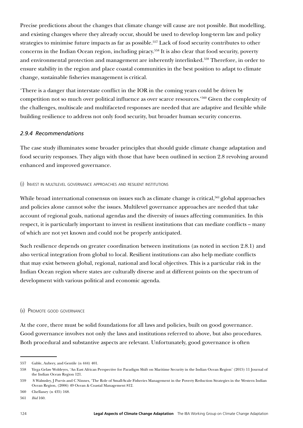Precise predictions about the changes that climate change will cause are not possible. But modelling, and existing changes where they already occur, should be used to develop long-term law and policy strategies to minimise future impacts as far as possible.557 Lack of food security contributes to other concerns in the Indian Ocean region, including piracy.558 It is also clear that food security, poverty and environmental protection and management are inherently interlinked.<sup>559</sup> Therefore, in order to ensure stability in the region and place coastal communities in the best position to adapt to climate change, sustainable fisheries management is critical.

'There is a danger that interstate conflict in the IOR in the coming years could be driven by competition not so much over political influence as over scarce resources.'560 Given the complexity of the challenges, multiscale and multifaceted responses are needed that are adaptive and flexible while building resilience to address not only food security, but broader human security concerns.

## *2.9.4 Recommendations*

The case study illuminates some broader principles that should guide climate change adaptation and food security responses. They align with those that have been outlined in section [2.8](#page-101-0) revolving around enhanced and improved governance.

## (i) Invest in multilevel governance approaches and resilient institutions

While broad international consensus on issues such as climate change is critical,<sup>561</sup> global approaches and policies alone cannot solve the issues. Multilevel governance approaches are needed that take account of regional goals, national agendas and the diversity of issues affecting communities. In this respect, it is particularly important to invest in resilient institutions that can mediate conflicts – many of which are not yet known and could not be properly anticipated.

Such resilience depends on greater coordination between institutions (as noted in section [2.8.1\)](#page-101-1) and also vertical integration from global to local. Resilient institutions can also help mediate conflicts that may exist between global, regional, national and local objectives. This is a particular risk in the Indian Ocean region where states are culturally diverse and at different points on the spectrum of development with various political and economic agenda.

## (ii) Promote good governance

At the core, there must be solid foundations for all laws and policies, built on good governance. Good governance involves not only the laws and institutions referred to above, but also procedures. Both procedural and substantive aspects are relevant. Unfortunately, good governance is often

<sup>557</sup> Gable, Aubrey, and Gentile (n 444) 401.

<sup>558</sup> Yirga Gelaw Woldeyes, 'An East African Perspective for Paradigm Shift on Maritime Security in the Indian Ocean Region' (2015) 11 Journal of the Indian Ocean Region 121.

<sup>559</sup> S Walmsley, J Purvis and C Ninnes, 'The Role of Small-Scale Fisheries Management in the Poverty Reduction Strategies in the Western Indian Ocean Region, (2006) 49 Ocean & Coastal Management 812.

<sup>560</sup> Chellaney (n 435) 168.

<sup>561</sup> *Ibid* 160.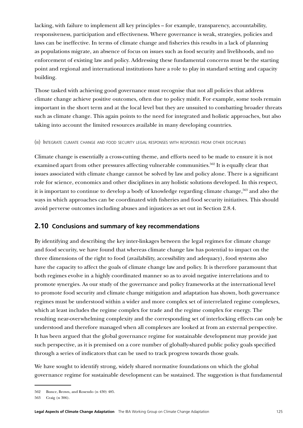lacking, with failure to implement all key principles – for example, transparency, accountability, responsiveness, participation and effectiveness. Where governance is weak, strategies, policies and laws can be ineffective. In terms of climate change and fisheries this results in a lack of planning as populations migrate, an absence of focus on issues such as food security and livelihoods, and no enforcement of existing law and policy. Addressing these fundamental concerns must be the starting point and regional and international institutions have a role to play in standard setting and capacity building.

Those tasked with achieving good governance must recognise that not all policies that address climate change achieve positive outcomes, often due to policy misfit. For example, some tools remain important in the short term and at the local level but they are unsuited to combatting broader threats such as climate change. This again points to the need for integrated and holistic approaches, but also taking into account the limited resources available in many developing countries.

(iii) Integrate climate change and food security legal responses with responses from other disciplines

Climate change is essentially a cross-cutting theme, and efforts need to be made to ensure it is not examined apart from other pressures affecting vulnerable communities.<sup>562</sup> It is equally clear that issues associated with climate change cannot be solved by law and policy alone. There is a significant role for science, economics and other disciplines in any holistic solutions developed. In this respect, it is important to continue to develop a body of knowledge regarding climate change,<sup>563</sup> and also the ways in which approaches can be coordinated with fisheries and food security initiatives. This should avoid perverse outcomes including abuses and injustices as set out in Section [2.8.4](#page-105-0).

# **2.10 Conclusions and summary of key recommendations**

By identifying and describing the key inter-linkages between the legal regimes for climate change and food security, we have found that whereas climate change law has potential to impact on the three dimensions of the right to food (availability, accessibility and adequacy), food systems also have the capacity to affect the goals of climate change law and policy. It is therefore paramount that both regimes evolve in a highly coordinated manner so as to avoid negative interrelations and to promote synergies. As our study of the governance and policy frameworks at the international level to promote food security and climate change mitigation and adaptation has shown, both governance regimes must be understood within a wider and more complex set of interrelated regime complexes, which at least includes the regime complex for trade and the regime complex for energy. The resulting near-overwhelming complexity and the corresponding set of interlocking effects can only be understood and therefore managed when all complexes are looked at from an external perspective. It has been argued that the global governance regime for sustainable development may provide just such perspective, as it is premised on a core number of globally-shared public policy goals specified through a series of indicators that can be used to track progress towards those goals.

We have sought to identify strong, widely shared normative foundations on which the global governance regime for sustainable development can be sustained. The suggestion is that fundamental

<sup>562</sup> Bunce, Brown, and Rosendo (n 430) 485.

<sup>563</sup> Craig (n 306).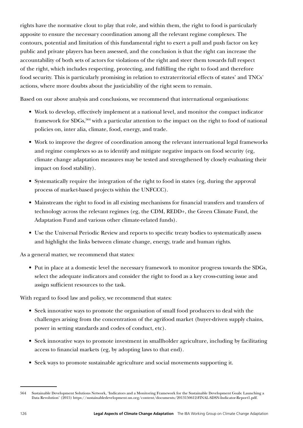rights have the normative clout to play that role, and within them, the right to food is particularly apposite to ensure the necessary coordination among all the relevant regime complexes. The contours, potential and limitation of this fundamental right to exert a pull and push factor on key public and private players has been assessed, and the conclusion is that the right can increase the accountability of both sets of actors for violations of the right and steer them towards full respect of the right, which includes respecting, protecting, and fulfilling the right to food and therefore food security. This is particularly promising in relation to extraterritorial effects of states' and TNCs' actions, where more doubts about the justiciability of the right seem to remain.

Based on our above analysis and conclusions, we recommend that international organisations:

- Work to develop, effectively implement at a national level, and monitor the compact indicator framework for SDGs,<sup>564</sup> with a particular attention to the impact on the right to food of national policies on, inter alia, climate, food, energy, and trade.
- Work to improve the degree of coordination among the relevant international legal frameworks and regime complexes so as to identify and mitigate negative impacts on food security (eg, climate change adaptation measures may be tested and strengthened by closely evaluating their impact on food stability).
- Systematically require the integration of the right to food in states (eg, during the approval process of market-based projects within the UNFCCC).
- Mainstream the right to food in all existing mechanisms for financial transfers and transfers of technology across the relevant regimes (eg, the CDM, REDD+, the Green Climate Fund, the Adaptation Fund and various other climate-related funds).
- Use the Universal Periodic Review and reports to specific treaty bodies to systematically assess and highlight the links between climate change, energy, trade and human rights.

As a general matter, we recommend that states:

• Put in place at a domestic level the necessary framework to monitor progress towards the SDGs, select the adequate indicators and consider the right to food as a key cross-cutting issue and assign sufficient resources to the task.

With regard to food law and policy, we recommend that states:

- Seek innovative ways to promote the organisation of small food producers to deal with the challenges arising from the concentration of the agrifood market (buyer-driven supply chains, power in setting standards and codes of conduct, etc).
- Seek innovative ways to promote investment in smallholder agriculture, including by facilitating access to financial markets (eg, by adopting laws to that end).
- Seek ways to promote sustainable agriculture and social movements supporting it.

<sup>564</sup> Sustainable Development Solutions Network, 'Indicators and a Monitoring Framework for the Sustainable Development Goals: Launching a Data Revolution' (2015) https://sustainabledevelopment.un.org/content/documents/2013150612-FINAL-SDSN-Indicator-Report1.pdf.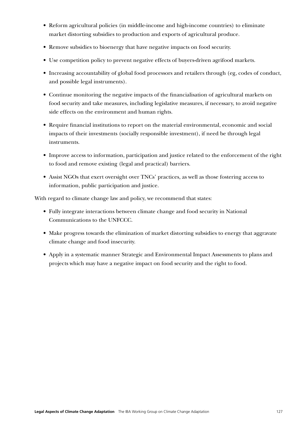- Reform agricultural policies (in middle-income and high-income countries) to eliminate market distorting subsidies to production and exports of agricultural produce.
- Remove subsidies to bioenergy that have negative impacts on food security.
- Use competition policy to prevent negative effects of buyers-driven agrifood markets.
- Increasing accountability of global food processors and retailers through (eg, codes of conduct, and possible legal instruments).
- Continue monitoring the negative impacts of the financialisation of agricultural markets on food security and take measures, including legislative measures, if necessary, to avoid negative side effects on the environment and human rights.
- Require financial institutions to report on the material environmental, economic and social impacts of their investments (socially responsible investment), if need be through legal instruments.
- Improve access to information, participation and justice related to the enforcement of the right to food and remove existing (legal and practical) barriers.
- Assist NGOs that exert oversight over TNCs' practices, as well as those fostering access to information, public participation and justice.

With regard to climate change law and policy, we recommend that states:

- Fully integrate interactions between climate change and food security in National Communications to the UNFCCC.
- Make progress towards the elimination of market distorting subsidies to energy that aggravate climate change and food insecurity.
- Apply in a systematic manner Strategic and Environmental Impact Assessments to plans and projects which may have a negative impact on food security and the right to food.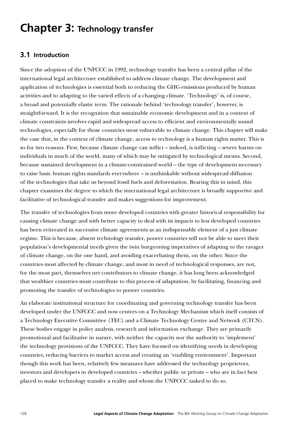# **Chapter 3: Technology transfer**

# **3.1 Introduction**

Since the adoption of the UNFCCC in 1992, technology transfer has been a central pillar of the international legal architecture established to address climate change. The development and application of technologies is essential both to reducing the GHG emissions produced by human activities and to adapting to the varied effects of a changing climate. 'Technology' is, of course, a broad and potentially elastic term. The rationale behind 'technology transfer', however, is straightforward. It is the recognition that sustainable economic development and in a context of climate constraints involves rapid and widespread access to efficient and environmentally sound technologies, especially for those countries most vulnerable to climate change. This chapter will make the case that, in the context of climate change, access to technology is a human rights matter. This is so for two reasons. First, because climate change can inflict – indeed, is inflicting – severe harms on individuals in much of the world, many of which may be mitigated by technological means. Second, because sustained development in a climate-constrained world – the type of development necessary to raise basic human rights standards everywhere – is unthinkable without widespread diffusion of the technologies that take us beyond fossil fuels and deforestation. Bearing this in mind, this chapter examines the degree to which the international legal architecture is broadly supportive and facilitative of technological transfer and makes suggestions for improvement.

The transfer of technologies from more developed countries with greater historical responsibility for causing climate change and with better capacity to deal with its impacts to less developed countries has been reiterated in successive climate agreements as an indispensable element of a just climate regime. This is because, absent technology transfer, poorer countries will not be able to meet their population's developmental needs given the twin burgeoning imperatives of adapting to the ravages of climate change, on the one hand, and avoiding exacerbating them, on the other. Since the countries most affected by climate change, and most in need of technological responses, are not, for the most part, themselves net contributors to climate change, it has long been acknowledged that wealthier countries must contribute to this process of adaptation, by facilitating, financing and promoting the transfer of technologies to poorer countries.

An elaborate institutional structure for coordinating and governing technology transfer has been developed under the UNFCCC and now centres on a Technology Mechanism which itself consists of a Technology Executive Committee (TEC) and a Climate Technology Centre and Network (CTCN). These bodies engage in policy analysis, research and information exchange. They are primarily promotional and facilitative in nature, with neither the capacity nor the authority to 'implement' the technology provisions of the UNFCCC. They have focused on identifying needs in developing countries, reducing barriers to market access and creating an 'enabling environment'. Important though this work has been, relatively few measures have addressed the technology proprietors, investors and developers in developed countries – whether public or private – who are in fact best placed to make technology transfer a reality and whom the UNFCCC tasked to do so.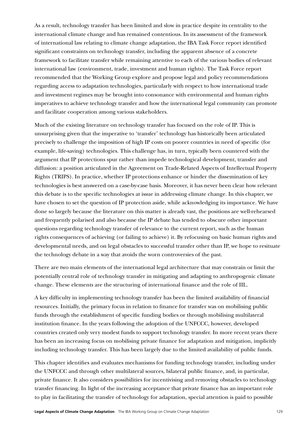As a result, technology transfer has been limited and slow in practice despite its centrality to the international climate change and has remained contentious. In its assessment of the framework of international law relating to climate change adaptation, the IBA Task Force report identified significant constraints on technology transfer, including the apparent absence of a concrete framework to facilitate transfer while remaining attentive to each of the various bodies of relevant international law (environment, trade, investment and human rights). The Task Force report recommended that the Working Group explore and propose legal and policy recommendations regarding access to adaptation technologies, particularly with respect to how international trade and investment regimes may be brought into consonance with environmental and human rights imperatives to achieve technology transfer and how the international legal community can promote and facilitate cooperation among various stakeholders.

Much of the existing literature on technology transfer has focused on the role of IP. This is unsurprising given that the imperative to 'transfer' technology has historically been articulated precisely to challenge the imposition of high IP costs on poorer countries in need of specific (for example, life-saving) technologies. This challenge has, in turn, typically been countered with the argument that IP protections spur rather than impede technological development, transfer and diffusion: a position articulated in the Agreement on Trade-Related Aspects of Intellectual Property Rights (TRIPS). In practice, whether IP protections enhance or hinder the dissemination of key technologies is best answered on a case-by-case basis. Moreover, it has never been clear how relevant this debate is to the specific technologies at issue in addressing climate change. In this chapter, we have chosen to set the question of IP protection aside, while acknowledging its importance. We have done so largely because the literature on this matter is already vast, the positions are well-rehearsed and frequently polarised and also because the IP debate has tended to obscure other important questions regarding technology transfer of relevance to the current report, such as the human rights consequences of achieving (or failing to achieve) it. By refocusing on basic human rights and developmental needs, and on legal obstacles to successful transfer other than IP, we hope to resituate the technology debate in a way that avoids the worn controversies of the past.

There are two main elements of the international legal architecture that may constrain or limit the potentially central role of technology transfer in mitigating and adapting to anthropogenic climate change. These elements are the structuring of international finance and the role of IIL.

A key difficulty in implementing technology transfer has been the limited availability of financial resources. Initially, the primary focus in relation to finance for transfer was on mobilising public funds through the establishment of specific funding bodies or through mobilising multilateral institution finance. In the years following the adoption of the UNFCCC, however, developed countries created only very modest funds to support technology transfer. In more recent years there has been an increasing focus on mobilising private finance for adaptation and mitigation, implicitly including technology transfer. This has been largely due to the limited availability of public funds.

This chapter identifies and evaluates mechanisms for funding technology transfer, including under the UNFCCC and through other multilateral sources, bilateral public finance, and, in particular, private finance. It also considers possibilities for incentivising and removing obstacles to technology transfer financing. In light of the increasing acceptance that private finance has an important role to play in facilitating the transfer of technology for adaptation, special attention is paid to possible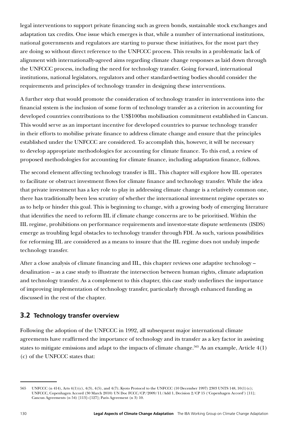legal interventions to support private financing such as green bonds, sustainable stock exchanges and adaptation tax credits. One issue which emerges is that, while a number of international institutions, national governments and regulators are starting to pursue these initiatives, for the most part they are doing so without direct reference to the UNFCCC process. This results in a problematic lack of alignment with internationally-agreed aims regarding climate change responses as laid down through the UNFCCC process, including the need for technology transfer. Going forward, international institutions, national legislators, regulators and other standard-setting bodies should consider the requirements and principles of technology transfer in designing these interventions.

A further step that would promote the consideration of technology transfer in interventions into the financial system is the inclusion of some form of technology transfer as a criterion in accounting for developed countries contributions to the US\$100bn mobilisation commitment established in Cancun. This would serve as an important incentive for developed countries to pursue technology transfer in their efforts to mobilise private finance to address climate change and ensure that the principles established under the UNFCCC are considered. To accomplish this, however, it will be necessary to develop appropriate methodologies for accounting for climate finance. To this end, a review of proposed methodologies for accounting for climate finance, including adaptation finance, follows.

The second element affecting technology transfer is IIL. This chapter will explore how IIL operates to facilitate or obstruct investment flows for climate finance and technology transfer. While the idea that private investment has a key role to play in addressing climate change is a relatively common one, there has traditionally been less scrutiny of whether the international investment regime operates so as to help or hinder this goal. This is beginning to change, with a growing body of emerging literature that identifies the need to reform IIL if climate change concerns are to be prioritised. Within the IIL regime, prohibitions on performance requirements and investor-state dispute settlements (ISDS) emerge as troubling legal obstacles to technology transfer through FDI. As such, various possibilities for reforming IIL are considered as a means to insure that the IIL regime does not unduly impede technology transfer.

After a close analysis of climate financing and IIL, this chapter reviews one adaptive technology – desalination – as a case study to illustrate the intersection between human rights, climate adaptation and technology transfer. As a complement to this chapter, this case study underlines the importance of improving implementation of technology transfer, particularly through enhanced funding as discussed in the rest of the chapter.

# **3.2 Technology transfer overview**

Following the adoption of the UNFCCC in 1992, all subsequent major international climate agreements have reaffirmed the importance of technology and its transfer as a key factor in assisting states to mitigate emissions and adapt to the impacts of climate change.<sup>565</sup> As an example, Article 4(1) (c) of the UNFCCC states that:

<sup>565</sup> UNFCCC (n 414), Arts 4(1)(c), 4(3), 4(5), and 4(7); Kyoto Protocol to the UNFCCC (10 December 1997) 2303 UNTS 148, 10(1)(c); UNFCCC, Copenhagen Accord (30 March 2010) UN Doc FCCC/CP/2009/11/Add 1, Decision 2/CP 15 ('Copenhagen Accord') [11]; Cancun Agreements (n 54) [113]–[127]; Paris Agreement (n 3) 10.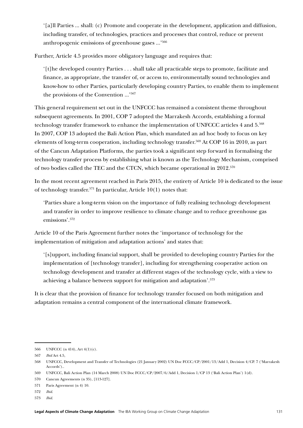'[a]ll Parties ... shall: (c) Promote and cooperate in the development, application and diffusion, including transfer, of technologies, practices and processes that control, reduce or prevent anthropogenic emissions of greenhouse gases ...'566

Further, Article 4.5 provides more obligatory language and requires that:

'[t]he developed country Parties . . . shall take all practicable steps to promote, facilitate and finance, as appropriate, the transfer of, or access to, environmentally sound technologies and know-how to other Parties, particularly developing country Parties, to enable them to implement the provisions of the Convention ...'567

This general requirement set out in the UNFCCC has remained a consistent theme throughout subsequent agreements. In 2001, COP 7 adopted the Marrakesh Accords*,* establishing a formal technology transfer framework to enhance the implementation of UNFCCC articles 4 and 5.568 In 2007, COP 13 adopted the Bali Action Plan*,* which mandated an ad hoc body to focus on key elements of long-term cooperation, including technology transfer.569 At COP 16 in 2010, as part of the Cancun Adaptation Platforms*,* the parties took a significant step forward in formalising the technology transfer process by establishing what is known as the Technology Mechanism*,* comprised of two bodies called the TEC and the CTCN, which became operational in 2012.570

In the most recent agreement reached in Paris 2015, the entirety of Article 10 is dedicated to the issue of technology transfer.571 In particular, Article 10(1) notes that:

'Parties share a long-term vision on the importance of fully realising technology development and transfer in order to improve resilience to climate change and to reduce greenhouse gas emissions'.572

Article 10 of the Paris Agreement further notes the 'importance of technology for the implementation of mitigation and adaptation actions' and states that:

'[s]upport, including financial support, shall be provided to developing country Parties for the implementation of [technology transfer], including for strengthening cooperative action on technology development and transfer at different stages of the technology cycle, with a view to achieving a balance between support for mitigation and adaptation'.<sup>573</sup>

It is clear that the provision of finance for technology transfer focused on both mitigation and adaptation remains a central component of the international climate framework.

<sup>566</sup> UNFCCC (n 414), Art 4(1)(c).

<sup>567</sup> *Ibid* Art 4.5,

<sup>568</sup> UNFCCC, Development and Transfer of Technologies (21 January 2002) UN Doc FCCC/CP/2001/13/Add 1, Decision 4/CP. 7 ('Marrakesh Accords')..

<sup>569</sup> UNFCCC, Bali Action Plan (14 March 2008) UN Doc FCCC/CP/2007/6/Add 1, Decision 1/CP 13 ('Bali Action Plan') 1(d).

<sup>570</sup> Cancun Agreements (n 35), [113-127].

<sup>571</sup> Paris Agreement (n 4) 10.

<sup>572</sup> *Ibid*.

<sup>573</sup> *Ibid*.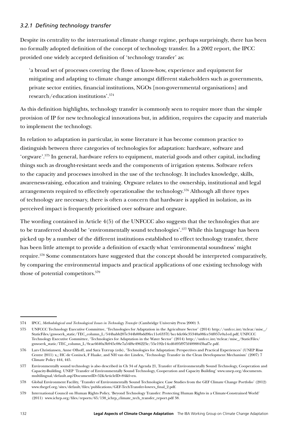## *3.2.1 Defining technology transfer*

Despite its centrality to the international climate change regime, perhaps surprisingly, there has been no formally adopted definition of the concept of technology transfer. In a 2002 report, the IPCC provided one widely accepted definition of 'technology transfer' as:

'a broad set of processes covering the flows of know-how, experience and equipment for mitigating and adapting to climate change amongst different stakeholders such as governments, private sector entities, financial institutions, NGOs [non-governmental organisations] and research/education institutions'.574

As this definition highlights, technology transfer is commonly seen to require more than the simple provision of IP for new technological innovations but, in addition, requires the capacity and materials to implement the technology.

In relation to adaptation in particular, in some literature it has become common practice to distinguish between three categories of technologies for adaptation: hardware, software and 'orgware'.575 In general, hardware refers to equipment, material goods and other capital, including things such as drought-resistant seeds and the components of irrigation systems. Software refers to the capacity and processes involved in the use of the technology. It includes knowledge, skills, awareness-raising, education and training. Orgware relates to the ownership, institutional and legal arrangements required to effectively operationalise the technology.<sup>576</sup> Although all three types of technology are necessary, there is often a concern that hardware is applied in isolation, as its perceived impact is frequently prioritised over software and orgware.

The wording contained in Article 4(5) of the UNFCCC also suggests that the technologies that are to be transferred should be 'environmentally sound technologies'.577 While this language has been picked up by a number of the different institutions established to effect technology transfer, there has been little attempt to provide a definition of exactly what 'environmental soundness' might require.578 Some commentators have suggested that the concept should be interpreted comparatively, by comparing the environmental impacts and practical applications of one existing technology with those of potential competitors.<sup>579</sup>

<sup>574</sup> IPCC, *Methodological and Technological Issues in Technology Transfer* (Cambridge University Press 2000) 3.

<sup>575</sup> UNFCCC Technology Executive Committee, 'Technologies for Adaptation in the Agriculture Sector' (2014) http://unfccc.int/ttclear/misc\_/ StaticFiles/gnwoerk\_static/TEC\_column\_L/544babb207e344b88bdd9fec11e6337f/bcc4dc66c35340a08fce34f057e0a1ed.pdf; UNFCCC Technology Executive Committee, 'Technologies for Adaptation in the Water Sector' (2014) http://unfccc.int/ttclear/misc\_/StaticFiles/ gnwoerk\_static/TEC\_column\_L/0cac6640a3b945c08e7a54f8e496223e/55e192e14cd6495f975f4098843baf7e.pdf.

<sup>576</sup> Lars Christiansen, Anne Olhoff, and Sara Trærup (eds), 'Technologies for Adaptation: Perspectives and Practical Experiences' (UNEP Risø Centre 2011) x,; HC de Coninck, F Haake, and NH van der Linden, 'Technology Transfer in the Clean Development Mechanism' (2007) 7 Climate Policy 444, 445.

<sup>577</sup> Environmentally sound technology is also described in Ch 34 of Agenda 21, Transfer of Environmentally Sound Technology, Cooperation and Capacity-Building. UNEP 'Transfer of Environmentally Sound Technology, Cooperation and Capacity Building' [www.unep.org/documents.](http://www.unep.org/documents.multilingual/default.asp?DocumentID=52&ArticleID=84&l=en) [multilingual/default.asp?DocumentID=52&ArticleID=84&l=en](http://www.unep.org/documents.multilingual/default.asp?DocumentID=52&ArticleID=84&l=en).

<sup>578</sup> Global Environment Facility, 'Transfer of Environmentally Sound Technologies: Case Studies from the GEF Climate Change Portfolio' (2012) [www.thegef.org/sites/default/files/publications/GEF-TechTransfer-lowres\\_final\\_2.pdf](https://www.thegef.org/sites/default/files/publications/GEF-TechTransfer-lowres_final_2.pdf).

<sup>579</sup> International Council on Human Rights Policy, 'Beyond Technology Transfer: Protecting Human Rights in a Climate-Constrained World' (2011) [www.ichrp.org/files/reports/65/138\\_ichrp\\_climate\\_tech\\_transfer\\_report.pdf](http://www.ichrp.org/files/reports/65/138_ichrp_climate_tech_transfer_report.pdf) 38.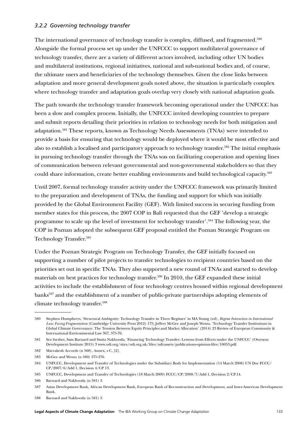## *3.2.2 Governing technology transfer*

The international governance of technology transfer is complex, diffused, and fragmented.<sup>580</sup> Alongside the formal process set up under the UNFCCC to support multilateral governance of technology transfer, there are a variety of different actors involved, including other UN bodies and multilateral institutions, regional initiatives, national and sub-national bodies and, of course, the ultimate users and beneficiaries of the technology themselves. Given the close links between adaptation and more general development goals noted above, the situation is particularly complex where technology transfer and adaptation goals overlap very closely with national adaptation goals.

The path towards the technology transfer framework becoming operational under the UNFCCC has been a slow and complex process. Initially, the UNFCCC invited developing countries to prepare and submit reports detailing their priorities in relation to technology needs for both mitigation and adaptation.581 These reports, known as Technology Needs Assessments (TNAs) were intended to provide a basis for ensuring that technology would be deployed where it would be most effective and also to establish a localised and participatory approach to technology transfer.582 The initial emphasis in pursuing technology transfer through the TNAs was on facilitating cooperation and opening lines of communication between relevant governmental and non-governmental stakeholders so that they could share information, create better enabling environments and build technological capacity.<sup>583</sup>

Until 2007, formal technology transfer activity under the UNFCCC framework was primarily limited to the preparation and development of TNAs, the funding and support for which was initially provided by the Global Environment Facility (GEF). With limited success in securing funding from member states for this process, the 2007 COP in Bali requested that the GEF 'develop a strategic programme to scale up the level of investment for technology transfer'.584 The following year, the COP in Poznan adopted the subsequent GEF proposal entitled the Poznan Strategic Program on Technology Transfer.<sup>585</sup>

Under the Poznan Strategic Program on Technology Transfer, the GEF initially focused on supporting a number of pilot projects to transfer technologies to recipient countries based on the priorities set out in specific TNAs. They also supported a new round of TNAs and started to develop materials on best practices for technology transfer.586 In 2010, the GEF expanded these initial activities to include the establishment of four technology centres housed within regional development banks<sup>587</sup> and the establishment of a number of public-private partnerships adopting elements of climate technology transfer.588

<sup>580</sup> Stephen Humphreys, 'Structural Ambiguity: Technology Transfer in Three Regimes' in MA Young (ed), *Regime Interaction in International Law: Facing Fragmentation* (Cambridge University Press 2012) 175; Jeffrey McGee and Joseph Wenta, 'Technology Transfer Institutions in Global Climate Governance: The Tension Between Equity Principles and Market Allocation' (2014) 23 Review of European Community & International Environmental Law 367, 375-76.

<sup>581</sup> See further, Sam Barnard and Smita Nakhooda, 'Financing Technology Transfer: Lessons from Efforts under the UNFCCC' (Overseas Development Institute 2015) 3 [www.odi.org/sites/odi.org.uk/files/odi-assets/publications-opinion-files/10053.pdf](https://www.odi.org/sites/odi.org.uk/files/odi-assets/publications-opinion-files/10053.pdf).

<sup>582</sup> Marrakesh Accords (n 568), Annex, s C, [2].

<sup>583</sup> McGee and Wenta (n 580) 375-376.

<sup>584</sup> UNFCCC, Development and Transfer of Technologies under the Subsidiary Body for Implementation (14 March 2008) UN Doc FCCC/ CP/2007/6/Add 1, Decision 4/CP 13.

<sup>585</sup> UNFCCC, Development and Transfer of Technologies (18 March 2009) FCCC/CP/2008/7/Add 1, Decision 2/CP.14.

<sup>586</sup> Barnard and Nakhooda (n 581) 3.

<sup>587</sup> Asian Development Bank, African Development Bank, European Bank of Reconstruction and Development, and Inter-American Development Bank.

<sup>588</sup> Barnard and Nakhooda (n 581) 3.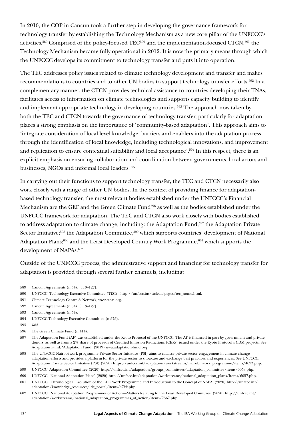In 2010, the COP in Cancun took a further step in developing the governance framework for technology transfer by establishing the Technology Mechanism as a new core pillar of the UNFCCC's activities.<sup>589</sup> Comprised of the policy-focused TEC<sup>590</sup> and the implementation-focused CTCN,<sup>591</sup> the Technology Mechanism became fully operational in 2012. It is now the primary means through which the UNFCCC develops its commitment to technology transfer and puts it into operation.

The TEC addresses policy issues related to climate technology development and transfer and makes recommendations to countries and to other UN bodies to support technology transfer efforts.<sup>592</sup> In a complementary manner, the CTCN provides technical assistance to countries developing their TNAs, facilitates access to information on climate technologies and supports capacity building to identify and implement appropriate technology in developing countries.<sup>593</sup> The approach now taken by both the TEC and CTCN towards the governance of technology transfer, particularly for adaptation, places a strong emphasis on the importance of 'community-based adaptation'. This approach aims to 'integrate consideration of local-level knowledge, barriers and enablers into the adaptation process through the identification of local knowledge, including technological innovations, and improvement and replication to ensure contextual suitability and local acceptance'.<sup>594</sup> In this respect, there is an explicit emphasis on ensuring collaboration and coordination between governments, local actors and businesses, NGOs and informal local leaders.<sup>595</sup>

In carrying out their functions to support technology transfer, the TEC and CTCN necessarily also work closely with a range of other UN bodies. In the context of providing finance for adaptationbased technology transfer, the most relevant bodies established under the UNFCCC's Financial Mechanism are the GEF and the Green Climate Fund<sup>596</sup> as well as the bodies established under the UNFCCC framework for adaptation. The TEC and CTCN also work closely with bodies established to address adaptation to climate change, including: the Adaptation Fund;<sup>597</sup> the Adaptation Private Sector Initiative;<sup>598</sup> the Adaptation Committee,<sup>599</sup> which supports countries' development of National Adaptation Plans;<sup>600</sup> and the Least Developed Country Work Programme,<sup>601</sup> which supports the development of NAPAs.<sup>602</sup>

Outside of the UNFCCC process, the administrative support and financing for technology transfer for adaptation is provided through several further channels, including:

<sup>589</sup> Cancun Agreements (n 54), [113–127].

<sup>590</sup> UNFCCC, Technology Executive Committee (TEC)', http://unfccc.int/ttclear/pages/tec\_home.html.

<sup>591</sup> Climate Technology Centre & Network, [www.ctc-n.org](https://www.ctc-n.org).

<sup>592</sup> Cancun Agreements (n 54), [113–127].

<sup>593</sup> Cancun Agreements (n 54).

<sup>594</sup> UNFCCC Technology Executive Committee (n 575).

<sup>595</sup> *Ibid* 

<sup>596</sup> The Green Climate Fund (n 414).

<sup>597</sup> The Adaptation Fund (AF) was established under the Kyoto Protocol of the UNFCCC. The AF is financed in part by government and private donors, as well as from a 2% share of proceeds of Certified Emission Reductions (CERs) issued under the Kyoto Protocol's CDM projects. See Adaptation Fund, 'Adaptation Fund' (2019) [www.adaptation-fund.org.](https://www.adaptation-fund.org)

<sup>598</sup> The UNFCCC Nairobi work programme Private Sector Initiative (PSI) aims to catalyse private sector engagement in climate change adaptation efforts and provides a platform for the private sector to showcase and exchange best practices and experiences. See UNFCCC, Adaptation Private Sector Initiative (PSI) (2020) [https://unfccc.int/adaptation/workstreams/nairobi\\_work\\_programme/items/4623.php.](https://unfccc.int/adaptation/workstreams/nairobi_work_programme/items/4623.php)

<sup>599</sup> UNFCCC, Adaptation Committee (2020) [http://unfccc.int/adaptation/groups\\_committees/adaptation\\_committee/items/6053.php.](http://unfccc.int/adaptation/groups_committees/adaptation_committee/items/6053.php)

<sup>600</sup> UNFCCC, 'National Adaptation Plans' (2020) [http://unfccc.int/adaptation/workstreams/national\\_adaptation\\_plans/items/6057.php.](http://unfccc.int/adaptation/workstreams/national_adaptation_plans/items/6057.php)

<sup>601</sup> UNFCCC, 'Chronological Evolution of the LDC Work Programme and Introduction to the Concept of NAPA' (2020) [http://unfccc.int/](http://unfccc.int/adaptation/knowledge_resources/ldc_portal/items/4722.php) [adaptation/knowledge\\_resources/ldc\\_portal/items/4722.php](http://unfccc.int/adaptation/knowledge_resources/ldc_portal/items/4722.php).

<sup>602</sup> UNFCCC, 'National Adaptation Programmes of Action—Matters Relating to the Least Developed Countries' (2020) [http://unfccc.int/](http://unfccc.int/adaptation/workstreams/national_adaptation_programmes_of_action/items/7567.php) [adaptation/workstreams/national\\_adaptation\\_programmes\\_of\\_action/items/7567.php.](http://unfccc.int/adaptation/workstreams/national_adaptation_programmes_of_action/items/7567.php)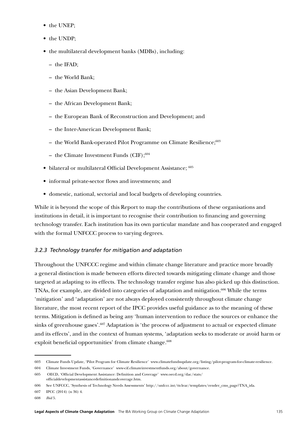- the UNEP;
- the UNDP:
- the multilateral development banks (MDBs), including:
	- the IFAD;
	- the World Bank;
	- the Asian Development Bank;
	- the African Development Bank;
	- the European Bank of Reconstruction and Development; and
	- the Inter-American Development Bank;
	- the World Bank-operated Pilot Programme on Climate Resilience;<sup>603</sup>
	- the Climate Investment Funds (CIF); $604$
- bilateral or multilateral Official Development Assistance; 605
- informal private-sector flows and investments; and
- domestic, national, sectorial and local budgets of developing countries.

While it is beyond the scope of this Report to map the contributions of these organisations and institutions in detail, it is important to recognise their contribution to financing and governing technology transfer. Each institution has its own particular mandate and has cooperated and engaged with the formal UNFCCC process to varying degrees.

# *3.2.3 Technology transfer for mitigation and adaptation*

Throughout the UNFCCC regime and within climate change literature and practice more broadly a general distinction is made between efforts directed towards mitigating climate change and those targeted at adapting to its effects. The technology transfer regime has also picked up this distinction. TNAs, for example, are divided into categories of adaptation and mitigation.<sup>606</sup> While the terms 'mitigation' and 'adaptation' are not always deployed consistently throughout climate change literature, the most recent report of the IPCC provides useful guidance as to the meaning of these terms. Mitigation is defined as being any 'human intervention to reduce the sources or enhance the sinks of greenhouse gases'.<sup>607</sup> Adaptation is 'the process of adjustment to actual or expected climate and its effects', and in the context of human systems, 'adaptation seeks to moderate or avoid harm or exploit beneficial opportunities' from climate change.<sup>608</sup>

<sup>603</sup> Climate Funds Update, 'Pilot Program for Climate Resilience' [www.climatefundsupdate.org/listing/pilot-program-for-climate-resilience.](http://www.climatefundsupdate.org/listing/pilot-program-for-climate-resilience)

<sup>604</sup> Climate Investment Funds, 'Governance' [www-cif.climateinvestmentfunds.org/about/governance.](http://www-cif.climateinvestmentfunds.org/about/governance)

<sup>605</sup> OECD, 'Official Development Assistance: Definition and Coverage' [www.oecd.org/dac/stats/](http://www.oecd.org/dac/stats/officialdevelopmentassistancedefinitionandcoverage.htm) [officialdevelopmentassistancedefinitionandcoverage.htm](http://www.oecd.org/dac/stats/officialdevelopmentassistancedefinitionandcoverage.htm).

<sup>606</sup> See UNFCCC, 'Synthesis of Technology Needs Assessments' [http://unfccc.int/ttclear/templates/render\\_cms\\_page?TNA\\_ida.](http://unfccc.int/ttclear/templates/render_cms_page?TNA_ida)

<sup>607</sup> IPCC (2014) (n 36) 4.

<sup>608</sup> *Ibid* 5.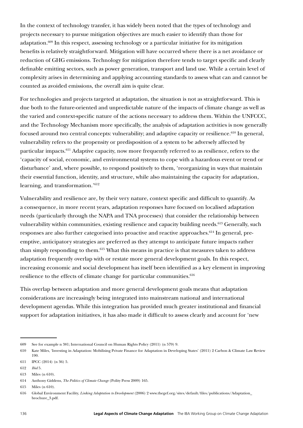In the context of technology transfer, it has widely been noted that the types of technology and projects necessary to pursue mitigation objectives are much easier to identify than those for adaptation.609 In this respect, assessing technology or a particular initiative for its mitigation benefits is relatively straightforward. Mitigation will have occurred where there is a net avoidance or reduction of GHG emissions. Technology for mitigation therefore tends to target specific and clearly definable emitting sectors, such as power generation, transport and land use. While a certain level of complexity arises in determining and applying accounting standards to assess what can and cannot be counted as avoided emissions, the overall aim is quite clear.

For technologies and projects targeted at adaptation, the situation is not as straightforward. This is due both to the future-oriented and unpredictable nature of the impacts of climate change as well as the varied and context-specific nature of the actions necessary to address them. Within the UNFCCC, and the Technology Mechanism more specifically, the analysis of adaptation activities is now generally focused around two central concepts: vulnerability; and adaptive capacity or resilience.<sup>610</sup> In general, vulnerability refers to the propensity or predisposition of a system to be adversely affected by particular impacts.611 Adaptive capacity, now more frequently referred to as resilience, refers to the 'capacity of social, economic, and environmental systems to cope with a hazardous event or trend or disturbance' and, where possible, to respond positively to them, 'reorganizing in ways that maintain their essential function, identity, and structure, while also maintaining the capacity for adaptation, learning, and transformation.'612

Vulnerability and resilience are, by their very nature, context specific and difficult to quantify. As a consequence, in more recent years, adaptation responses have focused on localised adaptation needs (particularly through the NAPA and TNA processes) that consider the relationship between vulnerability within communities, existing resilience and capacity building needs.<sup>613</sup> Generally, such responses are also further categorised into proactive and reactive approaches.<sup>614</sup> In general, preemptive, anticipatory strategies are preferred as they attempt to anticipate future impacts rather than simply responding to them.615 What this means in practice is that measures taken to address adaptation frequently overlap with or restate more general development goals. In this respect, increasing economic and social development has itself been identified as a key element in improving resilience to the effects of climate change for particular communities.<sup>616</sup>

This overlap between adaptation and more general development goals means that adaptation considerations are increasingly being integrated into mainstream national and international development agendas. While this integration has provided much greater institutional and financial support for adaptation initiatives, it has also made it difficult to assess clearly and account for 'new

<sup>609</sup> See for example n 381; International Council on Human Rights Policy (2011) (n 579) 9.

<sup>610</sup> Kate Miles, 'Investing in Adaptation: Mobilising Private Finance for Adaptation in Developing States' (2011) 2 Carbon & Climate Law Review 190.

<sup>611</sup> IPCC (2014) (n 36) 5.

<sup>612</sup> *Ibid* 5.

<sup>613</sup> Miles (n 610).

<sup>614</sup> Anthony Giddens, *The Politics of Climate Change* (Polity Press 2009) 165.

<sup>615</sup> Miles (n 610).

<sup>616</sup> Global Environment Facility, *Linking Adaptation to Development* (2006) 2 [www.thegef.org/sites/default/files/publications/Adaptation\\_](https://www.thegef.org/sites/default/files/publications/Adaptation_brochure_3.pdf) [brochure\\_3.pdf](https://www.thegef.org/sites/default/files/publications/Adaptation_brochure_3.pdf).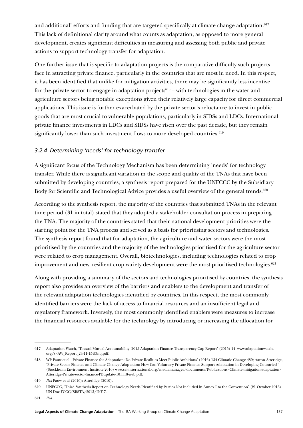and additional' efforts and funding that are targeted specifically at climate change adaptation.<sup>617</sup> This lack of definitional clarity around what counts as adaptation, as opposed to more general development, creates significant difficulties in measuring and assessing both public and private actions to support technology transfer for adaptation.

One further issue that is specific to adaptation projects is the comparative difficulty such projects face in attracting private finance, particularly in the countries that are most in need. In this respect, it has been identified that unlike for mitigation activities, there may be significantly less incentive for the private sector to engage in adaptation projects<sup>618</sup> – with technologies in the water and agriculture sectors being notable exceptions given their relatively large capacity for direct commercial applications. This issue is further exacerbated by the private sector's reluctance to invest in public goods that are most crucial to vulnerable populations, particularly in SIDSs and LDCs. International private finance investments in LDCs and SIDSs have risen over the past decade, but they remain significantly lower than such investment flows to more developed countries. $619$ 

## *3.2.4 Determining 'needs' for technology transfer*

A significant focus of the Technology Mechanism has been determining 'needs' for technology transfer. While there is significant variation in the scope and quality of the TNAs that have been submitted by developing countries, a synthesis report prepared for the UNFCCC by the Subsidiary Body for Scientific and Technological Advice provides a useful overview of the general trends.<sup>620</sup>

According to the synthesis report, the majority of the countries that submitted TNAs in the relevant time period (31 in total) stated that they adopted a stakeholder consultation process in preparing the TNA. The majority of the countries stated that their national development priorities were the starting point for the TNA process and served as a basis for prioritising sectors and technologies. The synthesis report found that for adaptation, the agriculture and water sectors were the most prioritised by the countries and the majority of the technologies prioritised for the agriculture sector were related to crop management. Overall, biotechnologies, including technologies related to crop improvement and new, resilient crop variety development were the most prioritised technologies.<sup>621</sup>

Along with providing a summary of the sectors and technologies prioritised by countries, the synthesis report also provides an overview of the barriers and enablers to the development and transfer of the relevant adaptation technologies identified by countries. In this respect, the most commonly identified barriers were the lack of access to financial resources and an insufficient legal and regulatory framework. Inversely, the most commonly identified enablers were measures to increase the financial resources available for the technology by introducing or increasing the allocation for

<sup>617</sup> Adaptation Watch, 'Toward Mutual Accountability: 2015 Adaptation Finance Transparency Gap Report' (2015) 14 [www.adaptationwatch.](http://www.adaptationwatch.org/s/AW_Report_24-11-15-53nq.pdf) [org/s/AW\\_Report\\_24-11-15-53nq.pdf.](http://www.adaptationwatch.org/s/AW_Report_24-11-15-53nq.pdf)

<sup>618</sup> WP Pauw et al, 'Private Finance for Adaptation: Do Private Realities Meet Public Ambitions' (2016) 134 Climatic Change 489; Aaron Atteridge, 'Private Sector Finance and Climate Change Adaptation: How Can Voluntary Private Finance Support Adaptation in Developing Countries?' (Stockholm Environment Institute 2010) [www.sei-international.org/mediamanager/documents/Publications/Climate-mitigation-adaptation/](https://www.sei-international.org/mediamanager/documents/Publications/Climate-mitigation-adaptation/Atteridge-Private-sector-finance-PBupdate-101118-web.pdf) [Atteridge-Private-sector-finance-PBupdate-101118-web.pdf](https://www.sei-international.org/mediamanager/documents/Publications/Climate-mitigation-adaptation/Atteridge-Private-sector-finance-PBupdate-101118-web.pdf).

<sup>619</sup> *Ibid* Pauw et al (2016); Atteridge (2010).

<sup>620</sup> UNFCCC, 'Third Synthesis Report on Technology Needs Identified by Parties Not Included in Annex I to the Convention' (21 October 2013) UN Doc FCCC/SBSTA/2013/INF 7.

<sup>621</sup> *Ibid.*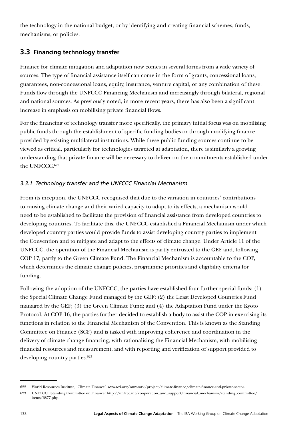the technology in the national budget, or by identifying and creating financial schemes, funds, mechanisms, or policies.

# **3.3 Financing technology transfer**

Finance for climate mitigation and adaptation now comes in several forms from a wide variety of sources. The type of financial assistance itself can come in the form of grants, concessional loans, guarantees, non-concessional loans, equity, insurance, venture capital, or any combination of these. Funds flow through the UNFCCC Financing Mechanism and increasingly through bilateral, regional and national sources. As previously noted, in more recent years, there has also been a significant increase in emphasis on mobilising private financial flows.

For the financing of technology transfer more specifically, the primary initial focus was on mobilising public funds through the establishment of specific funding bodies or through modifying finance provided by existing multilateral institutions. While these public funding sources continue to be viewed as critical, particularly for technologies targeted at adaptation, there is similarly a growing understanding that private finance will be necessary to deliver on the commitments established under the UNFCCC.<sup>622</sup>

# *3.3.1 Technology transfer and the UNFCCC Financial Mechanism*

From its inception, the UNFCCC recognised that due to the variation in countries' contributions to causing climate change and their varied capacity to adapt to its effects, a mechanism would need to be established to facilitate the provision of financial assistance from developed countries to developing countries. To facilitate this, the UNFCCC established a Financial Mechanism under which developed country parties would provide funds to assist developing country parties to implement the Convention and to mitigate and adapt to the effects of climate change. Under Article 11 of the UNFCCC, the operation of the Financial Mechanism is partly entrusted to the GEF and, following COP 17, partly to the Green Climate Fund. The Financial Mechanism is accountable to the COP, which determines the climate change policies, programme priorities and eligibility criteria for funding.

Following the adoption of the UNFCCC, the parties have established four further special funds: (1) the Special Climate Change Fund managed by the GEF; (2) the Least Developed Countries Fund managed by the GEF; (3) the Green Climate Fund; and (4) the Adaptation Fund under the Kyoto Protocol. At COP 16, the parties further decided to establish a body to assist the COP in exercising its functions in relation to the Financial Mechanism of the Convention. This is known as the Standing Committee on Finance (SCF) and is tasked with improving coherence and coordination in the delivery of climate change financing, with rationalising the Financial Mechanism, with mobilising financial resources and measurement, and with reporting and verification of support provided to developing country parties.<sup>623</sup>

<sup>622</sup> World Resources Institute, 'Climate Finance' [www.wri.org/our-work/project/climate-finance/climate-finance-and-private-sector](http://www.wri.org/our-work/project/climate-finance/climate-finance-and-private-sector).

<sup>623</sup> UNFCCC, 'Standing Committee on Finance' [http://unfccc.int/cooperation\\_and\\_support/financial\\_mechanism/standing\\_committee/](http://unfccc.int/cooperation_and_support/financial_mechanism/standing_committee/items/6877.php) [items/6877.php.](http://unfccc.int/cooperation_and_support/financial_mechanism/standing_committee/items/6877.php)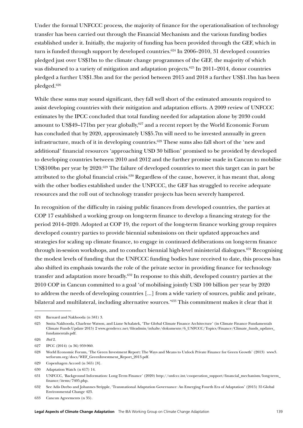Under the formal UNFCCC process, the majority of finance for the operationalisation of technology transfer has been carried out through the Financial Mechanism and the various funding bodies established under it. Initially, the majority of funding has been provided through the GEF, which in turn is funded through support by developed countries.<sup>624</sup> In 2006–2010, 31 developed countries pledged just over US\$1bn to the climate change programmes of the GEF, the majority of which was disbursed to a variety of mitigation and adaptation projects.<sup>625</sup> In 2011–2014, donor countries pledged a further US\$1.3bn and for the period between 2015 and 2018 a further US\$1.1bn has been pledged.626

While these sums may sound significant, they fall well short of the estimated amounts required to assist developing countries with their mitigation and adaptation efforts. A 2009 review of UNFCCC estimates by the IPCC concluded that total funding needed for adaptation alone by 2030 could amount to US\$49–171bn per year globally,<sup>627</sup> and a recent report by the World Economic Forum has concluded that by 2020, approximately US\$5.7tn will need to be invested annually in green infrastructure, much of it in developing countries.628 These sums also fall short of the 'new and additional' financial resources 'approaching USD 30 billion' promised to be provided by developed to developing countries between 2010 and 2012 and the further promise made in Cancun to mobilise US\$100bn per year by 2020.<sup>629</sup> The failure of developed countries to meet this target can in part be attributed to the global financial crisis.<sup>630</sup> Regardless of the cause, however, it has meant that, along with the other bodies established under the UNFCCC, the GEF has struggled to receive adequate resources and the roll out of technology transfer projects has been severely hampered.

In recognition of the difficulty in raising public finances from developed countries, the parties at COP 17 established a working group on long-term finance to develop a financing strategy for the period 2014–2020. Adopted at COP 19, the report of the long-term finance working group requires developed country parties to provide biennial submissions on their updated approaches and strategies for scaling up climate finance, to engage in continued deliberations on long-term finance through in-session workshops, and to conduct biennial high-level ministerial dialogues.<sup>631</sup> Recognising the modest levels of funding that the UNFCCC funding bodies have received to date, this process has also shifted its emphasis towards the role of the private sector in providing finance for technology transfer and adaptation more broadly.632 In response to this shift, developed country parties at the 2010 COP in Cancun committed to a goal 'of mobilising jointly USD 100 billion per year by 2020 to address the needs of developing countries [...] from a wide variety of sources, public and private, bilateral and multilateral, including alternative sources.'<sup>633</sup> This commitment makes it clear that it

633 Cancun Agreements (n 35).

<sup>624</sup> Barnard and Nakhooda (n 581) 3.

<sup>625</sup> Smita Nakhooda, Charlene Watson, and Liane Schalatek, 'The Global Climate Finance Architecture' (in Climate Finance Fundamentals Climate Funds Update 2015) 2 [www.gendercc.net/fileadmin/inhalte/dokumente/6\\_UNFCCC/Topics/Finance/Climate\\_funds\\_updates\\_](http://www.gendercc.net/fileadmin/inhalte/dokumente/6_UNFCCC/Topics/Finance/Climate_funds_updates_fundamentals.pdf) [fundamentals.pdf](http://www.gendercc.net/fileadmin/inhalte/dokumente/6_UNFCCC/Topics/Finance/Climate_funds_updates_fundamentals.pdf).

<sup>626</sup> *Ibid* 2.

<sup>627</sup> IPCC (2014) (n 36) 959-960.

<sup>628</sup> World Economic Forum, 'The Green Investment Report: The Ways and Means to Unlock Private Finance for Green Growth' (2013) [www3.](http://www3.weforum.org/docs/WEF_GreenInvestment_Report_2013.pdf) [weforum.org/docs/WEF\\_GreenInvestment\\_Report\\_2013.pdf](http://www3.weforum.org/docs/WEF_GreenInvestment_Report_2013.pdf).

<sup>629</sup> Copenhagen Accord (n 565) [8].

<sup>630</sup> Adaptation Watch (n 617) 14.

<sup>631</sup> UNFCCC, 'Background Information: Long-Term Finance' (2020) [http://unfccc.int/cooperation\\_support/financial\\_mechanism/long-term\\_](http://unfccc.int/cooperation_support/financial_mechanism/long-term_finance/items/7405.php) [finance/items/7405.php.](http://unfccc.int/cooperation_support/financial_mechanism/long-term_finance/items/7405.php)

<sup>632</sup> See Adis Dzebo and Johannes Stripple, 'Transnational Adaptation Governance: An Emerging Fourth Era of Adaptation' (2015) 35 Global Environmental Change 423.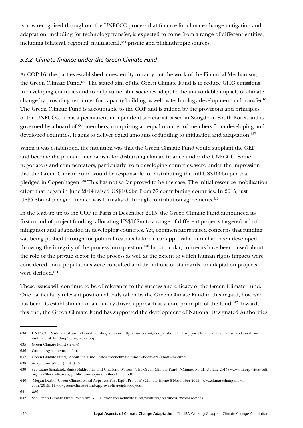is now recognised throughout the UNFCCC process that finance for climate change mitigation and adaptation, including for technology transfer, is expected to come from a range of different entities, including bilateral, regional, multilateral,<sup>634</sup> private and philanthropic sources.

# *3.3.2 Climate finance under the Green Climate Fund*

At COP 16, the parties established a new entity to carry out the work of the Financial Mechanism, the Green Climate Fund.635 The stated aim of the Green Climate Fund is to reduce GHG emissions in developing countries and to help vulnerable societies adapt to the unavoidable impacts of climate change by providing resources for capacity building as well as technology development and transfer.636 The Green Climate Fund is accountable to the COP and is guided by the provisions and principles of the UNFCCC. It has a permanent independent secretariat based in Songdo in South Korea and is governed by a board of 24 members, comprising an equal number of members from developing and developed countries. It aims to deliver equal amounts of funding to mitigation and adaptation.<sup>637</sup>

When it was established, the intention was that the Green Climate Fund would supplant the GEF and become the primary mechanism for disbursing climate finance under the UNFCCC. Some negotiators and commentators, particularly from developing countries, were under the impression that the Green Climate Fund would be responsible for distributing the full US\$100bn per year pledged in Copenhagen.<sup>638</sup> This has not so far proved to be the case. The initial resource mobilisation effort that began in June 2014 raised US\$10.2bn from 37 contributing countries. In 2015, just US\$5.8bn of pledged finance was formalised through contribution agreements.<sup>639</sup>

In the lead-up up to the COP in Paris in December 2015, the Green Climate Fund announced its first round of project funding, allocating US\$168m to a range of different projects targeted at both mitigation and adaptation in developing countries. Yet, commentators raised concerns that funding was being pushed through for political reasons before clear approval criteria had been developed, throwing the integrity of the process into question.<sup>640</sup> In particular, concerns have been raised about the role of the private sector in the process as well as the extent to which human rights impacts were considered, local populations were consulted and definitions or standards for adaptation projects were defined.<sup>641</sup>

These issues will continue to be of relevance to the success and efficacy of the Green Climate Fund. One particularly relevant position already taken by the Green Climate Fund in this regard, however, has been its establishment of a country-driven approach as a core principle of the fund.<sup>642</sup> Towards this end, the Green Climate Fund has supported the development of National Designated Authorities

<sup>634</sup> UNFCCC, 'Multilateral and Bilateral Funding Sources' [http://unfccc.int/cooperation\\_and\\_support/financial\\_mechanism/bilateral\\_and\\_](http://unfccc.int/cooperation_and_support/financial_mechanism/bilateral_and_multilateral_funding/items/2822.php) [multilateral\\_funding/items/2822.php](http://unfccc.int/cooperation_and_support/financial_mechanism/bilateral_and_multilateral_funding/items/2822.php).

<sup>635</sup> Green Climate Fund (n 414).

<sup>636</sup> Cancun Agreements (n 54).

<sup>637</sup> Green Climate Fund, 'About the Fund', www.greenclimate.fund/who-we-are/about-the-fund.

<sup>638</sup> Adaptation Watch (n 617) 17.

<sup>639</sup> See Liane Schalatek, Smita Nakhooda, and Charlene Watson, 'The Green Climate Fund' (Climate Funds Update 2015) [www.odi.org/sites/odi.](https://www.odi.org/sites/odi.org.uk/files/odi-assets/publications-opinion-files/10066.pdf) [org.uk/files/odi-assets/publications-opinion-files/10066.pdf.](https://www.odi.org/sites/odi.org.uk/files/odi-assets/publications-opinion-files/10066.pdf)

<sup>640</sup> Megan Darby, 'Green Climate Fund Approves First Eight Projects' (Climate Home 6 November 2015) [www.climatechangenews.](http://www.climatechangenews.com/2015/11/06/green-climate-fund-approves-first-eight-projects)  ${\rm com}/2015/11/06/{\rm green{\text -}climate{\text -}fund{\text -}approx{\text -}first{\text -}eight{\text -}projects}.$ 

<sup>641</sup> *Ibid.*

<sup>642</sup> See Green Climate Fund, 'Who Are NDAs' [www.greenclimate.fund/ventures/readiness/#who-are-ndas.](http://www.greenclimate.fund/ventures/readiness/%23who-are-ndas)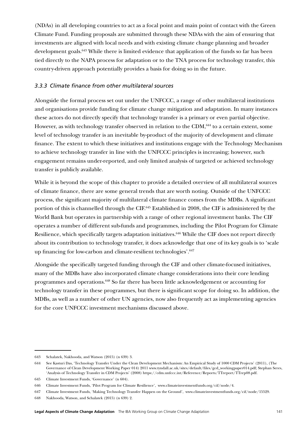(NDAs) in all developing countries to act as a focal point and main point of contact with the Green Climate Fund. Funding proposals are submitted through these NDAs with the aim of ensuring that investments are aligned with local needs and with existing climate change planning and broader development goals.<sup>643</sup> While there is limited evidence that application of the funds so far has been tied directly to the NAPA process for adaptation or to the TNA process for technology transfer, this country-driven approach potentially provides a basis for doing so in the future.

## *3.3.3 Climate finance from other multilateral sources*

Alongside the formal process set out under the UNFCCC, a range of other multilateral institutions and organisations provide funding for climate change mitigation and adaptation. In many instances these actors do not directly specify that technology transfer is a primary or even partial objective. However, as with technology transfer observed in relation to the CDM, $644$  to a certain extent, some level of technology transfer is an inevitable by-product of the majority of development and climate finance. The extent to which these initiatives and institutions engage with the Technology Mechanism to achieve technology transfer in line with the UNFCCC principles is increasing; however, such engagement remains under-reported, and only limited analysis of targeted or achieved technology transfer is publicly available.

While it is beyond the scope of this chapter to provide a detailed overview of all multilateral sources of climate finance, there are some general trends that are worth noting. Outside of the UNFCCC process, the significant majority of multilateral climate finance comes from the MDBs. A significant portion of this is channelled through the CIF.645 Established in 2008, the CIF is administered by the World Bank but operates in partnership with a range of other regional investment banks. The CIF operates a number of different sub-funds and programmes, including the Pilot Program for Climate Resilience, which specifically targets adaptation initiatives.<sup>646</sup> While the CIF does not report directly about its contribution to technology transfer, it does acknowledge that one of its key goals is to 'scale up financing for low-carbon and climate-resilient technologies'.<sup>647</sup>

Alongside the specifically targeted funding through the CIF and other climate-focused initiatives, many of the MDBs have also incorporated climate change considerations into their core lending programmes and operations.648 So far there has been little acknowledgement or accounting for technology transfer in these programmes, but there is significant scope for doing so. In addition, the MDBs, as well as a number of other UN agencies, now also frequently act as implementing agencies for the core UNFCCC investment mechanisms discussed above.

<sup>643</sup> Schalatek, Nakhooda, and Watson (2015) (n 639) 3.

<sup>644</sup> See Kasturi Das, 'Technology Transfer Under the Clean Development Mechanism: An Empirical Study of 1000 CDM Projects' (2011), (The Governance of Clean Development Working Paper 014) 2011 [www.tyndall.ac.uk/sites/default/files/gcd\\_workingpaper014.pdf](http://www.tyndall.ac.uk/sites/default/files/gcd_workingpaper014.pdf); Stephan Seres, 'Analysis of Technology Transfer in CDM Projects' (2008) <https://cdm.unfccc.int/Reference/Reports/TTreport/TTrep08.pdf>.

<sup>645</sup> Climate Investment Funds, 'Governance' (n 604).

<sup>646</sup> Climate Investment Funds, 'Pilot Program for Climate Resilience', [www.climateinvestmentfunds.org/cif/node/4.](http://www.climateinvestmentfunds.org/cif/node/4)

<sup>647</sup> Climate Investment Funds, 'Making Technology Transfer Happen on the Ground', [www.climateinvestmentfunds.org/cif/node/15529.](http://www.climateinvestmentfunds.org/cif/node/15529)

<sup>648</sup> Nakhooda, Watson, and Schalatek (2015) (n 639) 2.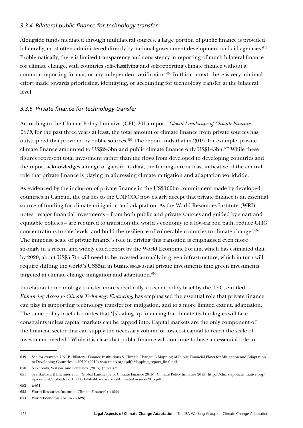## *3.3.4 Bilateral public finance for technology transfer*

Alongside funds mediated through multilateral sources, a large portion of public finance is provided bilaterally, most often administered directly by national government development and aid agencies.<sup>649</sup> Problematically, there is limited transparency and consistency in reporting of much bilateral finance for climate change, with countries self-classifying and self-reporting climate finance without a common reporting format, or any independent verification.<sup>650</sup> In this context, there is very minimal effort made towards prioritising, identifying, or accounting for technology transfer at the bilateral level.

# *3.3.5 Private finance for technology transfer*

According to the Climate Policy Initiative (CPI) 2015 report, *Global Landscape of Climate Finance 2015*, for the past three years at least, the total amount of climate finance from private sources has outstripped that provided by public sources.<sup>651</sup> The report finds that in 2015, for example, private climate finance amounted to US\$243bn and public climate finance only US\$143bn.652 While these figures represent total investment rather than the flows from developed to developing countries and the report acknowledges a range of gaps in its data, the findings are at least indicative of the central role that private finance is playing in addressing climate mitigation and adaptation worldwide.

As evidenced by the inclusion of private finance in the US\$100bn commitment made by developed countries in Cancun, the parties to the UNFCCC now clearly accept that private finance is an essential source of funding for climate mitigation and adaptation. As the World Resources Institute (WRI) notes, 'major financial investments – from both public and private sources and guided by smart and equitable policies – are required to transition the world's economy to a low-carbon path, reduce GHG concentrations to safe levels, and build the resilience of vulnerable countries to climate change'.653 The immense scale of private finance's role in driving this transition is emphasised even more strongly in a recent and widely cited report by the World Economic Forum, which has estimated that by 2020, about US\$5.7tn will need to be invested annually in green infrastructure, which in turn will require shifting the world's US\$5tn in business-as-usual private investments into green investments targeted at climate change mitigation and adaptation.<sup>654</sup>

In relation to technology transfer more specifically, a recent policy brief by the TEC, entitled *Enhancing Access to Climate Technology Financing*, has emphasised the essential role that private finance can play in supporting technology transfer for mitigation, and to a more limited extent, adaptation. The same policy brief also notes that '[s]caling-up financing for climate technologies will face constraints unless capital markets can be tapped into. Capital markets are the only component of the financial sector that can supply the necessary volume of low-cost capital to reach the scale of investment needed.' While it is clear that public finance will continue to have an essential role in

<sup>649</sup> See for example UNEP, 'Bilateral Finance Institutions & Climate Change: A Mapping of Public Financial Flows for Mitigation and Adaptation to Developing Countries in 2010' (2010) [www.unep.org/pdf/Mapping\\_report\\_final.pdf.](http://www.unep.org/pdf/Mapping_report_final.pdf)

<sup>650</sup> Nakhooda, Watson, and Schalatek (2015) (n 639) 2.

<sup>651</sup> See Barbara K Buchner et al, 'Global Landscape of Climate Finance 2015' (Climate Policy Initiative 2015) [http://climatepolicyinitiative.org/](http://climatepolicyinitiative.org/wp-content/uploads/2015/11/Global-Landscape-of-Climate-Finance-2015.pdf) [wp-content/uploads/2015/11/Global-Landscape-of-Climate-Finance-2015.pdf](http://climatepolicyinitiative.org/wp-content/uploads/2015/11/Global-Landscape-of-Climate-Finance-2015.pdf).

<sup>652</sup> *Ibid* 1.

<sup>653</sup> World Resources Institute, 'Climate Finance' (n 622).

<sup>654</sup> World Economic Forum (n 628).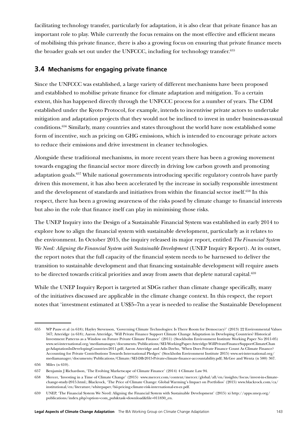facilitating technology transfer, particularly for adaptation, it is also clear that private finance has an important role to play. While currently the focus remains on the most effective and efficient means of mobilising this private finance, there is also a growing focus on ensuring that private finance meets the broader goals set out under the UNFCCC, including for technology transfer.<sup>655</sup>

# **3.4 Mechanisms for engaging private finance**

Since the UNFCCC was established, a large variety of different mechanisms have been proposed and established to mobilise private finance for climate adaptation and mitigation. To a certain extent, this has happened directly through the UNFCCC process for a number of years. The CDM established under the Kyoto Protocol, for example, intends to incentivise private actors to undertake mitigation and adaptation projects that they would not be inclined to invest in under business-as-usual conditions.656 Similarly, many countries and states throughout the world have now established some form of incentive, such as pricing on GHG emissions, which is intended to encourage private actors to reduce their emissions and drive investment in cleaner technologies.

Alongside these traditional mechanisms, in more recent years there has been a growing movement towards engaging the financial sector more directly in driving low carbon growth and promoting adaptation goals.<sup>657</sup> While national governments introducing specific regulatory controls have partly driven this movement, it has also been accelerated by the increase in socially responsible investment and the development of standards and initiatives from within the financial sector itself.<sup>658</sup> In this respect, there has been a growing awareness of the risks posed by climate change to financial interests but also in the role that finance itself can play in minimising those risks.

The UNEP Inquiry into the Design of a Sustainable Financial System was established in early 2014 to explore how to align the financial system with sustainable development, particularly as it relates to the environment. In October 2015, the inquiry released its major report, entitled *The Financial System We Need: Aligning the Financial System with Sustainable Development* (UNEP Inquiry Report). At its outset, the report notes that the full capacity of the financial system needs to be harnessed to deliver the transition to sustainable development and that financing sustainable development will require assets to be directed towards critical priorities and away from assets that deplete natural capital.<sup>659</sup>

While the UNEP Inquiry Report is targeted at SDGs rather than climate change specifically, many of the initiatives discussed are applicable in the climate change context. In this respect, the report notes that 'investment estimated at US\$5–7tn a year is needed to realise the Sustainable Development

<sup>655</sup> WP Pauw et al (n 618); Hayley Stevenson, 'Governing Climate Technologies: Is There Room for Democracy?' (2013) 22 Environmental Values 567; Atteridge (n 618); Aaron Atteridge, 'Will Private Finance Support Climate Change Adaptation in Developing Countries? Historical Investment Patterns as a Window on Future Private Climate Finance' (2011) (Stockholm Environment Institute Working Paper No 2011-05) [www.sei-international.org/mediamanager/documents/Publications/SEI-WorkingPaper-Atteridge-WillPrivateFinanceSupportClimateChan](https://www.sei-international.org/mediamanager/documents/Publications/SEI-WorkingPaper-Atteridge-WillPrivateFinanceSupportClimateChangeAdaptationInDevelopingCountries-2011.pdf) [geAdaptationInDevelopingCountries-2011.pdf;](https://www.sei-international.org/mediamanager/documents/Publications/SEI-WorkingPaper-Atteridge-WillPrivateFinanceSupportClimateChangeAdaptationInDevelopingCountries-2011.pdf) Aaron Atteridge and Adis Dzebo, 'When Does Private Finance Count As Climate Finance? Accounting for Private Contributions Towards International Pledges' (Stockholm Environment Institute 2015) [www.sei-international.org/](https://www.sei-international.org/mediamanager/documents/Publications/Climate/SEI-DB-2015-Private-climate-finance-accountability.pdf) [mediamanager/documents/Publications/Climate/SEI-DB-2015-Private-climate-finance-accountability.pdf](https://www.sei-international.org/mediamanager/documents/Publications/Climate/SEI-DB-2015-Private-climate-finance-accountability.pdf); McGee and Wenta (n 580) 367.

<sup>656</sup> Miles (n 610).

<sup>657</sup> Benjamin J Richardson, 'The Evolving Marketscape of Climate Finance' (2014) 4 Climate Law 94.

<sup>658</sup> Mercer, 'Investing in a Time of Climate Change' (2015) [www.mercer.com/content/mercer/global/all/en/insights/focus/invest-in-climate](http://www.mercer.com/content/mercer/global/all/en/insights/focus/invest-in-climate-change-study-2015.html)[change-study-2015.html.](http://www.mercer.com/content/mercer/global/all/en/insights/focus/invest-in-climate-change-study-2015.html); Blackrock, 'The Price of Climate Change: Global Warming's Impact on Portfolios' (2015) [www.blackrock.com/ca/](https://www.blackrock.com/ca/institutional/en/literature/whitepaper/bii-pricing-climate-risk-international-en-zz.pdf) [institutional/en/literature/whitepaper/bii-pricing-climate-risk-international-en-zz.pdf.](https://www.blackrock.com/ca/institutional/en/literature/whitepaper/bii-pricing-climate-risk-international-en-zz.pdf)

<sup>659</sup> UNEP, 'The Financial System We Need: Aligning the Financial System with Sustainable Development' (2015) xi [http://apps.unep.org/](http://apps.unep.org/publications/index.php?option=com_pub&task=download&file=011830_en) [publications/index.php?option=com\\_pub&task=download&file=011830\\_en.](http://apps.unep.org/publications/index.php?option=com_pub&task=download&file=011830_en)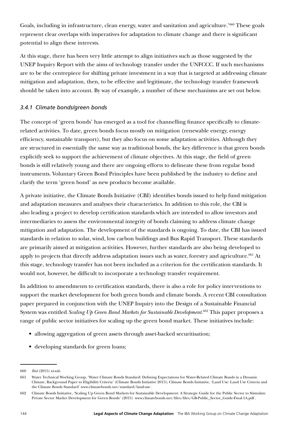Goals, including in infrastructure, clean energy, water and sanitation and agriculture.'660 These goals represent clear overlaps with imperatives for adaptation to climate change and there is significant potential to align these interests.

At this stage, there has been very little attempt to align initiatives such as those suggested by the UNEP Inquiry Report with the aims of technology transfer under the UNFCCC. If such mechanisms are to be the centrepiece for shifting private investment in a way that is targeted at addressing climate mitigation and adaptation, then, to be effective and legitimate, the technology transfer framework should be taken into account. By way of example, a number of these mechanisms are set out below.

## *3.4.1 Climate bonds/green bonds*

The concept of 'green bonds' has emerged as a tool for channelling finance specifically to climaterelated activities. To date, green bonds focus mostly on mitigation (renewable energy, energy efficiency, sustainable transport), but they also focus on some adaptation activities. Although they are structured in essentially the same way as traditional bonds, the key difference is that green bonds explicitly seek to support the achievement of climate objectives. At this stage, the field of green bonds is still relatively young and there are ongoing efforts to delineate these from regular bond instruments. Voluntary Green Bond Principles have been published by the industry to define and clarify the term 'green bond' as new products become available.

A private initiative, the Climate Bonds Initiative (CBI) identifies bonds issued to help fund mitigation and adaptation measures and analyses their characteristics. In addition to this role, the CBI is also leading a project to develop certification standards which are intended to allow investors and intermediaries to assess the environmental integrity of bonds claiming to address climate change mitigation and adaptation. The development of the standards is ongoing. To date, the CBI has issued standards in relation to solar, wind, low carbon buildings and Bus Rapid Transport. These standards are primarily aimed at mitigation activities. However, further standards are also being developed to apply to projects that directly address adaptation issues such as water, forestry and agriculture.<sup>661</sup> At this stage, technology transfer has not been included as a criterion for the certification standards. It would not, however, be difficult to incorporate a technology transfer requirement.

In addition to amendments to certification standards, there is also a role for policy interventions to support the market development for both green bonds and climate bonds. A recent CBI consultation paper prepared in conjunction with the UNEP Inquiry into the Design of a Sustainable Financial System was entitled *Scaling Up Green Bond Markets for Sustainable Development.*662 This paper proposes a range of public sector initiatives for scaling up the green bond market. These initiatives include:

- allowing aggregation of green assets through asset-backed securitisation;
- developing standards for green loans;

<sup>660</sup> *Ibid* (2015) xi-xiii.

<sup>661</sup> Water Technical Working Group, 'Water Climate Bonds Standard: Defining Expectations for Water-Related Climate Bonds in a Dynamic Climate, Background Paper to Eligibility Criteria' (Climate Bonds Initiative 2015); Climate Bonds Initiative, 'Land Use: Land Use Criteria and the Climate Bonds Standard' www.climatebonds.net/standard/land-use .

<sup>662</sup> Climate Bonds Initiative, 'Scaling Up Green Bond Markets for Sustainable Development: A Strategic Guide for the Public Sector to Stimulate Private Sector Market Development for Green Bonds' (2015) [www.climatebonds.net/files/files/GB-Public\\_Sector\\_Guide-Final-1A.pdf](http://www.climatebonds.net/files/files/GB-Public_Sector_Guide-Final-1A.pdf) .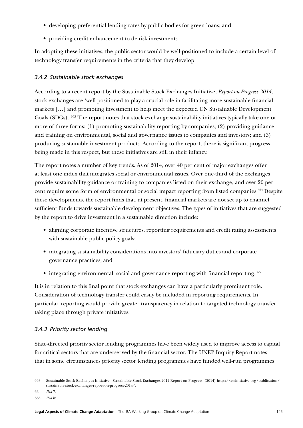- developing preferential lending rates by public bodies for green loans; and
- providing credit enhancement to de-risk investments.

In adopting these initiatives, the public sector would be well-positioned to include a certain level of technology transfer requirements in the criteria that they develop.

## *3.4.2 Sustainable stock exchanges*

According to a recent report by the Sustainable Stock Exchanges Initiative, *Report on Progress 2014*, stock exchanges are 'well positioned to play a crucial role in facilitating more sustainable financial markets […] and promoting investment to help meet the expected UN Sustainable Development Goals (SDGs).'663 The report notes that stock exchange sustainability initiatives typically take one or more of three forms: (1) promoting sustainability reporting by companies; (2) providing guidance and training on environmental, social and governance issues to companies and investors; and (3) producing sustainable investment products. According to the report, there is significant progress being made in this respect, but these initiatives are still in their infancy.

The report notes a number of key trends. As of 2014, over 40 per cent of major exchanges offer at least one index that integrates social or environmental issues. Over one-third of the exchanges provide sustainability guidance or training to companies listed on their exchange, and over 20 per cent require some form of environmental or social impact reporting from listed companies.664 Despite these developments, the report finds that, at present, financial markets are not set up to channel sufficient funds towards sustainable development objectives. The types of initiatives that are suggested by the report to drive investment in a sustainable direction include:

- aligning corporate incentive structures, reporting requirements and credit rating assessments with sustainable public policy goals;
- integrating sustainability considerations into investors' fiduciary duties and corporate governance practices; and
- integrating environmental, social and governance reporting with financial reporting.<sup>665</sup>

It is in relation to this final point that stock exchanges can have a particularly prominent role. Consideration of technology transfer could easily be included in reporting requirements. In particular, reporting would provide greater transparency in relation to targeted technology transfer taking place through private initiatives.

## *3.4.3 Priority sector lending*

State-directed priority sector lending programmes have been widely used to improve access to capital for critical sectors that are underserved by the financial sector. The UNEP Inquiry Report notes that in some circumstances priority sector lending programmes have funded well-run programmes

<sup>663</sup> Sustainable Stock Exchanges Initiative, 'Sustainable Stock Exchanges 2014 Report on Progress' (2014) [https://sseinitiative.org/publication/](https://sseinitiative.org/publication/sustainable-stock-exchanges-report-on-progress-2014/) [sustainable-stock-exchanges-report-on-progress-2014/](https://sseinitiative.org/publication/sustainable-stock-exchanges-report-on-progress-2014/).

<sup>664</sup> *Ibid* 7.

<sup>665</sup> *Ibid* iv.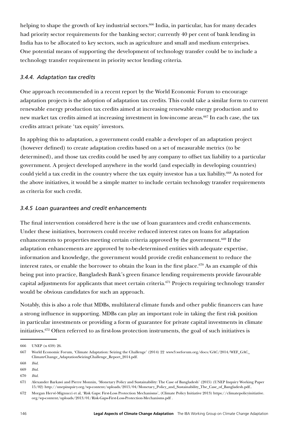helping to shape the growth of key industrial sectors.<sup>666</sup> India, in particular, has for many decades had priority sector requirements for the banking sector; currently 40 per cent of bank lending in India has to be allocated to key sectors, such as agriculture and small and medium enterprises. One potential means of supporting the development of technology transfer could be to include a technology transfer requirement in priority sector lending criteria.

## *3.4.4. Adaptation tax credits*

One approach recommended in a recent report by the World Economic Forum to encourage adaptation projects is the adoption of adaptation tax credits. This could take a similar form to current renewable energy production tax credits aimed at increasing renewable energy production and to new market tax credits aimed at increasing investment in low-income areas.<sup>667</sup> In each case, the tax credits attract private 'tax equity' investors.

In applying this to adaptation, a government could enable a developer of an adaptation project (however defined) to create adaptation credits based on a set of measurable metrics (to be determined), and those tax credits could be used by any company to offset tax liability to a particular government. A project developed anywhere in the world (and especially in developing countries) could yield a tax credit in the country where the tax equity investor has a tax liability.668 As noted for the above initiatives, it would be a simple matter to include certain technology transfer requirements as criteria for such credit.

## *3.4.5 Loan guarantees and credit enhancements*

The final intervention considered here is the use of loan guarantees and credit enhancements. Under these initiatives, borrowers could receive reduced interest rates on loans for adaptation enhancements to properties meeting certain criteria approved by the government.<sup>669</sup> If the adaptation enhancements are approved by to-be-determined entities with adequate expertise, information and knowledge, the government would provide credit enhancement to reduce the interest rates, or enable the borrower to obtain the loan in the first place.<sup>670</sup> As an example of this being put into practice, Bangladesh Bank's green finance lending requirements provide favourable capital adjustments for applicants that meet certain criteria.<sup>671</sup> Projects requiring technology transfer would be obvious candidates for such an approach.

Notably, this is also a role that MDBs, multilateral climate funds and other public financers can have a strong influence in supporting. MDBs can play an important role in taking the first risk position in particular investments or providing a form of guarantee for private capital investments in climate initiatives.672 Often referred to as first-loss protection instruments, the goal of such initiatives is

<sup>666</sup> UNEP (n 659) 26.

<sup>667</sup> World Economic Forum, 'Climate Adaptation: Seizing the Challenge' (2014) 22 [www3.weforum.org/docs/GAC/2014/WEF\\_GAC\\_](http://www3.weforum.org/docs/GAC/2014/WEF_GAC_ClimateChange_AdaptationSeizingChallenge_Report_2014.pdf) [ClimateChange\\_AdaptationSeizingChallenge\\_Report\\_2014.pdf.](http://www3.weforum.org/docs/GAC/2014/WEF_GAC_ClimateChange_AdaptationSeizingChallenge_Report_2014.pdf)

<sup>668</sup> *Ibid.*

<sup>669</sup> *Ibid.*

<sup>670</sup> *Ibid.*

<sup>671</sup> Alexander Barkawi and Pierre Monnin, 'Monetary Policy and Sustainability: The Case of Bangladesh' (2015) (UNEP Inquiry Working Paper 15/02) [http://unepinquiry.org/wp-content/uploads/2015/04/Monetary\\_Policy\\_and\\_Sustainability\\_The\\_Case\\_of\\_Bangladesh.pdf](http://unepinquiry.org/wp-content/uploads/2015/04/Monetary_Policy_and_Sustainability_The_Case_of_Bangladesh.pdf)..

<sup>672</sup> Morgan Hervé-Mignucci et al, 'Risk Gaps: First-Loss Protection Mechanisms', (Climate Policy Initiative 2013) [https://climatepolicyinitiative.](https://climatepolicyinitiative.org/wp-content/uploads/2013/01/Risk-Gaps-First-Loss-Protection-Mechanisms.pdf) [org/wp-content/uploads/2013/01/Risk-Gaps-First-Loss-Protection-Mechanisms.pdf](https://climatepolicyinitiative.org/wp-content/uploads/2013/01/Risk-Gaps-First-Loss-Protection-Mechanisms.pdf) .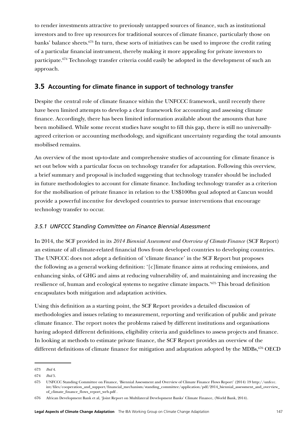to render investments attractive to previously untapped sources of finance, such as institutional investors and to free up resources for traditional sources of climate finance, particularly those on banks' balance sheets.<sup>673</sup> In turn, these sorts of initiatives can be used to improve the credit rating of a particular financial instrument, thereby making it more appealing for private investors to participate.<sup>674</sup> Technology transfer criteria could easily be adopted in the development of such an approach.

# **3.5 Accounting for climate finance in support of technology transfer**

Despite the central role of climate finance within the UNFCCC framework, until recently there have been limited attempts to develop a clear framework for accounting and assessing climate finance. Accordingly, there has been limited information available about the amounts that have been mobilised. While some recent studies have sought to fill this gap, there is still no universallyagreed criterion or accounting methodology, and significant uncertainty regarding the total amounts mobilised remains.

An overview of the most up-to-date and comprehensive studies of accounting for climate finance is set out below with a particular focus on technology transfer for adaptation. Following this overview, a brief summary and proposal is included suggesting that technology transfer should be included in future methodologies to account for climate finance. Including technology transfer as a criterion for the mobilisation of private finance in relation to the US\$100bn goal adopted at Cancun would provide a powerful incentive for developed countries to pursue interventions that encourage technology transfer to occur.

## *3.5.1 UNFCCC Standing Committee on Finance Biennial Assessment*

In 2014, the SCF provided in its *2014 Biennial Assessment and Overview of Climate Finance* (SCF Report) an estimate of all climate-related financial flows from developed countries to developing countries. The UNFCCC does not adopt a definition of 'climate finance' in the SCF Report but proposes the following as a general working definition: '[c]limate finance aims at reducing emissions, and enhancing sinks, of GHG and aims at reducing vulnerability of, and maintaining and increasing the resilience of, human and ecological systems to negative climate impacts.'675 This broad definition encapsulates both mitigation and adaptation activities.

Using this definition as a starting point, the SCF Report provides a detailed discussion of methodologies and issues relating to measurement, reporting and verification of public and private climate finance. The report notes the problems raised by different institutions and organisations having adopted different definitions, eligibility criteria and guidelines to assess projects and finance. In looking at methods to estimate private finance, the SCF Report provides an overview of the different definitions of climate finance for mitigation and adaptation adopted by the MDBs,<sup>676</sup> OECD

<sup>673</sup> *Ibid* 4.

<sup>674</sup> *Ibid* 5.

<sup>675</sup> UNFCCC Standing Committee on Finance, 'Biennial Assessment and Overview of Climate Finance Flows Report' (2014) 19 [http://unfccc.](http://unfccc.int/files/cooperation_and_support/financial_mechanism/standing_committee/application/pdf/2014_biennial_assessment_and_overview_of_climate_finance_flows_report_web.pdf) int/files/cooperation\_and\_support/financial\_mechanism/standing\_committee/application/pdf/2014\_biennial\_assessment\_and\_overview [of\\_climate\\_finance\\_flows\\_report\\_web.pdf](http://unfccc.int/files/cooperation_and_support/financial_mechanism/standing_committee/application/pdf/2014_biennial_assessment_and_overview_of_climate_finance_flows_report_web.pdf) .

<sup>676</sup> African Development Bank et al, 'Joint Report on Multilateral Development Banks' Climate Finance, (World Bank, 2014).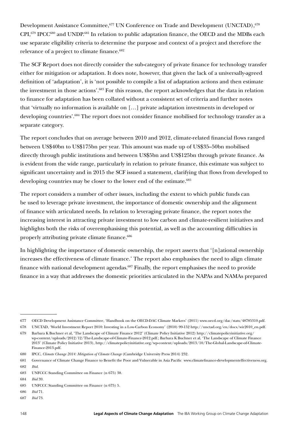Development Assistance Committee, <sup>677</sup> UN Conference on Trade and Development (UNCTAD), <sup>678</sup> CPI,<sup>679</sup> IPCC<sup>680</sup> and UNDP.<sup>681</sup> In relation to public adaptation finance, the OECD and the MDBs each use separate eligibility criteria to determine the purpose and context of a project and therefore the relevance of a project to climate finance.<sup>682</sup>

The SCF Report does not directly consider the sub-category of private finance for technology transfer either for mitigation or adaptation. It does note, however, that given the lack of a universally-agreed definition of 'adaptation', it is 'not possible to compile a list of adaptation actions and then estimate the investment in those actions'.683 For this reason, the report acknowledges that the data in relation to finance for adaptation has been collated without a consistent set of criteria and further notes that 'virtually no information is available on […] private adaptation investments in developed or developing countries'.<sup>684</sup> The report does not consider finance mobilised for technology transfer as a separate category.

The report concludes that on average between 2010 and 2012, climate-related financial flows ranged between US\$40bn to US\$175bn per year. This amount was made up of US\$35–50bn mobilised directly through public institutions and between US\$5bn and US\$125bn through private finance. As is evident from the wide range, particularly in relation to private finance, this estimate was subject to significant uncertainty and in 2015 the SCF issued a statement, clarifying that flows from developed to developing countries may be closer to the lower end of the estimate.<sup>685</sup>

The report considers a number of other issues, including the extent to which public funds can be used to leverage private investment, the importance of domestic ownership and the alignment of finance with articulated needs. In relation to leveraging private finance, the report notes the increasing interest in attracting private investment to low carbon and climate-resilient initiatives and highlights both the risks of overemphasising this potential, as well as the accounting difficulties in properly attributing private climate finance.<sup>686</sup>

In highlighting the importance of domestic ownership, the report asserts that '[n]ational ownership increases the effectiveness of climate finance.' The report also emphasises the need to align climate finance with national development agendas.<sup>687</sup> Finally, the report emphasises the need to provide finance in a way that addresses the domestic priorities articulated in the NAPAs and NAMAs prepared

<sup>677</sup> OECD Development Assistance Committee, 'Handbook on the OECD-DAC Climate Markers' (2011) [www.oecd.org/dac/stats/48785310.pdf.](https://www.oecd.org/dac/stats/48785310.pdf)

<sup>678</sup> UNCTAD, 'World Investment Report 2010: Investing in a Low-Carbon Economy' (2010) 99-152 [http://unctad.org/en/docs/wir2010\\_en.pdf](http://unctad.org/en/docs/wir2010_en.pdf).

<sup>679</sup> Barbara K Buchner et al, 'The Landscape of Climate Finance 2012' (Climate Policy Initiative 2012) [http://climatepolicyinitiative.org/](http://climatepolicyinitiative.org/wp-content/uploads/2012/12/The-Landscape-of-Climate-Finance-2012.pdf) [wp-content/uploads/2012/12/The-Landscape-of-Climate-Finance-2012.pdf.](http://climatepolicyinitiative.org/wp-content/uploads/2012/12/The-Landscape-of-Climate-Finance-2012.pdf); Barbara K Buchner et al, 'The Landscape of Climate Finance 2013' (Climate Policy Initiative 2013), http://climatepolicyinitiative.org/wp-content/uploads/2013/10/The-Global-Landscape-of-Climate-Finance-2013.pdf.

<sup>680</sup> IPCC, *Climate Change 2014: Mitigation of Climate Change* (Cambridge University Press 2014) 232.

<sup>681</sup> Governance of Climate Change Finance to Benefit the Poor and Vulnerable in Asia Pacific [www.climatefinance-developmenteffectiveness.org.](http://www.climatefinance-developmenteffectiveness.org) 682 *Ibid.*

<sup>683</sup> UNFCCC Standing Committee on Finance (n 675) 38.

<sup>684</sup> *Ibid* 39.

<sup>685</sup> UNFCCC Standing Committee on Finance (n 675) 5.

<sup>686</sup> *Ibid* 71.

<sup>687</sup> *Ibid* 73.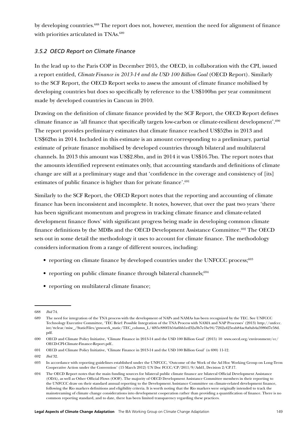by developing countries.688 The report does not, however, mention the need for alignment of finance with priorities articulated in TNAs.<sup>689</sup>

## *3.5.2 OECD Report on Climate Finance*

In the lead up to the Paris COP in December 2015, the OECD, in collaboration with the CPI, issued a report entitled, *Climate Finance in 2013-14 and the USD 100 Billion Goal* (OECD Report). Similarly to the SCF Report, the OECD Report seeks to assess the amount of climate finance mobilised by developing countries but does so specifically by reference to the US\$100bn per year commitment made by developed countries in Cancun in 2010.

Drawing on the definition of climate finance provided by the SCF Report, the OECD Report defines climate finance as 'all finance that specifically targets low-carbon or climate-resilient development'.690 The report provides preliminary estimates that climate finance reached US\$52bn in 2013 and US\$62bn in 2014. Included in this estimate is an amount corresponding to a preliminary, partial estimate of private finance mobilised by developed countries through bilateral and multilateral channels. In 2013 this amount was US\$2.8bn, and in 2014 it was US\$16.7bn. The report notes that the amounts identified represent estimates only, that accounting standards and definitions of climate change are still at a preliminary stage and that 'confidence in the coverage and consistency of [its] estimates of public finance is higher than for private finance'.<sup>691</sup>

Similarly to the SCF Report, the OECD Report notes that the reporting and accounting of climate finance has been inconsistent and incomplete. It notes, however, that over the past two years 'there has been significant momentum and progress in tracking climate finance and climate-related development finance flows' with significant progress being made in developing common climate finance definitions by the MDBs and the OECD Development Assistance Committee.<sup>692</sup> The OECD sets out in some detail the methodology it uses to account for climate finance. The methodology considers information from a range of different sources, including:

- reporting on climate finance by developed countries under the UNFCCC process;<sup>693</sup>
- reporting on public climate finance through bilateral channels; $694$
- reporting on multilateral climate finance;

<sup>688</sup> *Ibid* 74.

<sup>689</sup> The need for integration of the TNA process with the development of NAPs and NAMAs has been recognized by the TEC. See UNFCCC Technology Executive Committee, 'TEC Brief: Possible Integration of the TNA Process with NAMA and NAP Processes' (2013) [http://unfccc.](http://unfccc.int/ttclear/misc_/StaticFiles/gnwoerk_static/TEC_column_L/4f85c880f1b54a6bb1ed32a3b7e1bc94/7262a425eab84ac8a0ab4a5980d7e58d.pdf) [int/ttclear/misc\\_/StaticFiles/gnwoerk\\_static/TEC\\_column\\_L/4f85c880f1b54a6bb1ed32a3b7e1bc94/7262a425eab84ac8a0ab4a5980d7e58d.](http://unfccc.int/ttclear/misc_/StaticFiles/gnwoerk_static/TEC_column_L/4f85c880f1b54a6bb1ed32a3b7e1bc94/7262a425eab84ac8a0ab4a5980d7e58d.pdf) [pdf.](http://unfccc.int/ttclear/misc_/StaticFiles/gnwoerk_static/TEC_column_L/4f85c880f1b54a6bb1ed32a3b7e1bc94/7262a425eab84ac8a0ab4a5980d7e58d.pdf)

<sup>690</sup> OECD and Climate Policy Initiative, 'Climate Finance in 2013-14 and the USD 100 Billion Goal' (2015) 10 [www.oecd.org/environment/cc/](http://www.oecd.org/environment/cc/OECD-CPI-Climate-Finance-Report.pdf) [OECD-CPI-Climate-Finance-Report.pdf.](http://www.oecd.org/environment/cc/OECD-CPI-Climate-Finance-Report.pdf).

<sup>691</sup> OECD and Climate Policy Initiative, 'Climate Finance in 2013-14 and the USD 100 Billion Goal' (n 690) 11-12.

<sup>692</sup> *Ibid* 32.

<sup>693</sup> In accordance with reporting guidelines established under the UNFCCC, 'Outcome of the Work of the Ad Hoc Working Group on Long-Term Cooperative Action under the Convention' (15 March 2012) UN Doc FCCC/CP/2011/9/Add1, Decision 2/CP.17.

<sup>694</sup> The OECD Report notes that the main funding sources for bilateral public climate finance are bilateral Official Development Assistance (ODA), as well as Other Official Flows (OOF). The majority of OECD Development Assistance Committee members in their reporting to the UNFCCC draw on their standard annual reporting to the Development Assistance Committee on climate-related development finance, following the Rio markers definitions and eligibility criteria. It is worth noting that the Rio markers were originally intended to track the mainstreaming of climate change considerations into development cooperation rather than providing a quantification of finance. There is no common reporting standard, and to date, there has been limited transparency regarding these practices.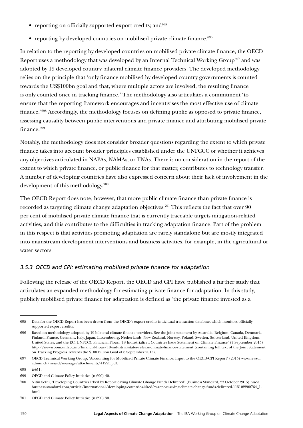- reporting on officially supported export credits; and  $695$
- reporting by developed countries on mobilised private climate finance. $696$

In relation to the reporting by developed countries on mobilised private climate finance, the OECD Report uses a methodology that was developed by an Internal Technical Working Group<sup>697</sup> and was adopted by 19 developed country bilateral climate finance providers. The developed methodology relies on the principle that 'only finance mobilised by developed country governments is counted towards the US\$100bn goal and that, where multiple actors are involved, the resulting finance is only counted once in tracking finance.' The methodology also articulates a commitment 'to ensure that the reporting framework encourages and incentivises the most effective use of climate finance.'698 Accordingly, the methodology focuses on defining public as opposed to private finance, assessing causality between public interventions and private finance and attributing mobilised private finance.<sup>699</sup>

Notably, the methodology does not consider broader questions regarding the extent to which private finance takes into account broader principles established under the UNFCCC or whether it achieves any objectives articulated in NAPAs, NAMAs, or TNAs. There is no consideration in the report of the extent to which private finance, or public finance for that matter, contributes to technology transfer. A number of developing countries have also expressed concern about their lack of involvement in the development of this methodology.700

The OECD Report does note, however, that more public climate finance than private finance is recorded as targeting climate change adaptation objectives.<sup>701</sup> This reflects the fact that over 90 per cent of mobilised private climate finance that is currently traceable targets mitigation-related activities, and this contributes to the difficulties in tracking adaptation finance. Part of the problem in this respect is that activities promoting adaptation are rarely standalone but are mostly integrated into mainstream development interventions and business activities, for example, in the agricultural or water sectors.

## *3.5.3 OECD and CPI: estimating mobilised private finance for adaptation*

Following the release of the OECD Report, the OECD and CPI have published a further study that articulates an expanded methodology for estimating private finance for adaptation. In this study, publicly mobilised private finance for adaptation is defined as 'the private finance invested as a

<sup>695</sup> Data for the OECD Report has been drawn from the OECD's export credits individual transaction database, which monitors officially supported export credits.

<sup>696</sup> Based on methodology adopted by 19 bilateral climate finance providers. See the joint statement by Australia, Belgium, Canada, Denmark, Finland, France, Germany, Italy, Japan, Luxembourg, Netherlands, New Zealand, Norway, Poland, Sweden, Switzerland, United Kingdom, United States, and the EC. UNFCCC Financial Flows, '18 Industrialized Countries Issue Statement on Climate Finance' (7 September 2015) <http://newsroom.unfccc.int/financial-flows/18-industrial-states-release-climate-finance-statement> (containing full text of the Joint Statement on Tracking Progress Towards the \$100 Billion Goal of 6 September 2015).

<sup>697</sup> OECD Technical Working Group, 'Accounting for Mobilized Private Climate Finance: Input to the OECD-CPI Report' (2015) [www.newsd.](https://www.newsd.admin.ch/newsd/message/attachments/41225.pdf) [admin.ch/newsd/message/attachments/41225.pdf.](https://www.newsd.admin.ch/newsd/message/attachments/41225.pdf)

<sup>698</sup> *Ibid* 1.

<sup>699</sup> OECD and Climate Policy Initiative (n 690) 40.

<sup>700</sup> Nitin Sethi, 'Developing Countries Irked by Report Saying Climate Change Funds Delivered' (Business Standard, 23 October 2015) [www.](http://www.business-standard.com/article/international/developing-countries-irked-by-report-saying-climate-change-funds-delivered-115102200764_1.html) [business-standard.com/article/international/developing-countries-irked-by-report-saying-climate-change-funds-delivered-115102200764\\_1.](http://www.business-standard.com/article/international/developing-countries-irked-by-report-saying-climate-change-funds-delivered-115102200764_1.html) [html.](http://www.business-standard.com/article/international/developing-countries-irked-by-report-saying-climate-change-funds-delivered-115102200764_1.html)

<sup>701</sup> OECD and Climate Policy Initiative (n 690) 30.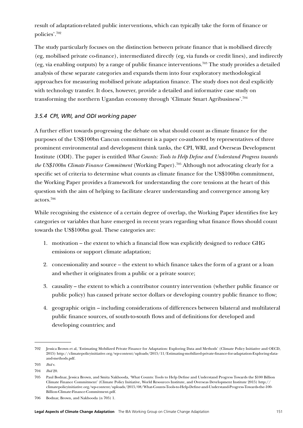result of adaptation-related public interventions, which can typically take the form of finance or policies'.702

The study particularly focuses on the distinction between private finance that is mobilised directly (eg, mobilised private co-finance), intermediated directly (eg, via funds or credit lines), and indirectly (eg, via enabling outputs) by a range of public finance interventions.703 The study provides a detailed analysis of these separate categories and expands them into four exploratory methodological approaches for measuring mobilised private adaptation finance. The study does not deal explicitly with technology transfer. It does, however, provide a detailed and informative case study on transforming the northern Ugandan economy through 'Climate Smart Agribusiness'.704

## *3.5.4 CPI, WRI, and ODI working paper*

A further effort towards progressing the debate on what should count as climate finance for the purposes of the US\$100bn Cancun commitment is a paper co-authored by representatives of three prominent environmental and development think tanks, the CPI, WRI, and Overseas Development Institute (ODI). The paper is entitled *What Counts: Tools to Help Define and Understand Progress towards the US\$100bn Climate Finance Commitment* (Working Paper).705 Although not advocating clearly for a specific set of criteria to determine what counts as climate finance for the US\$100bn commitment, the Working Paper provides a framework for understanding the core tensions at the heart of this question with the aim of helping to facilitate clearer understanding and convergence among key actors.706

While recognising the existence of a certain degree of overlap, the Working Paper identifies five key categories or variables that have emerged in recent years regarding what finance flows should count towards the US\$100bn goal. These categories are:

- 1. motivation the extent to which a financial flow was explicitly designed to reduce GHG emissions or support climate adaptation;
- 2. concessionality and source the extent to which finance takes the form of a grant or a loan and whether it originates from a public or a private source;
- 3. causality the extent to which a contributor country intervention (whether public finance or public policy) has caused private sector dollars or developing country public finance to flow;
- 4. geographic origin including considerations of differences between bilateral and multilateral public finance sources, of south-to-south flows and of definitions for developed and developing countries; and

<sup>702</sup> Jessica Brown et al, 'Estimating Mobilized Private Finance for Adaptation: Exploring Data and Methods' (Climate Policy Initiative and OECD, 2015) [http://climatepolicyinitiative.org/wp-content/uploads/2015/11/Estimating-mobilized-private-finance-for-adaptation-Exploring-data](http://climatepolicyinitiative.org/wp-content/uploads/2015/11/Estimating-mobilized-private-finance-for-adaptation-Exploring-data-and-methods.pdf)[and-methods.pdf](http://climatepolicyinitiative.org/wp-content/uploads/2015/11/Estimating-mobilized-private-finance-for-adaptation-Exploring-data-and-methods.pdf).

<sup>703</sup> *Ibid* v.

<sup>704</sup> *Ibid* 20.

<sup>705</sup> Paul Bodnar, Jessica Brown, and Smita Nakhooda, 'What Counts: Tools to Help Define and Understand Progress Towards the \$100 Billion Climate Finance Commitment' (Climate Policy Initiative, World Resources Institute, and Overseas Development Institute 2015) [http://](http://climatepolicyinitiative.org/wp-content/uploads/2015/08/What-Counts-Tools-to-Help-Define-and-Understand-Progress-Towards-the-100-Billion-Climate-Finance-Commitment.pdf) [climatepolicyinitiative.org/wp-content/uploads/2015/08/What-Counts-Tools-to-Help-Define-and-Understand-Progress-Towards-the-100-](http://climatepolicyinitiative.org/wp-content/uploads/2015/08/What-Counts-Tools-to-Help-Define-and-Understand-Progress-Towards-the-100-Billion-Climate-Finance-Commitment.pdf) [Billion-Climate-Finance-Commitment.pdf](http://climatepolicyinitiative.org/wp-content/uploads/2015/08/What-Counts-Tools-to-Help-Define-and-Understand-Progress-Towards-the-100-Billion-Climate-Finance-Commitment.pdf).

<sup>706</sup> Bodnar, Brown, and Nakhooda (n 705) 1.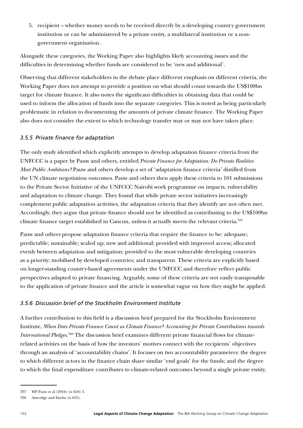5. recipient – whether money needs to be received directly by a developing country government institution or can be administered by a private entity, a multilateral institution or a nongovernment organisation.

Alongside these categories, the Working Paper also highlights likely accounting issues and the difficulties in determining whether funds are considered to be 'new and additional'.

Observing that different stakeholders in the debate place different emphasis on different criteria, the Working Paper does not attempt to provide a position on what should count towards the US\$100bn target for climate finance. It also notes the significant difficulties in obtaining data that could be used to inform the allocation of funds into the separate categories. This is noted as being particularly problematic in relation to documenting the amounts of private climate finance. The Working Paper also does not consider the extent to which technology transfer may or may not have taken place.

## *3.5.5 Private finance for adaptation*

The only study identified which explicitly attempts to develop adaptation finance criteria from the UNFCCC is a paper by Pauw and others, entitled *Private Finance for Adaptation: Do Private Realities Meet Public Ambitions?* Pauw and others develop a set of 'adaptation finance criteria' distilled from the UN climate negotiation outcomes. Pauw and others then apply these criteria to 101 submissions to the Private Sector Initiative of the UNFCCC Nairobi work programme on impacts, vulnerability and adaptation to climate change. They found that while private sector initiatives increasingly complement public adaptation activities, the adaptation criteria that they identify are not often met. Accordingly, they argue that private finance should not be identified as contributing to the US\$100bn climate finance target established in Cancun, unless it actually meets the relevant criteria.<sup>707</sup>

Pauw and others propose adaptation finance criteria that require the finance to be: adequate; predictable; sustainable; scaled up; new and additional; provided with improved access; allocated evenly between adaptation and mitigation; provided to the most vulnerable developing countries as a priority; mobilised by developed countries; and transparent. These criteria are explicitly based on longer-standing country-based agreements under the UNFCCC and therefore reflect public perspectives adapted to private financing. Arguably, some of these criteria are not easily transposable to the application of private finance and the article is somewhat vague on how they might be applied.

### *3.5.6 Discussion brief of the Stockholm Environment Institute*

A further contribution to this field is a discussion brief prepared for the Stockholm Environment Institute, *When Does Private Finance Count as Climate Finance? Accounting for Private Contributions towards International Pledges.*708 The discussion brief examines different private financial flows for climaterelated activities on the basis of how the investors' motives connect with the recipients' objectives through an analysis of 'accountability chains'. It focuses on two accountability parameters: the degree to which different actors in the finance chain share similar 'end goals' for the funds; and the degree to which the final expenditure contributes to climate-related outcomes beyond a single private entity,

<sup>707</sup> WP Pauw et al (2016) (n 618) 3.

<sup>708</sup> Atteridge and Dzebo (n 655).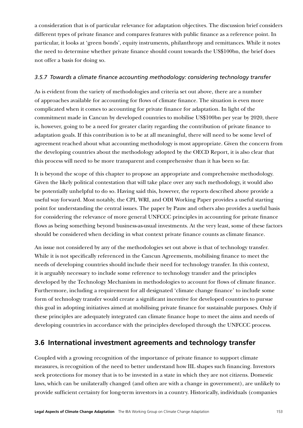a consideration that is of particular relevance for adaptation objectives. The discussion brief considers different types of private finance and compares features with public finance as a reference point. In particular, it looks at 'green bonds', equity instruments, philanthropy and remittances. While it notes the need to determine whether private finance should count towards the US\$100bn, the brief does not offer a basis for doing so.

### *3.5.7 Towards a climate finance accounting methodology: considering technology transfer*

As is evident from the variety of methodologies and criteria set out above, there are a number of approaches available for accounting for flows of climate finance. The situation is even more complicated when it comes to accounting for private finance for adaptation. In light of the commitment made in Cancun by developed countries to mobilise US\$100bn per year by 2020, there is, however, going to be a need for greater clarity regarding the contribution of private finance to adaptation goals. If this contribution is to be at all meaningful, there will need to be some level of agreement reached about what accounting methodology is most appropriate. Given the concern from the developing countries about the methodology adopted by the OECD Report, it is also clear that this process will need to be more transparent and comprehensive than it has been so far.

It is beyond the scope of this chapter to propose an appropriate and comprehensive methodology. Given the likely political contestation that will take place over any such methodology, it would also be potentially unhelpful to do so. Having said this, however, the reports described above provide a useful way forward. Most notably, the CPI, WRI, and ODI Working Paper provides a useful starting point for understanding the central issues. The paper by Pauw and others also provides a useful basis for considering the relevance of more general UNFCCC principles in accounting for private finance flows as being something beyond business-as-usual investments. At the very least, some of these factors should be considered when deciding in what context private finance counts as climate finance.

An issue not considered by any of the methodologies set out above is that of technology transfer. While it is not specifically referenced in the Cancun Agreements, mobilising finance to meet the needs of developing countries should include their need for technology transfer. In this context, it is arguably necessary to include some reference to technology transfer and the principles developed by the Technology Mechanism in methodologies to account for flows of climate finance. Furthermore, including a requirement for all designated 'climate change finance' to include some form of technology transfer would create a significant incentive for developed countries to pursue this goal in adopting initiatives aimed at mobilising private finance for sustainable purposes. Only if these principles are adequately integrated can climate finance hope to meet the aims and needs of developing countries in accordance with the principles developed through the UNFCCC process.

# **3.6 International investment agreements and technology transfer**

Coupled with a growing recognition of the importance of private finance to support climate measures, is recognition of the need to better understand how IIL shapes such financing. Investors seek protections for money that is to be invested in a state in which they are not citizens. Domestic laws, which can be unilaterally changed (and often are with a change in government), are unlikely to provide sufficient certainty for long-term investors in a country. Historically, individuals (companies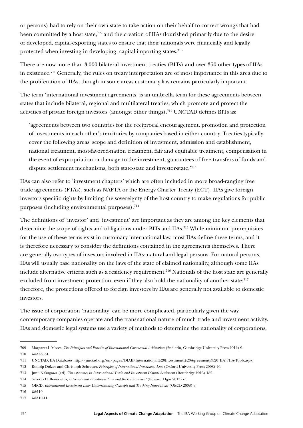or persons) had to rely on their own state to take action on their behalf to correct wrongs that had been committed by a host state,<sup>709</sup> and the creation of IIAs flourished primarily due to the desire of developed, capital-exporting states to ensure that their nationals were financially and legally protected when investing in developing, capital-importing states.<sup>710</sup>

There are now more than 3,000 bilateral investment treaties (BITs) and over 350 other types of IIAs in existence.711 Generally, the rules on treaty interpretation are of most importance in this area due to the proliferation of IIAs, though in some areas customary law remains particularly important.

The term 'international investment agreements' is an umbrella term for these agreements between states that include bilateral, regional and multilateral treaties, which promote and protect the activities of private foreign investors (amongst other things).<sup>712</sup> UNCTAD defines BITs as:

'agreements between two countries for the reciprocal encouragement, promotion and protection of investments in each other's territories by companies based in either country. Treaties typically cover the following areas: scope and definition of investment, admission and establishment, national treatment, most-favored-nation treatment, fair and equitable treatment, compensation in the event of expropriation or damage to the investment, guarantees of free transfers of funds and dispute settlement mechanisms, both state-state and investor-state.'713

IIAs can also refer to 'investment chapters' which are often included in more broad-ranging free trade agreements (FTAs), such as NAFTA or the Energy Charter Treaty (ECT). IIAs give foreign investors specific rights by limiting the sovereignty of the host country to make regulations for public purposes (including environmental purposes).714

The definitions of 'investor' and 'investment' are important as they are among the key elements that determine the scope of rights and obligations under BITs and IIAs.715 While minimum prerequisites for the use of these terms exist in customary international law, most IIAs define these terms, and it is therefore necessary to consider the definitions contained in the agreements themselves. There are generally two types of investors involved in IIAs: natural and legal persons. For natural persons, IIAs will usually base nationality on the laws of the state of claimed nationality, although some IIAs include alternative criteria such as a residency requirement.<sup>716</sup> Nationals of the host state are generally excluded from investment protection, even if they also hold the nationality of another state; $717$ therefore, the protections offered to foreign investors by IIAs are generally not available to domestic investors.

The issue of corporation 'nationality' can be more complicated, particularly given the way contemporary companies operate and the transnational nature of much trade and investment activity. IIAs and domestic legal systems use a variety of methods to determine the nationality of corporations,

<sup>709</sup> Margaret L Moses, *The Principles and Practice of International Commercial Arbitration* (2nd edn, Cambridge University Press 2012) 9. 710 *Ibid* 48, 81.

<sup>711</sup> UNCTAD, IIA Databases [http://unctad.org/en/pages/DIAE/International%20Investment%20Agreements%20\(IIA\)/IIA-Tools.aspx](http://unctad.org/en/pages/DIAE/International%20Investment%20Agreements%20(IIA)/IIA-Tools.aspx).

<sup>712</sup> Rudolp Dolzer and Christoph Schreuer, *Principles of International Investment Law* (Oxford University Press 2008) 46.

<sup>713</sup> Junji Nakagawa (ed), *Transparency in International Trade and Investment Dispute Settlement* (Routledge 2013) 182.

<sup>714</sup> Saverio Di Benedetto, *International Investment Law and the Environment* (Edward Elgar 2013) ix.

<sup>715</sup> OECD, *International Investment Law: Understanding Concepts and Tracking Innovations* (OECD 2008) 9.

<sup>716</sup> *Ibid* 10.

<sup>717</sup> *Ibid* 10-11.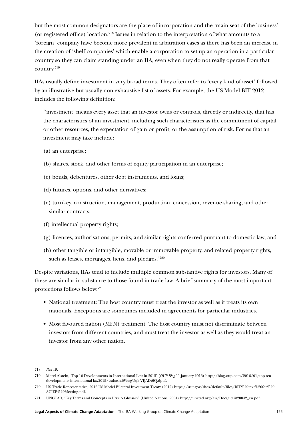but the most common designators are the place of incorporation and the 'main seat of the business' (or registered office) location.718 Issues in relation to the interpretation of what amounts to a 'foreign' company have become more prevalent in arbitration cases as there has been an increase in the creation of 'shelf companies' which enable a corporation to set up an operation in a particular country so they can claim standing under an IIA, even when they do not really operate from that country.719

IIAs usually define investment in very broad terms. They often refer to 'every kind of asset' followed by an illustrative but usually non-exhaustive list of assets. For example, the US Model BIT 2012 includes the following definition:

''investment' means every asset that an investor owns or controls, directly or indirectly, that has the characteristics of an investment, including such characteristics as the commitment of capital or other resources, the expectation of gain or profit, or the assumption of risk. Forms that an investment may take include:

- (a) an enterprise;
- (b) shares, stock, and other forms of equity participation in an enterprise;
- (c) bonds, debentures, other debt instruments, and loans;
- (d) futures, options, and other derivatives;
- (e) turnkey, construction, management, production, concession, revenue-sharing, and other similar contracts:
- (f) intellectual property rights;
- (g) licences, authorisations, permits, and similar rights conferred pursuant to domestic law; and
- (h) other tangible or intangible, movable or immovable property, and related property rights, such as leases, mortgages, liens, and pledges.'720

Despite variations, IIAs tend to include multiple common substantive rights for investors. Many of these are similar in substance to those found in trade law. A brief summary of the most important protections follows below:721

- National treatment: The host country must treat the investor as well as it treats its own nationals. Exceptions are sometimes included in agreements for particular industries.
- Most favoured nation (MFN) treatment: The host country must not discriminate between investors from different countries, and must treat the investor as well as they would treat an investor from any other nation.

<sup>718</sup> *Ibid* 19.

<sup>719</sup> Merel Alstein, 'Top 10 Developments in International Law in 2015' (*OUP Blog* 11 January 2016) http://blog.oup.com/2016/01/top-tendevelopments-international-law2015/#sthash.6WtagUqk.VIJADt6Q.dpuf.

<sup>720</sup> US Trade Representative, 2012 US Model Bilateral Investment Treaty (2012) [https://ustr.gov/sites/default/files/BIT%20text%20for%20](https://ustr.gov/sites/default/files/BIT%20text%20for%20ACIEP%20Meeting.pdf) [ACIEP%20Meeting.pdf](https://ustr.gov/sites/default/files/BIT%20text%20for%20ACIEP%20Meeting.pdf).

<sup>721</sup> UNCTAD, 'Key Terms and Concepts in IIAs: A Glossary' (United Nations, 2004) [http://unctad.org/en/Docs/iteiit20042\\_en.pdf.](http://unctad.org/en/Docs/iteiit20042_en.pdf)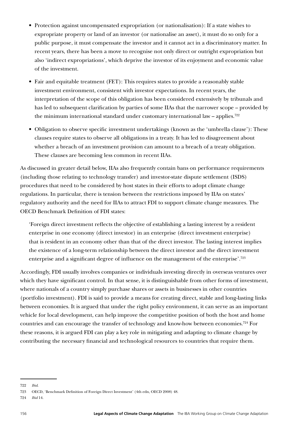- Protection against uncompensated expropriation (or nationalisation): If a state wishes to expropriate property or land of an investor (or nationalise an asset), it must do so only for a public purpose, it must compensate the investor and it cannot act in a discriminatory matter. In recent years, there has been a move to recognise not only direct or outright expropriation but also 'indirect expropriations', which deprive the investor of its enjoyment and economic value of the investment.
- Fair and equitable treatment (FET): This requires states to provide a reasonably stable investment environment, consistent with investor expectations. In recent years, the interpretation of the scope of this obligation has been considered extensively by tribunals and has led to subsequent clarification by parties of some IIAs that the narrower scope – provided by the minimum international standard under customary international law – applies.<sup>722</sup>
- Obligation to observe specific investment undertakings (known as the 'umbrella clause'): These clauses require states to observe all obligations in a treaty. It has led to disagreement about whether a breach of an investment provision can amount to a breach of a treaty obligation. These clauses are becoming less common in recent IIAs.

As discussed in greater detail below, IIAs also frequently contain bans on performance requirements (including those relating to technology transfer) and investor-state dispute settlement (ISDS) procedures that need to be considered by host states in their efforts to adopt climate change regulations. In particular, there is tension between the restrictions imposed by IIAs on states' regulatory authority and the need for IIAs to attract FDI to support climate change measures. The OECD Benchmark Definition of FDI states:

'Foreign direct investment reflects the objective of establishing a lasting interest by a resident enterprise in one economy (direct investor) in an enterprise (direct investment enterprise) that is resident in an economy other than that of the direct investor. The lasting interest implies the existence of a long-term relationship between the direct investor and the direct investment enterprise and a significant degree of influence on the management of the enterprise'.723

Accordingly, FDI usually involves companies or individuals investing directly in overseas ventures over which they have significant control. In that sense, it is distinguishable from other forms of investment, where nationals of a country simply purchase shares or assets in businesses in other countries (portfolio investment). FDI is said to provide a means for creating direct, stable and long-lasting links between economies. It is argued that under the right policy environment, it can serve as an important vehicle for local development, can help improve the competitive position of both the host and home countries and can encourage the transfer of technology and know-how between economies.<sup>724</sup> For these reasons, it is argued FDI can play a key role in mitigating and adapting to climate change by contributing the necessary financial and technological resources to countries that require them.

<sup>722</sup> *Ibid*.

<sup>723</sup> OECD, 'Benchmark Definition of Foreign Direct Investment' (4th edn, OECD 2008) 48.

<sup>724</sup> *Ibid* 14.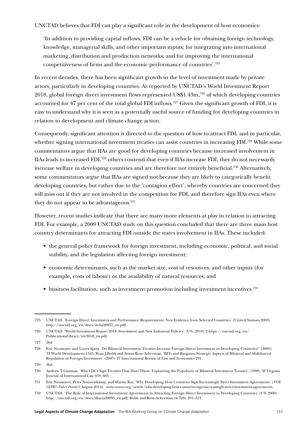UNCTAD believes that FDI can play a significant role in the development of host economies:

'In addition to providing capital inflows, FDI can be a vehicle for obtaining foreign technology, knowledge, managerial skills, and other important inputs; for integrating into international marketing, distribution and production networks; and for improving the international competitiveness of firms and the economic performance of countries'.725

In recent decades, there has been significant growth in the level of investment made by private actors, particularly in developing countries. As reported by UNCTAD's World Investment Report 2018, global foreign direct investment flows represented US\$1.43tn,726 of which developing countries accounted for 47 per cent of the total global FDI inflows.727 Given the significant growth of FDI, it is easy to understand why it is seen as a potentially useful source of funding for developing countries in relation to development and climate change action.

Consequently, significant attention is directed to the question of how to attract FDI, and in particular, whether signing international investment treaties can assist countries in increasing FDI.<sup>728</sup> While some commentators argue that IIAs are good for developing countries because increased involvement in IIAs leads to increased FDI,729 others contend that even if IIAs increase FDI, they do not necessarily increase welfare in developing countries and are therefore not entirely beneficial.730 Alternatively, some commentators argue that IIAs are signed not because they are likely to categorically benefit developing countries, but rather due to the 'contagion effect', whereby countries are concerned they will miss out if they are not involved in the competition for FDI, and therefore sign IIAs even where they do not appear to be advantageous.<sup>731</sup>

However, recent studies indicate that there are many more elements at play in relation to attracting FDI. For example, a 2009 UNCTAD study on this question concluded that there are three main host country determinants for attracting FDI outside the states involvement in IIAs. These included:

- the general policy framework for foreign investment, including economic, political, and social stability, and the legislation affecting foreign investment;
- economic determinants, such as the market size, cost of resources, and other inputs (for example, costs of labour) or the availability of natural resources; and
- business facilitation, such as investment promotion including investment incentives.732

<sup>725</sup> UNCTAD, 'Foreign Direct Investment and Performance Requirements: New Evidence from Selected Countries' (United Nations 2003) [http://unctad.org/en/docs/iteiia20037\\_en.pdf](http://unctad.org/en/docs/iteiia20037_en.pdf).

<sup>726</sup> UNCTAD, 'World Investment Report 2018: Investment and New Industrial Policies' (UN, 2018) 2 [https://unctad.org/en/](https://unctad.org/en/PublicationsLibrary/wir2018_en.pdf) [PublicationsLibrary/wir2018\\_en.pdf.](https://unctad.org/en/PublicationsLibrary/wir2018_en.pdf)

<sup>727</sup> *Ibid.*

<sup>728</sup> Eric Neumayer and Laura Spess, 'Do Bilateral Investment Treaties Increase Foreign Direct Investment to Developing Countries?' (2005) 33 World Development 1545; Ryan J Bubb and Susan Rose-Ackerman, 'BITs and Bargains: Strategic Aspects of Bilateral and Multilateral Regulation of Foreign Investment' (2007) 27 International Review of Law and Economics 291.

<sup>729</sup> *Ibid.*

<sup>730</sup> Andrew T Guzman, 'Why LDCs Sign Treaties That Hurt Them: Explaining the Popularity of Bilateral Investment Treaties' (1998) 38 Virginia Journal of International Law 639, 683.

<sup>731</sup> Eric Neumayer, Peter Nunnenkamp, and Martin Roy, 'Why Developing Host Countries Sign Increasingly Strict Investment Agreements' (*VOX CEPR's Policy Portal* 1 August 2014), [www.voxeu.org/article/why-developing-host-countries-sign-increasingly-strict-investment-agreements](http://www.voxeu.org/article/why-developing-host-countries-sign-increasingly-strict-investment-agreements).

<sup>732</sup> UNCTAD, 'The Role of International Investment Agreements in Attracting Foreign Direct Investment to Developing Countries' (UN 2009) [http://unctad.org/en/docs/diaeia20095\\_en.pdf;](http://unctad.org/en/docs/diaeia20095_en.pdf) Bubb and Rose-Ackerman (n 728) 291–311.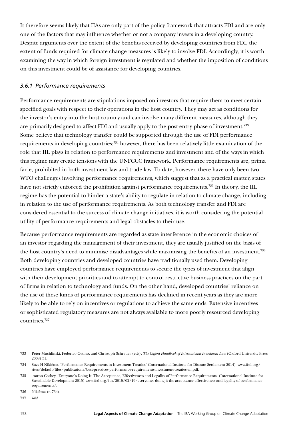It therefore seems likely that IIAs are only part of the policy framework that attracts FDI and are only one of the factors that may influence whether or not a company invests in a developing country. Despite arguments over the extent of the benefits received by developing countries from FDI, the extent of funds required for climate change measures is likely to involve FDI. Accordingly, it is worth examining the way in which foreign investment is regulated and whether the imposition of conditions on this investment could be of assistance for developing countries.

#### *3.6.1 Performance requirements*

Performance requirements are stipulations imposed on investors that require them to meet certain specified goals with respect to their operations in the host country. They may act as conditions for the investor's entry into the host country and can involve many different measures, although they are primarily designed to affect FDI and usually apply to the post-entry phase of investment.733 Some believe that technology transfer could be supported through the use of FDI performance requirements in developing countries;734 however, there has been relatively little examination of the role that IIL plays in relation to performance requirements and investment and of the ways in which this regime may create tensions with the UNFCCC framework. Performance requirements are, prima facie, prohibited in both investment law and trade law. To date, however, there have only been two WTO challenges involving performance requirements, which suggest that as a practical matter, states have not strictly enforced the prohibition against performance requirements.<sup>735</sup> In theory, the IIL regime has the potential to hinder a state's ability to regulate in relation to climate change, including in relation to the use of performance requirements. As both technology transfer and FDI are considered essential to the success of climate change initiatives, it is worth considering the potential utility of performance requirements and legal obstacles to their use.

Because performance requirements are regarded as state interference in the economic choices of an investor regarding the management of their investment, they are usually justified on the basis of the host country's need to minimise disadvantages while maximising the benefits of an investment.<sup>736</sup> Both developing countries and developed countries have traditionally used them. Developing countries have employed performance requirements to secure the types of investment that align with their development priorities and to attempt to control restrictive business practices on the part of firms in relation to technology and funds. On the other hand, developed countries' reliance on the use of these kinds of performance requirements has declined in recent years as they are more likely to be able to rely on incentives or regulations to achieve the same ends. Extensive incentives or sophisticated regulatory measures are not always available to more poorly resourced developing countries.737

<sup>733</sup> Peter Muchlinski, Federico Ortino, and Christoph Schreuer (eds), *The Oxford Handbook of International Investment Law* (Oxford University Press 2008) 31.

<sup>734</sup> Suzy H Nikièma, 'Performance Requirements in Investment Treaties' (International Institute for Dispute Settlement 2014) [www.iisd.org/](http://www.iisd.org/sites/default/files/publications/best-practices-performance-requirements-investment-treaties-en.pdf) [sites/default/files/publications/best-practices-performance-requirements-investment-treaties-en.pdf.](http://www.iisd.org/sites/default/files/publications/best-practices-performance-requirements-investment-treaties-en.pdf)

<sup>735</sup> Aaron Cosbey, 'Everyone's Doing It: The Acceptance, Effectiveness and Legality of Performance Requirements' (International Institute for Sustainable Development 2015) [www.iisd.org/itn/2015/02/19/everyones-doing-it-the-acceptance-effectiveness-and-legality-of-performance](https://www.iisd.org/itn/2015/02/19/everyones-doing-it-the-acceptance-effectiveness-and-legality-of-performance-requirements/)[requirements/.](https://www.iisd.org/itn/2015/02/19/everyones-doing-it-the-acceptance-effectiveness-and-legality-of-performance-requirements/)

<sup>736</sup> Nikièma (n 734).

<sup>737</sup> *Ibid*.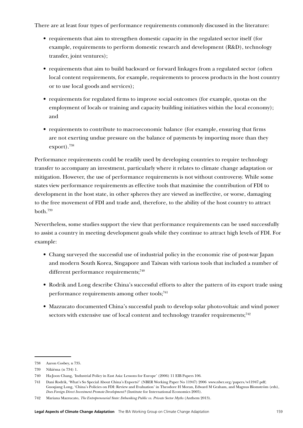There are at least four types of performance requirements commonly discussed in the literature:

- requirements that aim to strengthen domestic capacity in the regulated sector itself (for example, requirements to perform domestic research and development (R&D), technology transfer, joint ventures);
- requirements that aim to build backward or forward linkages from a regulated sector (often local content requirements, for example, requirements to process products in the host country or to use local goods and services);
- requirements for regulated firms to improve social outcomes (for example, quotas on the employment of locals or training and capacity building initiatives within the local economy); and
- requirements to contribute to macroeconomic balance (for example, ensuring that firms are not exerting undue pressure on the balance of payments by importing more than they export).738

Performance requirements could be readily used by developing countries to require technology transfer to accompany an investment, particularly where it relates to climate change adaptation or mitigation. However, the use of performance requirements is not without controversy. While some states view performance requirements as effective tools that maximise the contribution of FDI to development in the host state, in other spheres they are viewed as ineffective, or worse, damaging to the free movement of FDI and trade and, therefore, to the ability of the host country to attract both.739

Nevertheless, some studies support the view that performance requirements can be used successfully to assist a country in meeting development goals while they continue to attract high levels of FDI. For example:

- Chang surveyed the successful use of industrial policy in the economic rise of post-war Japan and modern South Korea, Singapore and Taiwan with various tools that included a number of different performance requirements;<sup>740</sup>
- Rodrik and Long describe China's successful efforts to alter the pattern of its export trade using performance requirements among other tools;<sup>741</sup>
- Mazzucato documented China's successful push to develop solar photo-voltaic and wind power sectors with extensive use of local content and technology transfer requirements; $742$

<sup>738</sup> Aaron Cosbey, n 735.

<sup>739</sup> Nikièma (n 734) 1.

<sup>740</sup> Ha-Joon Chang, 'Industrial Policy in East Asia: Lessons for Europe' (2006) 11 EIB Papers 106.

<sup>741</sup> Dani Rodrik, 'What's So Special About China's Exports?' (NBER Working Paper No 11947) 2006 [www.nber.org/papers/w11947.pdf](http://www.nber.org/papers/w11947.pdf); Guoqiang Long, 'China's Policies on FDI: Review and Evaluation' in Theodore H Moran, Edward M Graham, and Magnus Blomström (eds), *Does Foreign Direct Investment Promote Development?* (Institute for International Economics 2005).

<sup>742</sup> Mariana Mazzucato, *The Entrepreneurial State: Debunking Public vs. Private Sector Myths* (Anthem 2013).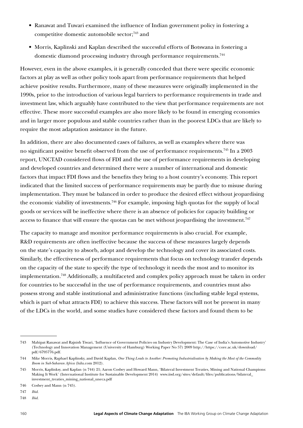- Ranawat and Tuwari examined the influence of Indian government policy in fostering a competitive domestic automobile sector;743 and
- Morris, Kaplinski and Kaplan described the successful efforts of Botswana in fostering a domestic diamond processing industry through performance requirements.<sup>744</sup>

However, even in the above examples, it is generally conceded that there were specific economic factors at play as well as other policy tools apart from performance requirements that helped achieve positive results. Furthermore, many of these measures were originally implemented in the 1990s, prior to the introduction of various legal barriers to performance requirements in trade and investment law, which arguably have contributed to the view that performance requirements are not effective. These more successful examples are also more likely to be found in emerging economies and in larger more populous and stable countries rather than in the poorest LDCs that are likely to require the most adaptation assistance in the future.

In addition, there are also documented cases of failures, as well as examples where there was no significant positive benefit observed from the use of performance requirements.745 In a 2003 report, UNCTAD considered flows of FDI and the use of performance requirements in developing and developed countries and determined there were a number of international and domestic factors that impact FDI flows and the benefits they bring to a host country's economy. This report indicated that the limited success of performance requirements may be partly due to misuse during implementation. They must be balanced in order to produce the desired effect without jeopardising the economic viability of investments.746 For example, imposing high quotas for the supply of local goods or services will be ineffective where there is an absence of policies for capacity building or access to finance that will ensure the quotas can be met without jeopardising the investment.<sup>747</sup>

The capacity to manage and monitor performance requirements is also crucial. For example, R&D requirements are often ineffective because the success of these measures largely depends on the state's capacity to absorb, adopt and develop the technology and cover its associated costs. Similarly, the effectiveness of performance requirements that focus on technology transfer depends on the capacity of the state to specify the type of technology it needs the most and to monitor its implementation.748 Additionally, a multifaceted and complex policy approach must be taken in order for countries to be successful in the use of performance requirements, and countries must also possess strong and stable institutional and administrative functions (including stable legal systems, which is part of what attracts FDI) to achieve this success. These factors will not be present in many of the LDCs in the world, and some studies have considered these factors and found them to be

<sup>743</sup> Mahipat Ranawat and Rajnish Tiwari, 'Influence of Government Policies on Industry Development: The Case of India's Automotive Industry' (Technology and Innovation Management (University of Hamburg) Working Paper No 57) 2009 [http://https://core.ac.uk/download/](http://https:/core.ac.uk/download/pdf/6795776.pdf) [pdf/6795776.pdf](http://https:/core.ac.uk/download/pdf/6795776.pdf).

<sup>744</sup> Mike Morris, Raphael Kaplinsky, and David Kaplan, *One Thing Leads to Another: Promoting Industrialisation by Making the Most of the Commodity Boom in Sub-Saharan Africa* (lulu.com 2012).

<sup>745</sup> Morris, Kaplinksy, and Kaplan (n 744) 21; Aaron Cosbey and Howard Mann, 'Bilateral Investment Treaties, Mining and National Champions: Making It Work' (International Institute for Sustainable Development 2014) [www.iisd.org/sites/default/files/publications/bilateral\\_](http://www.iisd.org/sites/default/files/publications/bilateral_investment_treaties_mining_national_uneca.pdf) [investment\\_treaties\\_mining\\_national\\_uneca.pdf](http://www.iisd.org/sites/default/files/publications/bilateral_investment_treaties_mining_national_uneca.pdf)

<sup>746</sup> Cosbey and Mann (n 745).

<sup>747</sup> *Ibid.*

<sup>748</sup> *Ibid.*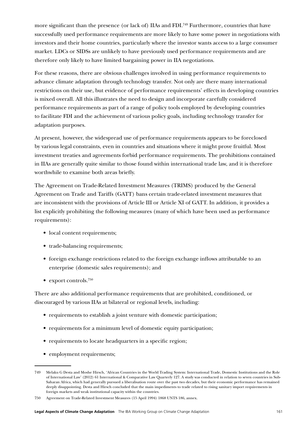more significant than the presence (or lack of) IIAs and FDI.<sup>749</sup> Furthermore, countries that have successfully used performance requirements are more likely to have some power in negotiations with investors and their home countries, particularly where the investor wants access to a large consumer market. LDCs or SIDSs are unlikely to have previously used performance requirements and are therefore only likely to have limited bargaining power in IIA negotiations.

For these reasons, there are obvious challenges involved in using performance requirements to advance climate adaptation through technology transfer. Not only are there many international restrictions on their use, but evidence of performance requirements' effects in developing countries is mixed overall. All this illustrates the need to design and incorporate carefully considered performance requirements as part of a range of policy tools employed by developing countries to facilitate FDI and the achievement of various policy goals, including technology transfer for adaptation purposes.

At present, however, the widespread use of performance requirements appears to be foreclosed by various legal constraints, even in countries and situations where it might prove fruitful. Most investment treaties and agreements forbid performance requirements. The prohibitions contained in IIAs are generally quite similar to those found within international trade law, and it is therefore worthwhile to examine both areas briefly.

The Agreement on Trade-Related Investment Measures (TRIMS) produced by the General Agreement on Trade and Tariffs (GATT) bans certain trade-related investment measures that are inconsistent with the provisions of Article III or Article XI of GATT. In addition, it provides a list explicitly prohibiting the following measures (many of which have been used as performance requirements):

- local content requirements;
- trade-balancing requirements;
- foreign exchange restrictions related to the foreign exchange inflows attributable to an enterprise (domestic sales requirements); and
- export controls.<sup>750</sup>

There are also additional performance requirements that are prohibited, conditioned, or discouraged by various IIAs at bilateral or regional levels, including:

- requirements to establish a joint venture with domestic participation;
- requirements for a minimum level of domestic equity participation;
- requirements to locate headquarters in a specific region;
- employment requirements;

<sup>749</sup> Melaku G Desta and Moshe Hirsch, 'African Countries in the World Trading System: International Trade, Domestic Institutions and the Role of International Law' (2012) 61 International & Comparative Law Quarterly 127. A study was conducted in relation to seven countries in Sub-Saharan Africa, which had generally pursued a liberalisation route over the past two decades, but their economic performance has remained deeply disappointing. Desta and Hirsch concluded that the main impediments to trade related to rising sanitary import requirements in foreign markets and weak institutional capacity within the countries.

<sup>750</sup> Agreement on Trade-Related Investment Measures (15 April 1994) 1868 UNTS 186, annex.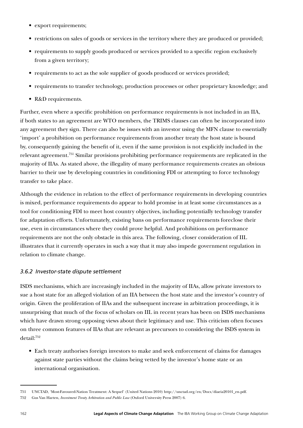- export requirements;
- restrictions on sales of goods or services in the territory where they are produced or provided;
- requirements to supply goods produced or services provided to a specific region exclusively from a given territory;
- requirements to act as the sole supplier of goods produced or services provided;
- requirements to transfer technology, production processes or other proprietary knowledge; and
- R&D requirements.

Further, even where a specific prohibition on performance requirements is not included in an IIA, if both states to an agreement are WTO members, the TRIMS clauses can often be incorporated into any agreement they sign. There can also be issues with an investor using the MFN clause to essentially 'import' a prohibition on performance requirements from another treaty the host state is bound by, consequently gaining the benefit of it, even if the same provision is not explicitly included in the relevant agreement.751 Similar provisions prohibiting performance requirements are replicated in the majority of IIAs. As stated above, the illegality of many performance requirements creates an obvious barrier to their use by developing countries in conditioning FDI or attempting to force technology transfer to take place.

Although the evidence in relation to the effect of performance requirements in developing countries is mixed, performance requirements do appear to hold promise in at least some circumstances as a tool for conditioning FDI to meet host country objectives, including potentially technology transfer for adaptation efforts. Unfortunately, existing bans on performance requirements foreclose their use, even in circumstances where they could prove helpful. And prohibitions on performance requirements are not the only obstacle in this area. The following, closer consideration of IIL illustrates that it currently operates in such a way that it may also impede government regulation in relation to climate change.

## *3.6.2 Investor-state dispute settlement*

ISDS mechanisms, which are increasingly included in the majority of IIAs, allow private investors to sue a host state for an alleged violation of an IIA between the host state and the investor's country of origin. Given the proliferation of IIAs and the subsequent increase in arbitration proceedings, it is unsurprising that much of the focus of scholars on IIL in recent years has been on ISDS mechanisms which have drawn strong opposing views about their legitimacy and use. This criticism often focuses on three common features of IIAs that are relevant as precursors to considering the ISDS system in detail:752

• Each treaty authorises foreign investors to make and seek enforcement of claims for damages against state parties without the claims being vetted by the investor's home state or an international organisation.

<sup>751</sup> UNCTAD, 'Most-Favoured-Nation Treatment: A Sequel' (United Nations 2010) [http://unctad.org/en/Docs/diaeia20101\\_en.pdf.](http://unctad.org/en/Docs/diaeia20101_en.pdf)

<sup>752</sup> Gus Van Harten, *Investment Treaty Arbitration and Public Law* (Oxford University Press 2007) 6.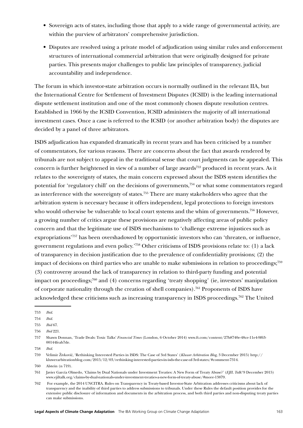- Sovereign acts of states, including those that apply to a wide range of governmental activity, are within the purview of arbitrators' comprehensive jurisdiction.
- Disputes are resolved using a private model of adjudication using similar rules and enforcement structures of international commercial arbitration that were originally designed for private parties. This presents major challenges to public law principles of transparency, judicial accountability and independence.

The forum in which investor-state arbitration occurs is normally outlined in the relevant IIA, but the International Centre for Settlement of Investment Disputes (ICSID) is the leading international dispute settlement institution and one of the most commonly chosen dispute resolution centres. Established in 1966 by the ICSID Convention, ICSID administers the majority of all international investment cases. Once a case is referred to the ICSID (or another arbitration body) the disputes are decided by a panel of three arbitrators.

ISDS adjudication has expanded dramatically in recent years and has been criticised by a number of commentators, for various reasons. There are concerns about the fact that awards rendered by tribunals are not subject to appeal in the traditional sense that court judgments can be appealed. This concern is further heightened in view of a number of large awards<sup>753</sup> produced in recent years. As it relates to the sovereignty of states, the main concern expressed about the ISDS system identifies the potential for 'regulatory chill' on the decisions of governments,754 or what some commentators regard as interference with the sovereignty of states.755 There are many stakeholders who agree that the arbitration system is necessary because it offers independent, legal protections to foreign investors who would otherwise be vulnerable to local court systems and the whim of governments.<sup>756</sup> However, a growing number of critics argue these provisions are negatively affecting areas of public policy concern and that the legitimate use of ISDS mechanisms to 'challenge extreme injustices such as expropriations'757 has been overshadowed by opportunistic investors who can 'threaten, or influence, government regulations and even policy.'758 Other criticisms of ISDS provisions relate to: (1) a lack of transparency in decision justification due to the prevalence of confidentiality provisions; (2) the impact of decisions on third parties who are unable to make submissions in relation to proceedings;<sup>759</sup> (3) controversy around the lack of transparency in relation to third-party funding and potential impact on proceedings;<sup>760</sup> and (4) concerns regarding 'treaty shopping' (ie, investors' manipulation of corporate nationality through the creation of shell companies).761 Proponents of ISDS have acknowledged these criticisms such as increasing transparency in ISDS proceedings.762 The United

<sup>753</sup> *Ibid*.

<sup>754</sup> *Ibid.*

<sup>755</sup> *Ibid* 67.

<sup>756</sup> *Ibid* 221.

<sup>757</sup> Shawn Donnan, 'Trade Deals: Toxic Talks' *Financial Times* (London, 6 October 2014) [www.ft.com/content/27b8740e-48ce-11e4-9f63-](https://www.ft.com/content/27b8740e-48ce-11e4-9f63-00144feab7de) [00144feab7de](https://www.ft.com/content/27b8740e-48ce-11e4-9f63-00144feab7de).

<sup>758</sup> *Ibid.*

<sup>759</sup> Velimir Živković, 'Rethinking Interested Parties in ISDS: The Case of 3rd States' (*Kluwer Arbitration Blog*, 3 December 2015) [http://](http://kluwerarbitrationblog.com/2015/12/03/rethinking-interested-parties-in-isds-the-case-of-3rd-states/%23comment-7314) [kluwerarbitrationblog.com/2015/12/03/rethinking-interested-parties-in-isds-the-case-of-3rd-states/#comment-7314](http://kluwerarbitrationblog.com/2015/12/03/rethinking-interested-parties-in-isds-the-case-of-3rd-states/%23comment-7314).

<sup>760</sup> Alstein (n 719).

<sup>761</sup> Javier García Olmedo, 'Claims by Dual Nationals under Investment Treaties: A New Form of Treaty Abuse?' (*EJIL Talk!* 9 December 2015) [www.ejiltalk.org/claims-by-dual-nationals-under-investment-treaties-a-new-form-of-treaty-abuse/#more-13879.](http://www.ejiltalk.org/claims-by-dual-nationals-under-investment-treaties-a-new-form-of-treaty-abuse/%23more-13879)

<sup>762</sup> For example, the 2014 UNCITRA. Rules on Transparency in Treaty-based Investor-State Arbitration addresses criticisms about lack of transparency and the inability of third parties to address submissions to tribunals. Under these Rules the default position provides for the extensive public disclosure of information and documents in the arbitration process, and both third parties and non-disputing treaty parties can make submissions.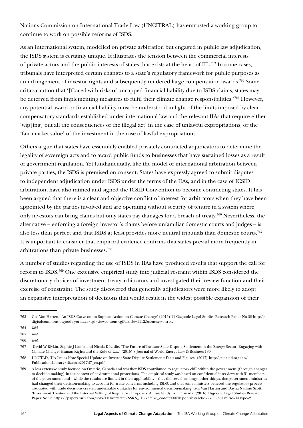Nations Commission on International Trade Law (UNCITRAL) has entrusted a working group to continue to work on possible reforms of ISDS.

As an international system, modelled on private arbitration but engaged in public law adjudication, the ISDS system is certainly unique. It illustrates the tension between the commercial interests of private actors and the public interests of states that exists at the heart of IIL.763 In some cases, tribunals have interpreted certain changes to a state's regulatory framework for public purposes as an infringement of investor rights and subsequently rendered large compensation awards.<sup>764</sup> Some critics caution that '[f]aced with risks of uncapped financial liability due to ISDS claims, states may be deterred from implementing measures to fulfil their climate change responsibilities.'765 However, any potential award or financial liability must be understood in light of the limits imposed by clear compensatory standards established under international law and the relevant IIAs that require either 'wip[ing] out all the consequences of the illegal act' in the case of unlawful expropriations, or the 'fair market value' of the investment in the case of lawful expropriations.

Others argue that states have essentially enabled privately contracted adjudicators to determine the legality of sovereign acts and to award public funds to businesses that have sustained losses as a result of government regulation. Yet fundamentally, like the model of international arbitration between private parties, the ISDS is premised on consent. States have expressly agreed to submit disputes to independent adjudication under ISDS under the terms of the IIAs, and in the case of ICSID arbitration, have also ratified and signed the ICSID Convention to become contracting states. It has been argued that there is a clear and objective conflict of interest for arbitrators when they have been appointed by the parties involved and are operating without security of tenure in a system where only investors can bring claims but only states pay damages for a breach of treaty.766 Nevertheless, the alternative – enforcing a foreign investor's claims before unfamiliar domestic courts and judges – is also less than perfect and that ISDS at least provides more neutral tribunals than domestic courts.<sup>767</sup> It is important to consider that empirical evidence confirms that states prevail more frequently in arbitrations than private businesses.768

A number of studies regarding the use of ISDS in IIAs have produced results that support the call for reform to ISDS.769 One extensive empirical study into judicial restraint within ISDS considered the discretionary choices of investment treaty arbitrators and investigated their review function and their exercise of constraint. The study discovered that generally adjudicators were more likely to adopt an expansive interpretation of decisions that would result in the widest possible expansion of their

<sup>763</sup> Gus Van Harten, 'An ISDS Carve-out to Support Action on Climate Change' (2015) 11 Osgoode Legal Studies Research Paper No 38 [http://](http://digitalcommons.osgoode.yorku.ca/cgi/viewcontent.cgi?article=1112&context=olsrps) [digitalcommons.osgoode.yorku.ca/cgi/viewcontent.cgi?article=1112&context=olsrps](http://digitalcommons.osgoode.yorku.ca/cgi/viewcontent.cgi?article=1112&context=olsrps).

<sup>764</sup> *Ibid.*

<sup>765</sup> *Ibid.*

<sup>766</sup> *Ibid.*

<sup>767</sup> David W Rivkin, Sophie J Lamb, and Nicola K Leslie, 'The Future of Investor-State Dispute Settlement in the Energy Sector: Engaging with Climate Change, Human Rights and the Rule of Law' (2015) 8 Journal of World Energy Law & Business 130.

<sup>768</sup> UNCTAD, 'IIA Issues Note Special Update on Investor-State Dispute Settlement: Facts and Figures' (2017) [http://unctad.org/en/](http://unctad.org/en/PublicationsLibrary/diaepcb2017d7_en.pdf) [PublicationsLibrary/diaepcb2017d7\\_en.pdf.](http://unctad.org/en/PublicationsLibrary/diaepcb2017d7_en.pdf)

<sup>769</sup> A less extensive study focused on Ontario, Canada and whether ISDS contributed to regulatory chill within the government (through changes to decision-making) in the context of environmental protections. The empirical study was based on confidential interviews with 51 members of the government and—while the results are limited in their applicability—they did reveal, amongst other things, that government ministries had changed their decision-making to account for trade concerns, including ISDS, and that some ministers believed the regulatory process associated with trade decisions created undesirable obstacles for environmental decision-making. Gus Van Harten and Dayna Nadine Scott, 'Investment Treaties and the Internal Vetting of Regulatory Proposals: A Case Study from Canada' (2016) Osgoode Legal Studies Research Paper No 26 [https://papers.ssrn.com/sol3/Delivery.cfm/SSRN\\_ID2766978\\_code2200076.pdf?abstractid=2700238&mirid=1&type=2.](https://papers.ssrn.com/sol3/Delivery.cfm/SSRN_ID2766978_code2200076.pdf?abstractid=2700238&mirid=1&type=2)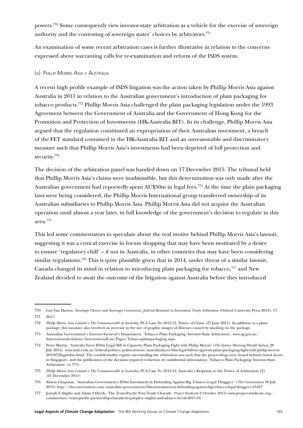powers.770 Some consequently view investor-state arbitration as a vehicle for the exercise of sovereign authority and the contesting of sovereign states' choices by arbitrators.<sup>771</sup>

An examination of some recent arbitration cases is further illustrative in relation to the concerns expressed above warranting calls for re-examination and reform of the ISDS system.

#### (a) Phillip Morris Asia v Australia

A recent high profile example of ISDS litigation was the action taken by Phillip Morris Asia against Australia in 2011 in relation to the Australian government's introduction of plain packaging for tobacco products.772 Phillip Morris Asia challenged the plain packaging legislation under the 1993 Agreement between the Government of Australia and the Government of Hong Kong for the Promotion and Protection of Investments (HK-Australia BIT). In its challenge, Phillip Morris Asia argued that the regulation constituted an expropriation of their Australian investment, a breach of the FET standard contained in the HK-Australia BIT and an unreasonable and discriminatory measure such that Phillip Morris Asia's investments had been deprived of full protection and security.773

The decision of the arbitration panel was handed down on 17 December 2015. The tribunal held that Phillip Morris Asia's claims were inadmissible, but this determination was only made after the Australian government had reportedly spent AU\$50m in legal fees.<sup>774</sup> At the time the plain packaging laws were being considered, the Phillip Morris International group transferred ownership of its Australian subsidiaries to Phillip Morris Asia. Phillip Morris Asia did not acquire the Australian operation until almost a year later, in full knowledge of the government's decision to regulate in this area.775

This led some commentators to speculate about the real motive behind Phillip Morris Asia's lawsuit, suggesting it was a cynical exercise in forum shopping that may have been motivated by a desire to ensure 'regulatory chill' – if not in Australia, in other countries that may have been considering similar regulations.<sup>776</sup> This is quite plausible given that in 2014, under threat of a similar lawsuit, Canada changed its mind in relation to introducing plain packaging for tobacco,<sup>777</sup> and New Zealand decided to await the outcome of the litigation against Australia before they introduced

<sup>770</sup> Gus Van Harten, *Sovereign Choices and Sovereign Constraints: Judicial Restraint in Investment Treaty Arbitration* (Oxford University Press 2013), 17. 771 *Ibid* 1.

<sup>772</sup> *Philip Morris Asia Limited v The Commonwealth of Australi*a, PCA Case No 2012-12, Notice of Claim (27 June 2011). In addition to a plain package, this measure also involved an increase in the size of graphic images of illnesses caused by smoking on the package.

<sup>773</sup> Australian Government's Attorney-General's Department, 'Tobacco Plain Packaging: Investor-State Arbitration', [www.ag.gov.au/](https://www.ag.gov.au/Internationalrelations/InternationalLaw/Pages/Tobaccoplainpackaging.aspx) [Internationalrelations/InternationalLaw/Pages/Tobaccoplainpackaging.aspx](https://www.ag.gov.au/Internationalrelations/InternationalLaw/Pages/Tobaccoplainpackaging.aspx).

<sup>774</sup> Peter Martin, 'Australia Faces \$50m Legal Bill in Cigarette Plain Packaging Fight with Philip Morris' (*The Sydney Morning Herald Sydney,* 28 July 2015) [www.smh.com.au/federal-politics/political-news/australia-faces-50m-legal-bill-in-cigarette-plain-packaging-fight-with-philip-morris-](http://www.smh.com.au/federal-politics/political-news/australia-faces-50m-legal-bill-in-cigarette-plain-packaging-fight-with-philip-morris-20150728-gim4xo.html)[20150728-gim4xo.html.](http://www.smh.com.au/federal-politics/political-news/australia-faces-50m-legal-bill-in-cigarette-plain-packaging-fight-with-philip-morris-20150728-gim4xo.html) The confidentiality regime surrounding the arbitration was such that the proceedings were heard behind closed doors in Singapore, and the publication of the decision required redaction of confidential information; 'Tobacco Plain Packaging: Investor-State Arbitration' (n 773).

<sup>775</sup> *Philip Morris Asia Limited v The Commonwealth of Australia*, PCA Case No 2012-12, Australia's Response to the Notice of Arbitration [2]. (21 December 2011)

<sup>776</sup> Simon Chapman, 'Australian Government's \$50m Investment in Defending Against Big Tobacco Legal Thuggery' (*The Conversation* 30 July 2015) [http://theconversation.com/australian-governments-50m-investment-in-defending-against-big-tobacco-legal-thuggery-45427.](http://theconversation.com/australian-governments-50m-investment-in-defending-against-big-tobacco-legal-thuggery-45427)

<sup>777</sup> Joseph E Stiglitz and Adam S Hersh, 'The Trans-Pacific Free-Trade Charade' *Project Syndicate* 2 October 2015) [www.project-syndicate.org/](https://www.project-syndicate.org/commentary/trans-pacific-partnership-charade-by-joseph-e--stiglitz-and-adam-s--hersh-2015-10) [commentary/trans-pacific-partnership-charade-by-joseph-e--stiglitz-and-adam-s--hersh-2015-10](https://www.project-syndicate.org/commentary/trans-pacific-partnership-charade-by-joseph-e--stiglitz-and-adam-s--hersh-2015-10).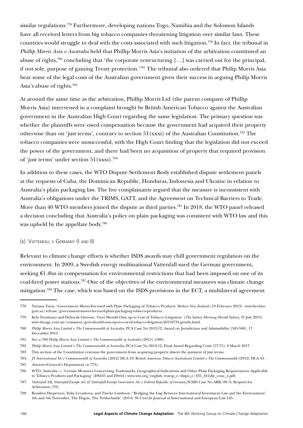similar regulations.778 Furthermore, developing nations Togo, Namibia and the Solomon Islands have all received letters from big tobacco companies threatening litigation over similar laws. These countries would struggle to deal with the costs associated with such litigation.779 In fact, the tribunal in *Phillip Morris Asia v Australia* held that Phillip Morris Asia's initiation of the arbitration constituted an abuse of rights,<sup>780</sup> concluding that 'the corporate restructuring [...] was carried out for the principal, if not sole, purpose of gaining Treaty protection.'781 The tribunal also ordered that Philip Morris Asia bear some of the legal costs of the Australian government given their success in arguing Philip Morris Asia's abuse of rights.782

At around the same time as the arbitration, Phillip Morris Ltd (the parent company of Phillip Morris Asia) intervened in a complaint brought by British American Tobacco against the Australian government in the Australian High Court regarding the same legislation. The primary question was whether the plaintiffs were owed compensation because the government had acquired their property otherwise than on 'just terms', contrary to section  $51(xxxi)$  of the Australian Constitution.<sup>783</sup> The tobacco companies were unsuccessful, with the High Court finding that the legislation did not exceed the power of the government, and there had been no acquisition of property that required provision of 'just terms' under section 51(xxxi).784

In addition to these cases, the WTO Dispute Settlement Body established dispute settlement panels at the requests of Cuba, the Dominican Republic, Honduras, Indonesia and Ukraine in relation to Australia's plain packaging law. The five complainants argued that the measure is inconsistent with Australia's obligations under the TRIMS, GATT, and the Agreement on Technical Barriers to Trade. More than 40 WTO members joined the dispute as third parties.<sup>785</sup> In 2018, the WTO panel released a decision concluding that Australia's policy on plain packaging was consistent with WTO law and this was upheld by the appellate body.786

#### (b) Vattenfall <sup>v</sup> Germany (I and II)

Relevant to climate change efforts is whether ISDS awards may chill government regulation on the environment. In 2009, a Swedish energy multinational Vattenfall sued the German government, seeking €1.4bn in compensation for environmental restrictions that had been imposed on one of its coal-fired power stations.787 One of the objectives of the environmental measures was climate change mitigation.788 The case, which was based on the ISDS provisions in the ECT, a multilateral agreement

<sup>778</sup> Tariana Turia, 'Government Moves Forward with Plain Packaging of Tobacco Products' *Beehive New Zealand* (19 February 2013) [www.beehive.](http://www.beehive.govt.nz/release/government-moves-forward-plain-packaging-tobacco-products) [govt.nz/release/government-moves-forward-plain-packaging-tobacco-products.](http://www.beehive.govt.nz/release/government-moves-forward-plain-packaging-tobacco-products)

<sup>779</sup> Kyla Tienhaara and Deborah Gleeson, 'Govt Should Own up to Cost of Tobacco Litigation' (*The Sydney Morning Herald Sydney,* 31 July 2015) [www.theage.com.au/comment/govt-should-own-up-to-cost-of-tobacco-litigation-20150731-gion8s.html.](http://www.theage.com.au/comment/govt-should-own-up-to-cost-of-tobacco-litigation-20150731-gion8s.html)

<sup>780</sup> *Philip Morris Asia Limited v The Commonwealth of Australia*, PCA Case No 2012-12, Award on Jurisdiction and Admissibility [585-588]. 17 December 2015.

<sup>781</sup> See n 780 *Philip Morris Asia Limited v The Commonwealth of Australia* (2015) [588].

<sup>782</sup> *Philip Morris Asia Limited v The Commonwealth of Australia*, PCA Case No 2012-12, Final Award Regarding Costs [57-71]. 8 March 2017.

<sup>783</sup> This section of the Constitution restrains the government from acquiring property absent the payment of just terms.

<sup>784</sup> *JT International SA v Commonwealth of Australia* [2012] HCA 43; B*ritish American Tobacco Australasia Limited v The Commonwealth* [2012] HCA 43.

<sup>785</sup> Attorney-General's Department (n 773).

<sup>786</sup> WTO, Australia — 'Certain Measures Concerning Trademarks, Geographical Indications and Other Plain Packaging Requirements Applicable to Tobacco Products and Packaging' (DS435 and DS441) www.wto.org/english/tratop\_e/dispu\_e/435\_441abr\_conc\_e.pdf.

<sup>787</sup> *Vattenfall AB, Vattenfall Europe AG & Vattenfall Europe Generation AG v Federal Republic of Germany* ICSID Case No ARB/09/6, Request for Arbitration [79].

<sup>788</sup> Rosalien Diepeveen, Yulia Levashova, and Tineke Lambooy, ''Bridging the Gap Between International Investment Law and the Environment', 4th and 5th November, The Hague, The Netherlands' (2014) 30 Utrecht Journal of International and European Law 145.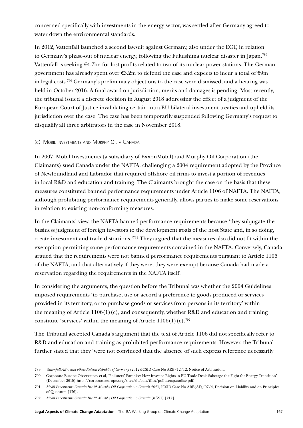concerned specifically with investments in the energy sector, was settled after Germany agreed to water down the environmental standards.

In 2012, Vattenfall launched a second lawsuit against Germany, also under the ECT, in relation to Germany's phase-out of nuclear energy, following the Fukushima nuclear disaster in Japan.789 Vattenfall is seeking  $\epsilon$ 4.7bn for lost profits related to two of its nuclear power stations. The German government has already spent over €3.2m to defend the case and expects to incur a total of €9m in legal costs.790 Germany's preliminary objections to the case were dismissed, and a hearing was held in October 2016. A final award on jurisdiction, merits and damages is pending. Most recently, the tribunal issued a discrete decision in August 2018 addressing the effect of a judgment of the European Court of Justice invalidating certain intra-EU bilateral investment treaties and upheld its jurisdiction over the case. The case has been temporarily suspended following Germany's request to disqualify all three arbitrators in the case in November 2018.

### (c) Mobil Investments and Murphy Oil v Canada

In 2007, Mobil Investments (a subsidiary of ExxonMobil) and Murphy Oil Corporation (the Claimants) sued Canada under the NAFTA, challenging a 2004 requirement adopted by the Province of Newfoundland and Labrador that required offshore oil firms to invest a portion of revenues in local R&D and education and training. The Claimants brought the case on the basis that these measures constituted banned performance requirements under Article 1106 of NAFTA. The NAFTA, although prohibiting performance requirements generally, allows parties to make some reservations in relation to existing non-conforming measures.

In the Claimants' view, the NAFTA banned performance requirements because 'they subjugate the business judgment of foreign investors to the development goals of the host State and, in so doing, create investment and trade distortions.'791 They argued that the measures also did not fit within the exemption permitting some performance requirements contained in the NAFTA. Conversely, Canada argued that the requirements were not banned performance requirements pursuant to Article 1106 of the NAFTA, and that alternatively if they were, they were exempt because Canada had made a reservation regarding the requirements in the NAFTA itself.

In considering the arguments, the question before the Tribunal was whether the 2004 Guidelines imposed requirements 'to purchase, use or accord a preference to goods produced or services provided in its territory, or to purchase goods or services from persons in its territory' within the meaning of Article  $1106(1)(c)$ , and consequently, whether R&D and education and training constitute 'services' within the meaning of Article  $1106(1)(c)$ .<sup>792</sup>

The Tribunal accepted Canada's argument that the text of Article 1106 did not specifically refer to R&D and education and training as prohibited performance requirements. However, the Tribunal further stated that they 'were not convinced that the absence of such express reference necessarily

<sup>789</sup> *Vattenfall AB v and others Federal Republic of Germany* (2012)ICSID Case No ARB/12/12, Notice of Arbitration.

<sup>790</sup> Corporate Europe Observatory et al, 'Polluters' Paradise: How Investor Rights in EU Trade Deals Sabotage the Fight for Energy Transition' (December 2015) [http://corporateeurope.org/sites/default/files/pollutersparadise.pdf.](http://corporateeurope.org/sites/default/files/pollutersparadise.pdf)

<sup>791</sup> *Mobil Investments Canada Inc & Murphy Oil Corporation v Canad*a 2021, ICSID Case No ARB(AF)/07/4, Decision on Liability and on Principles of Quantum [176].

<sup>792</sup> *Mobil Investments Canada Inc & Murphy Oil Corporation v Canada* (n 791) [212].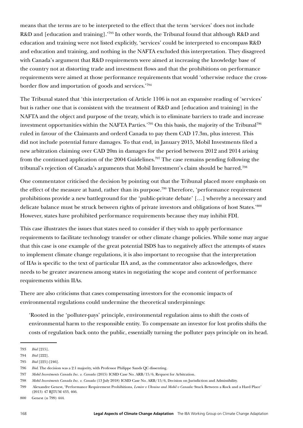means that the terms are to be interpreted to the effect that the term 'services' does not include R&D and [education and training].'793 In other words, the Tribunal found that although R&D and education and training were not listed explicitly, 'services' could be interpreted to encompass R&D and education and training, and nothing in the NAFTA excluded this interpretation. They disagreed with Canada's argument that R&D requirements were aimed at increasing the knowledge base of the country not at distorting trade and investment flows and that the prohibitions on performance requirements were aimed at those performance requirements that would 'otherwise reduce the crossborder flow and importation of goods and services.'794

The Tribunal stated that 'this interpretation of Article 1106 is not an expansive reading of 'services' but is rather one that is consistent with the treatment of R&D and [education and training] in the NAFTA and the object and purpose of the treaty, which is to eliminate barriers to trade and increase investment opportunities within the NAFTA Parties.'795 On this basis, the majority of the Tribunal796 ruled in favour of the Claimants and orderd Canada to pay them CAD 17.3m, plus interest. This did not include potential future damages. To that end, in January 2015, Mobil Investments filed a new arbitration claiming over CAD 20m in damages for the period between 2012 and 2014 arising from the continued application of the 2004 Guidelines.<sup>797</sup> The case remains pending following the tribunal's rejection of Canada's arguments that Mobil Investment's claim should be barred.<sup>798</sup>

One commentator criticised the decision by pointing out that the Tribunal placed more emphasis on the effect of the measure at hand, rather than its purpose.<sup>799</sup> Therefore, 'performance requirement prohibitions provide a new battleground for the 'public-private debate' […] whereby a necessary and delicate balance must be struck between rights of private investors and obligations of host States.'800 However, states have prohibited performance requirements because they may inhibit FDI.

This case illustrates the issues that states need to consider if they wish to apply performance requirements to facilitate technology transfer or other climate change policies. While some may argue that this case is one example of the great potential ISDS has to negatively affect the attempts of states to implement climate change regulations, it is also important to recognise that the interpretation of IIAs is specific to the text of particular IIA and, as the commentator also acknowledges, there needs to be greater awareness among states in negotiating the scope and content of performance requirements within IIAs.

There are also criticisms that cases compensating investors for the economic impacts of environmental regulations could undermine the theoretical underpinnings:

'Rooted in the 'polluter-pays' principle, environmental regulation aims to shift the costs of environmental harm to the responsible entity. To compensate an investor for lost profits shifts the costs of regulation back onto the public, essentially turning the polluter pays principle on its head.

<sup>793</sup> *Ibid* [215].

<sup>794</sup> *Ibid* [222].

<sup>795</sup> *Ibid* [225]-[246].

<sup>796</sup> *Ibid*. The decision was a 2:1 majority, with Professor Philippe Sands QC dissenting.

<sup>797</sup> *Mobil Investments Canada Inc. v. Canada* (2015) ICSID Case No. ARB/15/6, Request for Arbitration.

<sup>798</sup> *Mobil Investments Canada Inc. v. Canada* (13 July 2018) ICSID Case No. ARB/15/6, Decision on Jurisdiction and Admissibility.

<sup>799</sup> Alexandre Genest, 'Performance Requirement Prohibitions, *Lemire v Ukraine and Mobil v Canada:* Stuck Between a Rock and a Hard Place' (2013) 47 RJTUM 433, 466.

<sup>800</sup> Genest (n 799) 444.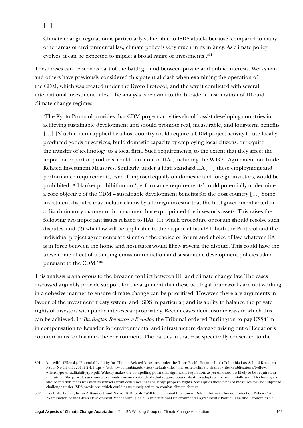Climate change regulation is particularly vulnerable to ISDS attacks because, compared to many other areas of environmental law, climate policy is very much in its infancy. As climate policy evolves, it can be expected to impact a broad range of investments'.<sup>801</sup>

These cases can be seen as part of the battleground between private and public interests. Werksman and others have previously considered this potential clash when examining the operation of the CDM, which was created under the Kyoto Protocol, and the way it conflicted with several international investment rules. The analysis is relevant to the broader consideration of IIL and climate change regimes:

'The Kyoto Protocol provides that CDM project activities should assist developing countries in achieving sustainable development and should promote real, measurable, and long-term benefits [...] [S] uch criteria applied by a host country could require a CDM project activity to use locally produced goods or services, build domestic capacity by employing local citizens, or require the transfer of technology to a local firm. Such requirements, to the extent that they affect the import or export of products, could run afoul of IIAs, including the WTO's Agreement on Trade-Related Investment Measures. Similarly, under a high standard IIA[…] these employment and performance requirements, even if imposed equally on domestic and foreign investors, would be prohibited. A blanket prohibition on 'performance requirements' could potentially undermine a core objective of the CDM – sustainable development benefits for the host country […] Some investment disputes may include claims by a foreign investor that the host government acted in a discriminatory manner or in a manner that expropriated the investor's assets. This raises the following two important issues related to IIAs: (1) which procedure or forum should resolve such disputes; and (2) what law will be applicable to the dispute at hand? If both the Protocol and the individual project agreements are silent on the choice of forum and choice of law, whatever IIA is in force between the home and host states would likely govern the dispute. This could have the unwelcome effect of trumping emission reduction and sustainable development policies taken pursuant to the CDM.'802

This analysis is analogous to the broader conflict between IIL and climate change law. The cases discussed arguably provide support for the argument that these two legal frameworks are not working in a cohesive manner to ensure climate change can be prioritised. However, there are arguments in favour of the investment treaty system, and ISDS in particular, and its ability to balance the private rights of investors with public interests appropriately. Recent cases demonstrate ways in which this can be achieved. In *Burlington Resources v Ecuador*, the Tribunal ordered Burlington to pay US\$41m in compensation to Ecuador for environmental and infrastructure damage arising out of Ecuador's counterclaims for harm to the environment. The parties in that case specifically consented to the

<sup>801</sup> Meredith Wilensky, 'Potential Liability for Climate-Related Measures under the Trans-Pacific Partnership' (Colombia Law School Research Paper No 14-441, 2014) 2-4, https://web.law.columbia.edu/sites/default/files/microsites/climate-change/files/Publications/Fellows/ wilenskypotentialliabilitytpp.pdf. Wilesky makes the compelling point that significant regulation, as yet unknown, is likely to be required in the future. She provides as examples climate emissions standards that require power plants to adapt to environmentally sound technologies and adaptation measures such as setbacks from coastlines that challenge property rights. She argues these types of measures may be subject to challenge under ISDS provisions, which could deter timely action to combat climate change.

<sup>802</sup> Jacob Werksman, Kevin A Baumert, and Navroz K Dubash, 'Will International Investment Rules Obstruct Climate Protection Policies? An Examination of the Clean Development Mechanism' (2003) 3 International Environmental Agreements: Politics, Law and Economics 59.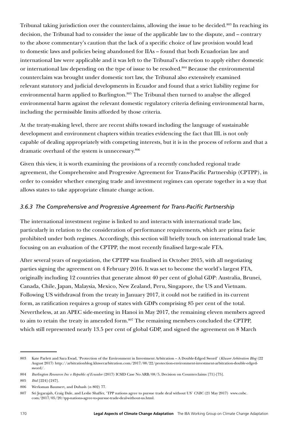Tribunal taking jurisdiction over the counterclaims, allowing the issue to be decided.<sup>803</sup> In reaching its decision, the Tribunal had to consider the issue of the applicable law to the dispute, and – contrary to the above commentary's caution that the lack of a specific choice of law provision would lead to domestic laws and policies being abandoned for IIAs – found that both Ecuadorian law and international law were applicable and it was left to the Tribunal's discretion to apply either domestic or international law depending on the type of issue to be resolved.<sup>804</sup> Because the environmental counterclaim was brought under domestic tort law, the Tribunal also extensively examined relevant statutory and judicial developments in Ecuador and found that a strict liability regime for environmental harm applied to Burlington.<sup>805</sup> The Tribunal then turned to analyse the alleged environmental harm against the relevant domestic regulatory criteria defining environmental harm, including the permissible limits afforded by those criteria.

At the treaty-making level, there are recent shifts toward including the language of sustainable development and environment chapters within treaties evidencing the fact that IIL is not only capable of dealing appropriately with competing interests, but it is in the process of reform and that a dramatic overhaul of the system is unnecessary.806

Given this view, it is worth examining the provisions of a recently concluded regional trade agreement, the Comprehensive and Progressive Agreement for Trans-Pacific Partnership (CPTPP), in order to consider whether emerging trade and investment regimes can operate together in a way that allows states to take appropriate climate change action.

## *3.6.3 The Comprehensive and Progressive Agreement for Trans-Pacific Partnership*

The international investment regime is linked to and interacts with international trade law, particularly in relation to the consideration of performance requirements, which are prima facie prohibited under both regimes. Accordingly, this section will briefly touch on international trade law, focusing on an evaluation of the CPTPP, the most recently finalised large-scale FTA.

After several years of negotiation, the CPTPP was finalised in October 2015, with all negotiating parties signing the agreement on 4 February 2016. It was set to become the world's largest FTA, originally including 12 countries that generate almost 40 per cent of global GDP: Australia, Brunei, Canada, Chile, Japan, Malaysia, Mexico, New Zealand, Peru, Singapore, the US and Vietnam. Following US withdrawal from the treaty in January 2017, it could not be ratified in its current form, as ratification requires a group of states with GDPs comprising 85 per cent of the total. Nevertheless, at an APEC side-meeting in Hanoi in May 2017, the remaining eleven members agreed to aim to retain the treaty in amended form.807 The remaining members concluded the CPTPP, which still represented nearly 13.5 per cent of global GDP, and signed the agreement on 8 March

<sup>803</sup> Kate Parlett and Sara Ewad, 'Protection of the Environment in Investment Arbitration – A Double-Edged Sword' (*Kluwer Arbitration Blog* (22 August 2017) [http://arbitrationblog.kluwerarbitration.com/2017/08/22/protection-environment-investment-arbitration-double-edged](http://arbitrationblog.kluwerarbitration.com/2017/08/22/protection-environment-investment-arbitration-double-edged-sword/)[sword/.](http://arbitrationblog.kluwerarbitration.com/2017/08/22/protection-environment-investment-arbitration-double-edged-sword/)

<sup>804</sup> *Burlington Resources Inc v Republic of Ecuador* (2017) ICSID Case No ARB/08/5, Decision on Counterclaims [71]-[75].

<sup>805</sup> *Ibid* [224]-[247].

<sup>806</sup> Werksman Baumert, and Dubash (n 802) 77.

<sup>807</sup> Sri Jegarajah, Craig Dale, and Leslie Shaffer, 'TPP nations agree to pursue trade deal without US' *CNBC* (21 May 2017) www.cnbc. com/2017/05/20/tpp-nations-agree-to-pursue-trade-deal-without-us.html.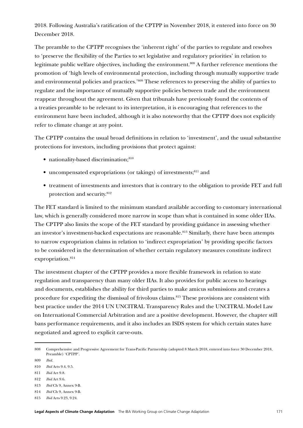2018. Following Australia's ratification of the CPTPP in November 2018, it entered into force on 30 December 2018.

The preamble to the CPTPP recognises the 'inherent right' of the parties to regulate and resolves to 'preserve the flexibility of the Parties to set legislative and regulatory priorities' in relation to legitimate public welfare objectives, including the environment.<sup>808</sup> A further reference mentions the promotion of 'high levels of environmental protection, including through mutually supportive trade and environmental policies and practices.'809 These references to preserving the ability of parties to regulate and the importance of mutually supportive policies between trade and the environment reappear throughout the agreement. Given that tribunals have previously found the contents of a treaties preamble to be relevant to its interpretation, it is encouraging that references to the environment have been included, although it is also noteworthy that the CPTPP does not explicitly refer to climate change at any point.

The CPTPP contains the usual broad definitions in relation to 'investment', and the usual substantive protections for investors, including provisions that protect against:

- nationality-based discrimination:810
- uncompensated expropriations (or takings) of investments; $811$  and
- treatment of investments and investors that is contrary to the obligation to provide FET and full protection and security.812

The FET standard is limited to the minimum standard available according to customary international law, which is generally considered more narrow in scope than what is contained in some older IIAs. The CPTPP also limits the scope of the FET standard by providing guidance in assessing whether an investor's investment-backed expectations are reasonable.<sup>813</sup> Similarly, there have been attempts to narrow expropriation claims in relation to 'indirect expropriation' by providing specific factors to be considered in the determination of whether certain regulatory measures constitute indirect expropriation.814

The investment chapter of the CPTPP provides a more flexible framework in relation to state regulation and transparency than many older IIAs. It also provides for public access to hearings and documents, establishes the ability for third parties to make amicus submissions and creates a procedure for expediting the dismissal of frivolous claims.<sup>815</sup> These provisions are consistent with best practice under the 2014 UN UNCITRAL Transparency Rules and the UNCITRAL Model Law on International Commercial Arbitration and are a positive development. However, the chapter still bans performance requirements, and it also includes an ISDS system for which certain states have negotiated and agreed to explicit carve-outs.

809 *Ibid.*

- 811 *Ibid* Art 9.8.
- 812 *Ibid* Art 9.6.
- 813 *Ibid* Ch 9, Annex 9-B.
- 814 *Ibid* Ch 9, Annex 9-B.
- 815 *Ibid* Arts 9.23, 9.24.

<sup>808</sup> Comprehensive and Progressive Agreement for Trans-Pacific Partnership (adopted 8 March 2018, entered into force 30 December 2018, Preamble) 'CPTPP'.

<sup>810</sup> *Ibid* Arts 9.4, 9.5.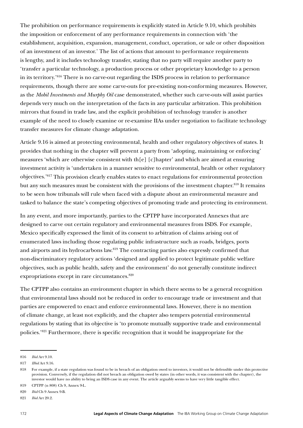The prohibition on performance requirements is explicitly stated in Article 9.10, which prohibits the imposition or enforcement of any performance requirements in connection with 'the establishment, acquisition, expansion, management, conduct, operation, or sale or other disposition of an investment of an investor.' The list of actions that amount to performance requirements is lengthy, and it includes technology transfer, stating that no party will require another party to 'transfer a particular technology, a production process or other proprietary knowledge to a person in its territory.'816 There is no carve-out regarding the ISDS process in relation to performance requirements, though there are some carve-outs for pre-existing non-conforming measures. However, as the *Mobil Investments and Murphy Oil* case demonstrated, whether such carve-outs will assist parties depends very much on the interpretation of the facts in any particular arbitration. This prohibition mirrors that found in trade law, and the explicit prohibition of technology transfer is another example of the need to closely examine or re-examine IIAs under negotiation to facilitate technology transfer measures for climate change adaptation.

Article 9.16 is aimed at protecting environmental, health and other regulatory objectives of states. It provides that nothing in the chapter will prevent a party from 'adopting, maintaining or enforcing' measures 'which are otherwise consistent with th[e] [c]hapter' and which are aimed at ensuring investment activity is 'undertaken in a manner sensitive to environmental, health or other regulatory objectives.'817 This provision clearly enables states to enact regulations for environmental protection but any such measures must be consistent with the provisions of the investment chapter.<sup>818</sup> It remains to be seen how tribunals will rule when faced with a dispute about an environmental measure and tasked to balance the state's competing objectives of promoting trade and protecting its environment.

In any event, and more importantly, parties to the CPTPP have incorporated Annexes that are designed to carve out certain regulatory and environmental measures from ISDS. For example, Mexico specifically expressed the limit of its consent to arbitration of claims arising out of enumerated laws including those regulating public infrastructure such as roads, bridges, ports and airports and its hydrocarbons law.<sup>819</sup> The contracting parties also expressly confirmed that non-discriminatory regulatory actions 'designed and applied to protect legitimate public welfare objectives, such as public health, safety and the environment' do not generally constitute indirect expropriations except in rare circumstances.<sup>820</sup>

The CPTPP also contains an environment chapter in which there seems to be a general recognition that environmental laws should not be reduced in order to encourage trade or investment and that parties are empowered to enact and enforce environmental laws. However, there is no mention of climate change, at least not explicitly, and the chapter also tempers potential environmental regulations by stating that its objective is 'to promote mutually supportive trade and environmental policies.'821 Furthermore, there is specific recognition that it would be inappropriate for the

<sup>816</sup> *Ibid* Art 9.10.

<sup>817</sup> *IIbid* Art 9.16.

<sup>818</sup> For example, if a state regulation was found to be in breach of an obligation owed to investors, it would not be defensible under this protective provision. Conversely, if the regulation did not breach an obligation owed by states (in other words, it was consistent with the chapter), the investor would have no ability to bring an ISDS case in any event. The article arguably seems to have very little tangible effect.

<sup>819</sup> CPTPP (n 808) Ch 9, Annex 9-L.

<sup>820</sup> *Ibid* Ch 9 Annex 9-B.

<sup>821</sup> *Ibid* Art 20.2.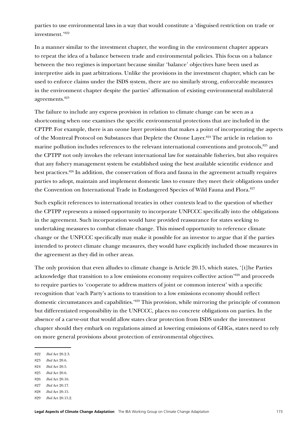parties to use environmental laws in a way that would constitute a 'disguised restriction on trade or investment.'822

In a manner similar to the investment chapter, the wording in the environment chapter appears to repeat the idea of a balance between trade and environmental policies. This focus on a balance between the two regimes is important because similar 'balance' objectives have been used as interpretive aids in past arbitrations. Unlike the provisions in the investment chapter, which can be used to enforce claims under the ISDS system, there are no similarly strong, enforceable measures in the environment chapter despite the parties' affirmation of existing environmental multilateral agreements.823

The failure to include any express provision in relation to climate change can be seen as a shortcoming when one examines the specific environmental protections that are included in the CPTPP. For example, there is an ozone layer provision that makes a point of incorporating the aspects of the Montreal Protocol on Substances that Deplete the Ozone Layer.824 The article in relation to marine pollution includes references to the relevant international conventions and protocols,<sup>825</sup> and the CPTPP not only invokes the relevant international law for sustainable fisheries, but also requires that any fishery management system be established using the best available scientific evidence and best practices.826 In addition, the conservation of flora and fauna in the agreement actually requires parties to adopt, maintain and implement domestic laws to ensure they meet their obligations under the Convention on International Trade in Endangered Species of Wild Fauna and Flora.<sup>827</sup>

Such explicit references to international treaties in other contexts lead to the question of whether the CPTPP represents a missed opportunity to incorporate UNFCCC specifically into the obligations in the agreement. Such incorporation would have provided reassurance for states seeking to undertaking measures to combat climate change. This missed opportunity to reference climate change or the UNFCCC specifically may make it possible for an investor to argue that if the parties intended to protect climate change measures, they would have explicitly included those measures in the agreement as they did in other areas.

The only provision that even alludes to climate change is Article 20.15, which states, '[t]he Parties acknowledge that transition to a low emissions economy requires collective action'828 and proceeds to require parties to 'cooperate to address matters of joint or common interest' with a specific recognition that 'each Party's actions to transition to a low emissions economy should reflect domestic circumstances and capabilities.'829 This provision, while mirroring the principle of common but differentiated responsibility in the UNFCCC, places no concrete obligations on parties. In the absence of a carve-out that would allow states clear protection from ISDS under the investment chapter should they embark on regulations aimed at lowering emissions of GHGs, states need to rely on more general provisions about protection of environmental objectives.

- 823 *Ibid* Art 20.6.
- 824 *Ibid* Art 20.5.
- 825 *Ibid* Art 20.6.
- 826 *Ibid* Art 20.16.
- 827 *Ibid* Art 20.17.

829 *Ibid* Art 20.15.2.

<sup>822</sup> *Ibid* Art 20.2.3.

<sup>828</sup> *Ibid* Art 20.15.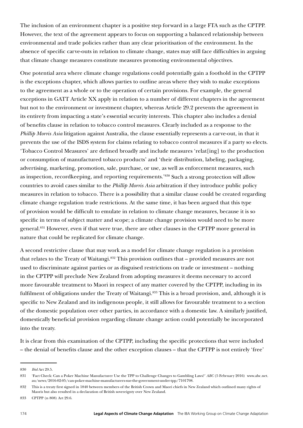The inclusion of an environment chapter is a positive step forward in a large FTA such as the CPTPP. However, the text of the agreement appears to focus on supporting a balanced relationship between environmental and trade policies rather than any clear prioritisation of the environment. In the absence of specific carve-outs in relation to climate change, states may still face difficulties in arguing that climate change measures constitute measures promoting environmental objectives.

One potential area where climate change regulations could potentially gain a foothold in the CPTPP is the exceptions chapter, which allows parties to outline areas where they wish to make exceptions to the agreement as a whole or to the operation of certain provisions. For example, the general exceptions in GATT Article XX apply in relation to a number of different chapters in the agreement but not to the environment or investment chapter, whereas Article 29.2 prevents the agreement in its entirety from impacting a state's essential security interests. This chapter also includes a denial of benefits clause in relation to tobacco control measures. Clearly included as a response to the *Phillip Morris Asia* litigation against Australia, the clause essentially represents a carve-out, in that it prevents the use of the ISDS system for claims relating to tobacco control measures if a party so elects. 'Tobacco Control Measures' are defined broadly and include measures 'relat[ing] to the production or consumption of manufactured tobacco products' and 'their distribution, labeling, packaging, advertising, marketing, promotion, sale, purchase, or use, as well as enforcement measures, such as inspection, recordkeeping, and reporting requirements.'830 Such a strong protection will allow countries to avoid cases similar to the *Phillip Morris Asia* arbitration if they introduce public policy measures in relation to tobacco. There is a possibility that a similar clause could be created regarding climate change regulation trade restrictions. At the same time, it has been argued that this type of provision would be difficult to emulate in relation to climate change measures, because it is so specific in terms of subject matter and scope; a climate change provision would need to be more general.831 However, even if that were true, there are other clauses in the CPTPP more general in nature that could be replicated for climate change.

A second restrictive clause that may work as a model for climate change regulation is a provision that relates to the Treaty of Waitangi.832 This provision outlines that – provided measures are not used to discriminate against parties or as disguised restrictions on trade or investment – nothing in the CPTPP will preclude New Zealand from adopting measures it deems necessary to accord more favourable treatment to Maori in respect of any matter covered by the CPTPP, including in its fulfilment of obligations under the Treaty of Waitangi.<sup>833</sup> This is a broad provision, and, although it is specific to New Zealand and its indigenous people, it still allows for favourable treatment to a section of the domestic population over other parties, in accordance with a domestic law. A similarly justified, domestically beneficial provision regarding climate change action could potentially be incorporated into the treaty.

It is clear from this examination of the CPTPP, including the specific protections that were included – the denial of benefits clause and the other exception clauses – that the CPTPP is not entirely 'free'

<sup>830</sup> *Ibid* Art 29.5.

<sup>831</sup> 'Fact Check: Can a Poker Machine Manufacturer Use the TPP to Challenge Changes to Gambling Laws?' *ABC* (5 February 2016) [www.abc.net.](http://www.abc.net.au/news/2016-02-05/can-poker-machine-manufacturers-sue-the-government-under-tpp/7101798) [au/news/2016-02-05/can-poker-machine-manufacturers-sue-the-government-under-tpp/7101798.](http://www.abc.net.au/news/2016-02-05/can-poker-machine-manufacturers-sue-the-government-under-tpp/7101798)

<sup>832</sup> This is a treaty first signed in 1840 between members of the British Crown and Maori chiefs in New Zealand which outlined many rights of Maoris but also resulted in a declaration of British sovereignty over New Zealand.

<sup>833</sup> CPTPP (n 808) Art 29.6.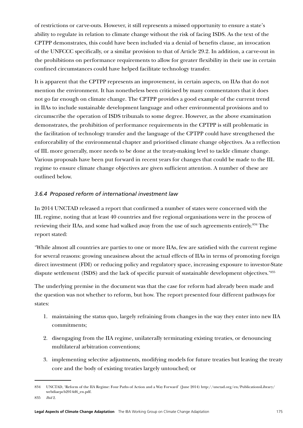of restrictions or carve-outs. However, it still represents a missed opportunity to ensure a state's ability to regulate in relation to climate change without the risk of facing ISDS. As the text of the CPTPP demonstrates, this could have been included via a denial of benefits clause, an invocation of the UNFCCC specifically, or a similar provision to that of Article 29.2. In addition, a carve-out in the prohibitions on performance requirements to allow for greater flexibility in their use in certain confined circumstances could have helped facilitate technology transfer.

It is apparent that the CPTPP represents an improvement, in certain aspects, on IIAs that do not mention the environment. It has nonetheless been criticised by many commentators that it does not go far enough on climate change. The CPTPP provides a good example of the current trend in IIAs to include sustainable development language and other environmental provisions and to circumscribe the operation of ISDS tribunals to some degree. However, as the above examination demonstrates, the prohibition of performance requirements in the CPTPP is still problematic in the facilitation of technology transfer and the language of the CPTPP could have strengthened the enforceability of the environmental chapter and prioritised climate change objectives. As a reflection of IIL more generally, more needs to be done at the treaty-making level to tackle climate change. Various proposals have been put forward in recent years for changes that could be made to the IIL regime to ensure climate change objectives are given sufficient attention. A number of these are outlined below.

## *3.6.4 Proposed reform of international investment law*

In 2014 UNCTAD released a report that confirmed a number of states were concerned with the IIL regime, noting that at least 40 countries and five regional organisations were in the process of reviewing their IIAs, and some had walked away from the use of such agreements entirely.<sup>834</sup> The report stated:

'While almost all countries are parties to one or more IIAs, few are satisfied with the current regime for several reasons: growing uneasiness about the actual effects of IIAs in terms of promoting foreign direct investment (FDI) or reducing policy and regulatory space, increasing exposure to investor-State dispute settlement (ISDS) and the lack of specific pursuit of sustainable development objectives.'835

The underlying premise in the document was that the case for reform had already been made and the question was not whether to reform, but how. The report presented four different pathways for states:

- 1. maintaining the status quo, largely refraining from changes in the way they enter into new IIA commitments;
- 2. disengaging from the IIA regime, unilaterally terminating existing treaties, or denouncing multilateral arbitration conventions;
- 3. implementing selective adjustments, modifying models for future treaties but leaving the treaty core and the body of existing treaties largely untouched; or

<sup>834</sup> UNCTAD, 'Reform of the IIA Regime: Four Paths of Action and a Way Forward' (June 2014) [http://unctad.org/en/PublicationsLibrary/](http://unctad.org/en/PublicationsLibrary/webdiaepcb2014d6_en.pdf) [webdiaepcb2014d6\\_en.pdf](http://unctad.org/en/PublicationsLibrary/webdiaepcb2014d6_en.pdf).

<sup>835</sup> *Ibid* 2.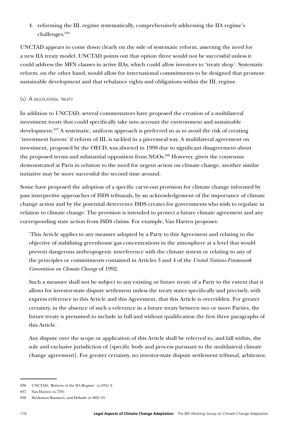4. reforming the IIL regime systematically, comprehensively addressing the IIA regime's challenges.836

UNCTAD appears to come down clearly on the side of systematic reform, asserting the need for a new IIA treaty model. UNCTAD points out that option three would not be successful unless it could address the MFN clauses in active IIAs, which could allow investors to 'treaty shop'. Systematic reform, on the other hand, would allow for international commitments to be designed that promote sustainable development and that rebalance rights and obligations within the IIL regime.

### (a) A multilateral treaty

In addition to UNCTAD, several commentators have proposed the creation of a multilateral investment treaty that could specifically take into account the environment and sustainable development.<sup>837</sup> A systematic, uniform approach is preferred so as to avoid the risk of creating 'investment havens' if reform of IIL is tackled in a piecemeal way. A multilateral agreement on investment, proposed by the OECD, was aborted in 1998 due to significant disagreement about the proposed terms and substantial opposition from NGOs.<sup>838</sup> However, given the consensus demonstrated at Paris in relation to the need for urgent action on climate change, another similar initiative may be more successful the second time around.

Some have proposed the adoption of a specific carve-out provision for climate change informed by past interpretive approaches of ISDS tribunals, by an acknowledgement of the importance of climate change action and by the potential deterrence ISDS creates for governments who wish to regulate in relation to climate change. The provision is intended to protect a future climate agreement and any corresponding state action from ISDS claims. For example, Van Harten proposes:

'This Article applies to any measure adopted by a Party to this Agreement and relating to the objective of stabilising greenhouse gas concentrations in the atmosphere at a level that would prevent dangerous anthropogenic interference with the climate system or relating to any of the principles or commitments contained in Articles 3 and 4 of the *United Nations Framework Convention on Climate Change* of 1992.

Such a measure shall not be subject to any existing or future treaty of a Party to the extent that it allows for investor-state dispute settlement unless the treaty states specifically and precisely, with express reference to this Article and this Agreement, that this Article is overridden. For greater certainty, in the absence of such a reference in a future treaty between two or more Parties, the future treaty is presumed to include in full and without qualification the first three paragraphs of this Article.

Any dispute over the scope or application of this Article shall be referred to, and fall within, the sole and exclusive jurisdiction of [specific body and process pursuant to the multilateral climate change agreement]. For greater certainty, no investor-state dispute settlement tribunal, arbitrator,

<sup>836</sup> UNCTAD, 'Reform of the IIA Regime' (n 834) 2.

<sup>837</sup> Van Harten (n 770).

<sup>838</sup> Werksman Baumert, and Dubash (n 802) 61.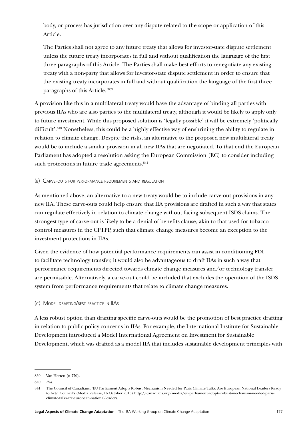body, or process has jurisdiction over any dispute related to the scope or application of this Article.

The Parties shall not agree to any future treaty that allows for investor-state dispute settlement unless the future treaty incorporates in full and without qualification the language of the first three paragraphs of this Article. The Parties shall make best efforts to renegotiate any existing treaty with a non-party that allows for investor-state dispute settlement in order to ensure that the existing treaty incorporates in full and without qualification the language of the first three paragraphs of this Article.'839

A provision like this in a multilateral treaty would have the advantage of binding all parties with previous IIAs who are also parties to the multilateral treaty, although it would be likely to apply only to future investment. While this proposed solution is 'legally possible' it will be extremely 'politically difficult'.840 Nonetheless, this could be a highly effective way of enshrining the ability to regulate in relation to climate change. Despite the risks, an alternative to the proposed new multilateral treaty would be to include a similar provision in all new IIAs that are negotiated. To that end the European Parliament has adopted a resolution asking the European Commission (EC) to consider including such protections in future trade agreements.<sup>841</sup>

#### (b) Carve-outs for performance requirements and regulation

As mentioned above, an alternative to a new treaty would be to include carve-out provisions in any new IIA. These carve-outs could help ensure that IIA provisions are drafted in such a way that states can regulate effectively in relation to climate change without facing subsequent ISDS claims. The strongest type of carve-out is likely to be a denial of benefits clause, akin to that used for tobacco control measures in the CPTPP, such that climate change measures become an exception to the investment protections in IIAs.

Given the evidence of how potential performance requirements can assist in conditioning FDI to facilitate technology transfer, it would also be advantageous to draft IIAs in such a way that performance requirements directed towards climate change measures and/or technology transfer are permissible. Alternatively, a carve-out could be included that excludes the operation of the ISDS system from performance requirements that relate to climate change measures.

### (c) Model drafting/best practice in IIAs

A less robust option than drafting specific carve-outs would be the promotion of best practice drafting in relation to public policy concerns in IIAs. For example, the International Institute for Sustainable Development introduced a Model International Agreement on Investment for Sustainable Development, which was drafted as a model IIA that includes sustainable development principles with

<sup>839</sup> Van Harten (n 770).

<sup>840</sup> *Ibid*.

<sup>841</sup> The Council of Canadians, 'EU Parliament Adopts Robust Mechanism Needed for Paris Climate Talks. Are European National Leaders Ready to Act?' Council's (Media Release, 16 October 2015) http://canadians.org/media/eu-parliament-adopts-robust-mechanism-needed-parisclimate-talks-are-european-national-leaders.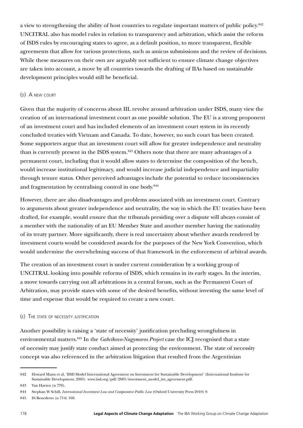a view to strengthening the ability of host countries to regulate important matters of public policy.<sup>842</sup> UNCITRAL also has model rules in relation to transparency and arbitration, which assist the reform of ISDS rules by encouraging states to agree, as a default position, to more transparent, flexible agreements that allow for various protections, such as amicus submissions and the review of decisions. While these measures on their own are arguably not sufficient to ensure climate change objectives are taken into account, a move by all countries towards the drafting of IIAs based on sustainable development principles would still be beneficial.

#### (d) A new court

Given that the majority of concerns about IIL revolve around arbitration under ISDS, many view the creation of an international investment court as one possible solution. The EU is a strong proponent of an investment court and has included elements of an investment court system in its recently concluded treaties with Vietnam and Canada. To date, however, no such court has been created. Some supporters argue that an investment court will allow for greater independence and neutrality than is currently present in the ISDS system.<sup>843</sup> Others note that there are many advantages of a permanent court, including that it would allow states to determine the composition of the bench, would increase institutional legitimacy, and would increase judicial independence and impartiality through tenure status. Other perceived advantages include the potential to reduce inconsistencies and fragmentation by centralising control in one body.<sup>844</sup>

However, there are also disadvantages and problems associated with an investment court. Contrary to arguments about greater independence and neutrality, the way in which the EU treaties have been drafted, for example, would ensure that the tribunals presiding over a dispute will always consist of a member with the nationality of an EU Member State and another member having the nationality of its treaty partner. More significantly, there is real uncertainty about whether awards rendered by investment courts would be considered awards for the purposes of the New York Convention, which would undermine the overwhelming success of that framework in the enforcement of arbitral awards.

The creation of an investment court is under current consideration by a working group of UNCITRAL looking into possible reforms of ISDS, which remains in its early stages. In the interim, a move towards carrying out all arbitrations in a central forum, such as the Permanent Court of Arbitration, may provide states with some of the desired benefits, without investing the same level of time and expense that would be required to create a new court.

#### (e) The state of necessity justification

Another possibility is raising a 'state of necessity' justification precluding wrongfulness in environmental matters.845 In the *Gabcikovo-Nagymaros Project* case the ICJ recognised that a state of necessity may justify state conduct aimed at protecting the environment. The state of necessity concept was also referenced in the arbitration litigation that resulted from the Argentinian

<sup>842</sup> Howard Mann et al, 'IISD Model International Agreement on Investment for Sustainable Development' (International Institute for Sustainable Development, 2005) [www.iisd.org/pdf/2005/investment\\_model\\_int\\_agreement.pdf](http://www.iisd.org/pdf/2005/investment_model_int_agreement.pdf).

<sup>843</sup> Van Harten (n 770).

<sup>844</sup> Stephan W Schill, *International Investment Law and Comparative Public Law* (Oxford University Press 2010) 9.

<sup>845</sup> Di Benedetto (n 714) 168.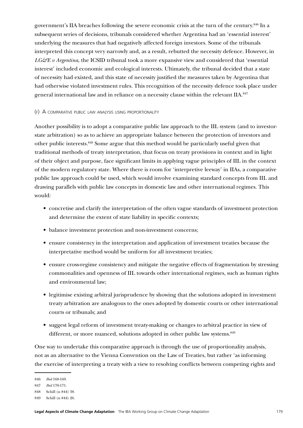government's IIA breaches following the severe economic crisis at the turn of the century.846 In a subsequent series of decisions, tribunals considered whether Argentina had an 'essential interest' underlying the measures that had negatively affected foreign investors. Some of the tribunals interpreted this concept very narrowly and, as a result, rebutted the necessity defence. However, in *LG&E v Argentina*, the ICSID tribunal took a more expansive view and considered that 'essential interest' included economic and ecological interests. Ultimately, the tribunal decided that a state of necessity had existed, and this state of necessity justified the measures taken by Argentina that had otherwise violated investment rules. This recognition of the necessity defence took place under general international law and in reliance on a necessity clause within the relevant IIA.<sup>847</sup>

#### (f) A comparative public law analysis using proportionality

Another possibility is to adopt a comparative public law approach to the IIL system (and to investorstate arbitration) so as to achieve an appropriate balance between the protection of investors and other public interests.848 Some argue that this method would be particularly useful given that traditional methods of treaty interpretation, that focus on treaty provisions in context and in light of their object and purpose, face significant limits in applying vague principles of IIL in the context of the modern regulatory state. Where there is room for 'interpretive leeway' in IIAs, a comparative public law approach could be used, which would involve examining standard concepts from IIL and drawing parallels with public law concepts in domestic law and other international regimes. This would:

- concretise and clarify the interpretation of the often vague standards of investment protection and determine the extent of state liability in specific contexts;
- balance investment protection and non-investment concerns;
- ensure consistency in the interpretation and application of investment treaties because the interpretative method would be uniform for all investment treaties;
- ensure cross-regime consistency and mitigate the negative effects of fragmentation by stressing commonalities and openness of IIL towards other international regimes, such as human rights and environmental law;
- legitimise existing arbitral jurisprudence by showing that the solutions adopted in investment treaty arbitration are analogous to the ones adopted by domestic courts or other international courts or tribunals; and
- suggest legal reform of investment treaty-making or changes to arbitral practice in view of different, or more nuanced, solutions adopted in other public law systems. $849$

One way to undertake this comparative approach is through the use of proportionality analysis, not as an alternative to the Vienna Convention on the Law of Treaties, but rather 'as informing the exercise of interpreting a treaty with a view to resolving conflicts between competing rights and

<sup>846</sup> *Ibid* 168-169.

<sup>847</sup> *Ibid* 170-171.

<sup>848</sup> Schill (n 844) 38.

<sup>849</sup> Schill (n 844) 26.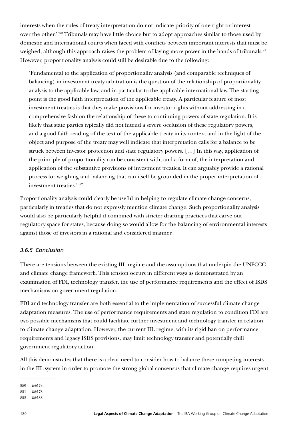interests when the rules of treaty interpretation do not indicate priority of one right or interest over the other.'850 Tribunals may have little choice but to adopt approaches similar to those used by domestic and international courts when faced with conflicts between important interests that must be weighed, although this approach raises the problem of laying more power in the hands of tribunals.<sup>851</sup> However, proportionality analysis could still be desirable due to the following:

'Fundamental to the application of proportionality analysis (and comparable techniques of balancing) in investment treaty arbitration is the question of the relationship of proportionality analysis to the applicable law, and in particular to the applicable international law.The starting point is the good faith interpretation of the applicable treaty. A particular feature of most investment treaties is that they make provisions for investor rights without addressing in a comprehensive fashion the relationship of these to continuing powers of state regulation. It is likely that state parties typically did not intend a severe occlusion of these regulatory powers, and a good faith reading of the text of the applicable treaty in its context and in the light of the object and purpose of the treaty may well indicate that interpretation calls for a balance to be struck between investor protection and state regulatory powers. […] In this way, application of the principle of proportionality can be consistent with, and a form of, the interpretation and application of the substantive provisions of investment treaties. It can arguably provide a rational process for weighing and balancing that can itself be grounded in the proper interpretation of investment treaties.'852

Proportionality analysis could clearly be useful in helping to regulate climate change concerns, particularly in treaties that do not expressly mention climate change. Such proportionality analysis would also be particularly helpful if combined with stricter drafting practices that carve out regulatory space for states, because doing so would allow for the balancing of environmental interests against those of investors in a rational and considered manner.

#### *3.6.5 Conclusion*

There are tensions between the existing IIL regime and the assumptions that underpin the UNFCCC and climate change framework. This tension occurs in different ways as demonstrated by an examination of FDI, technology transfer, the use of performance requirements and the effect of ISDS mechanisms on government regulation.

FDI and technology transfer are both essential to the implementation of successful climate change adaptation measures. The use of performance requirements and state regulation to condition FDI are two possible mechanisms that could facilitate further investment and technology transfer in relation to climate change adaptation. However, the current IIL regime, with its rigid ban on performance requirements and legacy ISDS provisions, may limit technology transfer and potentially chill government regulatory action.

All this demonstrates that there is a clear need to consider how to balance these competing interests in the IIL system in order to promote the strong global consensus that climate change requires urgent

<sup>850</sup> *Ibid* 78.

<sup>851</sup> *Ibid* 78.

<sup>852</sup> *Ibid* 88.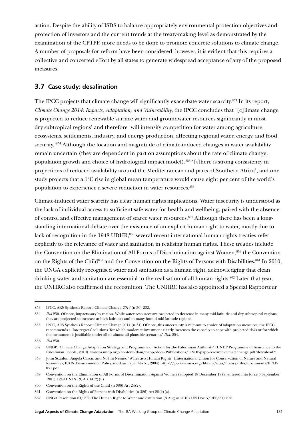action. Despite the ability of ISDS to balance appropriately environmental protection objectives and protection of investors and the current trends at the treaty-making level as demonstrated by the examination of the CPTPP, more needs to be done to promote concrete solutions to climate change. A number of proposals for reform have been considered; however, it is evident that this requires a collective and concerted effort by all states to generate widespread acceptance of any of the proposed measures.

## **3.7 Case study: desalination**

The IPCC projects that climate change will significantly exacerbate water scarcity.<sup>853</sup> In its report, *Climate Change 2014: Impacts, Adaptation, and Vulnerability*, the IPCC concludes that '[c]limate change is projected to reduce renewable surface water and groundwater resources significantly in most dry subtropical regions' and therefore 'will intensify competition for water among agriculture, ecosystems, settlements, industry, and energy production, affecting regional water, energy, and food security.'854 Although the location and magnitude of climate-induced changes in water availability remain uncertain (they are dependent in part on assumptions about the rate of climate change, population growth and choice of hydrological impact model),<sup>855</sup> '[t] here is strong consistency in projections of reduced availability around the Mediterranean and parts of Southern Africa', and one study projects that a 1ºC rise in global mean temperature would cause eight per cent of the world's population to experience a severe reduction in water resources.<sup>856</sup>

Climate-induced water scarcity has clear human rights implications. Water insecurity is understood as the lack of individual access to sufficient safe water for health and wellbeing, paired with the absence of control and effective management of scarce water resources.<sup>857</sup> Although there has been a longstanding international debate over the existence of an explicit human right to water, mostly due to lack of recognition in the 1948 UDHR,<sup>858</sup> several recent international human rights treaties refer explicitly to the relevance of water and sanitation in realising human rights. These treaties include the Convention on the Elimination of All Forms of Discrimination against Women,<sup>859</sup> the Convention on the Rights of the Child<sup>860</sup> and the Convention on the Rights of Persons with Disabilities.<sup>861</sup> In 2010, the UNGA explicitly recognised water and sanitation as a human right, acknowledging that clean drinking water and sanitation are essential to the realisation of all human rights.<sup>862</sup> Later that year, the UNHRC also reaffirmed the recognition. The UNHRC has also appointed a Special Rapporteur

<sup>853</sup> IPCC, AR5 Synthesis Report: Climate Change *2014* (n 36) 232.

<sup>854</sup> *Ibid* 250. Of note, impacts vary by region. While water resources are projected to decrease in many mid-latitude and dry subtropical regions, they are projected to increase at high latitudes and in many humid mid-latitude regions.

<sup>855</sup> IPCC, AR5 Synthesis Report: Climate Change 2014 (n 34) Of note, this uncertainty is relevant to choice of adaptation measures; the IPCC recommends a 'low regrets' solutions 'for which moderate investment clearly increases the capacity to cope with projected risks or for which the investment is justifiable under all or almost all plausible scenarios.' *Ibid*, 254.

<sup>856</sup> *Ibid* 250.

<sup>857</sup> UNDP, 'Climate Change Adaptation Strategy and Programme of Action for the Palestinian Authority' (UNDP Programme of Assistance to the Palestinian People, 2010) [www.ps.undp.org/content/dam/papp/docs/Publications/UNDP-papp-research-climatechange.pdf?download](http://www.ps.undp.org/content/dam/papp/docs/Publications/UNDP-papp-research-climatechange.pdf?download) 2.

<sup>858</sup> John Scanlon, Angela Cassar, and Noémi Nemes, 'Water as a Human Right?' (International Union for Conservation of Nature and Natural Resources, IUCN Environmental Policy and Law Paper No 51, 2004) [https://portals.iucn.org/library/sites/library/files/documents/EPLP-](https://portals.iucn.org/library/sites/library/files/documents/EPLP-051.pdf)[051.pdf](https://portals.iucn.org/library/sites/library/files/documents/EPLP-051.pdf).

<sup>859</sup> Convention on the Elimination of All Forms of Discrimination Against Women (adopted 18 December 1979, entered into force 3 September 1981) 1249 UNTS 13, Art 14(2)(h).

<sup>860</sup> Convention on the Rights of the Child (n 386) Art 24(2).

<sup>861</sup> Convention on the Rights of Persons with Disabilities (n 386) Art 28(2)(a).

<sup>862</sup> UNGA Resolution 64/292, The Human Right to Water and Sanitation (3 August 2010) UN Doc A/RES/64/292.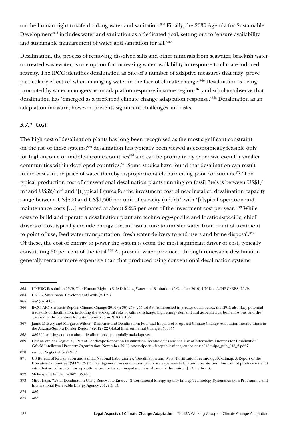on the human right to safe drinking water and sanitation.<sup>863</sup> Finally, the 2030 Agenda for Sustainable Development<sup>864</sup> includes water and sanitation as a dedicated goal, setting out to 'ensure availability and sustainable management of water and sanitation for all.'865

Desalination, the process of removing dissolved salts and other minerals from seawater, brackish water or treated wastewater, is one option for increasing water availability in response to climate-induced scarcity. The IPCC identifies desalination as one of a number of adaptive measures that may 'prove particularly effective' when managing water in the face of climate change.<sup>866</sup> Desalination is being promoted by water managers as an adaptation response in some regions<sup>867</sup> and scholars observe that desalination has 'emerged as a preferred climate change adaptation response.'868 Desalination as an adaptation measure, however, presents significant challenges and risks.

#### *3.7.1 Cost*

The high cost of desalination plants has long been recognised as the most significant constraint on the use of these systems;869 desalination has typically been viewed as economically feasible only for high-income or middle-income countries $870$  and can be prohibitively expensive even for smaller communities within developed countries.871 Some studies have found that desalination can result in increases in the price of water thereby disproportionately burdening poor consumers.<sup>872</sup> 'The typical production cost of conventional desalination plants running on fossil fuels is between US\$1/ m<sup>3</sup> and US\$2/m<sup>3</sup>' and '[t]ypical figures for the investment cost of new installed desalination capacity range between US\$800 and US\$1,500 per unit of capacity  $(m^3/d)$ ', with '[t]ypical operation and maintenance costs [...] estimated at about 2-2.5 per cent of the investment cost per year.'873 While costs to build and operate a desalination plant are technology-specific and location-specific, chief drivers of cost typically include energy use, infrastructure to transfer water from point of treatment to point of use, feed water transportation, fresh water delivery to end users and brine disposal.<sup>874</sup> Of these, the cost of energy to power the system is often the most significant driver of cost, typically constituting 30 per cent of the total. $875$  At present, water produced through renewable desalination generally remains more expensive than that produced using conventional desalination systems

<sup>863</sup> UNHRC Resolution 15/9, The Human Right to Safe Drinking Water and Sanitation (6 October 2010) UN Doc A/HRC/RES/15/9.

<sup>864</sup> UNGA, Sustainable Development Goals (n 139).

<sup>865</sup> *Ibid* (Goal 6).

<sup>866</sup> IPCC, AR5 Synthesis Report: Climate Change 2014 (n 36) 253, 255 tbl 3-3. As discussed in greater detail below, the IPCC also flags potential trade-offs of desalination, including the ecological risks of saline discharge, high energy demand and associated carbon emissions, and the creation of disincentives for water conservation, 918 tbl 16-2.

<sup>867</sup> Jamie McEvoy and Margaret Wilder, 'Discourse and Desalination: Potential Impacts of Proposed Climate Change Adaptation Interventions in the Arizona-Sonora Border Region' (2012) 22 Global Environmental Change 353, 355.

<sup>868</sup> *Ibid* 355 (raising concern about desalination as potentially maladaptive).

<sup>869</sup> Helena van der Vegt et al, 'Patent Landscape Report on Desalination Technologies and the Use of Alternative Energies for Desalination' (World Intellectual Property Organization, November 2011) www.wipo.int/freepublications/en/patents/948/wipo\_pub\_948\_2.pdf 7..

<sup>870</sup> van der Vegt et al (n 869) 7.

<sup>871</sup> US Bureau of Reclamation and Sandia National Laboratories, 'Desalination and Water Purification Technology Roadmap: A Report of the Executive Committee' (2003) 23 ('Current-generation desalination plants are expensive to buy and operate, and thus cannot produce water at rates that are affordable for agricultural uses or for municipal use in small and medium-sized [U.S.] cities.').

<sup>872</sup> McEvoy and Wilder (n 867) 358-60.

<sup>873</sup> Mirei Isaka, 'Water Desalination Using Renewable Energy' (International Energy Agency-Energy Technology Systems Analysis Programme and International Renewable Energy Agency 2012) 3, 13.

<sup>874</sup> *Ibid*.

<sup>875</sup> *Ibid*.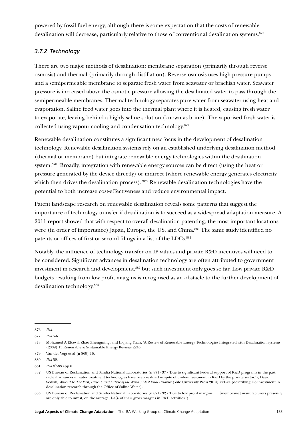powered by fossil fuel energy, although there is some expectation that the costs of renewable desalination will decrease, particularly relative to those of conventional desalination systems.<sup>876</sup>

## *3.7.2 Technology*

There are two major methods of desalination: membrane separation (primarily through reverse osmosis) and thermal (primarily through distillation). Reverse osmosis uses high-pressure pumps and a semipermeable membrane to separate fresh water from seawater or brackish water. Seawater pressure is increased above the osmotic pressure allowing the desalinated water to pass through the semipermeable membranes. Thermal technology separates pure water from seawater using heat and evaporation. Saline feed water goes into the thermal plant where it is heated, causing fresh water to evaporate, leaving behind a highly saline solution (known as brine). The vaporised fresh water is collected using vapour cooling and condensation technology.877

Renewable desalination constitutes a significant new focus in the development of desalination technology. Renewable desalination systems rely on an established underlying desalination method (thermal or membrane) but integrate renewable energy technologies within the desalination system.878 'Broadly, integration with renewable energy sources can be direct (using the heat or pressure generated by the device directly) or indirect (where renewable energy generates electricity which then drives the desalination process).'<sup>879</sup> Renewable desalination technologies have the potential to both increase cost-effectiveness and reduce environmental impact.

Patent landscape research on renewable desalination reveals some patterns that suggest the importance of technology transfer if desalination is to succeed as a widespread adaptation measure. A 2011 report showed that with respect to overall desalination patenting, the most important locations were (in order of importance) Japan, Europe, the US, and China.<sup>880</sup> The same study identified no patents or offices of first or second filings in a list of the LDCs.<sup>881</sup>

Notably, the influence of technology transfer on IP values and private R&D incentives will need to be considered. Significant advances in desalination technology are often attributed to government investment in research and development,<sup>882</sup> but such investment only goes so far. Low private R&D budgets resulting from low profit margins is recognised as an obstacle to the further development of desalination technology.883

<sup>876</sup> *Ibid*.

<sup>877</sup> *Ibid* 5-6.

<sup>878</sup> Mohamed A Eltawil, Zhao Zhengming, and Liqiang Yuan, 'A Review of Renewable Energy Technologies Integrated with Desalination Systems' (2009) 13 Renewable & Sustainable Energy Reviews 2245.

<sup>879</sup> Van der Vegt et al (n 869) 16.

<sup>880</sup> *Ibid* 52.

<sup>881</sup> *Ibid* 87-88 app 6.

<sup>882</sup> US Bureau of Reclamation and Sandia National Laboratories (n 871) 37 ('Due to significant Federal support of R&D programs in the past, radical advances in water treatment technologies have been realized in spite of under-investment in R&D by the private sector.'); David Sedlak, *Water 4.0: The Past, Present, and Future of the World's Most Vital Resource* (Yale University Press 2014) 221-24 (describing US investment in desalination research through the Office of Saline Water).

<sup>883</sup> US Bureau of Reclamation and Sandia National Laboratories (n 871) 32 ('Due to low profit margins . . . [membrane] manufacturers presently are only able to invest, on the average, 1-4% of their gross margins in R&D activities.').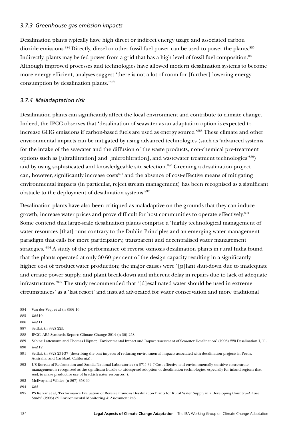#### *3.7.3 Greenhouse gas emission impacts*

Desalination plants typically have high direct or indirect energy usage and associated carbon dioxide emissions.<sup>884</sup> Directly, diesel or other fossil fuel power can be used to power the plants.<sup>885</sup> Indirectly, plants may be fed power from a grid that has a high level of fossil fuel composition.<sup>886</sup> Although improved processes and technologies have allowed modern desalination systems to become more energy efficient, analyses suggest 'there is not a lot of room for [further] lowering energy consumption by desalination plants.'887

## *3.7.4 Maladaptation risk*

Desalination plants can significantly affect the local environment and contribute to climate change. Indeed, the IPCC observes that 'desalination of seawater as an adaptation option is expected to increase GHG emissions if carbon-based fuels are used as energy source.'888 These climate and other environmental impacts can be mitigated by using advanced technologies (such as 'advanced systems for the intake of the seawater and the diffusion of the waste products, non-chemical pre-treatment options such as [ultrafiltration] and [microfiltration], and wastewater treatment technologies'889) and by using sophisticated and knowledgeable site selection.<sup>890</sup> Greening a desalination project can, however, significantly increase costs<sup>891</sup> and the absence of cost-effective means of mitigating environmental impacts (in particular, reject stream management) has been recognised as a significant obstacle to the deployment of desalination systems.<sup>892</sup>

Desalination plants have also been critiqued as maladaptive on the grounds that they can induce growth, increase water prices and prove difficult for host communities to operate effectively.<sup>893</sup> Some contend that large-scale desalination plants comprise a 'highly technological management of water resources [that] runs contrary to the Dublin Principles and an emerging water management paradigm that calls for more participatory, transparent and decentralised water management strategies.'894 A study of the performance of reverse osmosis desalination plants in rural India found that the plants operated at only 30-60 per cent of the design capacity resulting in a significantly higher cost of product water production; the major causes were '[p]lant shut-down due to inadequate and erratic power supply, and plant break-down and inherent delay in repairs due to lack of adequate infrastructure.'895 The study recommended that '[d]esalinated water should be used in extreme circumstances' as a 'last resort' and instead advocated for water conservation and more traditional

894 *Ibid*.

<sup>884</sup> Van der Vegt et al (n 869) 16.

<sup>885</sup> *Ibid* 10.

<sup>886</sup> *Ibid* 11.

<sup>887</sup> Sedlak (n 882) 225.

<sup>888</sup> IPCC, AR5 Synthesis Report: Climate Change 2014 (n 36) 258.

<sup>889</sup> Sabine Lattemann and Thomas Höpner, 'Environmental Impact and Impact Assessment of Seawater Desalination' (2008) 220 Desalination 1, 11. 890 *Ibid* 12.

<sup>891</sup> Sedlak (n 882) 231-37 (describing the cost impacts of reducing environmental impacts associated with desalination projects in Perth, Australia, and Carlsbad, California).

<sup>892</sup> US Bureau of Reclamation and Sandia National Laboratories (n 871) 34 ('Cost effective and environmentally sensitive concentrate management is recognized as the significant hurdle to widespread adoption of desalination technologies, especially for inland regions that seek to make productive use of brackish water resources.').

<sup>893</sup> McEvoy and Wilder (n 867) 358-60.

<sup>895</sup> PS Kelkar et al, 'Performance Evaluation of Reverse Osmosis Desalination Plants for Rural Water Supply in a Developing Country–A Case Study' (2003) 89 Environmental Monitoring & Assessment 243.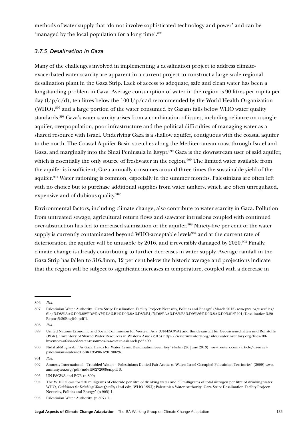methods of water supply that 'do not involve sophisticated technology and power' and can be 'managed by the local population for a long time'.<sup>896</sup>

#### *3.7.5 Desalination in Gaza*

Many of the challenges involved in implementing a desalination project to address climateexacerbated water scarcity are apparent in a current project to construct a large-scale regional desalination plant in the Gaza Strip. Lack of access to adequate, safe and clean water has been a longstanding problem in Gaza. Average consumption of water in the region is 90 litres per capita per day  $\frac{1}{p}c/d$ , ten litres below the  $\frac{100 \frac{1}{p}c}{d}$  recommended by the World Health Organization (WHO), $897$  and a large portion of the water consumed by Gazans falls below WHO water quality standards.<sup>898</sup> Gaza's water scarcity arises from a combination of issues, including reliance on a single aquifer, overpopulation, poor infrastructure and the political difficulties of managing water as a shared resource with Israel. Underlying Gaza is a shallow aquifer, contiguous with the coastal aquifer to the north. The Coastal Aquifer Basin stretches along the Mediterranean coast through Israel and Gaza, and marginally into the Sinai Peninsula in Egypt.899 Gaza is the downstream user of said aquifer, which is essentially the only source of freshwater in the region.<sup>900</sup> The limited water available from the aquifer is insufficient; Gaza annually consumes around three times the sustainable yield of the aquifer.901 Water rationing is common, especially in the summer months. Palestinians are often left with no choice but to purchase additional supplies from water tankers, which are often unregulated, expensive and of dubious quality.902

Environmental factors, including climate change, also contribute to water scarcity in Gaza. Pollution from untreated sewage, agricultural return flows and seawater intrusions coupled with continued over-abstraction has led to increased salinisation of the aquifer.903 Ninety-five per cent of the water supply is currently contaminated beyond WHO-acceptable levels<sup>904</sup> and at the current rate of deterioration the aquifer will be unusable by 2016, and irreversibly damaged by 2020.<sup>905</sup> Finally, climate change is already contributing to further decreases in water supply. Average rainfall in the Gaza Strip has fallen to 316.3mm, 12 per cent below the historic average and projections indicate that the region will be subject to significant increases in temperature, coupled with a decrease in

<sup>896</sup> *Ibid*.

<sup>897</sup> Palestinian Water Authority, 'Gaza Strip: Desalination Facility Project: Necessity, Politics and Energy' (March 2015) www.pwa.ps/userfiles/ file/%D8%AA%D9%82%D8%A7%D8%B1%D9%8A%D8%B1/%D8%AA%D8%B5%D9%86%D9%8A%D9%81%201/Desalination%20 Report%20English.pdf 1.

<sup>898</sup> *Ibid*.

<sup>899</sup> United Nations Economic and Social Commission for Western Asia (UN-ESCWA) and Bundesanstalt für Geowissenschaften und Rohstoffe (BGR), 'Inventory of Shared Water Resources in Western Asia' (2013) [https://waterinventory.org/sites/waterinventory.org/files/00](https://waterinventory.org/sites/waterinventory.org/files/00-inventory-of-shared-water-resources-in-western-asia-web.pdf) [inventory-of-shared-water-resources-in-western-asia-web.pdf](https://waterinventory.org/sites/waterinventory.org/files/00-inventory-of-shared-water-resources-in-western-asia-web.pdf) 490.

<sup>900</sup> Nidal al-Mughrabi, 'As Gaza Heads for Water Crisis, Desalination Seen Key' *Reuters* (26 June 2013) [www.reuters.com/article/us-israel](http://www.reuters.com/article/us-israel-palestinians-water-idUSBRE95P0RK20130626)[palestinians-water-idUSBRE95P0RK20130626.](http://www.reuters.com/article/us-israel-palestinians-water-idUSBRE95P0RK20130626)

<sup>901</sup> *Ibid*.

<sup>902</sup> Amnesty International, 'Troubled Waters – Palestinians Denied Fair Access to Water: Israel-Occupied Palestinian Territories' (2009) [www.](https://www.amnestyusa.org/pdf/mde150272009en.pdf) [amnestyusa.org/pdf/mde150272009en.pdf](https://www.amnestyusa.org/pdf/mde150272009en.pdf) 3.

<sup>903</sup> UN-ESCWA and BGR (n 899).

<sup>904</sup> The WHO allows for 250 milligrams of chloride per litre of drinking water and 50 milligrams of total nitrogen per litre of drinking water. WHO, *Guidelines for Drinking-Water Quality* (2nd edn, WHO 1993); Palestinian Water Authority 'Gaza Strip: Desalination Facility Project: Necessity, Politics and Energy' (n 905) 1.

<sup>905</sup> Palestinian Water Authority, (n 897) 1.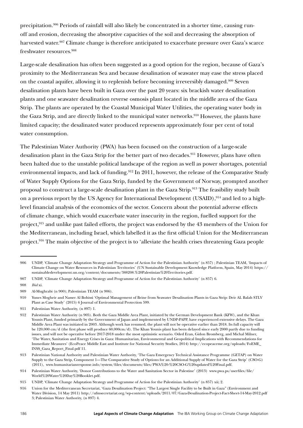precipitation.906 Periods of rainfall will also likely be concentrated in a shorter time, causing runoff and erosion, decreasing the absorptive capacities of the soil and decreasing the absorption of harvested water.<sup>907</sup> Climate change is therefore anticipated to exacerbate pressure over Gaza's scarce freshwater resources.<sup>908</sup>

Large-scale desalination has often been suggested as a good option for the region, because of Gaza's proximity to the Mediterranean Sea and because desalination of seawater may ease the stress placed on the coastal aquifer, allowing it to replenish before becoming irreversibly damaged.909 Seven desalination plants have been built in Gaza over the past 20 years: six brackish water desalination plants and one seawater desalination reverse osmosis plant located in the middle area of the Gaza Strip. The plants are operated by the Coastal Municipal Water Utilities, the operating water body in the Gaza Strip, and are directly linked to the municipal water networks.<sup>910</sup> However, the plants have limited capacity; the desalinated water produced represents approximately four per cent of total water consumption.

The Palestinian Water Authority (PWA) has been focused on the construction of a large-scale desalination plant in the Gaza Strip for the better part of two decades.<sup>911</sup> However, plans have often been halted due to the unstable political landscape of the region as well as power shortages, potential environmental impacts, and lack of funding.<sup>912</sup> In 2011, however, the release of the Comparative Study of Water Supply Options for the Gaza Strip, funded by the Government of Norway, prompted another proposal to construct a large-scale desalination plant in the Gaza Strip.913 The feasibility study built on a previous report by the US Agency for International Development (USAID),  $914$  and led to a highlevel financial analysis of the economics of the sector. Concern about the potential adverse effects of climate change, which would exacerbate water insecurity in the region, fuelled support for the project,915 and unlike past failed efforts, the project was endorsed by the 43 members of the Union for the Mediterranean, including Israel, which labelled it as the first official Union for the Mediterranean project.<sup>916</sup> The main objective of the project is to 'alleviate the health crises threatening Gaza people

<sup>906</sup> UNDP, 'Climate Change Adaptation Strategy and Programme of Action for the Palestinian Authority' (n 857) ; Palestinian TEAM, 'Impacts of Climate Change on Water Resources in Palestinian Territories' (UN Sustainable Development Knowledge Platform, Spain, May 2014) [https://](https://sustainabledevelopment.un.org/content/documents/388208.%20Palestinian%20Territories.pdf) [sustainabledevelopment.un.org/content/documents/388208.%20Palestinian%20Territories.pdf](https://sustainabledevelopment.un.org/content/documents/388208.%20Palestinian%20Territories.pdf).

<sup>907</sup> UNDP, 'Climate Change Adaptation Strategy and Programme of Action for the Palestinian Authority' (n 857) 6.

<sup>908</sup> *Ibid* xi.

<sup>909</sup> Al-Mughrabi (n 900); Palestinian TEAM (n 906).

<sup>910</sup> Yunes Mogheir and Nasser Al Bohissi 'Optimal Management of Brine from Seawater Desalination Plants in Gaza Strip: Deir AL Balah STLV Plant as Case Study' (2015) 6 Journal of Environmental Protection 599.

<sup>911</sup> Palestinian Water Authority, (n 897) 1.

<sup>912</sup> Palestinian Water Authority (n 905). Both the Gaza Middle Area Plant, initiated by the German Development Bank (KFW), and the Khan Younis Plant, funded primarily by the Government of Japan and implemented by UNDP-PAPP, have experienced extensive delays. The Gaza Middle Area Plant was initiated in 2003. Although work has resumed, the plant will not be operative earlier than 2018. Its full capacity will be 120,000 cm/d (the first phase will produce 60,000cm/d). The Khan Younis plant has been delayed since early 2000 partly due to funding issues, and will not be operative before 2017-2018 under the most optimistic scenario. Oded Eran, Gidon Bromberg, and Michal Milner, 'The Water, Sanitation and Energy Crises in Gaza: Humanitarian, Environmental and Geopolitical Implications with Recommendations for Immediate Measures' (EcoPeace Middle East and Institute for National Security Studies, 2014) [http://ecopeaceme.org/uploads/FoEME\\_](http://ecopeaceme.org/uploads/FoEME_INSS_Gaza_Report_Final.pdf) [INSS\\_Gaza\\_Report\\_Final.pdf](http://ecopeaceme.org/uploads/FoEME_INSS_Gaza_Report_Final.pdf) 11.

<sup>913</sup> Palestinian National Authority and Palestinian Water Authority, 'The Gaza Emergency Technical Assistance Programme (GETAP) on Water Supply to the Gaza Strip, Component 1—The Comparative Study of Options for an Additional Supply of Water for the Gaza Strip' (CSO-G) (2011), www.humanitarianresponse.info/system/files/documents/files/PWA%20-%20CSO-G%20updated%20Final.pdf.

<sup>914</sup> Palestinian Water Authority, 'Donor Contributions to the Water and Sanitation Sector in Palestine' (2013) [www.pwa.ps/userfiles/file/](http://www.pwa.ps/userfiles/file/World%20Water%20Day%20Booklet.pdf) [World%20Water%20Day%20Booklet.pdf.](http://www.pwa.ps/userfiles/file/World%20Water%20Day%20Booklet.pdf)

<sup>915</sup> UNDP, 'Climate Change Adaptation Strategy and Programme of Action for the Palestinian Authority' (n 857) xii; 2.

<sup>916</sup> Union for the Mediterranean Secretariat, 'Gaza Desalination Project: "The Largest Single Facility to be Built in Gaza" (Environment and Water Division, 14 May 2011) http://ufmsecretariat.org/wp-content/uploads/2011/07/Gaza-Desalination-Project-Fact-Sheet-14-May-2012.pdf 3; Palestinian Water Authority, (n 897) 4.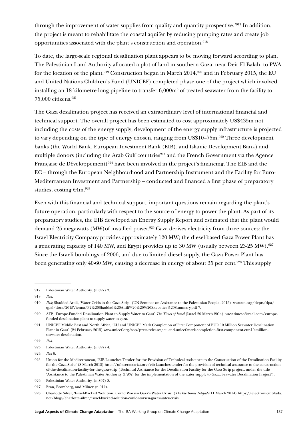through the improvement of water supplies from quality and quantity prospective.'917 In addition, the project is meant to rehabilitate the coastal aquifer by reducing pumping rates and create job opportunities associated with the plant's construction and operation.918

To date, the large-scale regional desalination plant appears to be moving forward according to plan. The Palestinian Land Authority allocated a plot of land in southern Gaza, near Deir El Balah, to PWA for the location of the plant.<sup>919</sup> Construction began in March 2014,<sup>920</sup> and in February 2015, the EU and United Nations Children's Fund (UNICEF) completed phase one of the project which involved installing an 18-kilometre-long pipeline to transfer 6,000m<sup>3</sup> of treated seawater from the facility to 75,000 citizens.921

The Gaza desalination project has received an extraordinary level of international financial and technical support. The overall project has been estimated to cost approximately US\$435m not including the costs of the energy supply; development of the energy supply infrastructure is projected to vary depending on the type of energy chosen, ranging from US\$10–75m.<sup>922</sup> Three development banks (the World Bank, European Investment Bank (EIB), and Islamic Development Bank) and multiple donors (including the Arab Gulf countries<sup>923</sup> and the French Government via the Agence Française de Développement)<sup>924</sup> have been involved in the project's financing. The EIB and the EC – through the European Neighbourhood and Partnership Instrument and the Facility for Euro-Mediterranean Investment and Partnership – conducted and financed a first phase of preparatory studies, costing €4m.925

Even with this financial and technical support, important questions remain regarding the plant's future operation, particularly with respect to the source of energy to power the plant. As part of its preparatory studies, the EIB developed an Energy Supply Report and estimated that the plant would demand 25 megawatts (MW) of installed power.<sup>926</sup> Gaza derives electricity from three sources: the Israel Electricity Company provides approximately 120 MW; the diesel-based Gaza Power Plant has a generating capacity of 140 MW, and Egypt provides up to 30 MW (usually between 23-25 MW).<sup>927</sup> Since the Israeli bombings of 2006, and due to limited diesel supply, the Gaza Power Plant has been generating only 40-60 MW, causing a decrease in energy of about 35 per cent.<sup>928</sup> This supply

<sup>917</sup> Palestinian Water Authority, (n 897) 3.

<sup>918</sup> *Ibid*.

<sup>919</sup> *Ibid*; Shaddad Attili, 'Water Crisis in the Gaza Strip' (UN Seminar on Assistance to the Palestinian People, 2015) [www.un.org/depts/dpa/](http://www.un.org/depts/dpa/qpal/docs/2015Vienna/P2%20Shaddad%20Attili%20%20%20Executive%20Summary.pdf) [qpal/docs/2015Vienna/P2%20Shaddad%20Attili%20%20%20Executive%20Summary.pdf](http://www.un.org/depts/dpa/qpal/docs/2015Vienna/P2%20Shaddad%20Attili%20%20%20Executive%20Summary.pdf) 7.

<sup>920</sup> AFP, 'Europe-Funded Desalination Plant to Supply Water to Gaza' *The Times of Israel* (Israel 20 March 2014) [www.timesofisrael.com/europe](http://www.timesofisrael.com/europe-funded-desalination-plant-to-supply-water-to-gaza)[funded-desalination-plant-to-supply-water-to-gaza.](http://www.timesofisrael.com/europe-funded-desalination-plant-to-supply-water-to-gaza)

<sup>921</sup> UNICEF Middle East and North Africa, 'EU and UNICEF Mark Completion of First Component of EUR 10 Million Seawater Desalination Plant in Gaza' (24 February 2015) [www.unicef.org/sop/press-releases/eu-and-unicef-mark-completion-first-component-eur-10-million](https://www.unicef.org/sop/press-releases/eu-and-unicef-mark-completion-first-component-eur-10-million-seawater-desalination)[seawater-desalination.](https://www.unicef.org/sop/press-releases/eu-and-unicef-mark-completion-first-component-eur-10-million-seawater-desalination)

<sup>922</sup> *Ibid*.

<sup>923</sup> Palestinian Water Authority, (n 897) 4.

<sup>924</sup> *Ibid* 6.

<sup>925</sup> Union for the Mediterranean, 'EIB Launches Tender for the Provision of Technical Assistance to the Construction of the Desalination Facility for the Gaza Strip' (8 March 2013) [http://ufmsecretariat.org/eib-launches-tender-for-the-provision-of-technical-assistance-to-the-construction](http://ufmsecretariat.org/eib-launches-tender-for-the-provision-of-technical-assistance-to-the-construction-of-the-desalination-facility-for-the-gaza-strip)[of-the-desalination-facility-for-the-gaza-strip](http://ufmsecretariat.org/eib-launches-tender-for-the-provision-of-technical-assistance-to-the-construction-of-the-desalination-facility-for-the-gaza-strip) (Technical Assistance for the Desalination Facility for the Gaza Strip project, under the title 'Assistance to the Palestinian Water Authority (PWA) for the implementation of the water supply to Gaza, Seawater Desalination Project').

<sup>926</sup> Palestinian Water Authority, (n 897) 8.

<sup>927</sup> Eran, Bromberg, and Milner (n 912).

<sup>928</sup> Charlotte Silver, 'Israel-Backed 'Solution' Could Worsen Gaza's Water Crisis' (*The Electronic Intifada* 11 March 2014) [https://electronicintifada.](https://electronicintifada.net/blogs/charlotte-silver/israel-backed-solution-could-worsen-gazas-water-crisis) [net/blogs/charlotte-silver/israel-backed-solution-could-worsen-gazas-water-crisis.](https://electronicintifada.net/blogs/charlotte-silver/israel-backed-solution-could-worsen-gazas-water-crisis)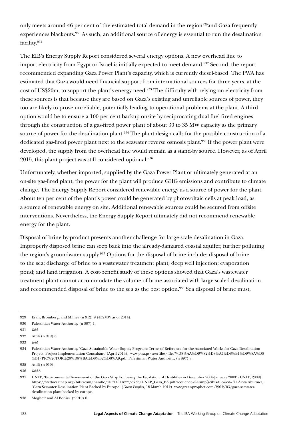only meets around 46 per cent of the estimated total demand in the region<sup>929</sup>and Gaza frequently experiences blackouts.930 As such, an additional source of energy is essential to run the desalination facility.931

The EIB's Energy Supply Report considered several energy options. A new overhead line to import electricity from Egypt or Israel is initially expected to meet demand.<sup>932</sup> Second, the report recommended expanding Gaza Power Plant's capacity, which is currently diesel-based. The PWA has estimated that Gaza would need financial support from international sources for three years, at the cost of US\$20m, to support the plant's energy need.<sup>933</sup> The difficulty with relying on electricity from these sources is that because they are based on Gaza's existing and unreliable sources of power, they too are likely to prove unreliable, potentially leading to operational problems at the plant. A third option would be to ensure a 100 per cent backup onsite by reciprocating dual fuel-fired engines through the construction of a gas-fired power plant of about 30 to 35 MW capacity as the primary source of power for the desalination plant.<sup>934</sup> The plant design calls for the possible construction of a dedicated gas-fired power plant next to the seawater reverse osmosis plant.<sup>935</sup> If the power plant were developed, the supply from the overhead line would remain as a stand-by source. However, as of April 2015, this plant project was still considered optional.<sup>936</sup>

Unfortunately, whether imported, supplied by the Gaza Power Plant or ultimately generated at an on-site gas-fired plant, the power for the plant will produce GHG emissions and contribute to climate change. The Energy Supply Report considered renewable energy as a source of power for the plant. About ten per cent of the plant's power could be generated by photovoltaic cells at peak load, as a source of renewable energy on site. Additional renewable sources could be secured from offsite interventions. Nevertheless, the Energy Supply Report ultimately did not recommend renewable energy for the plant.

Disposal of brine by-product presents another challenge for large-scale desalination in Gaza. Improperly disposed brine can seep back into the already-damaged coastal aquifer, further polluting the region's groundwater supply.937 Options for the disposal of brine include: disposal of brine to the sea; discharge of brine to a wastewater treatment plant; deep well injection; evaporation pond; and land irrigation. A cost-benefit study of these options showed that Gaza's wastewater treatment plant cannot accommodate the volume of brine associated with large-scaled desalination and recommended disposal of brine to the sea as the best option.<sup>938</sup> Sea disposal of brine must,

935 Attili (n 919).

936 *Ibid* 8.

938 Mogheir and Al Bohissi (n 910) 6.

<sup>929</sup> Eran, Bromberg, and Milner (n 912) 9 (452MW as of 2014).

<sup>930</sup> Palestinian Water Authority, (n 897) 1.

<sup>931</sup> *Ibid*.

<sup>932</sup> Attili (n 919) 8.

<sup>933</sup> *Ibid*.

<sup>934</sup> Palestinian Water Authority, 'Gaza Sustainable Water Supply Program: Terms of Reference for the Associated Works for Gaza Desalination Project, Project Implementation Consultant' (April 2014), [www.pwa.ps/userfiles/file/%D8%AA%D9%82%D8%A7%D8%B1%D9%8A%D8](http://www.pwa.ps/userfiles/file/%D8%AA%D9%82%D8%A7%D8%B1%D9%8A%D8%B1/PIC%20TOR%20%D8%BA%D8%B2%D8%A9.pdf) [%B1/PIC%20TOR%20%D8%BA%D8%B2%D8%A9.pdf;](http://www.pwa.ps/userfiles/file/%D8%AA%D9%82%D8%A7%D8%B1%D9%8A%D8%B1/PIC%20TOR%20%D8%BA%D8%B2%D8%A9.pdf) Palestinian Water Authority, (n 897) 8.

<sup>937</sup> UNEP, 'Environmental Assessment of the Gaza Strip Following the Escalation of Hostilities in December 2008-January 2009' (UNEP, 2009), [https://wedocs.unep.org/bitstream/handle/20.500.11822/8736/UNEP\\_Gaza\\_EA.pdf?sequence=2&amp%3BisAllowed=](https://wedocs.unep.org/bitstream/handle/20.500.11822/8736/UNEP_Gaza_EA.pdf?sequence=2&%3BisAllowed=) 71.Arwa Aburawa, 'Gaza Seawater Desalination Plant Backed by Europe' (*Green Prophet,* 18 March 2012) [www.greenprophet.com/2012/03/gaza-seawater](http://www.greenprophet.com/2012/03/gaza-seawater-desalination-plant-backed-by-europe)[desalination-plant-backed-by-europe](http://www.greenprophet.com/2012/03/gaza-seawater-desalination-plant-backed-by-europe).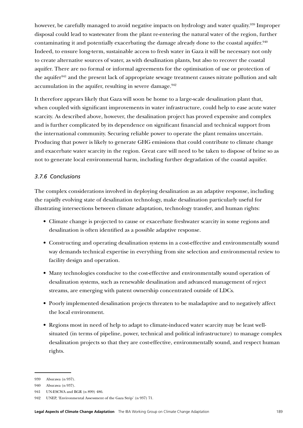however, be carefully managed to avoid negative impacts on hydrology and water quality.<sup>939</sup> Improper disposal could lead to wastewater from the plant re-entering the natural water of the region, further contaminating it and potentially exacerbating the damage already done to the coastal aquifer.940 Indeed, to ensure long-term, sustainable access to fresh water in Gaza it will be necessary not only to create alternative sources of water, as with desalination plants, but also to recover the coastal aquifer. There are no formal or informal agreements for the optimisation of use or protection of the aquifer<sup>941</sup> and the present lack of appropriate sewage treatment causes nitrate pollution and salt accumulation in the aquifer, resulting in severe damage. $942$ 

It therefore appears likely that Gaza will soon be home to a large-scale desalination plant that, when coupled with significant improvements in water infrastructure, could help to ease acute water scarcity. As described above, however, the desalination project has proved expensive and complex and is further complicated by its dependence on significant financial and technical support from the international community. Securing reliable power to operate the plant remains uncertain. Producing that power is likely to generate GHG emissions that could contribute to climate change and exacerbate water scarcity in the region. Great care will need to be taken to dispose of brine so as not to generate local environmental harm, including further degradation of the coastal aquifer.

## *3.7.6 Conclusions*

The complex considerations involved in deploying desalination as an adaptive response, including the rapidly evolving state of desalination technology, make desalination particularly useful for illustrating intersections between climate adaptation, technology transfer, and human rights:

- Climate change is projected to cause or exacerbate freshwater scarcity in some regions and desalination is often identified as a possible adaptive response.
- Constructing and operating desalination systems in a cost-effective and environmentally sound way demands technical expertise in everything from site selection and environmental review to facility design and operation.
- Many technologies conducive to the cost-effective and environmentally sound operation of desalination systems, such as renewable desalination and advanced management of reject streams, are emerging with patent ownership concentrated outside of LDCs.
- Poorly implemented desalination projects threaten to be maladaptive and to negatively affect the local environment.
- Regions most in need of help to adapt to climate-induced water scarcity may be least wellsituated (in terms of pipeline, power, technical and political infrastructure) to manage complex desalination projects so that they are cost-effective, environmentally sound, and respect human rights.

<sup>939</sup> Aburawa (n 937).

<sup>940</sup> Aburawa (n 937).

<sup>941</sup> UN-ESCWA and BGR (n 899) 486.

<sup>942</sup> UNEP, 'Environmental Assessment of the Gaza Strip' (n 937) 71.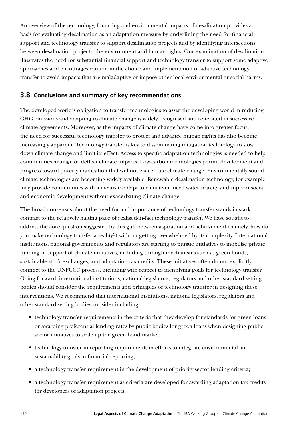An overview of the technology, financing and environmental impacts of desalination provides a basis for evaluating desalination as an adaptation measure by underlining the need for financial support and technology transfer to support desalination projects and by identifying intersections between desalination projects, the environment and human rights. Our examination of desalination illustrates the need for substantial financial support and technology transfer to support some adaptive approaches and encourages caution in the choice and implementation of adaptive technology transfer to avoid impacts that are maladaptive or impose other local environmental or social harms.

## **3.8 Conclusions and summary of key recommendations**

The developed world's obligation to transfer technologies to assist the developing world in reducing GHG emissions and adapting to climate change is widely recognised and reiterated in successive climate agreements. Moreover, as the impacts of climate change have come into greater focus, the need for successful technology transfer to protect and advance human rights has also become increasingly apparent. Technology transfer is key to disseminating mitigation technology to slow down climate change and limit its effect. Access to specific adaptation technologies is needed to help communities manage or deflect climate impacts. Low-carbon technologies permit development and progress toward poverty eradication that will not exacerbate climate change. Environmentally sound climate technologies are becoming widely available. Renewable desalination technology, for example, may provide communities with a means to adapt to climate-induced water scarcity and support social and economic development without exacerbating climate change.

The broad consensus about the need for and importance of technology transfer stands in stark contrast to the relatively halting pace of realised-in-fact technology transfer. We have sought to address the core question suggested by this gulf between aspiration and achievement (namely, how do you make technology transfer a reality?) without getting overwhelmed by its complexity. International institutions, national governments and regulators are starting to pursue initiatives to mobilise private funding in support of climate initiatives, including through mechanisms such as green bonds, sustainable stock exchanges, and adaptation tax credits. These initiatives often do not explicitly connect to the UNFCCC process, including with respect to identifying goals for technology transfer. Going forward, international institutions, national legislators, regulators and other standard-setting bodies should consider the requirements and principles of technology transfer in designing these interventions. We recommend that international institutions, national legislators, regulators and other standard-setting bodies consider including:

- technology transfer requirements in the criteria that they develop for standards for green loans or awarding preferential lending rates by public bodies for green loans when designing public sector initiatives to scale up the green bond market;
- technology transfer in reporting requirements in efforts to integrate environmental and sustainability goals in financial reporting;
- a technology transfer requirement in the development of priority sector lending criteria;
- a technology transfer requirement as criteria are developed for awarding adaptation tax credits for developers of adaptation projects.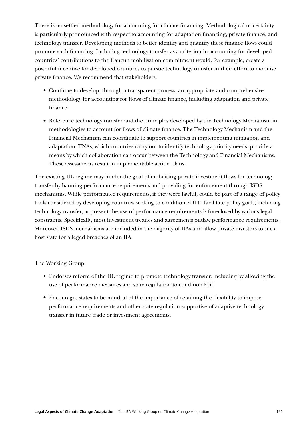There is no settled methodology for accounting for climate financing. Methodological uncertainty is particularly pronounced with respect to accounting for adaptation financing, private finance, and technology transfer. Developing methods to better identify and quantify these finance flows could promote such financing. Including technology transfer as a criterion in accounting for developed countries' contributions to the Cancun mobilisation commitment would, for example, create a powerful incentive for developed countries to pursue technology transfer in their effort to mobilise private finance. We recommend that stakeholders:

- Continue to develop, through a transparent process, an appropriate and comprehensive methodology for accounting for flows of climate finance, including adaptation and private finance.
- Reference technology transfer and the principles developed by the Technology Mechanism in methodologies to account for flows of climate finance. The Technology Mechanism and the Financial Mechanism can coordinate to support countries in implementing mitigation and adaptation. TNAs, which countries carry out to identify technology priority needs, provide a means by which collaboration can occur between the Technology and Financial Mechanisms. These assessments result in implementable action plans.

The existing IIL regime may hinder the goal of mobilising private investment flows for technology transfer by banning performance requirements and providing for enforcement through ISDS mechanisms. While performance requirements, if they were lawful, could be part of a range of policy tools considered by developing countries seeking to condition FDI to facilitate policy goals, including technology transfer, at present the use of performance requirements is foreclosed by various legal constraints. Specifically, most investment treaties and agreements outlaw performance requirements. Moreover, ISDS mechanisms are included in the majority of IIAs and allow private investors to sue a host state for alleged breaches of an IIA.

The Working Group:

- Endorses reform of the IIL regime to promote technology transfer, including by allowing the use of performance measures and state regulation to condition FDI.
- Encourages states to be mindful of the importance of retaining the flexibility to impose performance requirements and other state regulation supportive of adaptive technology transfer in future trade or investment agreements.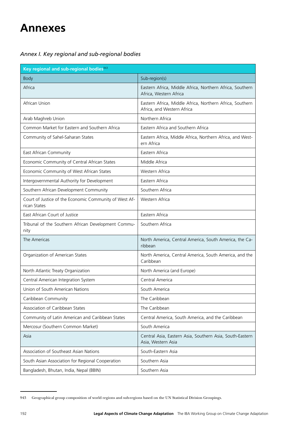# **Annexes**

## *Annex I. Key regional and sub-regional bodies*

| Key regional and sub-regional bodies <sup>943</sup>                    |                                                                                        |
|------------------------------------------------------------------------|----------------------------------------------------------------------------------------|
| <b>Body</b>                                                            | Sub-region(s)                                                                          |
| Africa                                                                 | Eastern Africa, Middle Africa, Northern Africa, Southern<br>Africa, Western Africa     |
| African Union                                                          | Eastern Africa, Middle Africa, Northern Africa, Southern<br>Africa, and Western Africa |
| Arab Maghreb Union                                                     | Northern Africa                                                                        |
| Common Market for Eastern and Southern Africa                          | Eastern Africa and Southern Africa                                                     |
| Community of Sahel-Saharan States                                      | Eastern Africa, Middle Africa, Northern Africa, and West-<br>ern Africa                |
| East African Community                                                 | Eastern Africa                                                                         |
| Economic Community of Central African States                           | Middle Africa                                                                          |
| Economic Community of West African States                              | Western Africa                                                                         |
| Intergovernmental Authority for Development                            | Eastern Africa                                                                         |
| Southern African Development Community                                 | Southern Africa                                                                        |
| Court of Justice of the Economic Community of West Af-<br>rican States | Western Africa                                                                         |
| East African Court of Justice                                          | Eastern Africa                                                                         |
| Tribunal of the Southern African Development Commu-<br>nity            | Southern Africa                                                                        |
| The Americas                                                           | North America, Central America, South America, the Ca-<br>ribbean                      |
| Organization of American States                                        | North America, Central America, South America, and the<br>Caribbean                    |
| North Atlantic Treaty Organization                                     | North America (and Europe)                                                             |
| Central American Integration System                                    | Central America                                                                        |
| Union of South American Nations                                        | South America                                                                          |
| Caribbean Community                                                    | The Caribbean                                                                          |
| Association of Caribbean States                                        | The Caribbean                                                                          |
| Community of Latin American and Caribbean States                       | Central America, South America, and the Caribbean                                      |
| Mercosur (Southern Common Market)                                      | South America                                                                          |
| Asia                                                                   | Central Asia, Eastern Asia, Southern Asia, South-Eastern<br>Asia, Western Asia         |
| Association of Southeast Asian Nations                                 | South-Eastern Asia                                                                     |
| South Asian Association for Regional Cooperation                       | Southern Asia                                                                          |
| Bangladesh, Bhutan, India, Nepal (BBIN)                                | Southern Asia                                                                          |

<sup>943</sup> Geographical group composition of world regions and sub-regions based on the UN Statistical Division Groupings.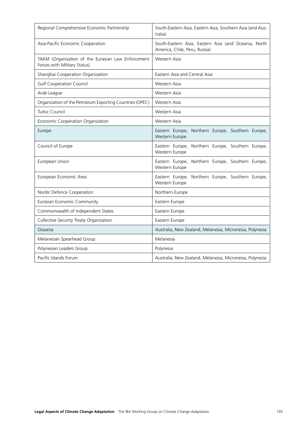| Regional Comprehensive Economic Partnership                                        | South-Eastern Asia, Eastern Asia, Southern Asia (and Aus-<br>tralia)                  |
|------------------------------------------------------------------------------------|---------------------------------------------------------------------------------------|
| Asia-Pacific Economic Cooperation                                                  | South-Eastern Asia, Eastern Asia (and Oceania, North<br>America, Chile, Peru, Russia) |
| TAKM (Organisation of the Eurasian Law Enforcement<br>Forces with Military Status) | Western Asia                                                                          |
| Shanghai Cooperation Organization                                                  | Eastern Asia and Central Asia                                                         |
| <b>Gulf Cooperation Council</b>                                                    | Western Asia                                                                          |
| Arab League                                                                        | Western Asia                                                                          |
| Organization of the Petroleum Exporting Countries (OPEC)                           | Western Asia                                                                          |
| Turkic Council                                                                     | Western Asia                                                                          |
| Economic Cooperation Organization                                                  | Western Asia                                                                          |
| Europe                                                                             | Eastern Europe, Northern Europe, Southern Europe,<br>Western Europe                   |
| Council of Europe                                                                  | Eastern Europe, Northern Europe, Southern Europe,<br>Western Europe                   |
| European Union                                                                     | Eastern Europe, Northern Europe, Southern Europe,<br>Western Europe                   |
| European Economic Area                                                             | Eastern Europe, Northern Europe, Southern Europe,<br>Western Europe                   |
| Nordic Defence Cooperation                                                         | Northern Europe                                                                       |
| Eurasian Economic Community                                                        | Eastern Europe                                                                        |
| Commonwealth of Independent States                                                 | Eastern Europe                                                                        |
| Collective Security Treaty Organization                                            | Eastern Europe                                                                        |
| Oceania                                                                            | Australia, New Zealand, Melanesia, Micronesia, Polynesia                              |
| Melanesian Spearhead Group                                                         | Melanesia                                                                             |
| Polynesian Leaders Group                                                           | Polynesia                                                                             |
| Pacific Islands Forum                                                              | Australia, New Zealand, Melanesia, Micronesia, Polynesia                              |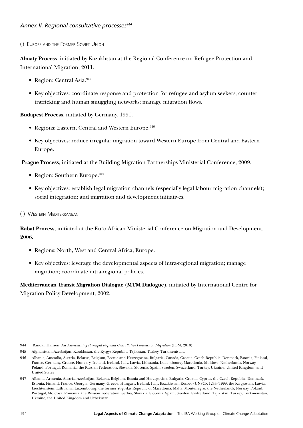## Annex *II. Regional consultative processes*<sup>944</sup>

(i) Europe and the Former Soviet Union

**Almaty Process**, initiated by Kazakhstan at the Regional Conference on Refugee Protection and International Migration, 2011.

- Region: Central Asia.945
- Key objectives: coordinate response and protection for refugee and asylum seekers; counter trafficking and human smuggling networks; manage migration flows.

**Budapest Process**, initiated by Germany, 1991.

- Regions: Eastern, Central and Western Europe.<sup>946</sup>
- Key objectives: reduce irregular migration toward Western Europe from Central and Eastern Europe.

**Prague Process**, initiated at the Building Migration Partnerships Ministerial Conference, 2009.

- Region: Southern Europe.<sup>947</sup>
- Key objectives: establish legal migration channels (especially legal labour migration channels); social integration; and migration and development initiatives.
- (ii) Western Mediterranean

**Rabat Process**, initiated at the Euro-African Ministerial Conference on Migration and Development, 2006.

- Regions: North, West and Central Africa, Europe.
- Key objectives: leverage the developmental aspects of intra-regional migration; manage migration; coordinate intra-regional policies.

**Mediterranean Transit Migration Dialogue (MTM Dialogue)**, initiated by International Centre for Migration Policy Development, 2002.

<sup>944</sup> Randall Hansen, An *Assessment of Principal Regional Consultative Processes on Migration* (IOM, 2010).

<sup>945</sup> Afghanistan, Azerbaijan, Kazakhstan, the Kyrgyz Republic, Tajikistan, Turkey, Turkmenistan.

<sup>946</sup> Albania, Australia, Austria, Belarus, Belgium, Bosnia and Herzegovina, Bulgaria, Canada, Croatia, Czech Republic, Denmark, Estonia, Finland, France, Germany, Greece, Hungary, Iceland, Ireland, Italy, Latvia, Lithuania, Luxembourg, Macedonia, Moldova, Netherlands, Norway, Poland, Portugal, Romania, the Russian Federation, Slovakia, Slovenia, Spain, Sweden, Switzerland, Turkey, Ukraine, United Kingdom, and United States

<sup>947</sup> Albania, Armenia, Austria, Azerbaijan, Belarus, Belgium, Bosnia and Herzegovina, Bulgaria, Croatia, Cyprus, the Czech Republic, Denmark, Estonia, Finland, France, Georgia, Germany, Greece, Hungary, Ireland, Italy, Kazakhstan, Kosovo/UNSCR 1244/1999, the Kyrgyzstan, Latvia, Liechtenstein, Lithuania, Luxembourg, the former Yugoslav Republic of Macedonia, Malta, Montenegro, the Netherlands, Norway, Poland, Portugal, Moldova, Romania, the Russian Federation, Serbia, Slovakia, Slovenia, Spain, Sweden, Switzerland, Tajikistan, Turkey, Turkmenistan, Ukraine, the United Kingdom and Uzbekistan.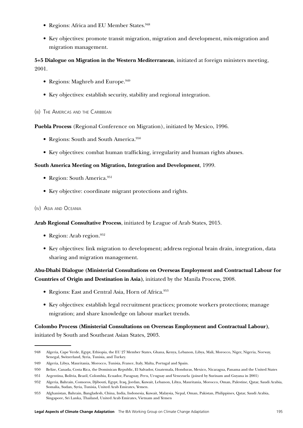- Regions: Africa and EU Member States.<sup>948</sup>
- Key objectives: promote transit migration, migration and development, mix-migration and migration management.

**5+5 Dialogue on Migration in the Western Mediterranean**, initiated at foreign ministers meeting, 2001.

- Regions: Maghreb and Europe.<sup>949</sup>
- Key objectives: establish security, stability and regional integration.

#### (iii) The Americas and the Caribbean

**Puebla Process** (Regional Conference on Migration), initiated by Mexico, 1996.

- Regions: South and South America.<sup>950</sup>
- Key objectives: combat human trafficking, irregularity and human rights abuses.

#### **South America Meeting on Migration, Integration and Development**, 1999.

- Region: South America.<sup>951</sup>
- Key objective: coordinate migrant protections and rights.

#### (iv) Asia and Oceania

**Arab Regional Consultative Process**, initiated by League of Arab States, 2015.

- Region: Arab region. $952$
- Key objectives: link migration to development; address regional brain drain, integration, data sharing and migration management.

## **Abu-Dhabi Dialogue (Ministerial Consultations on Overseas Employment and Contractual Labour for Countries of Origin and Destination in Asia)**, initiated by the Manila Process, 2008.

- Regions: East and Central Asia, Horn of Africa.<sup>953</sup>
- Key objectives: establish legal recruitment practices; promote workers protections; manage migration; and share knowledge on labour market trends.

## **Colombo Process (Ministerial Consultations on Overseas Employment and Contractual Labour)**, initiated by South and Southeast Asian States, 2003.

<sup>948</sup> Algeria, Cape Verde, Egypt, Ethiopia, the EU 27 Member States, Ghana, Kenya, Lebanon, Libya, Mali, Morocco, Niger, Nigeria, Norway, Senegal, Switzerland, Syria, Tunisia, and Turkey.

<sup>949</sup> Algeria, Libya, Mauritania, Morocco, Tunisia, France, Italy, Malta, Portugal and Spain.

<sup>950</sup> Belize, Canada, Costa Rica, the Dominican Republic, El Salvador, Guatemala, Honduras, Mexico, Nicaragua, Panama and the United States

<sup>951</sup> Argentina, Bolivia, Brazil, Colombia, Ecuador, Paraguay, Peru, Uruguay and Venezuela (joined by Surinam and Guyana in 2001)

<sup>952</sup> Algeria, Bahrain, Comoros, Djibouti, Egypt, Iraq, Jordan, Kuwait, Lebanon, Libya, Mauritania, Morocco, Oman, Palestine, Qatar, Saudi Arabia, Somalia, Sudan, Syria, Tunisia, United Arab Emirates, Yemen.

<sup>953</sup> Afghanistan, Bahrain, Bangladesh, China, India, Indonesia, Kuwait, Malaysia, Nepal, Oman, Pakistan, Philippines, Qatar, Saudi Arabia, Singapore, Sri Lanka, Thailand, United Arab Emirates, Vietnam and Yemen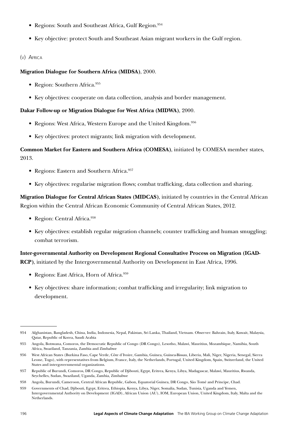- Regions: South and Southeast Africa, Gulf Region.<sup>954</sup>
- Key objective: protect South and Southeast Asian migrant workers in the Gulf region.

## (v) Africa

## **Migration Dialogue for Southern Africa (MIDSA)**, 2000.

- Region: Southern Africa.<sup>955</sup>
- Key objectives: cooperate on data collection, analysis and border management.

## **Dakar Follow-up or Migration Dialogue for West Africa (MIDWA)**, 2000.

- Regions: West Africa, Western Europe and the United Kingdom.<sup>956</sup>
- Key objectives: protect migrants; link migration with development.

## **Common Market for Eastern and Southern Africa (COMESA)**, initiated by COMESA member states, 2013.

- Regions: Eastern and Southern Africa.<sup>957</sup>
- Key objectives: regularise migration flows; combat trafficking, data collection and sharing.

**Migration Dialogue for Central African States (MIDCAS)**, initiated by countries in the Central African Region within the Central African Economic Community of Central African States, 2012.

- Region: Central Africa.<sup>958</sup>
- Key objectives: establish regular migration channels; counter trafficking and human smuggling; combat terrorism.

**Inter-governmental Authority on Development Regional Consultative Process on Migration (IGAD-RCP)**, initiated by the Intergovernmental Authority on Development in East Africa, 1996.

- Regions: East Africa, Horn of Africa.<sup>959</sup>
- Key objectives: share information; combat trafficking and irregularity; link migration to development.

<sup>954</sup> Afghanistan, Bangladesh, China, India, Indonesia, Nepal, Pakistan, Sri Lanka, Thailand, Vietnam. Observer: Bahrain, Italy, Kuwait, Malaysia, Qatar, Republic of Korea, Saudi Arabia

<sup>955</sup> Angola, Botswana, Comoros, the Democratic Republic of Congo (DR Congo), Lesotho, Malawi, Mauritius, Mozambique, Namibia, South Africa, Swaziland, Tanzania, Zambia and Zimbabwe

<sup>956</sup> West African States (Burkina Faso, Cape Verde, Côte d'Ivoire, Gambia, Guinea, Guinea-Bissau, Liberia, Mali, Niger, Nigeria, Senegal, Sierra Leone, Togo), with representatives from Belgium, France, Italy, the Netherlands, Portugal, United Kingdom, Spain, Switzerland, the United States and intergovernmental organizations.

<sup>957</sup> Republic of Burundi, Comoros, DR Congo, Republic of Djibouti, Egypt, Eritrea, Kenya, Libya, Madagascar, Malawi, Mauritius, Rwanda, Seychelles, Sudan, Swaziland, Uganda, Zambia, Zimbabwe

<sup>958</sup> Angola, Burundi, Cameroon, Central African Republic, Gabon, Equatorial Guinea, DR Congo, Sâo Tomé and Principe, Chad.

<sup>959</sup> Governments of Chad, Djibouti, Egypt, Eritrea, Ethiopia, Kenya, Libya, Niger, Somalia, Sudan, Tunisia, Uganda and Yemen, Intergovernmental Authority on Development (IGAD), African Union (AU), IOM, European Union, United Kingdom, Italy, Malta and the Netherlands.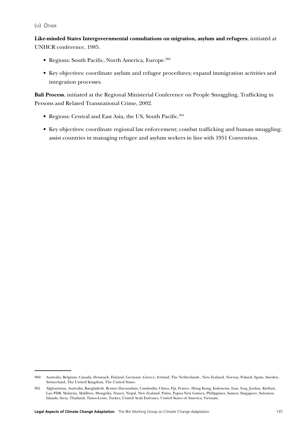(vi) Other

**Like-minded States Intergovernmental consultations on migration, asylum and refugees**, initiated at UNHCR conference, 1985.

- Regions: South Pacific, North America, Europe.960
- Key objectives: coordinate asylum and refugee procedures; expand immigration activities and integration processes.

**Bali Process**, initiated at the Regional Ministerial Conference on People Smuggling, Trafficking in Persons and Related Transnational Crime, 2002.

- Regions: Central and East Asia, the US, South Pacific.<sup>961</sup>
- Key objectives: coordinate regional law enforcement; combat trafficking and human smuggling; assist countries in managing refugee and asylum seekers in line with 1951 Convention.

<sup>960</sup> Australia, Belgium, Canada, Denmark, Finland, Germany ,Greece, Ireland, The Netherlands , New Zealand, Norway, Poland, Spain, Sweden, Switzerland, The United Kingdom, The United States

<sup>961</sup> Afghanistan, Australia, Bangladesh, Brunei Darussalam, Cambodia, China, Fiji, France, Hong Kong, Indonesia, Iran, Iraq, Jordan, Kiribati, Lao PDR, Malaysia, Maldives, Mongolia, Nauru, Nepal, New Zealand, Palau, Papua New Guinea, Philippines, Samoa, Singapore, Solomon Islands, Syria, Thailand, Timor-Leste, Turkey, United Arab Emirates, United States of America, Vietnam.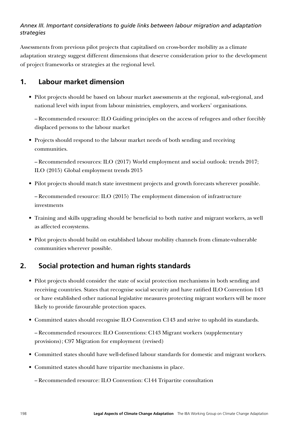## *Annex III. Important considerations to guide links between labour migration and adaptation strategies*

Assessments from previous pilot projects that capitalised on cross-border mobility as a climate adaptation strategy suggest different dimensions that deserve consideration prior to the development of project frameworks or strategies at the regional level.

# **1. Labour market dimension**

• Pilot projects should be based on labour market assessments at the regional, sub-regional, and national level with input from labour ministries, employers, and workers' organisations.

– Recommended resource: ILO Guiding principles on the access of refugees and other forcibly displaced persons to the labour market

• Projects should respond to the labour market needs of both sending and receiving communities.

– Recommended resources: ILO (2017) World employment and social outlook: trends 2017; ILO (2015) Global employment trends 2015

• Pilot projects should match state investment projects and growth forecasts wherever possible.

– Recommended resource: ILO (2015) The employment dimension of infrastructure investments

- Training and skills upgrading should be beneficial to both native and migrant workers, as well as affected ecosystems.
- Pilot projects should build on established labour mobility channels from climate-vulnerable communities wherever possible.

# **2. Social protection and human rights standards**

- Pilot projects should consider the state of social protection mechanisms in both sending and receiving countries. States that recognise social security and have ratified ILO Convention 143 or have established other national legislative measures protecting migrant workers will be more likely to provide favourable protection spaces.
- Committed states should recognise ILO Convention C143 and strive to uphold its standards.

– Recommended resources: ILO Conventions: C143 Migrant workers (supplementary provisions); C97 Migration for employment (revised)

- Committed states should have well-defined labour standards for domestic and migrant workers.
- Committed states should have tripartite mechanisms in place.

– Recommended resource: ILO Convention: C144 Tripartite consultation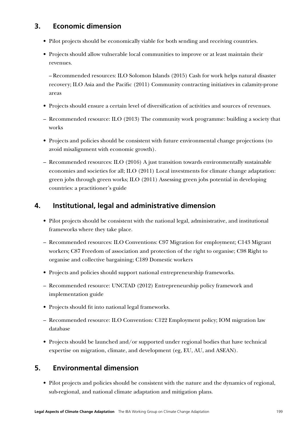# **3. Economic dimension**

- Pilot projects should be economically viable for both sending and receiving countries.
- Projects should allow vulnerable local communities to improve or at least maintain their revenues.

– Recommended resources: ILO Solomon Islands (2015) Cash for work helps natural disaster recovery; ILO Asia and the Pacific (2011) Community contracting initiatives in calamity-prone areas

- Projects should ensure a certain level of diversification of activities and sources of revenues.
- Recommended resource: ILO (2013) The community work programme: building a society that works
- Projects and policies should be consistent with future environmental change projections (to avoid misalignment with economic growth).
- Recommended resources: ILO (2016) A just transition towards environmentally sustainable economies and societies for all; ILO (2011) Local investments for climate change adaptation: green jobs through green works; ILO (2011) Assessing green jobs potential in developing countries: a practitioner's guide

# **4. Institutional, legal and administrative dimension**

- Pilot projects should be consistent with the national legal, administrative, and institutional frameworks where they take place.
- Recommended resources: ILO Conventions: C97 Migration for employment; C143 Migrant workers; C87 Freedom of association and protection of the right to organise; C98 Right to organise and collective bargaining; C189 Domestic workers
- Projects and policies should support national entrepreneurship frameworks.
- Recommended resource: UNCTAD (2012) Entrepreneurship policy framework and implementation guide
- Projects should fit into national legal frameworks.
- Recommended resource: ILO Convention: C122 Employment policy; IOM migration law database
- Projects should be launched and/or supported under regional bodies that have technical expertise on migration, climate, and development (eg, EU, AU, and ASEAN).

# **5. Environmental dimension**

• Pilot projects and policies should be consistent with the nature and the dynamics of regional, sub-regional, and national climate adaptation and mitigation plans.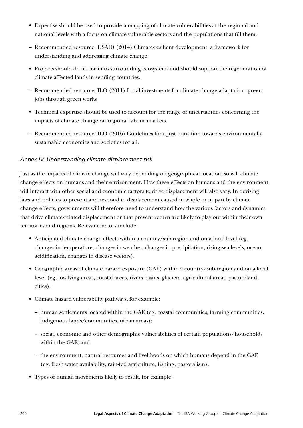- Expertise should be used to provide a mapping of climate vulnerabilities at the regional and national levels with a focus on climate-vulnerable sectors and the populations that fill them.
- Recommended resource: USAID (2014) Climate-resilient development: a framework for understanding and addressing climate change
- Projects should do no harm to surrounding ecosystems and should support the regeneration of climate-affected lands in sending countries.
- Recommended resource: ILO (2011) Local investments for climate change adaptation: green jobs through green works
- Technical expertise should be used to account for the range of uncertainties concerning the impacts of climate change on regional labour markets.
- Recommended resource: ILO (2016) Guidelines for a just transition towards environmentally sustainable economies and societies for all.

## *Annex IV. Understanding climate displacement risk*

Just as the impacts of climate change will vary depending on geographical location, so will climate change effects on humans and their environment. How these effects on humans and the environment will interact with other social and economic factors to drive displacement will also vary. In devising laws and policies to prevent and respond to displacement caused in whole or in part by climate change effects, governments will therefore need to understand how the various factors and dynamics that drive climate-related displacement or that prevent return are likely to play out within their own territories and regions. Relevant factors include:

- Anticipated climate change effects within a country/sub-region and on a local level (eg, changes in temperature, changes in weather, changes in precipitation, rising sea levels, ocean acidification, changes in disease vectors).
- Geographic areas of climate hazard exposure (GAE) within a country/sub-region and on a local level (eg, low-lying areas, coastal areas, rivers basins, glaciers, agricultural areas, pastureland, cities).
- Climate hazard vulnerability pathways, for example:
	- human settlements located within the GAE (eg, coastal communities, farming communities, indigenous lands/communities, urban areas);
	- social, economic and other demographic vulnerabilities of certain populations/households within the GAE; and
	- the environment, natural resources and livelihoods on which humans depend in the GAE (eg, fresh water availability, rain-fed agriculture, fishing, pastoralism).
- Types of human movements likely to result, for example: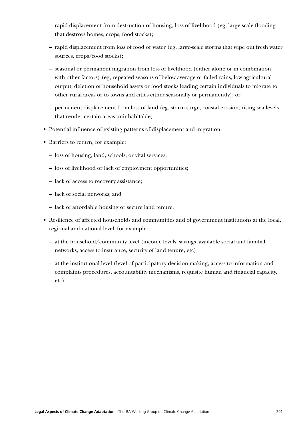- rapid displacement from destruction of housing, loss of livelihood (eg, large-scale flooding that destroys homes, crops, food stocks);
- rapid displacement from loss of food or water (eg, large-scale storms that wipe out fresh water sources, crops/food stocks);
- seasonal or permanent migration from loss of livelihood (either alone or in combination with other factors) (eg, repeated seasons of below average or failed rains, low agricultural output, deletion of household assets or food stocks leading certain individuals to migrate to other rural areas or to towns and cities either seasonally or permanently); or
- permanent displacement from loss of land (eg, storm surge, coastal erosion, rising sea levels that render certain areas uninhabitable).
- Potential influence of existing patterns of displacement and migration.
- Barriers to return, for example:
	- loss of housing, land, schools, or vital services;
	- loss of livelihood or lack of employment opportunities;
	- lack of access to recovery assistance;
	- lack of social networks; and
	- lack of affordable housing or secure land tenure.
- Resilience of affected households and communities and of government institutions at the local, regional and national level, for example:
	- at the household/community level (income levels, savings, available social and familial networks, access to insurance, security of land tenure, etc);
	- at the institutional level (level of participatory decision-making, access to information and complaints procedures, accountability mechanisms, requisite human and financial capacity, etc).